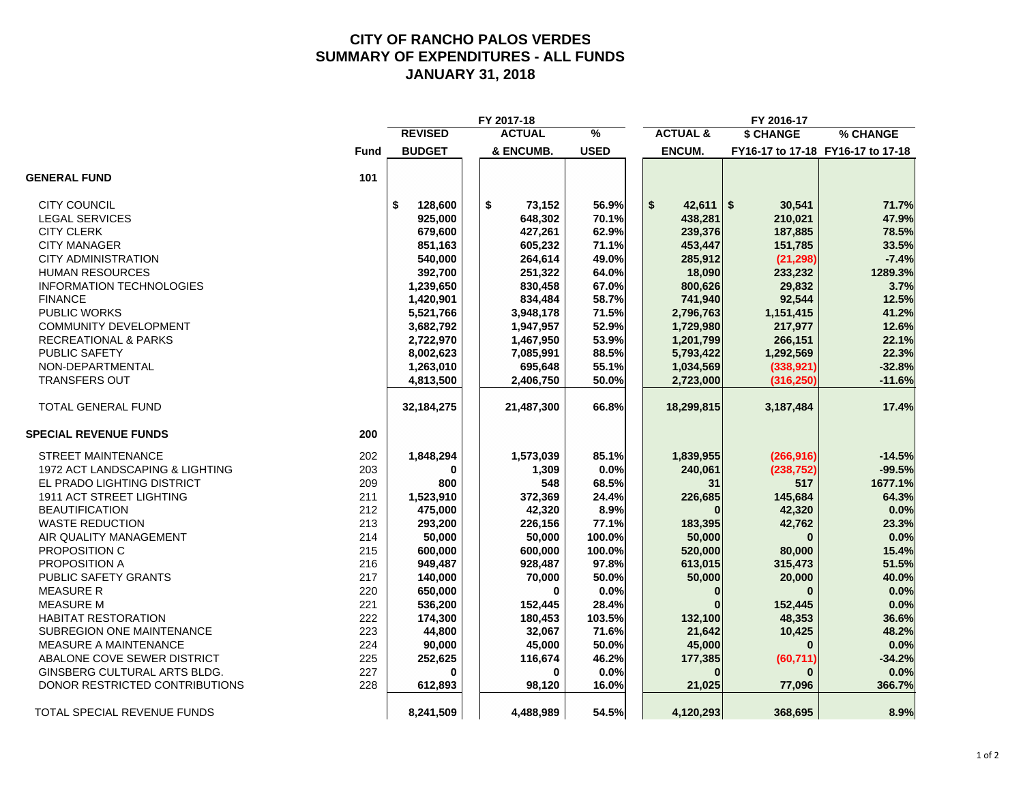#### **CITY OF RANCHO PALOS VERDES SUMMARY OF EXPENDITURES - ALL FUNDS JANUARY 31, 2018**

|                                 |             |                | FY 2017-18    |             |                     | FY 2016-17   |                                   |
|---------------------------------|-------------|----------------|---------------|-------------|---------------------|--------------|-----------------------------------|
|                                 |             | <b>REVISED</b> | <b>ACTUAL</b> | %           | <b>ACTUAL &amp;</b> | \$ CHANGE    | % CHANGE                          |
|                                 | <b>Fund</b> | <b>BUDGET</b>  | & ENCUMB.     | <b>USED</b> | <b>ENCUM.</b>       |              | FY16-17 to 17-18 FY16-17 to 17-18 |
| <b>GENERAL FUND</b>             | 101         |                |               |             |                     |              |                                   |
| <b>CITY COUNCIL</b>             |             | \$<br>128,600  | \$<br>73,152  | 56.9%       | \$<br>42,611        | \$<br>30,541 | 71.7%                             |
| <b>LEGAL SERVICES</b>           |             | 925,000        | 648,302       | 70.1%       | 438,281             | 210,021      | 47.9%                             |
| <b>CITY CLERK</b>               |             | 679,600        | 427,261       | 62.9%       | 239,376             | 187,885      | 78.5%                             |
| <b>CITY MANAGER</b>             |             | 851,163        | 605,232       | 71.1%       | 453,447             | 151,785      | 33.5%                             |
| <b>CITY ADMINISTRATION</b>      |             | 540,000        | 264,614       | 49.0%       | 285,912             | (21, 298)    | $-7.4%$                           |
| <b>HUMAN RESOURCES</b>          |             | 392,700        | 251,322       | 64.0%       | 18,090              | 233,232      | 1289.3%                           |
| <b>INFORMATION TECHNOLOGIES</b> |             | 1,239,650      | 830,458       | 67.0%       | 800,626             | 29,832       | 3.7%                              |
| <b>FINANCE</b>                  |             | 1,420,901      | 834,484       | 58.7%       | 741,940             | 92,544       | 12.5%                             |
| PUBLIC WORKS                    |             | 5,521,766      | 3,948,178     | 71.5%       | 2,796,763           | 1,151,415    | 41.2%                             |
| <b>COMMUNITY DEVELOPMENT</b>    |             | 3,682,792      | 1,947,957     | 52.9%       | 1,729,980           | 217,977      | 12.6%                             |
| <b>RECREATIONAL &amp; PARKS</b> |             | 2,722,970      | 1,467,950     | 53.9%       | 1,201,799           | 266,151      | 22.1%                             |
| PUBLIC SAFETY                   |             | 8,002,623      | 7,085,991     | 88.5%       | 5,793,422           | 1,292,569    | 22.3%                             |
| NON-DEPARTMENTAL                |             | 1,263,010      | 695,648       | 55.1%       | 1,034,569           | (338, 921)   | $-32.8%$                          |
| <b>TRANSFERS OUT</b>            |             | 4,813,500      | 2,406,750     | 50.0%       | 2,723,000           | (316, 250)   | $-11.6%$                          |
| <b>TOTAL GENERAL FUND</b>       |             | 32,184,275     | 21,487,300    | 66.8%       | 18,299,815          | 3,187,484    | 17.4%                             |
| <b>SPECIAL REVENUE FUNDS</b>    | 200         |                |               |             |                     |              |                                   |
| <b>STREET MAINTENANCE</b>       | 202         | 1,848,294      | 1,573,039     | 85.1%       | 1,839,955           | (266, 916)   | $-14.5%$                          |
| 1972 ACT LANDSCAPING & LIGHTING | 203         | 0              | 1,309         | 0.0%        | 240,061             | (238, 752)   | $-99.5%$                          |
| EL PRADO LIGHTING DISTRICT      | 209         | 800            | 548           | 68.5%       | 31                  | 517          | 1677.1%                           |
| 1911 ACT STREET LIGHTING        | 211         | 1,523,910      | 372,369       | 24.4%       | 226,685             | 145,684      | 64.3%                             |
| <b>BEAUTIFICATION</b>           | 212         | 475,000        | 42,320        | 8.9%        |                     | 42,320       | 0.0%                              |
| <b>WASTE REDUCTION</b>          | 213         | 293,200        | 226,156       | 77.1%       | 183,395             | 42,762       | 23.3%                             |
| AIR QUALITY MANAGEMENT          | 214         | 50,000         | 50,000        | 100.0%      | 50,000              | $\bf{0}$     | 0.0%                              |
| PROPOSITION C                   | 215         | 600,000        | 600,000       | 100.0%      | 520,000             | 80,000       | 15.4%                             |
| PROPOSITION A                   | 216         | 949,487        | 928,487       | 97.8%       | 613,015             | 315,473      | 51.5%                             |
| PUBLIC SAFETY GRANTS            | 217         | 140,000        | 70,000        | 50.0%       | 50,000              | 20,000       | 40.0%                             |
| <b>MEASURE R</b>                | 220         | 650,000        | $\Omega$      | 0.0%        | $\Omega$            | $\bf{0}$     | 0.0%                              |
| <b>MEASURE M</b>                | 221         | 536,200        | 152,445       | 28.4%       |                     | 152,445      | 0.0%                              |
| <b>HABITAT RESTORATION</b>      | 222         | 174,300        | 180,453       | 103.5%      | 132,100             | 48,353       | 36.6%                             |
| SUBREGION ONE MAINTENANCE       | 223         | 44,800         | 32,067        | 71.6%       | 21,642              | 10,425       | 48.2%                             |
| MEASURE A MAINTENANCE           | 224         | 90,000         | 45,000        | 50.0%       | 45,000              |              | 0.0%                              |
| ABALONE COVE SEWER DISTRICT     | 225         | 252,625        | 116,674       | 46.2%       | 177,385             | (60, 711)    | $-34.2%$                          |
| GINSBERG CULTURAL ARTS BLDG.    | 227         | U              | O             | 0.0%        |                     |              | 0.0%                              |
| DONOR RESTRICTED CONTRIBUTIONS  | 228         | 612,893        | 98,120        | 16.0%       | 21,025              | 77,096       | 366.7%                            |
| TOTAL SPECIAL REVENUE FUNDS     |             | 8,241,509      | 4,488,989     | 54.5%       | 4,120,293           | 368,695      | 8.9%                              |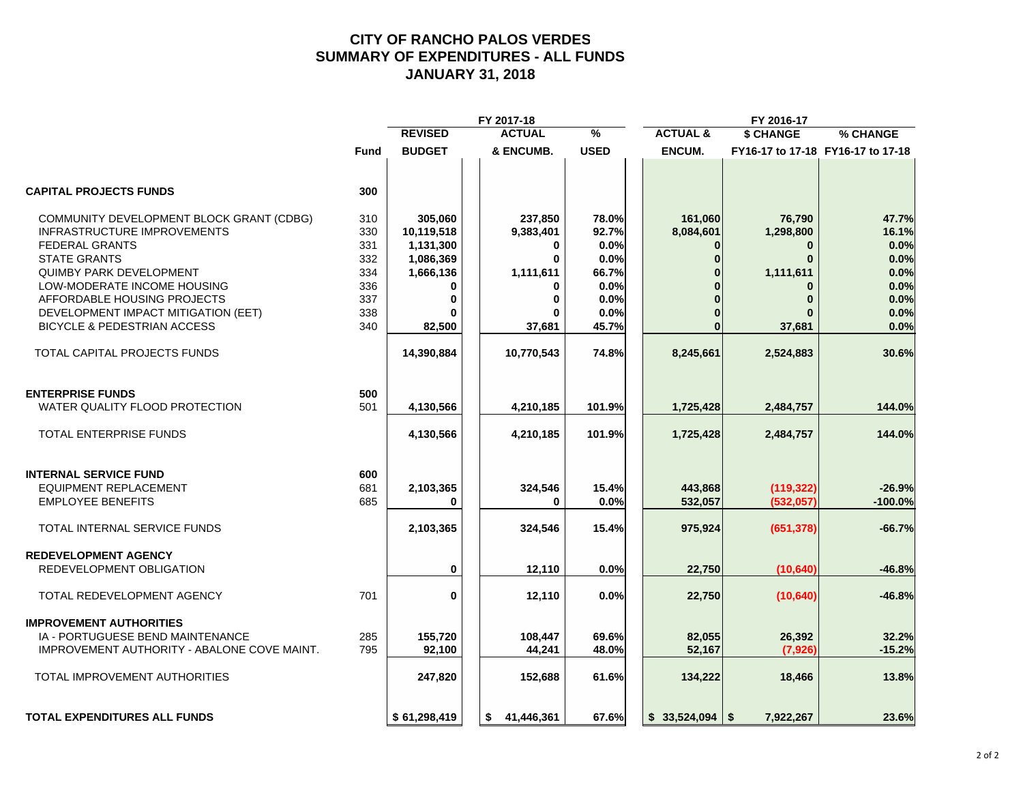#### **CITY OF RANCHO PALOS VERDES SUMMARY OF EXPENDITURES - ALL FUNDS JANUARY 31, 2018**

|             |                                                      | FY 2017-18                                                                                        |                                                          |                                                                           | FY 2016-17                        |                                                                                                |
|-------------|------------------------------------------------------|---------------------------------------------------------------------------------------------------|----------------------------------------------------------|---------------------------------------------------------------------------|-----------------------------------|------------------------------------------------------------------------------------------------|
|             | <b>REVISED</b>                                       | <b>ACTUAL</b>                                                                                     | $\frac{9}{6}$                                            | <b>ACTUAL &amp;</b>                                                       | \$ CHANGE                         | % CHANGE                                                                                       |
| <b>Fund</b> | <b>BUDGET</b>                                        | & ENCUMB.                                                                                         | <b>USED</b>                                              | ENCUM.                                                                    |                                   | FY16-17 to 17-18 FY16-17 to 17-18                                                              |
| 300         |                                                      |                                                                                                   |                                                          |                                                                           |                                   |                                                                                                |
| 310         | 305,060                                              | 237,850                                                                                           | 78.0%                                                    | 161,060                                                                   | 76,790                            | 47.7%                                                                                          |
| 330         |                                                      |                                                                                                   |                                                          |                                                                           |                                   | 16.1%                                                                                          |
| 331         |                                                      | $\mathbf 0$                                                                                       |                                                          | $\bf{0}$                                                                  | $\mathbf{0}$                      | 0.0%                                                                                           |
|             |                                                      | $\bf{0}$                                                                                          |                                                          | $\Omega$                                                                  | $\bf{0}$                          | 0.0%                                                                                           |
|             |                                                      |                                                                                                   |                                                          |                                                                           |                                   | 0.0%                                                                                           |
|             |                                                      |                                                                                                   |                                                          |                                                                           |                                   | 0.0%                                                                                           |
|             |                                                      |                                                                                                   |                                                          |                                                                           |                                   | 0.0%                                                                                           |
|             |                                                      |                                                                                                   |                                                          |                                                                           |                                   | 0.0%                                                                                           |
| 340         | 82,500                                               | 37,681                                                                                            | 45.7%                                                    | $\bf{0}$                                                                  | 37,681                            | 0.0%                                                                                           |
|             | 14,390,884                                           | 10,770,543                                                                                        | 74.8%                                                    | 8,245,661                                                                 | 2,524,883                         | 30.6%                                                                                          |
|             |                                                      |                                                                                                   |                                                          |                                                                           |                                   |                                                                                                |
|             |                                                      |                                                                                                   |                                                          |                                                                           |                                   | 144.0%                                                                                         |
|             |                                                      |                                                                                                   |                                                          |                                                                           |                                   |                                                                                                |
|             | 4,130,566                                            | 4,210,185                                                                                         | 101.9%                                                   | 1,725,428                                                                 | 2,484,757                         | 144.0%                                                                                         |
| 600         |                                                      |                                                                                                   |                                                          |                                                                           |                                   |                                                                                                |
|             |                                                      |                                                                                                   |                                                          |                                                                           |                                   | $-26.9%$                                                                                       |
| 685         | 0                                                    | 0                                                                                                 | 0.0%                                                     | 532,057                                                                   | (532,057)                         | $-100.0%$                                                                                      |
|             | 2,103,365                                            | 324,546                                                                                           | 15.4%                                                    | 975,924                                                                   | (651, 378)                        | $-66.7%$                                                                                       |
|             |                                                      |                                                                                                   |                                                          |                                                                           |                                   |                                                                                                |
|             | 0                                                    | 12,110                                                                                            | 0.0%                                                     | 22,750                                                                    | (10, 640)                         | $-46.8%$                                                                                       |
| 701         | $\mathbf 0$                                          | 12,110                                                                                            | 0.0%                                                     | 22,750                                                                    | (10, 640)                         | $-46.8%$                                                                                       |
|             |                                                      |                                                                                                   |                                                          |                                                                           |                                   |                                                                                                |
| 285         | 155,720                                              | 108,447                                                                                           | 69.6%                                                    | 82,055                                                                    | 26,392                            | 32.2%                                                                                          |
| 795         | 92,100                                               | 44,241                                                                                            | 48.0%                                                    | 52,167                                                                    | (7, 926)                          | $-15.2%$                                                                                       |
|             | 247,820                                              | 152,688                                                                                           | 61.6%                                                    | 134,222                                                                   | 18,466                            | 13.8%                                                                                          |
|             | \$61,298,419                                         | 41,446,361<br>s.                                                                                  | 67.6%                                                    |                                                                           | 7,922,267                         | 23.6%                                                                                          |
|             | 332<br>334<br>336<br>337<br>338<br>500<br>501<br>681 | 10,119,518<br>1,131,300<br>1,086,369<br>1,666,136<br>0<br>$\bf{0}$<br>O<br>4,130,566<br>2,103,365 | 9,383,401<br>1,111,611<br>0<br>0<br>4,210,185<br>324,546 | 92.7%<br>0.0%<br>0.0%<br>66.7%<br>0.0%<br>0.0%<br>0.0%<br>101.9%<br>15.4% | 8,084,601<br>1,725,428<br>443,868 | 1,298,800<br>1,111,611<br>$\bf{0}$<br>$\bf{0}$<br>2,484,757<br>(119, 322)<br>$$33,524,094$ \\$ |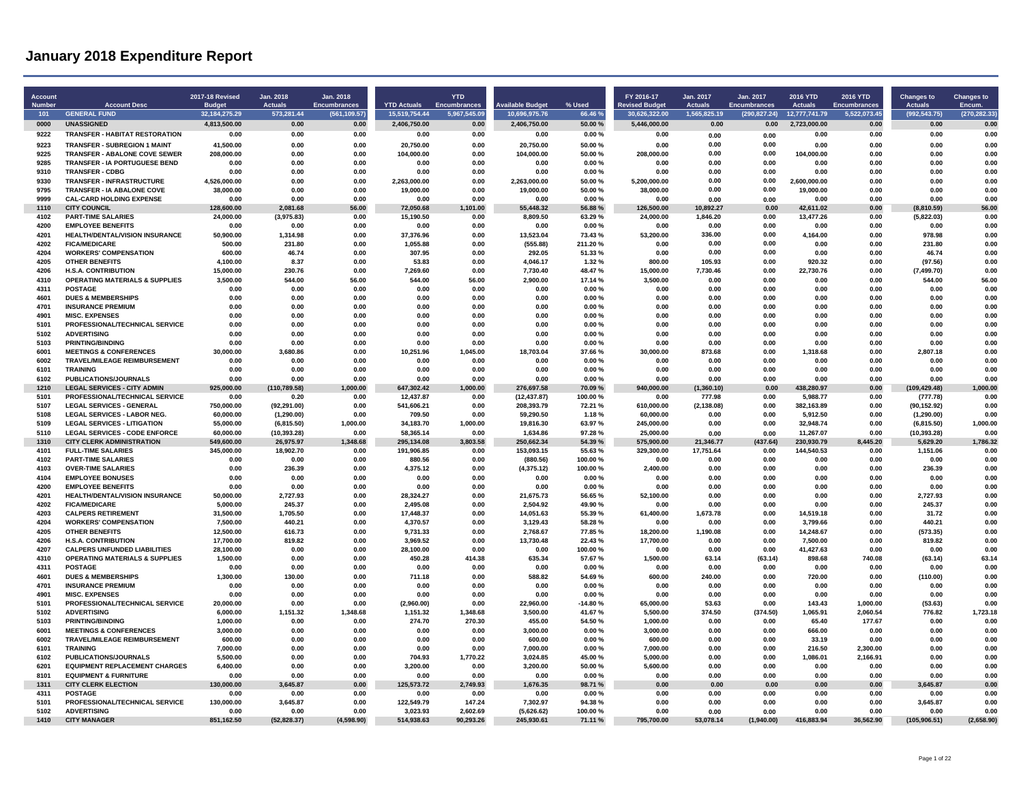| Account<br><b>Number</b> | <b>Account Desc</b>                                                      | 2017-18 Revised<br><b>Budget</b> | Jan. 2018<br><b>Actuals</b> | Jan. 2018<br><b>Encumbrances</b> | <b>YTD Actuals</b>    | <b>YTD</b><br><b>Encumbrances</b> | vailable Budget        | % Used             | FY 2016-17<br><b>Revised Budget</b> | Jan. 2017<br><b>Actuals</b> | Jan. 2017<br><b>Encumbrances</b> | <b>2016 YTD</b><br><b>Actuals</b> | 2016 YTD<br><b>Encumbrances</b> | <b>Changes to</b><br><b>Actuals</b> | <b>Changes to</b><br>Encum. |
|--------------------------|--------------------------------------------------------------------------|----------------------------------|-----------------------------|----------------------------------|-----------------------|-----------------------------------|------------------------|--------------------|-------------------------------------|-----------------------------|----------------------------------|-----------------------------------|---------------------------------|-------------------------------------|-----------------------------|
| 101                      | <b>GENERAL FUND</b>                                                      | 32, 184, 275. 29                 | 573,281.44                  | (561, 109.57)                    | 15,519,754.44         | 5,967,545.09                      | 10,696,975.76          | 66.46%             | 30,626,322.00                       | 1,565,825.19                | (290, 827.24)                    | 12,777,741.79                     | 5,522,073.45                    | (992, 543.75)                       | (270, 282.33)               |
| 0000                     | <b>UNASSIGNED</b>                                                        | 4,813,500.00                     | 0.00                        | 0.00                             | 2,406,750.00          | 0.00                              | 2,406,750.00           | 50.00%             | 5,446,000.00                        | 0.00                        | 0.00                             | 2,723,000.00                      | 0.00                            | 0.00                                | 0.00                        |
| 9222                     | <b>TRANSFER - HABITAT RESTORATION</b>                                    | 0.00                             | 0.00                        | 0.00                             | 0.00                  | 0.00                              | 0.00                   | 0.00%              | 0.00                                | 0.00                        | 0.00                             | 0.00                              | 0.00                            | 0.00                                | 0.00                        |
| 9223                     | <b>TRANSFER - SUBREGION 1 MAINT</b>                                      | 41,500.00                        | 0.00                        | 0.00                             | 20,750.00             | 0.00                              | 20,750.00              | 50.00 %            | 0.00                                | 0.00                        | 0.00                             | 0.00                              | 0.00                            | 0.00                                | 0.00                        |
| 9225                     | <b>TRANSFER - ABALONE COVE SEWER</b>                                     | 208,000.00                       | 0.00                        | 0.00                             | 104,000.00            | 0.00                              | 104,000.00             | 50.00%             | 208,000.00                          | 0.00                        | 0.00                             | 104,000.00                        | 0.00                            | 0.00                                | 0.00                        |
| 9285<br>9310             | <b>TRANSFER - IA PORTUGUESE BEND</b><br><b>TRANSFER - CDBG</b>           | 0.00<br>0.00                     | 0.00<br>0.00                | 0.00<br>0.00                     | 0.00<br>0.00          | 0.00<br>0.00                      | 0.00<br>0.00           | 0.00%<br>0.00%     | 0.00<br>0.00                        | 0.00<br>0.00                | 0.00<br>0.00                     | 0.00<br>0.00                      | 0.00<br>0.00                    | 0.00<br>0.00                        | 0.00<br>0.00                |
| 9330                     | <b>TRANSFER - INFRASTRUCTURE</b>                                         | 4,526,000.00                     | 0.00                        | 0.00                             | 2,263,000.00          | 0.00                              | 2,263,000.00           | 50.00%             | 5,200,000.00                        | 0.00                        | 0.00                             | 2,600,000.00                      | 0.00                            | 0.00                                | 0.00                        |
| 9795                     | TRANSFER - IA ABALONE COVE                                               | 38,000.00                        | 0.00                        | 0.00                             | 19,000.00             | 0.00                              | 19,000.00              | 50.00 %            | 38,000.00                           | 0.00                        | 0.00                             | 19,000.00                         | 0.00                            | 0.00                                | 0.00                        |
| 9999                     | <b>CAL-CARD HOLDING EXPENSE</b>                                          | 0.00                             | 0.00                        | 0.00                             | 0.00                  | 0.00                              | 0.00                   | 0.00%              | 0.00                                | 0.00                        | 0.00                             | 0.00                              | 0.00                            | 0.00                                | 0.00                        |
| 1110                     | CITY COUNCIL                                                             | 128,600.00                       | 2.081.68                    | 56.00                            | 72,050.68             | 1.101.00                          | 55,448.32              | 56.88%             | 126,500.00                          | 10,892.27                   | 0.00                             | 42.611.02                         | 0.00                            | (8,810.59)                          | 56.00                       |
| 4102                     | <b>PART-TIME SALARIES</b>                                                | 24,000.00                        | (3,975.83)                  | 0.00                             | 15,190.50             | 0.00                              | 8,809.50               | 63.29 %            | 24,000.00                           | 1.846.20                    | 0.00                             | 13.477.26                         | 0.00                            | (5,822.03)                          | 0.00                        |
| 4200                     | <b>EMPLOYEE BENEFITS</b>                                                 | 0.00                             | 0.00                        | 0.00                             | 0.00                  | 0.00                              | 0.00                   | 0.00%              | 0.00                                | 0.00                        | 0.00                             | 0.00                              | 0.00                            | 0.00                                | 0.00                        |
| 4201                     | HEALTH/DENTAL/VISION INSURANCE                                           | 50,900.00                        | 1.314.98                    | 0.00                             | 37,376.96             | 0.00                              | 13,523.04              | 73.43%             | 53,200.00                           | 336.00<br>0.00              | 0.00<br>0.00                     | 4,164.00                          | 0.00                            | 978.98                              | 0.00                        |
| 4202<br>4204             | <b>FICA/MEDICARE</b><br><b>WORKERS' COMPENSATION</b>                     | 500.00<br>600.00                 | 231.80<br>46.74             | 0.00<br>0.00                     | 1,055.88<br>307.95    | 0.00<br>0.00                      | (555.88)<br>292.05     | 211.20%<br>51.33%  | 0.00<br>0.00                        | 0.00                        | 0.00                             | 0.00<br>0.00                      | 0.00<br>0.00                    | 231.80<br>46.74                     | 0.00<br>0.00                |
| 4205                     | <b>OTHER BENEFITS</b>                                                    | 4,100.00                         | 8.37                        | 0.00                             | 53.83                 | 0.00                              | 4,046.17               | 1.32%              | 800.00                              | 105.93                      | 0.00                             | 920.32                            | 0.00                            | (97.56)                             | 0.00                        |
| 4206                     | <b>H.S.A. CONTRIBUTION</b>                                               | 15,000.00                        | 230.76                      | 0.00                             | 7.269.60              | 0.00                              | 7,730.40               | 48.47%             | 15.000.00                           | 7,730.46                    | 0.00                             | 22.730.76                         | 0.00                            | (7,499.70)                          | 0.00                        |
| 4310                     | <b>OPERATING MATERIALS &amp; SUPPLIES</b>                                | 3,500.00                         | 544.00                      | 56.00                            | 544.00                | 56.00                             | 2,900.00               | 17.14 %            | 3.500.00                            | 0.00                        | 0.00                             | 0.00                              | 0.00                            | 544.00                              | 56.00                       |
| 4311                     | POSTAGE                                                                  | 0.00                             | 0.00                        | 0.00                             | 0.00                  | 0.00                              | 0.00                   | 0.00%              | 0.00                                | 0.00                        | 0.00                             | 0.00                              | 0.00                            | 0.00                                | 0.00                        |
| 4601                     | <b>DUES &amp; MEMBERSHIPS</b>                                            | 0.00                             | 0.00                        | 0.00                             | 0.00                  | 0.00                              | 0.00                   | 0.00%              | 0.00                                | 0.00                        | 0.00                             | 0.00                              | 0.00                            | 0.00                                | 0.00                        |
| 4701                     | <b>INSURANCE PREMIUM</b>                                                 | 0.00                             | 0.00                        | 0.00                             | 0.00                  | 0.00                              | 0.00                   | 0.00%              | 0.00                                | 0.00                        | 0.00                             | 0.00                              | 0.00                            | 0.00                                | 0.00                        |
| 4901                     | <b>MISC. EXPENSES</b>                                                    | 0.00                             | 0.00                        | 0.00                             | 0.00                  | 0.00                              | 0.00                   | 0.00%              | 0.00                                | 0.00                        | 0.00                             | 0.00                              | 0.00                            | 0.00                                | 0.00                        |
| 5101<br>5102             | PROFESSIONAL/TECHNICAL SERVICE<br><b>ADVERTISING</b>                     | 0.00<br>0.00                     | 0.00<br>0.00                | 0.00<br>0.00                     | 0.00<br>0.00          | 0.00<br>0.00                      | 0.00<br>0.00           | 0.00%<br>0.00%     | 0.00<br>0.00                        | 0.00<br>0.00                | 0.00<br>0.00                     | 0.00<br>0.00                      | 0.00<br>0.00                    | 0.00<br>0.00                        | 0.00<br>0.00                |
| 5103                     | <b>PRINTING/BINDING</b>                                                  | 0.00                             | 0.00                        | 0.00                             | 0.00                  | 0.00                              | 0.00                   | 0.00%              | 0.00                                | 0.00                        | 0.00                             | 0.00                              | 0.00                            | 0.00                                | 0.00                        |
| 6001                     | <b>MEETINGS &amp; CONFERENCES</b>                                        | 30.000.00                        | 3.680.86                    | 0.00                             | 10.251.96             | 1.045.00                          | 18.703.04              | 37.66%             | 30.000.00                           | 873.68                      | 0.00                             | 1.318.68                          | 0.00                            | 2.807.18                            | 0.00                        |
| 6002                     | <b>TRAVEL/MILEAGE REIMBURSEMENT</b>                                      | 0.00                             | 0.00                        | 0.00                             | 0.00                  | 0.00                              | 0.00                   | 0.00%              | 0.00                                | 0.00                        | 0.00                             | 0.00                              | 0.00                            | 0.00                                | 0.00                        |
| 6101                     | <b>TRAINING</b>                                                          | 0.00                             | 0.00                        | 0.00                             | 0.00                  | 0.00                              | 0.00                   | 0.00%              | 0.00                                | 0.00                        | 0.00                             | 0.00                              | 0.00                            | 0.00                                | 0.00                        |
| 6102                     | PUBLICATIONS/JOURNALS                                                    | 0.00                             | 0.00                        | 0.00                             | 0.00                  | 0.00                              | 0.00                   | 0.00%              | 0.00                                | 0.00                        | 0.00                             | 0.00                              | 0.00                            | 0.00                                | 0.00                        |
| 1210                     | <b>LEGAL SERVICES - CITY ADMIN</b>                                       | 925,000.00                       | (110, 789.58)               | 1,000.00                         | 647,302.42            | 1.000.00                          | 276,697.58             | 70.09%             | 940,000.00                          | (1,360.10)                  | 0.00                             | 438.280.97                        | 0.00                            | (109, 429.48)                       | 1,000.00                    |
| 5101                     | PROFESSIONAL/TECHNICAL SERVICE                                           | 0.00                             | 0.20                        | 0.00                             | 12.437.87             | 0.00                              | (12, 437.87)           | 100.00%            | 0.00                                | 777.98                      | 0.00                             | 5.988.77                          | 0.00                            | (777.78)                            | 0.00                        |
| 5107                     | <b>LEGAL SERVICES - GENERAL</b>                                          | 750,000.00                       | (92, 291.00)                | 0.00                             | 541,606.21            | 0.00                              | 208,393.79             | 72.21 %            | 610,000.00                          | (2, 138.08)                 | 0.00                             | 382,163.89                        | 0.00                            | (90, 152.92)                        | 0.00                        |
| 5108<br>5109             | <b>LEGAL SERVICES - LABOR NEG.</b><br><b>LEGAL SERVICES - LITIGATION</b> | 60,000.00<br>55,000.00           | (1, 290.00)<br>(6,815.50)   | 0.00<br>1,000.00                 | 709.50<br>34,183.70   | 0.00<br>1,000.00                  | 59,290.50<br>19,816.30 | 1.18%<br>63.97%    | 60,000.00<br>245,000.00             | 0.00<br>0.00                | 0.00<br>0.00                     | 5.912.50<br>32,948.74             | 0.00<br>0.00                    | (1,290.00)<br>(6,815.50)            | 0.00<br>1,000.00            |
| 5110                     | <b>LEGAL SERVICES - CODE ENFORCE</b>                                     | 60,000,00                        | (10, 393.28)                | 0.00                             | 58,365.14             | 0.00                              | 1,634.86               | 97.28%             | 25,000.00                           | 0.00                        | 0.00                             | 11,267.07                         | 0.00                            | (10, 393.28)                        | 0.00                        |
| 1310                     | <b>CITY CLERK ADMINISTRATION</b>                                         | 549,600.00                       | 26.975.97                   | 1.348.68                         | 295.134.08            | 3.803.58                          | 250.662.34             | 54.39%             | 575,900.00                          | 21.346.77                   | (437.64)                         | 230.930.79                        | 8,445.20                        | 5.629.20                            | 1,786.32                    |
| 4101                     | <b>FULL-TIME SALARIES</b>                                                | 345,000.00                       | 18,902.70                   | 0.00                             | 191,906.85            | 0.00                              | 153,093.15             | 55.63%             | 329,300.00                          | 17,751.64                   | 0.00                             | 144,540.53                        | 0.00                            | 1,151.06                            | 0.00                        |
| 4102                     | <b>PART-TIME SALARIES</b>                                                | 0.00                             | 0.00                        | 0.00                             | 880.56                | 0.00                              | (880.56)               | 100.00%            | 0.00                                | 0.00                        | 0.00                             | 0.00                              | 0.00                            | 0.00                                | 0.00                        |
| 4103                     | <b>OVER-TIME SALARIES</b>                                                | 0.00                             | 236.39                      | 0.00                             | 4,375.12              | 0.00                              | (4,375.12)             | 100.00%            | 2,400.00                            | 0.00                        | 0.00                             | 0.00                              | 0.00                            | 236.39                              | 0.00                        |
| 4104                     | <b>EMPLOYEE BONUSES</b>                                                  | 0.00                             | 0.00                        | 0.00                             | 0.00                  | 0.00                              | 0.00                   | 0.00%              | 0.00                                | 0.00                        | 0.00                             | 0.00                              | 0.00                            | 0.00                                | 0.00                        |
| 4200                     | <b>EMPLOYEE BENEFITS</b>                                                 | 0.00                             | 0.00                        | 0.00                             | 0.00                  | 0.00                              | 0.00                   | 0.00%              | 0.00                                | 0.00                        | 0.00                             | 0.00                              | 0.00                            | 0.00                                | 0.00                        |
| 4201<br>4202             | HEALTH/DENTAL/VISION INSURANCE<br><b>FICA/MEDICARE</b>                   | 50.000.00<br>5.000.00            | 2,727.93<br>245.37          | 0.00<br>0.00                     | 28,324.27<br>2.495.08 | 0.00<br>0.00                      | 21,675.73<br>2,504.92  | 56.65 %<br>49.90 % | 52,100.00<br>0.00                   | 0.00<br>0.00                | 0.00<br>0.00                     | 0.00<br>0.00                      | 0.00<br>0.00                    | 2.727.93<br>245.37                  | 0.00<br>0.00                |
| 4203                     | <b>CALPERS RETIREMENT</b>                                                | 31,500.00                        | 1,705.50                    | 0.00                             | 17,448.37             | 0.00                              | 14,051.63              | 55.39%             | 61,400.00                           | 1,673.78                    | 0.00                             | 14,519.18                         | 0.00                            | 31.72                               | 0.00                        |
| 4204                     | <b>WORKERS' COMPENSATION</b>                                             | 7.500.00                         | 440.21                      | 0.00                             | 4.370.57              | 0.00                              | 3.129.43               | 58.28%             | 0.00                                | 0.00                        | 0.00                             | 3.799.66                          | 0.00                            | 440.21                              | 0.00                        |
| 4205                     | <b>OTHER BENEFITS</b>                                                    | 12,500.00                        | 616.73                      | 0.00                             | 9.731.33              | 0.00                              | 2,768.67               | 77.85%             | 18.200.00                           | 1.190.08                    | 0.00                             | 14.248.67                         | 0.00                            | (573.35)                            | 0.00                        |
| 4206                     | <b>H.S.A. CONTRIBUTION</b>                                               | 17.700.00                        | 819.82                      | 0.00                             | 3.969.52              | 0.00                              | 13,730.48              | 22.43%             | 17.700.00                           | 0.00                        | 0.00                             | 7,500.00                          | 0.00                            | 819.82                              | 0.00                        |
| 4207                     | <b>CALPERS UNFUNDED LIABILITIES</b>                                      | 28.100.00                        | 0.00                        | 0.00                             | 28.100.00             | 0.00                              | 0.00                   | 100.00%            | 0.00                                | 0.00                        | 0.00                             | 41.427.63                         | 0.00                            | 0.00                                | 0.00                        |
| 4310                     | <b>OPERATING MATERIALS &amp; SUPPLIES</b>                                | 1,500.00                         | 0.00                        | 0.00                             | 450.28                | 414.38                            | 635.34                 | 57.67%             | 1,500.00                            | 63.14                       | (63.14)                          | 898.68                            | 740.08                          | (63.14)                             | 63.14                       |
| 4311                     | <b>POSTAGE</b>                                                           | 0.00                             | 0.00                        | 0.00                             | 0.00                  | 0.00                              | 0.00                   | 0.00%              | 0.00                                | 0.00                        | 0.00                             | 0.00                              | 0.00                            | 0.00                                | 0.00                        |
| 4601<br>4701             | <b>DUES &amp; MEMBERSHIPS</b><br><b>INSURANCE PREMIUM</b>                | 1,300.00<br>0.00                 | 130.00                      | 0.00                             | 711.18                | 0.00                              | 588.82                 | 54.69%             | 600.00                              | 240.00                      | 0.00<br>0.00                     | 720.00                            | 0.00                            | (110.00)                            | 0.00<br>0.00                |
| 4901                     | <b>MISC. EXPENSES</b>                                                    | 0.00                             | 0.00<br>0.00                | 0.00<br>0.00                     | 0.00<br>0.00          | 0.00<br>0.00                      | 0.00<br>0.00           | 0.00%<br>0.00%     | 0.00<br>0.00                        | 0.00<br>0.00                | 0.00                             | 0.00<br>0.00                      | 0.00<br>0.00                    | 0.00<br>0.00                        | 0.00                        |
| 5101                     | PROFESSIONAL/TECHNICAL SERVICE                                           | 20,000.00                        | 0.00                        | 0.00                             | (2,960.00)            | 0.00                              | 22,960.00              | $-14.80%$          | 65,000.00                           | 53.63                       | 0.00                             | 143.43                            | 1,000.00                        | (53.63)                             | 0.00                        |
| 5102                     | <b>ADVERTISING</b>                                                       | 6.000.00                         | 1,151.32                    | 1,348.68                         | 1,151.32              | 1.348.68                          | 3.500.00               | 41.67%             | 5.500.00                            | 374.50                      | (374.50)                         | 1,065.91                          | 2.060.54                        | 776.82                              | 1,723.18                    |
| 5103                     | PRINTING/RINDING                                                         | 1,000.00                         | 0.00                        | 0.00                             | 274.70                | 270.30                            | 455.00                 | 54.50 %            | 1,000.00                            | 0.00                        | 0.00                             | 65.40                             | 177.67                          | 0.00                                | 0.00                        |
| 6001                     | <b>MEETINGS &amp; CONFERENCES</b>                                        | 3,000.00                         | 0.00                        | 0.00                             | 0.00                  | 0.00                              | 3,000.00               | 0.00%              | 3,000.00                            | 0.00                        | 0.00                             | 666.00                            | 0.00                            | 0.00                                | 0.00                        |
| 6002                     | TRAVEL/MILEAGE REIMBURSEMENT                                             | 600.00                           | 0.00                        | 0.00                             | 0.00                  | 0.00                              | 600.00                 | 0.00%              | 600.00                              | 0.00                        | 0.00                             | 33.19                             | 0.00                            | 0.00                                | 0.00                        |
| 6101                     | <b>TRAINING</b>                                                          | 7,000.00                         | 0.00                        | 0.00                             | 0.00                  | 0.00                              | 7,000.00               | 0.00%              | 7,000.00                            | 0.00                        | 0.00                             | 216.50                            | 2.300.00                        | 0.00                                | 0.00                        |
| 6102                     | <b>PUBLICATIONS/JOURNALS</b>                                             | 5.500.00                         | 0.00                        | 0.00                             | 704.93                | 1,770.22                          | 3.024.85               | 45.00%             | 5.000.00                            | 0.00                        | 0.00                             | 1.086.01                          | 2,166.91                        | 0.00                                | 0.00                        |
| 6201<br>8101             | <b>EQUIPMENT REPLACEMENT CHARGES</b><br><b>EQUIPMENT &amp; FURNITURE</b> | 6.400.00<br>0.00                 | 0.00<br>0.00                | 0.00<br>0.00                     | 3,200.00<br>0.00      | 0.00<br>0.00                      | 3.200.00<br>0.00       | 50.00 %<br>0.00%   | 5,600.00<br>0.00                    | 0.00<br>0.00                | 0.00<br>0.00                     | 0.00<br>0.00                      | 0.00<br>0.00                    | 0.00<br>0.00                        | 0.00<br>0.00                |
| 1311                     | <b>CITY CLERK ELECTION</b>                                               | 130,000.00                       | 3,645.87                    | 0.00                             | 125,573.72            | 2,749.93                          | 1,676.35               | 98.71%             | 0.00                                | 0.00                        | 0.00                             | 0.00                              | 0.00                            | 3,645.87                            | 0.00                        |
| 4311                     | <b>POSTAGE</b>                                                           | 0.00                             | 0.00                        | 0.00                             | 0.00                  | 0.00                              | 0.00                   | 0.00%              | 0.00                                | 0.00                        | 0.00                             | 0.00                              | 0.00                            | 0.00                                | 0.00                        |
| 5101                     | PROFESSIONAL/TECHNICAL SERVICE                                           | 130,000.00                       | 3,645.87                    | 0.00                             | 122,549.79            | 147.24                            | 7,302.97               | 94.38%             | 0.00                                | 0.00                        | 0.00                             | 0.00                              | 0.00                            | 3,645.87                            | 0.00                        |
| 5102                     | <b>ADVERTISING</b>                                                       | 0.00                             | 0.00                        | 0.00                             | 3.023.93              | 2.602.69                          | (5,626.62)             | 100.00%            | 0.00                                | 0.00                        | 0.00                             | 0.00                              | 0.00                            | 0.00                                | 0.00                        |
| 1410                     | <b>CITY MANAGER</b>                                                      | 851.162.50                       | (52,828.37)                 | (4,598.90)                       | 514,938.63            | 90,293.26                         | 245,930.61             | 71.11 %            | 795.700.00                          | 53.078.14                   | (1,940.00)                       | 416,883.94                        | 36,562.90                       | (105, 906.51)                       | (2,658.90)                  |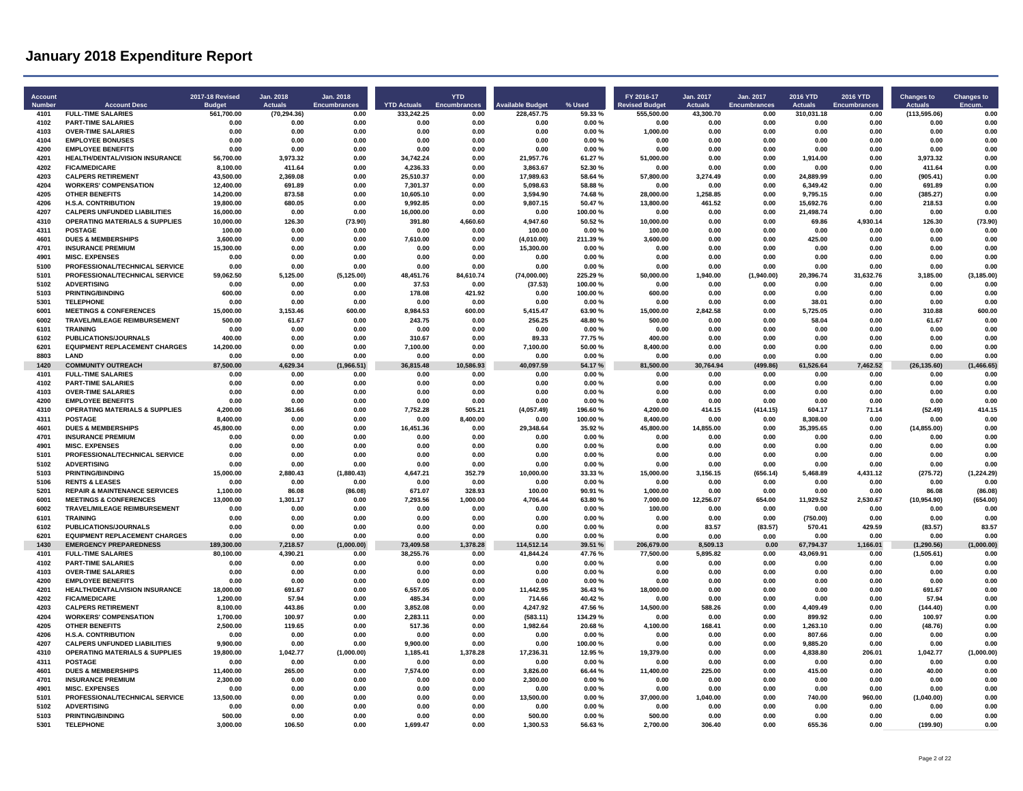| Account<br>Number | <b>Account Desc</b>                                                              | 2017-18 Revised<br><b>Budget</b> | Jan. 2018<br><b>Actuals</b> | Jan. 2018<br>Encumbrances | <b>YTD Actuals</b>  | <b>YTD</b><br>Encumbrances | <b>Available Budget</b> | % Used             | FY 2016-17<br><b>Revised Budget</b> | Jan. 2017<br><b>Actuals</b> | Jan. 2017<br>Encumbrances | 2016 YTD<br><b>Actuals</b> | 2016 YTD<br><b>Encumbrances</b> | <b>Changes to</b><br><b>Actuals</b> | <b>Changes to</b><br><b>Encum</b> |
|-------------------|----------------------------------------------------------------------------------|----------------------------------|-----------------------------|---------------------------|---------------------|----------------------------|-------------------------|--------------------|-------------------------------------|-----------------------------|---------------------------|----------------------------|---------------------------------|-------------------------------------|-----------------------------------|
| 4101              | <b>FULL-TIME SALARIES</b>                                                        | 561,700.00                       | (70, 294.36)                | 0.00                      | 333.242.25          | 0.00                       | 228.457.75              | 59.33%             | 555,500.00                          | 43,300.70                   | 0.00                      | 310,031.18                 | 0.00                            | (113, 595.06)                       | 0.00                              |
| 4102              | <b>PART-TIME SALARIES</b>                                                        | 0.00                             | 0.00                        | 0.00                      | 0.00                | 0.00                       | 0.00                    | 0.00%              | 0.00                                | 0.00                        | 0.00                      | 0.00                       | 0.00                            | 0.00                                | 0.00                              |
| 4103<br>4104      | <b>OVER-TIME SALARIES</b><br><b>EMPLOYEE BONUSES</b>                             | 0.00<br>0.00                     | 0.00<br>0.00                | 0.00<br>0.00              | 0.00<br>0.00        | 0.00<br>0.00               | 0.00<br>0.00            | 0.00%<br>0.00%     | 1,000.00<br>0.00                    | 0.00<br>0.00                | 0.00<br>0.00              | 0.00<br>0.00               | 0.00<br>0.00                    | 0.00<br>0.00                        | 0.00<br>0.00                      |
| 4200              | <b>EMPLOYEE BENEFITS</b>                                                         | 0.00                             | 0.00                        | 0.00                      | 0.00                | 0.00                       | 0.00                    | 0.00%              | 0.00                                | 0.00                        | 0.00                      | 0.00                       | 0.00                            | 0.00                                | 0.00                              |
| 4201              | HEALTH/DENTAL/VISION INSURANCE                                                   | 56,700.00                        | 3,973.32                    | 0.00                      | 34,742.24           | 0.00                       | 21,957.76               | 61.27%             | 51,000.00                           | 0.00                        | 0.00                      | 1,914.00                   | 0.00                            | 3,973.32                            | 0.00                              |
| 4202              | <b>FICA/MEDICARE</b>                                                             | 8.100.00                         | 411.64                      | 0.00                      | 4,236.33            | 0.00                       | 3.863.67                | 52.30%             | 0.00                                | 0.00                        | 0.00                      | 0.00                       | 0.00                            | 411.64                              | 0.00                              |
| 4203              | <b>CALPERS RETIREMENT</b>                                                        | 43.500.00                        | 2,369.08                    | 0.00                      | 25,510.37           | 0.00                       | 17,989.63               | 58.64%             | 57,800.00                           | 3,274.49                    | 0.00                      | 24,889.99                  | 0.00                            | (905.41)                            | 0.00                              |
| 4204              | <b>WORKERS' COMPENSATION</b>                                                     | 12.400.00                        | 691.89                      | 0.00                      | 7.301.37            | 0.00                       | 5.098.63                | 58.88%             | 0.00                                | 0.00                        | 0.00                      | 6.349.42                   | 0.00                            | 691.89                              | 0.00                              |
| 4205              | <b>OTHER BENEFITS</b>                                                            | 14.200.00                        | 873.58                      | 0.00                      | 10.605.10           | 0.00                       | 3.594.90                | 74.68%             | 28,000.00                           | 1.258.85                    | 0.00                      | 9.795.15                   | 0.00                            | (385.27)                            | 0.00                              |
| 4206              | <b>H.S.A. CONTRIBUTION</b>                                                       | 19,800.00                        | 680.05                      | 0.00                      | 9.992.85            | 0.00                       | 9,807.15                | 50.47%             | 13,800.00                           | 461.52                      | 0.00                      | 15.692.76                  | 0.00                            | 218.53                              | 0.00                              |
| 4207<br>4310      | <b>CALPERS UNFUNDED LIABILITIES</b><br><b>OPERATING MATERIALS &amp; SUPPLIES</b> | 16,000.00<br>10,000.00           | 0.00<br>126.30              | 0.00<br>(73.90)           | 16,000.00<br>391.80 | 0.00<br>4,660.60           | 0.00<br>4,947.60        | 100.00%<br>50.52%  | 0.00<br>10,000.00                   | 0.00<br>0.00                | 0.00<br>0.00              | 21,498.74<br>69.86         | 0.00<br>4,930.14                | 0.00<br>126.30                      | 0.00<br>(73.90)                   |
| 4311              | <b>POSTAGE</b>                                                                   | 100.00                           | 0.00                        | 0.00                      | 0.00                | 0.00                       | 100.00                  | 0.00%              | 100.00                              | 0.00                        | 0.00                      | 0.00                       | 0.00                            | 0.00                                | 0.00                              |
| 4601              | <b>DUES &amp; MEMBERSHIPS</b>                                                    | 3,600.00                         | 0.00                        | 0.00                      | 7,610.00            | 0.00                       | (4,010.00)              | 211.39%            | 3,600.00                            | 0.00                        | 0.00                      | 425.00                     | 0.00                            | 0.00                                | 0.00                              |
| 4701              | <b>INSURANCE PREMIUM</b>                                                         | 15,300.00                        | 0.00                        | 0.00                      | 0.00                | 0.00                       | 15.300.00               | 0.00%              | 0.00                                | 0.00                        | 0.00                      | 0.00                       | 0.00                            | 0.00                                | 0.00                              |
| 4901              | <b>MISC. EXPENSES</b>                                                            | 0.00                             | 0.00                        | 0.00                      | 0.00                | 0.00                       | 0.00                    | 0.00%              | 0.00                                | 0.00                        | 0.00                      | 0.00                       | 0.00                            | 0.00                                | 0.00                              |
| 5100              | PROFESSIONAL/TECHNICAL SERVICE                                                   | 0.00                             | 0.00                        | 0.00                      | 0.00                | 0.00                       | 0.00                    | 0.00%              | 0.00                                | 0.00                        | 0.00                      | 0.00                       | 0.00                            | 0.00                                | 0.00                              |
| 5101              | PROFESSIONAL/TECHNICAL SERVICE                                                   | 59,062.50                        | 5,125.00                    | (5, 125.00)               | 48,451.76           | 84,610.74                  | (74,000.00)             | 225.29%            | 50,000.00                           | 1,940.00                    | (1,940.00)                | 20,396.74                  | 31,632.76                       | 3,185.00                            | (3, 185.00)                       |
| 5102              | <b>ADVERTISING</b>                                                               | 0.00                             | 0.00                        | 0.00                      | 37.53               | 0.00                       | (37.53)                 | 100.00%            | 0.00                                | 0.00                        | 0.00                      | 0.00                       | 0.00                            | 0.00                                | 0.00                              |
| 5103              | <b>PRINTING/BINDING</b>                                                          | 600.00                           | 0.00                        | 0.00                      | 178.08              | 421.92                     | 0.00                    | 100.00%            | 600.00                              | 0.00                        | 0.00                      | 0.00                       | 0.00                            | 0.00                                | 0.00                              |
| 5301<br>6001      | <b>TELEPHONE</b><br><b>MEETINGS &amp; CONFERENCES</b>                            | 0.00<br>15,000.00                | 0.00<br>3.153.46            | 0.00<br>600.00            | 0.00<br>8.984.53    | 0.00<br>600.00             | 0.00<br>5.415.47        | 0.00%<br>63.90%    | 0.00<br>15.000.00                   | 0.00<br>2.842.58            | 0.00<br>0.00              | 38.01<br>5.725.05          | 0.00<br>0.00                    | 0.00<br>310.88                      | 0.00<br>600.00                    |
| 6002              | TRAVEL/MILEAGE REIMBURSEMENT                                                     | 500.00                           | 61.67                       | 0.00                      | 243.75              | 0.00                       | 256.25                  | 48.80%             | 500.00                              | 0.00                        | 0.00                      | 58.04                      | 0.00                            | 61.67                               | 0.00                              |
| 6101              | <b>TRAINING</b>                                                                  | 0.00                             | 0.00                        | 0.00                      | 0.00                | 0.00                       | 0.00                    | 0.00%              | 0.00                                | 0.00                        | 0.00                      | 0.00                       | 0.00                            | 0.00                                | 0.00                              |
| 6102              | PUBLICATIONS/JOURNALS                                                            | 400.00                           | 0.00                        | 0.00                      | 310.67              | 0.00                       | 89.33                   | 77.75%             | 400.00                              | 0.00                        | 0.00                      | 0.00                       | 0.00                            | 0.00                                | 0.00                              |
| 6201              | <b>EQUIPMENT REPLACEMENT CHARGES</b>                                             | 14.200.00                        | 0.00                        | 0.00                      | 7.100.00            | 0.00                       | 7.100.00                | 50.00%             | 8.400.00                            | 0.00                        | 0.00                      | 0.00                       | 0.00                            | 0.00                                | 0.00                              |
| 8803              | LAND                                                                             | 0.00                             | 0.00                        | 0.00                      | 0.00                | 0.00                       | 0.00                    | 0.00%              | 0.00                                | 0.00                        | 0.00                      | 0.00                       | 0.00                            | 0.00                                | 0.00                              |
| 1420              | <b>COMMUNITY OUTREACH</b>                                                        | 87,500.00                        | 4,629.34                    | (1,966.51)                | 36,815.48           | 10,586.93                  | 40,097.59               | 54.17%             | 81,500.00                           | 30,764.94                   | (499.86)                  | 61,526.64                  | 7,462.52                        | (26, 135.60)                        | (1,466.65)                        |
| 4101<br>4102      | <b>FULL-TIME SALARIES</b><br><b>PART-TIME SALARIES</b>                           | 0.00<br>0.00                     | 0.00<br>0.00                | 0.00<br>0.00              | 0.00<br>0.00        | 0.00<br>0.00               | 0.00<br>0.00            | 0.00%<br>0.00%     | 0.00<br>0.00                        | 0.00<br>0.00                | 0.00<br>0.00              | 0.00<br>0.00               | 0.00<br>0.00                    | 0.00<br>0.00                        | 0.00<br>0.00                      |
| 4103              | <b>OVER-TIME SALARIES</b>                                                        | 0.00                             | 0.00                        | 0.00                      | 0.00                | 0.00                       | 0.00                    | 0.00%              | 0.00                                | 0.00                        | 0.00                      | 0.00                       | 0.00                            | 0.00                                | 0.00                              |
| 4200              | <b>EMPLOYEE BENEFITS</b>                                                         | 0.00                             | 0.00                        | 0.00                      | 0.00                | 0.00                       | 0.00                    | 0.00%              | 0.00                                | 0.00                        | 0.00                      | 0.00                       | 0.00                            | 0.00                                | 0.00                              |
| 4310              | <b>OPERATING MATERIALS &amp; SUPPLIES</b>                                        | 4,200.00                         | 361.66                      | 0.00                      | 7,752.28            | 505.21                     | (4,057.49)              | 196.60%            | 4.200.00                            | 414.15                      | (414.15)                  | 604.17                     | 71.14                           | (52.49)                             | 414.15                            |
| 4311              | <b>POSTAGE</b>                                                                   | 8.400.00                         | 0.00                        | 0.00                      | 0.00                | 8.400.00                   | 0.00                    | 100.00%            | 8.400.00                            | 0.00                        | 0.00                      | 8,308.00                   | 0.00                            | 0.00                                | 0.00                              |
| 4601              | <b>DUES &amp; MEMBERSHIPS</b>                                                    | 45,800.00                        | 0.00                        | 0.00                      | 16,451.36           | 0.00                       | 29,348.64               | 35.92%             | 45,800.00                           | 14,855.00                   | 0.00                      | 35,395.65                  | 0.00                            | (14, 855.00)                        | 0.00                              |
| 4701              | <b>INSURANCE PREMIUM</b>                                                         | 0.00                             | 0.00                        | 0.00                      | 0.00                | 0.00                       | 0.00                    | 0.00%              | 0.00                                | 0.00                        | 0.00                      | 0.00                       | 0.00                            | 0.00                                | 0.00                              |
| 4901              | <b>MISC. EXPENSES</b>                                                            | 0.00                             | 0.00<br>0.00                | 0.00<br>0.00              | 0.00<br>0.00        | 0.00                       | 0.00<br>0.00            | 0.00%<br>0.00%     | 0.00                                | 0.00                        | 0.00<br>0.00              | 0.00<br>0.00               | 0.00<br>0.00                    | 0.00<br>0.00                        | 0.00<br>0.00                      |
| 5101<br>5102      | PROFESSIONAL/TECHNICAL SERVICE<br><b>ADVERTISING</b>                             | <b>0.00</b><br>0.00              | 0.00                        | 0.00                      | n nn                | 0.00<br>0.00               | 0.00                    | 0.00%              | 0.00<br>0.00                        | 0.00<br>0.00                | 0.00                      | 0.00                       | 0.00                            | 0.00                                | 0.00                              |
| 5103              | <b>PRINTING/BINDING</b>                                                          | 15,000.00                        | 2,880.43                    | (1,880.43)                | 4,647.21            | 352.79                     | 10,000.00               | 33.33 %            | 15,000.00                           | 3,156.15                    | (656.14)                  | 5,468.89                   | 4,431.12                        | (275.72)                            | (1, 224.29)                       |
| 5106              | <b>RENTS &amp; LEASES</b>                                                        | 0.00                             | 0.00                        | 0.00                      | 0.00                | 0.00                       | 0.00                    | 0.00%              | 0.00                                | 0.00                        | 0.00                      | 0.00                       | 0.00                            | 0.00                                | 0.00                              |
| 5201              | <b>REPAIR &amp; MAINTENANCE SERVICES</b>                                         | 1,100.00                         | 86.08                       | (86.08)                   | 671.07              | 328.93                     | 100.00                  | 90.91%             | 1,000.00                            | 0.00                        | 0.00                      | 0.00                       | 0.00                            | 86.08                               | (86.08)                           |
| 6001              | <b>MEETINGS &amp; CONFERENCES</b>                                                | 13,000.00                        | 1,301.17                    | 0.00                      | 7,293.56            | 1,000.00                   | 4,706.44                | 63.80%             | 7,000.00                            | 12,256.07                   | 654.00                    | 11,929.52                  | 2,530.67                        | (10, 954.90)                        | (654.00)                          |
| 6002              | TRAVEL/MILEAGE REIMBURSEMENT                                                     | 0.00                             | 0.00                        | 0.00                      | 0.00                | 0.00                       | 0.00                    | 0.00%              | 100.00                              | 0.00                        | 0.00                      | 0.00                       | 0.00                            | 0.00                                | 0.00                              |
| 6101              | <b>TRAINING</b>                                                                  | 0.00                             | 0.00                        | 0.00                      | 0.00                | 0.00                       | 0.00                    | 0.00%              | 0.00                                | 0.00                        | 0.00                      | (750.00)                   | 0.00                            | 0.00                                | 0.00                              |
| 6102              | PUBLICATIONS/JOURNALS                                                            | 0.00                             | 0.00                        | 0.00                      | 0.00                | 0.00                       | 0.00                    | 0.00%              | 0.00                                | 83.57                       | (83.57)                   | 570.41                     | 429.59                          | (83.57)                             | 83.57                             |
| 6201<br>1430      | <b>EQUIPMENT REPLACEMENT CHARGES</b><br><b>EMERGENCY PREPAREDNESS</b>            | 0.00<br>189.300.00               | 0.00<br>7.218.57            | 0.00<br>(1,000.00)        | 0.00<br>73,409.58   | 0.00<br>1.378.28           | 0.00<br>114.512.14      | 0.00%<br>39.51 %   | 0.00<br>206.679.00                  | 0.00<br>8.509.13            | 0.00<br>0.00              | 0.00<br>67,794.37          | 0.00<br>1,166.01                | 0.00<br>(1, 290.56)                 | 0.00<br>(1,000.00)                |
| 4101              | <b>FULL-TIME SALARIES</b>                                                        | 80.100.00                        | 4.390.21                    | 0.00                      | 38.255.76           | 0.00                       | 41.844.24               | 47.76%             | 77.500.00                           | 5.895.82                    | 0.00                      | 43,069.91                  | 0.00                            | (1,505.61)                          | 0.00                              |
| 4102              | <b>PART-TIME SALARIES</b>                                                        | 0.00                             | 0.00                        | 0.00                      | 0.00                | 0.00                       | 0.00                    | 0.00%              | 0.00                                | 0.00                        | 0.00                      | 0.00                       | 0.00                            | 0.00                                | 0.00                              |
| 4103              | <b>OVER-TIME SALARIES</b>                                                        | 0.00                             | 0.00                        | 0.00                      | 0.00                | 0.00                       | 0.00                    | 0.00%              | 0.00                                | 0.00                        | 0.00                      | 0.00                       | 0.00                            | 0.00                                | 0.00                              |
| 4200              | <b>EMPLOYEE BENEFITS</b>                                                         | 0.00                             | 0.00                        | 0.00                      | 0.00                | 0.00                       | 0.00                    | 0.00%              | 0.00                                | 0.00                        | 0.00                      | 0.00                       | 0.00                            | 0.00                                | 0.00                              |
| 4201              | HEALTH/DENTAL/VISION INSURANCE                                                   | 18,000.00                        | 691.67                      | 0.00                      | 6,557.05            | 0.00                       | 11,442.95               | 36.43%             | 18,000.00                           | 0.00                        | 0.00                      | 0.00                       | 0.00                            | 691.67                              | 0.00                              |
| 4202              | <b>FICA/MEDICARE</b>                                                             | 1,200.00                         | 57.94                       | 0.00                      | 485.34              | 0.00                       | 714.66                  | 40.42%             | 0.00                                | 0.00                        | 0.00                      | 0.00                       | 0.00                            | 57.94                               | 0.00                              |
| 4203              | <b>CALPERS RETIREMENT</b>                                                        | 8,100.00                         | 443.86<br>100.97            | 0.00                      | 3,852.08            | 0.00                       | 4,247.92                | 47.56%             | 14,500.00                           | 588.26                      | 0.00                      | 4,409.49                   | 0.00                            | (144.40)                            | 0.00                              |
| 4204<br>4205      | <b>WORKERS' COMPENSATION</b><br><b>OTHER BENEFITS</b>                            | 1.700.00<br>2,500.00             | 119.65                      | 0.00<br>0.00              | 2.283.11<br>517.36  | 0.00<br>0.00               | (583.11)<br>1.982.64    | 134.29 %<br>20.68% | 0.00<br>4.100.00                    | 0.00<br>168.41              | 0.00<br>0.00              | 899.92<br>1,263.10         | 0.00<br>0.00                    | 100.97<br>(48.76)                   | 0.00<br>0.00                      |
| 4206              | <b>H.S.A. CONTRIBUTION</b>                                                       | 0.00                             | 0.00                        | 0.00                      | 0.00                | 0.00                       | 0.00                    | 0.00%              | 0.00                                | 0.00                        | 0.00                      | 807.66                     | 0.00                            | 0.00                                | 0.00                              |
| 4207              | <b>CALPERS UNFUNDED LIABILITIES</b>                                              | 9,900.00                         | 0.00                        | 0.00                      | 9,900.00            | 0.00                       | 0.00                    | 100.00%            | 0.00                                | 0.00                        | 0.00                      | 9,885.20                   | 0.00                            | 0.00                                | 0.00                              |
| 4310              | <b>OPERATING MATERIALS &amp; SUPPLIES</b>                                        | 19,800.00                        | 1,042.77                    | (1,000.00)                | 1,185.41            | 1,378.28                   | 17,236.31               | 12.95%             | 19,379.00                           | 0.00                        | 0.00                      | 4,838.80                   | 206.01                          | 1,042.77                            | (1,000.00)                        |
| 4311              | <b>POSTAGE</b>                                                                   | 0.00                             | 0.00                        | 0.00                      | 0.00                | 0.00                       | 0.00                    | 0.00%              | 0.00                                | 0.00                        | 0.00                      | 0.00                       | 0.00                            | 0.00                                | 0.00                              |
| 4601              | <b>DUES &amp; MEMBERSHIPS</b>                                                    | 11,400.00                        | 265.00                      | 0.00                      | 7.574.00            | 0.00                       | 3,826.00                | 66 44 %            | 11,400.00                           | 225.00                      | 0.00                      | 415.00                     | 0.00                            | 40.00                               | 0.00                              |
| 4701              | <b>INSURANCE PREMIUM</b>                                                         | 2,300.00                         | 0.00                        | 0.00                      | 0.00                | 0.00                       | 2,300.00                | 0.00%              | 0.00                                | 0.00                        | 0.00                      | 0.00                       | 0.00                            | 0.00                                | 0.00                              |
| 4901              | <b>MISC. EXPENSES</b>                                                            | 0.00                             | 0.00                        | 0.00                      | 0.00                | 0.00                       | 0.00                    | 0.00%              | 0.00                                | 0.00                        | 0.00                      | 0.00                       | 0.00                            | 0.00                                | 0.00                              |
| 5101<br>5102      | PROFESSIONAL/TECHNICAL SERVICE<br><b>ADVERTISING</b>                             | 13,500.00<br>0.00                | 0.00<br>0.00                | 0.00<br>0.00              | 0.00<br>0.00        | 0.00<br>0.00               | 13.500.00<br>0.00       | 0.00%<br>0.00%     | 37,000.00<br>0.00                   | 1.040.00<br>0.00            | 0.00<br>0.00              | 740.00<br>0.00             | 960.00<br>0.00                  | (1,040.00)<br>0.00                  | 0.00<br>0.00                      |
| 5103              | <b>PRINTING/BINDING</b>                                                          | 500.00                           | 0.00                        | 0.00                      | 0.00                | 0.00                       | 500.00                  | 0.00%              | 500.00                              | 0.00                        | 0.00                      | 0.00                       | 0.00                            | 0.00                                | 0.00                              |
| 5301              | <b>TELEPHONE</b>                                                                 | 3.000.00                         | 106.50                      | 0.00                      | 1,699.47            | 0.00                       | 1.300.53                | 56.63%             | 2.700.00                            | 306.40                      | 0.00                      | 655.36                     | 0.00                            | (199.90)                            | 0.00                              |
|                   |                                                                                  |                                  |                             |                           |                     |                            |                         |                    |                                     |                             |                           |                            |                                 |                                     |                                   |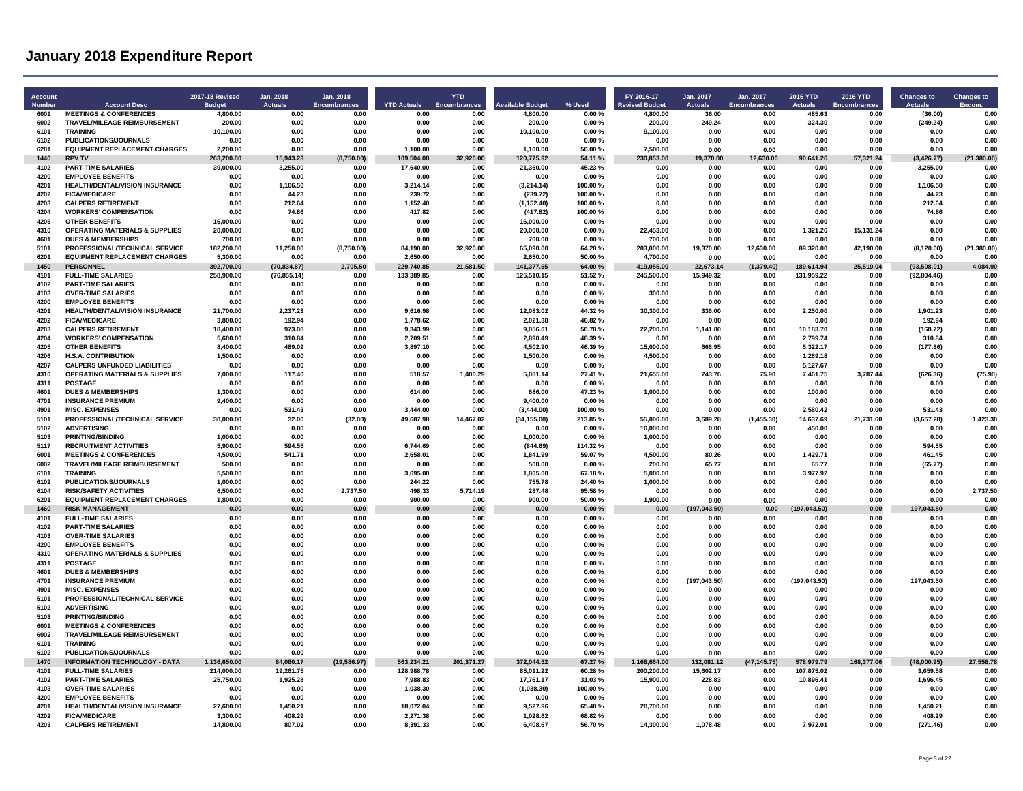| <b>Account</b><br><b>Number</b> | <b>Account Desc</b>                                                              | 2017-18 Revised<br><b>Budge</b> | Jan. 2018<br><b>Actuals</b> | Jan. 2018<br><b>Encumbrances</b> | <b>YTD Actuals</b>       | <b>YTD</b><br><b>Encumbrances</b> | <b>Available Budget</b> | % Used            | FY 2016-17<br><b>Revised Budget</b> | Jan. 2017<br><b>Actuals</b> | Jan. 2017<br><b>Encumbrances</b> | 2016 YTD<br><b>Actuals</b> | <b>2016 YTD</b><br><b>Encumbrances</b> | <b>Changes to</b><br><b>Actuals</b> | <b>Changes to</b><br>Encum |
|---------------------------------|----------------------------------------------------------------------------------|---------------------------------|-----------------------------|----------------------------------|--------------------------|-----------------------------------|-------------------------|-------------------|-------------------------------------|-----------------------------|----------------------------------|----------------------------|----------------------------------------|-------------------------------------|----------------------------|
| 6001                            | <b>MEETINGS &amp; CONFERENCES</b>                                                | 4,800.00                        | 0.00                        | 0.00                             | 0.00                     | 0.00                              | 4,800.00                | 0.00%             | 4,800.00                            | 36.00                       | 0.00                             | 485.63                     | 0.00                                   | (36.00)                             | 0.00                       |
| 6002                            | TRAVEL/MILEAGE REIMBURSEMENT                                                     | 200.00                          | 0.00                        | 0.00                             | 0.00                     | 0.00                              | 200.00                  | 0.00%             | 200.00                              | 249.24                      | 0.00                             | 324.30                     | 0.00                                   | (249.24)                            | 0.00                       |
| 6101<br>6102                    | <b>TRAINING</b>                                                                  | 10,100.00                       | 0.00<br>0.00                | 0.00<br>0.00                     | 0.00<br>0.00             | 0.00<br>0.00                      | 10,100.00               | 0.00%<br>0.00%    | 9,100.00                            | 0.00                        | 0.00                             | 0.00<br>0.00               | 0.00                                   | 0.00<br>0.00                        | 0.00<br>0.00               |
| 6201                            | <b>PUBLICATIONS/JOURNALS</b><br><b>EQUIPMENT REPLACEMENT CHARGES</b>             | 0.00<br>2,200.00                | 0.00                        | 0.00                             | 1,100.00                 | 0.00                              | 0.00<br>1,100.00        | 50.00 %           | 0.00<br>7,500.00                    | 0.00<br>0.00                | 0.00<br>0.00                     | 0.00                       | 0.00<br>0.00                           | 0.00                                | 0.00                       |
| 1440                            | <b>RPV TV</b>                                                                    | 263,200.00                      | 15,943.23                   | (8,750.00)                       | 109,504.08               | 32,920.00                         | 120,775.92              | 54.11 %           | 230,853.00                          | 19,370.00                   | 12,630.00                        | 90,641.26                  | 57,321.24                              | (3, 426.77)                         | (21, 380.00)               |
| 4102                            | <b>PART-TIME SALARIES</b>                                                        | 39,000.00                       | 3,255.00                    | 0.00                             | 17,640.00                | 0.00                              | 21,360.00               | 45.23%            | 0.00                                | 0.00                        | 0.00                             | 0.00                       | 0.00                                   | 3,255.00                            | 0.00                       |
| 4200                            | <b>EMPLOYEE BENEFITS</b>                                                         | 0.00                            | 0.00                        | 0.00                             | 0.00                     | 0.00                              | 0.00                    | 0.00%             | 0.00                                | 0.00                        | 0.00                             | 0.00                       | 0.00                                   | 0.00                                | 0.00                       |
| 4201                            | HEALTH/DENTAL/VISION INSURANCE                                                   | 0.00                            | 1,106.50                    | 0.00                             | 3.214.14                 | 0.00                              | (3,214.14)              | 100.00%           | 0.00                                | 0.00                        | 0.00                             | 0.00                       | 0.00                                   | 1,106.50                            | 0.00                       |
| 4202                            | <b>FICA/MEDICARE</b>                                                             | 0.00                            | 44.23                       | 0.00                             | 239 72                   | 0.00                              | (239.72)                | 100.00%           | 0.00                                | 0.00                        | 0.00                             | 0.00                       | 0.00                                   | 44.23                               | 0.00                       |
| 4203                            | <b>CALPERS RETIREMENT</b>                                                        | 0.00                            | 212.64                      | 0.00                             | 1,152.40                 | 0.00                              | (1, 152.40)             | 100.00%           | 0.00                                | 0.00                        | 0.00                             | 0.00                       | 0.00                                   | 212.64                              | 0.00                       |
| 4204<br>4205                    | <b>WORKERS' COMPENSATION</b><br><b>OTHER BENEFITS</b>                            | 0.00<br>16,000.00               | 74.86<br>0.00               | 0.00<br>0.00                     | 417.82<br>0.00           | 0.00<br>0.00                      | (417.82)<br>16,000.00   | 100.00%<br>0.00%  | 0.00<br>0.00                        | 0.00<br>0.00                | 0.00<br>0.00                     | 0.00<br>0.00               | 0.00<br>0.00                           | 74.86<br>0.00                       | 0.00<br>0.00               |
| 4310                            | <b>OPERATING MATERIALS &amp; SUPPLIES</b>                                        | 20,000.00                       | 0.00                        | 0.00                             | 0.00                     | 0.00                              | 20,000.00               | 0.00%             | 22.453.00                           | 0.00                        | 0.00                             | 1,321.26                   | 15,131.24                              | 0.00                                | 0.00                       |
| 4601                            | <b>DUES &amp; MEMBERSHIPS</b>                                                    | 700.00                          | 0.00                        | 0.00                             | 0.00                     | 0.00                              | 700.00                  | 0.00%             | 700.00                              | 0.00                        | 0.00                             | 0.00                       | 0.00                                   | 0.00                                | 0.00                       |
| 5101                            | PROFESSIONAL/TECHNICAL SERVICE                                                   | 182,200.00                      | 11,250.00                   | (8,750.00)                       | 84,190.00                | 32,920.00                         | 65,090.00               | 64.28%            | 203,000.00                          | 19,370.00                   | 12,630.00                        | 89,320.00                  | 42,190.00                              | (8, 120.00)                         | (21, 380.00)               |
| 6201                            | <b>EQUIPMENT REPLACEMENT CHARGES</b>                                             | 5,300.00                        | 0.00                        | 0.00                             | 2,650.00                 | 0.00                              | 2,650.00                | 50.00 %           | 4,700.00                            | 0.00                        | 0.00                             | 0.00                       | 0.00                                   | 0.00                                | 0.00                       |
| 1450                            | <b>PERSONNEL</b>                                                                 | 392,700.00                      | (70, 834.87)                | 2,705.50                         | 229,740.85               | 21,581.50                         | 141,377.65              | 64.00%            | 419,055.00                          | 22,673.14                   | (1, 379.40)                      | 189,614.94                 | 25,519.04                              | (93,508.01)                         | 4.084.90                   |
| 4101                            | <b>FULL-TIME SALARIES</b>                                                        | 258,900.00                      | (76, 855.14)                | 0.00                             | 133,389.85               | 0.00                              | 125,510.15              | 51.52%            | 245,500.00                          | 15,949.32                   | 0.00                             | 131,959.22                 | 0.00                                   | (92, 804.46)                        | 0.00                       |
| 4102<br>4103                    | <b>PART-TIME SALARIES</b><br><b>OVER-TIME SALARIES</b>                           | 0.00                            | 0.00                        | 0.00                             | 0.00                     | 0.00<br>0.00                      | 0.00<br>0.00            | 0.00%<br>0.00%    | 0.00<br>300.00                      | 0.00<br>0.00                | 0.00                             | 0.00                       | 0.00<br>0.00                           | 0.00                                | 0.00<br>0.00               |
| 4200                            | <b>EMPLOYEE BENEFITS</b>                                                         | 0.00<br>0.00                    | 0.00<br>0.00                | 0.00<br>0.00                     | 0.00<br>0.00             | 0.00                              | 0.00                    | 0.00%             | 0.00                                | 0.00                        | 0.00<br>0.00                     | 0.00<br>0.00               | 0.00                                   | 0.00<br>0.00                        | 0.00                       |
| 4201                            | HEALTH/DENTAL/VISION INSURANCE                                                   | 21.700.00                       | 2.237.23                    | 0.00                             | 9.616.98                 | 0.00                              | 12.083.02               | 44.32%            | 30.300.00                           | 336.00                      | 0.00                             | 2.250.00                   | 0.00                                   | 1,901.23                            | 0.00                       |
| 4202                            | <b>FICA/MEDICARE</b>                                                             | 3,800.00                        | 192.94                      | 0.00                             | 1,778.62                 | 0.00                              | 2,021.38                | 46.82%            | 0.00                                | 0.00                        | 0.00                             | 0.00                       | 0.00                                   | 192.94                              | 0.00                       |
| 4203                            | <b>CALPERS RETIREMENT</b>                                                        | 18.400.00                       | 973.08                      | 0.00                             | 9.343.99                 | 0.00                              | 9.056.01                | 50.78%            | 22.200.00                           | 1.141.80                    | 0.00                             | 10.183.70                  | 0.00                                   | (168.72)                            | 0.00                       |
| 4204                            | <b>WORKERS' COMPENSATION</b>                                                     | 5,600.00                        | 310.84                      | 0.00                             | 2.709.51                 | 0.00                              | 2,890.49                | 48.39%            | 0.00                                | 0.00                        | 0.00                             | 2.799.74                   | 0.00                                   | 310.84                              | 0.00                       |
| 4205                            | <b>OTHER BENEFITS</b>                                                            | 8,400.00                        | 489.09                      | 0.00                             | 3,897.10                 | 0.00                              | 4,502.90                | 46.39%            | 15,000.00                           | 666.95                      | 0.00                             | 5,322.17                   | 0.00                                   | (177.86)                            | 0.00                       |
| 4206                            | <b>H.S.A. CONTRIBUTION</b>                                                       | 1,500.00                        | 0.00                        | 0.00                             | 0.00                     | 0.00                              | 1,500.00                | $0.00 \%$         | 4,500.00                            | 0.00                        | 0.00                             | 1,269.18                   | 0.00                                   | 0.00                                | 0.00                       |
| 4207<br>4310                    | <b>CALPERS UNFUNDED LIABILITIES</b><br><b>OPERATING MATERIALS &amp; SUPPLIES</b> | 0.00<br>7.000.00                | 0.00<br>117.40              | 0.00<br>0.00                     | 0.00<br>518.57           | 0.00<br>1.400.29                  | 0.00<br>5.081.14        | 0.00%<br>27.41%   | 0.00<br>21.655.00                   | 0.00<br>743.76              | 0.00<br>75.90                    | 5,127.67<br>7.461.75       | 0.00<br>3.787.44                       | 0.00<br>(626.36)                    | 0.00<br>(75.90)            |
| 4311                            | <b>POSTAGE</b>                                                                   | 0.00                            | 0.00                        | 0.00                             | 0.00                     | 0.00                              | 0.00                    | 0.00%             | 0.00                                | 0.00                        | 0.00                             | 0.00                       | 0.00                                   | 0.00                                | 0.00                       |
| 4601                            | <b>DUES &amp; MEMBERSHIPS</b>                                                    | 1,300.00                        | 0.00                        | 0.00                             | 614.00                   | 0.00                              | 686.00                  | 47.23%            | 1,000.00                            | 0.00                        | 0.00                             | 100.00                     | 0.00                                   | 0.00                                | 0.00                       |
| 4701                            | <b>INSURANCE PREMIUM</b>                                                         | 9,400.00                        | 0.00                        | 0.00                             | 0.00                     | 0.00                              | 9,400.00                | 0.00%             | 0.00                                | 0.00                        | 0.00                             | 0.00                       | 0.00                                   | 0.00                                | 0.00                       |
| 4901                            | <b>MISC. EXPENSES</b>                                                            | 0.00                            | 531.43                      | 0.00                             | 3.444.00                 | 0.00                              | (3,444.00)              | 100.00%           | 0.00                                | 0.00                        | 0.00                             | 2.580.42                   | 0.00                                   | 531.43                              | 0.00                       |
| 5101                            | PROFESSIONAL/TECHNICAL SERVICE                                                   | 30,000.00                       | 32.00                       | (32.00)                          | 49,687.98                | 14.467.02                         | (34, 155.00)            | 213.85%           | 55,000.00                           | 3.689.28                    | (1, 455.30)                      | 14,637.69                  | 21,731.60                              | (3,657.28)                          | 1.423.30                   |
| 5102                            | <b>ADVERTISING</b>                                                               | 0.00                            | 0.00                        | 0.00                             | 0.00                     | 0.00                              | 0.00                    | 0.00%             | 10.000.00                           | 0.00                        | 0.00                             | 450.00                     | 0.00                                   | 0.00                                | 0.00                       |
| 5103                            | <b>PRINTING/BINDING</b>                                                          | 1,000.00                        | 0.00                        | 0.00                             | 0.00                     | 0.00                              | 1,000.00                | 0.00%             | 1.000.00                            | 0.00                        | 0.00                             | 0.00                       | 0.00                                   | 0.00                                | 0.00                       |
| 5117<br>6001                    | <b>RECRUITMENT ACTIVITIES</b><br><b>MEETINGS &amp; CONFERENCES</b>               | 5,900.00<br>4,500.00            | 594.55<br>541.71            | 0.00<br>0.00                     | 6,744.69<br>2.658.01     | 0.00<br>0.00                      | (844.69)<br>1.841.99    | 114.32%<br>59.07% | 0.00<br>4,500.00                    | 0.00<br>80.26               | 0.00<br>0.00                     | 0.00<br>1,429.71           | 0.00<br>0.00                           | 594.55<br>461.45                    | 0.00<br>0.00               |
| 6002                            | TRAVEL/MILEAGE REIMBURSEMENT                                                     | 500.00                          | 0.00                        | 0.00                             | 0.00                     | 0.00                              | 500.00                  | 0.00%             | 200.00                              | 65.77                       | 0.00                             | 65.77                      | 0.00                                   | (65.77)                             | 0.00                       |
| 6101                            | <b>TRAINING</b>                                                                  | 5.500.00                        | 0.00                        | 0.00                             | 3.695.00                 | 0.00                              | 1.805.00                | 67.18%            | 5.000.00                            | 0.00                        | 0.00                             | 3.977.92                   | 0.00                                   | 0.00                                | 0.00                       |
| 6102                            | <b>PUBLICATIONS/JOURNALS</b>                                                     | 1,000.00                        | 0.00                        | 0.00                             | 244.22                   | 0.00                              | 755.78                  | 24.40%            | 1.000.00                            | 0.00                        | 0.00                             | 0.00                       | 0.00                                   | 0.00                                | 0.00                       |
| 6104                            | <b>RISK/SAFETY ACTIVITIES</b>                                                    | 6,500.00                        | 0.00                        | 2,737.50                         | 498.33                   | 5.714.19                          | 287.48                  | 95.58%            | 0.00                                | 0.00                        | 0.00                             | 0.00                       | 0.00                                   | 0.00                                | 2,737.50                   |
| 6201                            | <b>EQUIPMENT REPLACEMENT CHARGES</b>                                             | 1,800.00                        | 0.00                        | 0.00                             | 900.00                   | 0.00                              | 900.00                  | 50.00 %           | 1,900.00                            | 0.00                        | 0.00                             | 0.00                       | 0.00                                   | 0.00                                | 0.00                       |
| 1460                            | <b>RISK MANAGEMENT</b>                                                           | 0.00                            | 0.00                        | 0.00                             | 0.00                     | 0.00                              | 0.00                    | 0.00%             | 0.00                                | (197, 043.50)               | 0.00                             | (197, 043.50)              | 0.00                                   | 197,043.50                          | 0.00                       |
| 4101<br>4102                    | <b>FULL-TIME SALARIES</b><br><b>PART-TIME SALARIES</b>                           | 0.00<br>0.00                    | 0.00<br>0.00                | 0.00<br>0.00                     | 0.00<br>0.00             | 0.00<br>0.00                      | 0.00<br>0.00            | 0.00%<br>0.00%    | 0.00<br>0.00                        | 0.00<br>0.00                | 0.00<br>0.00                     | 0.00<br>0.00               | 0.00<br>0.00                           | 0.00<br>0.00                        | 0.00<br>0.00               |
| 4103                            | <b>OVER-TIME SALARIES</b>                                                        | 0.00                            | 0.00                        | 0.00                             | 0.00                     | 0.00                              | 0.00                    | 0.00%             | 0.00                                | 0.00                        | 0.00                             | 0.00                       | 0.00                                   | 0.00                                | 0.00                       |
| 4200                            | <b>EMPLOYEE BENEFITS</b>                                                         | 0.00                            | 0.00                        | 0.00                             | 0.00                     | 0.00                              | 0.00                    | 0.00%             | 0.00                                | 0.00                        | 0.00                             | 0.00                       | 0.00                                   | 0.00                                | 0.00                       |
| 4310                            | <b>OPERATING MATERIALS &amp; SUPPLIES</b>                                        | 0.00                            | 0.00                        | 0.00                             | 0.00                     | 0.00                              | 0.00                    | 0.00%             | 0.00                                | 0.00                        | 0.00                             | 0.00                       | 0.00                                   | 0.00                                | 0.00                       |
| 4311                            | <b>POSTAGE</b>                                                                   | 0.00                            | 0.00                        | 0.00                             | 0.00                     | 0.00                              | 0.00                    | 0.00%             | 0.00                                | 0.00                        | 0.00                             | 0.00                       | 0.00                                   | 0.00                                | 0.00                       |
| 4601                            | <b>DUES &amp; MEMBERSHIPS</b>                                                    | 0.00                            | 0.00                        | 0.00                             | 0.00                     | 0.00                              | 0.00                    | 0.00%             | 0.00                                | 0.00                        | 0.00                             | 0.00                       | 0.00                                   | 0.00                                | 0.00                       |
| 4701                            | <b>INSURANCE PREMIUM</b>                                                         | 0.00                            | 0.00                        | 0.00                             | 0.00                     | 0.00                              | 0.00                    | 0.00%             | 0.00                                | (197, 043.50)               | 0.00                             | (197, 043.50)              | 0.00                                   | 197.043.50                          | 0.00                       |
| 4901<br>5101                    | <b>MISC. EXPENSES</b><br>PROFESSIONAL/TECHNICAL SERVICE                          | 0.00<br>0.00                    | 0.00<br>0.00                | 0.00<br>0.00                     | 0.00<br>0.00             | 0.00<br>0.00                      | 0.00<br>0.00            | 0.00%<br>0.00%    | 0.00<br>0.00                        | 0.00<br>0.00                | 0.00<br>0.00                     | 0.00<br>0.00               | 0.00<br>0.00                           | 0.00<br>0.00                        | 0.00<br>0.00               |
| 5102                            | <b>ADVERTISING</b>                                                               | 0.00                            | 0.00                        | 0.00                             | 0.00                     | 0.00                              | 0.00                    | 0.00%             | 0.00                                | 0.00                        | 0.00                             | 0.00                       | 0.00                                   | 0.00                                | 0.00                       |
| 5103                            | <b>PRINTING/BINDING</b>                                                          | 0.00                            | 0.00                        | 0.00                             | 0.00                     | 0.00                              | 0.00                    | 0.00%             | 0.00                                | 0.00                        | 0.00                             | 0.00                       | 0.00                                   | 0.00                                | 0.00                       |
| 6001                            | <b>MEETINGS &amp; CONFERENCES</b>                                                | 0.00                            | 0.00                        | 0.00                             | 0.00                     | 0.00                              | 0.00                    | 0.00%             | 0.00                                | 0.00                        | 0.00                             | 0.00                       | 0.00                                   | 0.00                                | 0.00                       |
| 6002                            | TRAVEL/MILEAGE REIMBURSEMENT                                                     | 0.00                            | 0.00                        | 0.00                             | 0.00                     | 0.00                              | 0.00                    | 0.00%             | 0.00                                | 0.00                        | 0.00                             | 0.00                       | 0.00                                   | 0.00                                | 0.00                       |
| 6101                            | <b>TRAINING</b>                                                                  | 0.00                            | 0.00                        | 0.00                             | 0.00                     | 0.00                              | 0.00                    | 0.00%             | 0.00                                | 0.00                        | 0.00                             | 0.00                       | 0.00                                   | 0.00                                | 0.00                       |
| 6102                            | <b>PUBLICATIONS/JOURNALS</b>                                                     | 0.00                            | 0.00                        | 0.00                             | 0.00                     | 0.00                              | 0.00                    | 0.00%             | 0.00                                | 0.00                        | 0.00                             | 0.00                       | 0.00                                   | 0.00                                | 0.00                       |
| 1470<br>4101                    | <b>INFORMATION TECHNOLOGY - DATA</b><br><b>FULL-TIME SALARIES</b>                | 1,136,650.00<br>214.000.00      | 84,080.17<br>19.261.75      | (19, 586.97)<br>0.00             | 563.234.21<br>128.988.78 | 201,371.27<br>0.00                | 372,044.52<br>85.011.22 | 67.27%<br>60.28%  | 1,168,664.00<br>200,200.00          | 132.081.12<br>15.602.17     | (47, 145.75)<br>0.00             | 578,979.79<br>107.875.02   | 168,377.06<br>0.00                     | (48,000.95)                         | 27,558.78<br>0.00          |
| 4102                            | <b>PART-TIME SALARIES</b>                                                        | 25,750.00                       | 1,925.28                    | 0.00                             | 7,988.83                 | 0.00                              | 17,761.17               | 31.03%            | 15,900.00                           | 228.83                      | 0.00                             | 10,896.41                  | 0.00                                   | 3,659.58<br>1,696.45                | 0.00                       |
| 4103                            | <b>OVER-TIME SALARIES</b>                                                        | 0.00                            | 0.00                        | 0.00                             | 1.038.30                 | 0.00                              | (1,038.30)              | 100.00%           | 0.00                                | 0.00                        | 0.00                             | 0.00                       | 0.00                                   | 0.00                                | 0.00                       |
| 4200                            | <b>EMPLOYEE BENEFITS</b>                                                         | 0.00                            | 0.00                        | 0.00                             | 0.00                     | 0.00                              | 0.00                    | 0.00%             | 0.00                                | 0.00                        | 0.00                             | 0.00                       | 0.00                                   | 0.00                                | 0.00                       |
| 4201                            | HEALTH/DENTAL/VISION INSURANCE                                                   | 27.600.00                       | 1.450.21                    | 0.00                             | 18.072.04                | 0.00                              | 9,527.96                | 65.48%            | 28.700.00                           | 0.00                        | 0.00                             | 0.00                       | 0.00                                   | 1,450.21                            | 0.00                       |
| 4202                            | <b>FICA/MEDICARE</b>                                                             | 3,300.00                        | 408.29                      | 0.00                             | 2,271.38                 | 0.00                              | 1,028.62                | 68.82%            | 0.00                                | 0.00                        | 0.00                             | 0.00                       | 0.00                                   | 408.29                              | 0.00                       |
| 4203                            | <b>CALPERS RETIREMENT</b>                                                        | 14.800.00                       | 807.02                      | 0.00                             | 8.391.33                 | 0.00                              | 6.408.67                | 56.70%            | 14.300.00                           | 1.078.48                    | 0.00                             | 7.972.01                   | 0.00                                   | (271.46)                            | 0.00                       |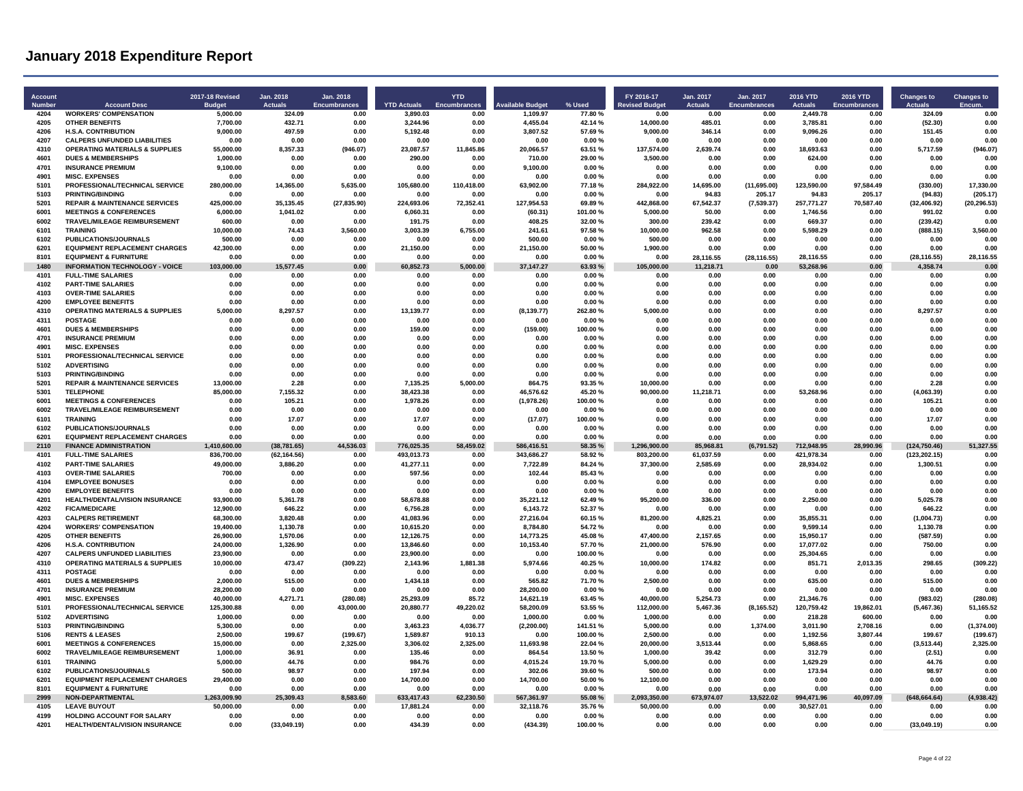| 4204<br><b>WORKERS' COMPENSATION</b><br>5,000.00<br>324.09<br>0.00<br>3.890.03<br>0.00<br>1.109.97<br>77.80%<br>0.00<br>0.00<br>0.00<br>2,449.78<br>0.00<br>324.09<br>0.00<br>4.455.04<br>4205<br><b>OTHER BENEFITS</b><br>7,700.00<br>432.71<br>0.00<br>3,244.96<br>0.00<br>42.14%<br>14,000.00<br>485.01<br>0.00<br>3,785.81<br>0.00<br>(52.30)<br>0.00<br>4206<br><b>H.S.A. CONTRIBUTION</b><br>9,000.00<br>497.59<br>0.00<br>5,192.48<br>0.00<br>3,807.52<br>57.69%<br>9,000.00<br>346.14<br>0.00<br>9,096.26<br>0.00<br>151.45<br>0.00<br>4207<br><b>CALPERS UNFUNDED LIABILITIES</b><br>0.00<br>0.00<br>0.00<br>0.00<br>0.00<br>0.00%<br>0.00<br>0.00<br>0.00<br>0.00<br>0.00<br>0.00<br>0.00<br>0.00<br>4310<br><b>OPERATING MATERIALS &amp; SUPPLIES</b><br>20,066.57<br>5,717.59<br>(946.07)<br>55,000.00<br>8,357.33<br>(946.07)<br>23,087.57<br>11,845.86<br>63.51 %<br>137.574.00<br>2,639.74<br>0.00<br>18,693.63<br>0.00<br>4601<br><b>DUES &amp; MEMBERSHIPS</b><br>1.000.00<br>0.00<br>0.00<br>290.00<br>0.00<br>710.00<br>29.00 %<br>3,500.00<br>0.00<br>0.00<br>624.00<br>0.00<br>0.00<br>0.00<br>4701<br><b>INSURANCE PREMIUM</b><br>9,100.00<br>9,100.00<br>0.00<br>0.00<br>0.00<br>0.00<br>0.00%<br>0.00<br>0.00<br>0.00<br>0.00<br>0.00<br>0.00<br>0.00<br>4901<br><b>MISC. EXPENSES</b><br>0.00<br>0.00<br>0.00<br>0.00<br>0.00<br>0.00<br>0.00%<br>0.00<br>0.00<br>0.00<br>0.00<br>0.00<br>0.00<br>0.00<br>5101<br>PROFESSIONAL/TECHNICAL SERVICE<br>280.000.00<br>14.365.00<br>5.635.00<br>105.680.00<br>110.418.00<br>63.902.00<br>77.18%<br>284.922.00<br>14,695.00<br>(11.695.00)<br>123.590.00<br>97.584.49<br>(330.00)<br>17.330.00<br>5103<br>205.17<br>(205.17)<br>PRINTING/BINDING<br>0.00<br>0.00<br>0.00<br>0.00<br>0.00%<br>0.00<br>94.83<br>205.17<br>94.83<br>(94.83)<br>0.00<br>0.00<br>5201<br><b>REPAIR &amp; MAINTENANCE SERVICES</b><br>425,000.00<br>35,135.45<br>127.954.53<br>67,542.37<br>(7, 539.37)<br>257,771.27<br>70,587.40<br>(32, 406.92)<br>(20, 296.53)<br>(27, 835.90)<br>224.693.06<br>72.352.41<br>69.89%<br>442.868.00<br>6001<br><b>MEETINGS &amp; CONFERENCES</b><br>6,000.00<br>1,041.02<br>0.00<br>6,060.31<br>0.00<br>(60.31)<br>101.00%<br>5,000.00<br>50.00<br>0.00<br>1,746.56<br>0.00<br>991.02<br>0.00<br>6002<br>TRAVEL/MILEAGE REIMBURSEMENT<br>408.25<br>239.42<br>669.37<br>600.00<br>0.00<br>0.00<br>191.75<br>0.00<br>32.00%<br>300.00<br>0.00<br>0.00<br>(239.42)<br>0.00<br>6101<br><b>TRAINING</b><br>10,000.00<br>74.43<br>3,560.00<br>3,003.39<br>6,755.00<br>241.61<br>97.58%<br>10,000.00<br>962.58<br>0.00<br>5,598.29<br>0.00<br>(888.15)<br>3,560.00<br>6102<br>PUBLICATIONS/JOURNALS<br>500.00<br>500.00<br>0.00%<br>500.00<br>0.00<br>0.00<br>0.00<br>0.00<br>0.00<br>0.00<br>0.00<br>0.00<br>0.00<br>0.00<br>6201<br><b>EQUIPMENT REPLACEMENT CHARGES</b><br>42.300.00<br>21.150.00<br>50.00%<br>0.00<br>0.00<br>0.00<br>0.00<br>21,150.00<br>0.00<br>1.900.00<br>0.00<br>0.00<br>0.00<br>0.00<br>8101<br><b>EQUIPMENT &amp; FURNITURE</b><br>0.00<br>0.00<br>0.00<br>28,116.55<br>0.00<br>(28, 116.55)<br>28,116.55<br>0.00<br>0.00<br>0.00<br>0.00%<br>0.00<br>(28, 116.55)<br>28.116.55<br>1480<br>INFORMATION TECHNOLOGY - VOICE<br>103,000.00<br>15,577.45<br>0.00<br>60,852.73<br>5,000.00<br>37, 147.27<br>63.93%<br>105,000.00<br>11,218.71<br>0.00<br>53,268.96<br>0.00<br>4,358.74<br>0.00<br>4101<br><b>FULL-TIME SALARIES</b><br>0.00<br>0.00<br>0.00<br>0.00<br>0.00<br>0.00<br>0.00<br>0.00<br>0.00<br>0.00%<br>0.00<br>0.00<br>0.00<br>0.00<br>4102<br><b>PART-TIME SALARIES</b><br>0.00<br>0.00<br>0.00<br>0.00<br>0.00<br>0.00<br>0.00%<br>0.00<br>0.00<br>0.00<br>0.00<br>0.00<br>0.00<br>0.00<br>4103<br><b>OVER-TIME SALARIES</b><br>0.00<br>0.00<br>0.00<br>0.00<br>0.00<br>0.00%<br>0.00<br>0.00<br>0.00<br>0.00<br>0.00<br>0.00<br>0.00<br>0.00<br>4200<br>0.00<br><b>EMPLOYEE BENEFITS</b><br>0.00<br>0.00<br>0.00<br>0.00<br>0.00<br>0.00%<br>0.00<br>0.00<br>0.00<br>0.00<br>0.00<br>0.00<br>0.00<br><b>OPERATING MATERIALS &amp; SUPPLIES</b><br>4310<br>5,000.00<br>8.297.57<br>0.00<br>13,139.77<br>0.00<br>(8, 139.77)<br>262.80%<br>5.000.00<br>0.00<br>0.00<br>0.00<br>0.00<br>8,297.57<br>0.00<br>4311<br><b>POSTAGE</b><br>0.00<br>0.00<br>0.00<br>0.00<br>0.00<br>0.00%<br>0.00<br>0.00<br>0.00<br>0.00<br>0.00<br>0.00<br>0.00<br>0.00<br>4601<br>(159.00)<br><b>DUES &amp; MEMBERSHIPS</b><br>0.00<br>0.00<br>0.00<br>159.00<br>0.00<br>100.00%<br>0.00<br>0.00<br>0.00<br>0.00<br>0.00<br>0.00<br>0.00<br>4701<br><b>INSURANCE PREMIUM</b><br>0.00<br>0.00<br>0.00<br>0.00<br>0.00<br>0.00<br>0.00%<br>0.00<br>0.00<br>0.00<br>0.00<br>0.00<br>0.00<br>0.00<br>4901<br><b>MISC. EXPENSES</b><br>0.00%<br>0.00<br>0.00<br>0.00<br>0.00<br>0.00<br>0.00<br>0.00<br>0.00<br>0.00<br>0.00<br>0.00<br>0.00<br>0.00<br>5101<br>PROFESSIONAL/TECHNICAL SERVICE<br>0.00<br>0.00<br>0.00<br>0.00<br>0.00<br>0.00%<br>0.00<br>0.00<br>0.00<br>0.00<br>0.00<br>0.00<br>0.00<br>0.00<br>5102<br>0.00<br><b>ADVERTISING</b><br>0.00<br>0.00<br>0.00<br>0.00<br>0.00<br>0.00<br>0.00%<br>0.00<br>0.00<br>0.00<br>0.00<br>0.00<br>0.00<br>5103<br><b>PRINTING/BINDING</b><br>0.00<br>0.00<br>0.00<br>0.00<br>0.00%<br>0.00<br>0.00<br>0.00<br>0.00<br>0.00<br>0.00<br>0.00<br>0.00<br>0.00<br>5201<br><b>REPAIR &amp; MAINTENANCE SERVICES</b><br>2.28<br>7,135.25<br>864.75<br>13.000.00<br>0.00<br>5.000.00<br>93.35%<br>10.000.00<br>0.00<br>0.00<br>0.00<br>0.00<br>2.28<br>0.00<br>5301<br><b>TELEPHONE</b><br>85,000.00<br>7,155.32<br>0.00<br>38,423.38<br>0.00<br>46,576.62<br>45.20%<br>90,000.00<br>11,218.71<br>0.00<br>53,268.96<br>0.00<br>(4,063.39)<br>0.00<br>6001<br>105.21<br>0.00<br>1.978.26<br>(1,978.26)<br>100.00%<br>0.00<br>0.00<br>105.21<br>0.00<br><b>MEETINGS &amp; CONFERENCES</b><br>0.00<br>0.00<br>0.00<br>0.00<br>0.00<br>6002<br><b>TRAVEL/MILEAGE REIMBURSEMENT</b><br>0.00<br>0.00<br>0.00<br>0.00<br>0.00<br>0.00<br>0.00<br>0.00<br>0.00<br>0.00<br>0.00%<br>0.00<br>0.00<br>0.00<br>6101<br><b>TRAINING</b><br>0.00<br>0.00<br>0.00<br>17.07<br>0.00<br>17.07<br>0.00<br>(17.07)<br>100.00%<br>0.00<br>0.00<br>0.00<br>0.00<br>17.07<br>6102<br>PUBLICATIONS/JOURNALS<br>0.00<br>0.00<br>0.00<br>0.00<br>0.00<br>0.00<br>0.00%<br>0.00<br>0.00<br>0.00<br>0.00<br>0.00<br>0.00<br>0.00<br><b>EQUIPMENT REPLACEMENT CHARGES</b><br>6201<br>0.00<br>0.00<br>0.00<br>0.00<br>0.00<br>0.00<br>0.00%<br>0.00<br>0.00<br>0.00<br>0.00<br>0.00<br>0.00<br>0.00<br>2110<br><b>FINANCE ADMINISTRATION</b><br>1,410,600.00<br>(38, 781.65)<br>44,536.03<br>776,025.35<br>58,459.02<br>586,416.51<br>58.35 %<br>1,296,900.00<br>85.968.81<br>(6,791.52)<br>712,948.95<br>28,990.96<br>(124, 750.46)<br>51,327.55<br>4101<br><b>FULL-TIME SALARIES</b><br>836,700.00<br>493,013.73<br>343,686.27<br>58.92%<br>(123, 202.15)<br>(62.164.56)<br>0.00<br>0.00<br>803 200 00<br>61.037.59<br>0.00<br>421.978.34<br>0.00<br>0.00<br>4102<br><b>PART-TIME SALARIES</b><br>49,000.00<br>3.886.20<br>0.00<br>0.00<br>7,722.89<br>84.24 %<br>37,300.00<br>2.585.69<br>0.00<br>28,934.02<br>0.00<br>1,300.51<br>0.00<br>41.277.11<br>4103<br><b>OVER-TIME SALARIES</b><br>700.00<br>0.00<br>0.00<br>597.56<br>0.00<br>102.44<br>85.43%<br>0.00<br>0.00<br>0.00<br>0.00<br>0.00<br>0.00<br>0.00<br>4104<br><b>EMPLOYEE BONUSES</b><br>0.00<br>0.00<br>0.00<br>0.00<br>0.00%<br>0.00<br>0.00<br>0.00<br>0.00<br>0.00<br>0.00<br>0.00<br>0.00<br>0.00<br>4200<br><b>EMPLOYEE BENEFITS</b><br>0.00<br>0.00<br>0.00<br>0.00<br>0.00<br>0.00<br>0.00%<br>0.00<br>0.00<br>0.00<br>0.00<br>0.00<br>0.00<br>0.00<br>4201<br>HEALTH/DENTAL/VISION INSURANCE<br>93,900.00<br>5,361.78<br>0.00<br>58,678.88<br>0.00<br>35,221.12<br>62.49%<br>95,200.00<br>336.00<br>0.00<br>2,250.00<br>0.00<br>5,025.78<br>0.00<br>4202<br>6.143.72<br><b>FICA/MEDICARE</b><br>12.900.00<br>646.22<br>0.00<br>6,756.28<br>0.00<br>52.37%<br>0.00<br>0.00<br>0.00<br>0.00<br>646.22<br>0.00<br>0.00<br>4203<br><b>CALPERS RETIREMENT</b><br>68,300.00<br>27,216.04<br>81,200.00<br>4,825.21<br>3.820.48<br>0.00<br>41.083.96<br>0.00<br>60.15%<br>0.00<br>35.855.31<br>0.00<br>(1,004.73)<br>0.00<br>4204<br><b>WORKERS' COMPENSATION</b><br>19,400.00<br>1,130.78<br>0.00<br>10,615.20<br>0.00<br>8,784.80<br>54.72%<br>0.00<br>0.00<br>0.00<br>9,599.14<br>0.00<br>1,130.78<br>0.00<br>4205<br><b>OTHER BENEFITS</b><br>26,900.00<br>0.00<br>12,126.75<br>0.00<br>14,773.25<br>47,400.00<br>2,157.65<br>15,950.17<br>(587.59)<br>1.570.06<br>45.08%<br>0.00<br>0.00<br>0.00<br>10,153.40<br>4206<br><b>H.S.A. CONTRIBUTION</b><br>24.000.00<br>1.326.90<br>0.00<br>13.846.60<br>0.00<br>57.70%<br>21,000.00<br>576.90<br>0.00<br>17,077.02<br>0.00<br>750.00<br>0.00<br>4207<br><b>CALPERS UNFUNDED LIABILITIES</b><br>23.900.00<br>23.900.00<br>100.00%<br>0.00<br>25.304.65<br>0.00<br>0.00<br>0.00<br>0.00<br>0.00<br>0.00<br>0.00<br>0.00<br>0.00<br>4310<br><b>OPERATING MATERIALS &amp; SUPPLIES</b><br>473.47<br>10.000.00<br>298.65<br>(309.22)<br>10.000.00<br>(309.22)<br>2.143.96<br>1.881.38<br>5.974.66<br>40.25%<br>174.82<br>0.00<br>851.71<br>2.013.35<br>4311<br><b>POSTAGE</b><br>0.00<br>0.00<br>0.00<br>0.00<br>0.00<br>0.00<br>0.00<br>0.00<br>0.00<br>0.00%<br>0.00<br>0.00<br>0.00<br>0.00<br>4601<br>565.82<br><b>DUES &amp; MEMBERSHIPS</b><br>2,000.00<br>515.00<br>0.00<br>1,434.18<br>0.00<br>71.70%<br>2,500.00<br>0.00<br>0.00<br>635.00<br>0.00<br>515.00<br>0.00<br>4701<br><b>INSURANCE PREMIUM</b><br>28,200.00<br>0.00<br>28,200.00<br>0.00%<br>0.00<br>0.00<br>0.00<br>0.00<br>0.00<br>0.00<br>0.00<br>0.00<br>0.00<br>0.00<br>4901<br><b>MISC. EXPENSES</b><br>40,000.00<br>4,271.71<br>(280.08)<br>25,293.09<br>85.72<br>14,621.19<br>63.45%<br>40,000.00<br>5,254.73<br>0.00<br>21,346.76<br>0.00<br>(983.02)<br>(280.08)<br>5101<br>PROFESSIONAL/TECHNICAL SERVICE<br>125,300.88<br>0.00<br>43,000.00<br>20,880.77<br>49,220.02<br>58,200.09<br>53.55%<br>112,000.00<br>5,467.36<br>(8, 165.52)<br>120,759.42<br>19,862.01<br>(5,467.36)<br>51,165.52<br>5102<br><b>ADVERTISING</b><br>1.000.00<br>600.00<br>1.000.00<br>0.00<br>0.00<br>0.00%<br>1,000.00<br>0.00<br>0.00<br>218.28<br>0.00<br>0.00<br>0.00<br>0.00<br>5103<br><b>PRINTING/BINDING</b><br>5.300.00<br>3.463.23<br>(2, 200.00)<br>5,000.00<br>1,374.00<br>2.708.16<br>(1,374.00)<br>0.00<br>0.00<br>4.036.77<br>141.51 %<br>0.00<br>3.011.90<br>0.00<br>5106<br><b>RENTS &amp; LEASES</b><br>2,500.00<br>199.67<br>(199.67)<br>1.589.87<br>910.13<br>0.00<br>100.00%<br>2,500.00<br>0.00<br>0.00<br>1,192.56<br>3,807.44<br>199.67<br>(199.67)<br>6001<br><b>MEETINGS &amp; CONFERENCES</b><br>15,000.00<br>2,325.00<br>3,306.02<br>2,325.00<br>11,693.98<br>22.04 %<br>20,000.00<br>3,513.44<br>0.00<br>5,868.65<br>0.00<br>(3,513.44)<br>2,325.00<br>0.00<br>6002<br>TRAVEL/MILEAGE REIMBURSEMENT<br>1,000.00<br>36.91<br>0.00<br>135.46<br>0.00<br>864.54<br>13.50%<br>1,000.00<br>39.42<br>0.00<br>312.79<br>0.00<br>(2.51)<br>0.00<br>6101<br><b>TRAINING</b><br>5,000.00<br>44.76<br>0.00<br>984.76<br>0.00<br>4,015.24<br>19.70%<br>5,000.00<br>0.00<br>1,629.29<br>0.00<br>44.76<br>0.00<br>0.00<br>6102<br>PUBLICATIONS/JOURNALS<br>302.06<br>39.60%<br>0.00<br>173 94<br>98.97<br>0.00<br>500.00<br>98.97<br>0.00<br>197 94<br>0.00<br>500.00<br>0.00<br>0.00<br>6201<br><b>EQUIPMENT REPLACEMENT CHARGES</b><br>29,400.00<br>0.00<br>0.00<br>14,700.00<br>0.00<br>14,700.00<br>50.00%<br>12,100.00<br>0.00<br>0.00<br>0.00<br>0.00<br>0.00<br>0.00<br>8101<br><b>EQUIPMENT &amp; FURNITURE</b><br>0.00<br>0.00<br>0.00<br>0.00<br>0.00<br>0.00<br>0.00%<br>0.00<br>0.00<br>0.00<br>0.00<br>0.00<br>0.00<br>0.00<br>2999<br><b>NON-DEPARTMENTAL</b><br>1,263,009.90<br>8.583.60<br>62.230.50<br>567.361.97<br>13,522.02<br>994,471.96<br>40,097.09<br>25.309.43<br>633,417.43<br>55.08%<br>2,093,350.00<br>673.974.07<br>(648, 664.64)<br>(4,938.42)<br>4105<br><b>LEAVE BUYOUT</b><br>50,000.00<br>0.00<br>0.00<br>17,881.24<br>0.00<br>32,118.76<br>35.76%<br>50.000.00<br>0.00<br>0.00<br>30,527.01<br>0.00<br>0.00<br>0.00<br>4199<br><b>HOLDING ACCOUNT FOR SALARY</b><br>0.00<br>0.00<br>0.00<br>0.00<br>0.00<br>0.00%<br>0.00<br>0.00<br>0.00<br>0.00<br>0.00<br>0.00<br>0.00<br>0.00<br><b>HEALTH/DENTAL/VISION INSURANCE</b><br>(33,049.19)<br>4201<br>0.00<br>0.00<br>434.39<br>0.00<br>(434.39)<br>100.00%<br>0.00<br>0.00<br>0.00<br>0.00<br>0.00<br>(33,049.19)<br>0.00 | <b>Account</b><br><b>Number</b> | <b>Account Desc</b> | <b>2017-18 Revised</b><br><b>Budget</b> | Jan. 2018<br>Actuals | Jan. 2018<br><b>Encumbrances</b> | <b>YTD Actuals</b> | <b>YTD</b><br><b>Encumbrances</b> | <b>Available Budget</b> | % Used | FY 2016-17<br><b>Revised Budget</b> | Jan. 2017<br><b>Actuals</b> | Jan. 2017<br><b>Encumbrances</b> | 2016 YTD<br>Actuals | 2016 YTD<br>Encumbrances | <b>Changes to</b><br><b>Actuals</b> | <b>Changes to</b><br><b>Encum</b> |
|-----------------------------------------------------------------------------------------------------------------------------------------------------------------------------------------------------------------------------------------------------------------------------------------------------------------------------------------------------------------------------------------------------------------------------------------------------------------------------------------------------------------------------------------------------------------------------------------------------------------------------------------------------------------------------------------------------------------------------------------------------------------------------------------------------------------------------------------------------------------------------------------------------------------------------------------------------------------------------------------------------------------------------------------------------------------------------------------------------------------------------------------------------------------------------------------------------------------------------------------------------------------------------------------------------------------------------------------------------------------------------------------------------------------------------------------------------------------------------------------------------------------------------------------------------------------------------------------------------------------------------------------------------------------------------------------------------------------------------------------------------------------------------------------------------------------------------------------------------------------------------------------------------------------------------------------------------------------------------------------------------------------------------------------------------------------------------------------------------------------------------------------------------------------------------------------------------------------------------------------------------------------------------------------------------------------------------------------------------------------------------------------------------------------------------------------------------------------------------------------------------------------------------------------------------------------------------------------------------------------------------------------------------------------------------------------------------------------------------------------------------------------------------------------------------------------------------------------------------------------------------------------------------------------------------------------------------------------------------------------------------------------------------------------------------------------------------------------------------------------------------------------------------------------------------------------------------------------------------------------------------------------------------------------------------------------------------------------------------------------------------------------------------------------------------------------------------------------------------------------------------------------------------------------------------------------------------------------------------------------------------------------------------------------------------------------------------------------------------------------------------------------------------------------------------------------------------------------------------------------------------------------------------------------------------------------------------------------------------------------------------------------------------------------------------------------------------------------------------------------------------------------------------------------------------------------------------------------------------------------------------------------------------------------------------------------------------------------------------------------------------------------------------------------------------------------------------------------------------------------------------------------------------------------------------------------------------------------------------------------------------------------------------------------------------------------------------------------------------------------------------------------------------------------------------------------------------------------------------------------------------------------------------------------------------------------------------------------------------------------------------------------------------------------------------------------------------------------------------------------------------------------------------------------------------------------------------------------------------------------------------------------------------------------------------------------------------------------------------------------------------------------------------------------------------------------------------------------------------------------------------------------------------------------------------------------------------------------------------------------------------------------------------------------------------------------------------------------------------------------------------------------------------------------------------------------------------------------------------------------------------------------------------------------------------------------------------------------------------------------------------------------------------------------------------------------------------------------------------------------------------------------------------------------------------------------------------------------------------------------------------------------------------------------------------------------------------------------------------------------------------------------------------------------------------------------------------------------------------------------------------------------------------------------------------------------------------------------------------------------------------------------------------------------------------------------------------------------------------------------------------------------------------------------------------------------------------------------------------------------------------------------------------------------------------------------------------------------------------------------------------------------------------------------------------------------------------------------------------------------------------------------------------------------------------------------------------------------------------------------------------------------------------------------------------------------------------------------------------------------------------------------------------------------------------------------------------------------------------------------------------------------------------------------------------------------------------------------------------------------------------------------------------------------------------------------------------------------------------------------------------------------------------------------------------------------------------------------------------------------------------------------------------------------------------------------------------------------------------------------------------------------------------------------------------------------------------------------------------------------------------------------------------------------------------------------------------------------------------------------------------------------------------------------------------------------------------------------------------------------------------------------------------------------------------------------------------------------------------------------------------------------------------------------------------------------------------------------------------------------------------------------------------------------------------------------------------------------------------------------------------------------------------------------------------------------------------------------------------------------------------------------------------------------------------------------------------------------------------------------------------------------------------------------------------------------------------------------------------------------------------------------------------------------------------------------------------------------------------------------------------------------------------------------------------------------------------------------------------------------------------------------------------------------------------------------------------------------------------------------------------------------------------------------------------------------------------------------------------------------------------------------------------------------------------------------------------------------------------------------------------------------------------------------------------------------------------------------------------------------------------------------------------------------------------------------------------------------------------------------------------------------------------------------------------------------------------------------------------------------------------------------------------------------------------------------------------------------------------------------------------------------------------------------------------------------------------------------------------------------------------------------------------------------------------------------------------------------------------------------------------------------------------------------------------------------------------------------------------------------------------------------------------------------------------------------------------------------------------------------------------------------------------------------------------------------------------------------------------------------------------------------------------------------------------------------------------------------------------------------------------------------------------------------------------------------------------------------------------------------------------------------------------------------------------------------------------------------------------------------------------------------------------------------------------------------------------------------------------------------------------------------------------------------------------------------------------------------------------------------------------------------------------------------------------------------------------------------------------------------------------------------------------------------------------------------------------------------------------------------------------------------------------------------------------------------------------------------------------------------------------------------------------------------------------------------------------------------------------------------------------------------------------------------------------------------------------------------------------------------------------------------------------------------------------------------------------------------------------------------------------------------------------------------------------------------------------------------------------------------------------------------------------------------------------------------------------------------------------------------------------------------|---------------------------------|---------------------|-----------------------------------------|----------------------|----------------------------------|--------------------|-----------------------------------|-------------------------|--------|-------------------------------------|-----------------------------|----------------------------------|---------------------|--------------------------|-------------------------------------|-----------------------------------|
|                                                                                                                                                                                                                                                                                                                                                                                                                                                                                                                                                                                                                                                                                                                                                                                                                                                                                                                                                                                                                                                                                                                                                                                                                                                                                                                                                                                                                                                                                                                                                                                                                                                                                                                                                                                                                                                                                                                                                                                                                                                                                                                                                                                                                                                                                                                                                                                                                                                                                                                                                                                                                                                                                                                                                                                                                                                                                                                                                                                                                                                                                                                                                                                                                                                                                                                                                                                                                                                                                                                                                                                                                                                                                                                                                                                                                                                                                                                                                                                                                                                                                                                                                                                                                                                                                                                                                                                                                                                                                                                                                                                                                                                                                                                                                                                                                                                                                                                                                                                                                                                                                                                                                                                                                                                                                                                                                                                                                                                                                                                                                                                                                                                                                                                                                                                                                                                                                                                                                                                                                                                                                                                                                                                                                                                                                                                                                                                                                                                                                                                                                                                                                                                                                                                                                                                                                                                                                                                                                                                                                                                                                                                                                                                                                                                                                                                                                                                                                                                                                                                                                                                                                                                                                                                                                                                                                                                                                                                                                                                                                                                                                                                                                                                                                                                                                                                                                                                                                                                                                                                                                                                                                                                                                                                                                                                                                                                                                                                                                                                                                                                                                                                                                                                                                                                                                                                                                                                                                                                                                                                                                                                                                                                                                                                                                                                                                                                                                                                                                                                                                                                                                                                                                                                                                                                                                                                                                                                                                                                                                                                                                                                                                                                                                                                                                                                                                                                                                                                                                                                                                                                                                                                                                                                                                                                                                                                                                                                                                                                                                                                                                                                                                                                                                                                                                                                                                                                                                                                                                                                                                                                                                                                                                                                                                                                                                                                                                                                                                                                                                                                 |                                 |                     |                                         |                      |                                  |                    |                                   |                         |        |                                     |                             |                                  |                     |                          |                                     |                                   |
|                                                                                                                                                                                                                                                                                                                                                                                                                                                                                                                                                                                                                                                                                                                                                                                                                                                                                                                                                                                                                                                                                                                                                                                                                                                                                                                                                                                                                                                                                                                                                                                                                                                                                                                                                                                                                                                                                                                                                                                                                                                                                                                                                                                                                                                                                                                                                                                                                                                                                                                                                                                                                                                                                                                                                                                                                                                                                                                                                                                                                                                                                                                                                                                                                                                                                                                                                                                                                                                                                                                                                                                                                                                                                                                                                                                                                                                                                                                                                                                                                                                                                                                                                                                                                                                                                                                                                                                                                                                                                                                                                                                                                                                                                                                                                                                                                                                                                                                                                                                                                                                                                                                                                                                                                                                                                                                                                                                                                                                                                                                                                                                                                                                                                                                                                                                                                                                                                                                                                                                                                                                                                                                                                                                                                                                                                                                                                                                                                                                                                                                                                                                                                                                                                                                                                                                                                                                                                                                                                                                                                                                                                                                                                                                                                                                                                                                                                                                                                                                                                                                                                                                                                                                                                                                                                                                                                                                                                                                                                                                                                                                                                                                                                                                                                                                                                                                                                                                                                                                                                                                                                                                                                                                                                                                                                                                                                                                                                                                                                                                                                                                                                                                                                                                                                                                                                                                                                                                                                                                                                                                                                                                                                                                                                                                                                                                                                                                                                                                                                                                                                                                                                                                                                                                                                                                                                                                                                                                                                                                                                                                                                                                                                                                                                                                                                                                                                                                                                                                                                                                                                                                                                                                                                                                                                                                                                                                                                                                                                                                                                                                                                                                                                                                                                                                                                                                                                                                                                                                                                                                                                                                                                                                                                                                                                                                                                                                                                                                                                                                                                                                 |                                 |                     |                                         |                      |                                  |                    |                                   |                         |        |                                     |                             |                                  |                     |                          |                                     |                                   |
|                                                                                                                                                                                                                                                                                                                                                                                                                                                                                                                                                                                                                                                                                                                                                                                                                                                                                                                                                                                                                                                                                                                                                                                                                                                                                                                                                                                                                                                                                                                                                                                                                                                                                                                                                                                                                                                                                                                                                                                                                                                                                                                                                                                                                                                                                                                                                                                                                                                                                                                                                                                                                                                                                                                                                                                                                                                                                                                                                                                                                                                                                                                                                                                                                                                                                                                                                                                                                                                                                                                                                                                                                                                                                                                                                                                                                                                                                                                                                                                                                                                                                                                                                                                                                                                                                                                                                                                                                                                                                                                                                                                                                                                                                                                                                                                                                                                                                                                                                                                                                                                                                                                                                                                                                                                                                                                                                                                                                                                                                                                                                                                                                                                                                                                                                                                                                                                                                                                                                                                                                                                                                                                                                                                                                                                                                                                                                                                                                                                                                                                                                                                                                                                                                                                                                                                                                                                                                                                                                                                                                                                                                                                                                                                                                                                                                                                                                                                                                                                                                                                                                                                                                                                                                                                                                                                                                                                                                                                                                                                                                                                                                                                                                                                                                                                                                                                                                                                                                                                                                                                                                                                                                                                                                                                                                                                                                                                                                                                                                                                                                                                                                                                                                                                                                                                                                                                                                                                                                                                                                                                                                                                                                                                                                                                                                                                                                                                                                                                                                                                                                                                                                                                                                                                                                                                                                                                                                                                                                                                                                                                                                                                                                                                                                                                                                                                                                                                                                                                                                                                                                                                                                                                                                                                                                                                                                                                                                                                                                                                                                                                                                                                                                                                                                                                                                                                                                                                                                                                                                                                                                                                                                                                                                                                                                                                                                                                                                                                                                                                                                                                 |                                 |                     |                                         |                      |                                  |                    |                                   |                         |        |                                     |                             |                                  |                     |                          |                                     |                                   |
|                                                                                                                                                                                                                                                                                                                                                                                                                                                                                                                                                                                                                                                                                                                                                                                                                                                                                                                                                                                                                                                                                                                                                                                                                                                                                                                                                                                                                                                                                                                                                                                                                                                                                                                                                                                                                                                                                                                                                                                                                                                                                                                                                                                                                                                                                                                                                                                                                                                                                                                                                                                                                                                                                                                                                                                                                                                                                                                                                                                                                                                                                                                                                                                                                                                                                                                                                                                                                                                                                                                                                                                                                                                                                                                                                                                                                                                                                                                                                                                                                                                                                                                                                                                                                                                                                                                                                                                                                                                                                                                                                                                                                                                                                                                                                                                                                                                                                                                                                                                                                                                                                                                                                                                                                                                                                                                                                                                                                                                                                                                                                                                                                                                                                                                                                                                                                                                                                                                                                                                                                                                                                                                                                                                                                                                                                                                                                                                                                                                                                                                                                                                                                                                                                                                                                                                                                                                                                                                                                                                                                                                                                                                                                                                                                                                                                                                                                                                                                                                                                                                                                                                                                                                                                                                                                                                                                                                                                                                                                                                                                                                                                                                                                                                                                                                                                                                                                                                                                                                                                                                                                                                                                                                                                                                                                                                                                                                                                                                                                                                                                                                                                                                                                                                                                                                                                                                                                                                                                                                                                                                                                                                                                                                                                                                                                                                                                                                                                                                                                                                                                                                                                                                                                                                                                                                                                                                                                                                                                                                                                                                                                                                                                                                                                                                                                                                                                                                                                                                                                                                                                                                                                                                                                                                                                                                                                                                                                                                                                                                                                                                                                                                                                                                                                                                                                                                                                                                                                                                                                                                                                                                                                                                                                                                                                                                                                                                                                                                                                                                                                                                 |                                 |                     |                                         |                      |                                  |                    |                                   |                         |        |                                     |                             |                                  |                     |                          |                                     |                                   |
|                                                                                                                                                                                                                                                                                                                                                                                                                                                                                                                                                                                                                                                                                                                                                                                                                                                                                                                                                                                                                                                                                                                                                                                                                                                                                                                                                                                                                                                                                                                                                                                                                                                                                                                                                                                                                                                                                                                                                                                                                                                                                                                                                                                                                                                                                                                                                                                                                                                                                                                                                                                                                                                                                                                                                                                                                                                                                                                                                                                                                                                                                                                                                                                                                                                                                                                                                                                                                                                                                                                                                                                                                                                                                                                                                                                                                                                                                                                                                                                                                                                                                                                                                                                                                                                                                                                                                                                                                                                                                                                                                                                                                                                                                                                                                                                                                                                                                                                                                                                                                                                                                                                                                                                                                                                                                                                                                                                                                                                                                                                                                                                                                                                                                                                                                                                                                                                                                                                                                                                                                                                                                                                                                                                                                                                                                                                                                                                                                                                                                                                                                                                                                                                                                                                                                                                                                                                                                                                                                                                                                                                                                                                                                                                                                                                                                                                                                                                                                                                                                                                                                                                                                                                                                                                                                                                                                                                                                                                                                                                                                                                                                                                                                                                                                                                                                                                                                                                                                                                                                                                                                                                                                                                                                                                                                                                                                                                                                                                                                                                                                                                                                                                                                                                                                                                                                                                                                                                                                                                                                                                                                                                                                                                                                                                                                                                                                                                                                                                                                                                                                                                                                                                                                                                                                                                                                                                                                                                                                                                                                                                                                                                                                                                                                                                                                                                                                                                                                                                                                                                                                                                                                                                                                                                                                                                                                                                                                                                                                                                                                                                                                                                                                                                                                                                                                                                                                                                                                                                                                                                                                                                                                                                                                                                                                                                                                                                                                                                                                                                                                                                 |                                 |                     |                                         |                      |                                  |                    |                                   |                         |        |                                     |                             |                                  |                     |                          |                                     |                                   |
|                                                                                                                                                                                                                                                                                                                                                                                                                                                                                                                                                                                                                                                                                                                                                                                                                                                                                                                                                                                                                                                                                                                                                                                                                                                                                                                                                                                                                                                                                                                                                                                                                                                                                                                                                                                                                                                                                                                                                                                                                                                                                                                                                                                                                                                                                                                                                                                                                                                                                                                                                                                                                                                                                                                                                                                                                                                                                                                                                                                                                                                                                                                                                                                                                                                                                                                                                                                                                                                                                                                                                                                                                                                                                                                                                                                                                                                                                                                                                                                                                                                                                                                                                                                                                                                                                                                                                                                                                                                                                                                                                                                                                                                                                                                                                                                                                                                                                                                                                                                                                                                                                                                                                                                                                                                                                                                                                                                                                                                                                                                                                                                                                                                                                                                                                                                                                                                                                                                                                                                                                                                                                                                                                                                                                                                                                                                                                                                                                                                                                                                                                                                                                                                                                                                                                                                                                                                                                                                                                                                                                                                                                                                                                                                                                                                                                                                                                                                                                                                                                                                                                                                                                                                                                                                                                                                                                                                                                                                                                                                                                                                                                                                                                                                                                                                                                                                                                                                                                                                                                                                                                                                                                                                                                                                                                                                                                                                                                                                                                                                                                                                                                                                                                                                                                                                                                                                                                                                                                                                                                                                                                                                                                                                                                                                                                                                                                                                                                                                                                                                                                                                                                                                                                                                                                                                                                                                                                                                                                                                                                                                                                                                                                                                                                                                                                                                                                                                                                                                                                                                                                                                                                                                                                                                                                                                                                                                                                                                                                                                                                                                                                                                                                                                                                                                                                                                                                                                                                                                                                                                                                                                                                                                                                                                                                                                                                                                                                                                                                                                                                                                 |                                 |                     |                                         |                      |                                  |                    |                                   |                         |        |                                     |                             |                                  |                     |                          |                                     |                                   |
|                                                                                                                                                                                                                                                                                                                                                                                                                                                                                                                                                                                                                                                                                                                                                                                                                                                                                                                                                                                                                                                                                                                                                                                                                                                                                                                                                                                                                                                                                                                                                                                                                                                                                                                                                                                                                                                                                                                                                                                                                                                                                                                                                                                                                                                                                                                                                                                                                                                                                                                                                                                                                                                                                                                                                                                                                                                                                                                                                                                                                                                                                                                                                                                                                                                                                                                                                                                                                                                                                                                                                                                                                                                                                                                                                                                                                                                                                                                                                                                                                                                                                                                                                                                                                                                                                                                                                                                                                                                                                                                                                                                                                                                                                                                                                                                                                                                                                                                                                                                                                                                                                                                                                                                                                                                                                                                                                                                                                                                                                                                                                                                                                                                                                                                                                                                                                                                                                                                                                                                                                                                                                                                                                                                                                                                                                                                                                                                                                                                                                                                                                                                                                                                                                                                                                                                                                                                                                                                                                                                                                                                                                                                                                                                                                                                                                                                                                                                                                                                                                                                                                                                                                                                                                                                                                                                                                                                                                                                                                                                                                                                                                                                                                                                                                                                                                                                                                                                                                                                                                                                                                                                                                                                                                                                                                                                                                                                                                                                                                                                                                                                                                                                                                                                                                                                                                                                                                                                                                                                                                                                                                                                                                                                                                                                                                                                                                                                                                                                                                                                                                                                                                                                                                                                                                                                                                                                                                                                                                                                                                                                                                                                                                                                                                                                                                                                                                                                                                                                                                                                                                                                                                                                                                                                                                                                                                                                                                                                                                                                                                                                                                                                                                                                                                                                                                                                                                                                                                                                                                                                                                                                                                                                                                                                                                                                                                                                                                                                                                                                                                                                 |                                 |                     |                                         |                      |                                  |                    |                                   |                         |        |                                     |                             |                                  |                     |                          |                                     |                                   |
|                                                                                                                                                                                                                                                                                                                                                                                                                                                                                                                                                                                                                                                                                                                                                                                                                                                                                                                                                                                                                                                                                                                                                                                                                                                                                                                                                                                                                                                                                                                                                                                                                                                                                                                                                                                                                                                                                                                                                                                                                                                                                                                                                                                                                                                                                                                                                                                                                                                                                                                                                                                                                                                                                                                                                                                                                                                                                                                                                                                                                                                                                                                                                                                                                                                                                                                                                                                                                                                                                                                                                                                                                                                                                                                                                                                                                                                                                                                                                                                                                                                                                                                                                                                                                                                                                                                                                                                                                                                                                                                                                                                                                                                                                                                                                                                                                                                                                                                                                                                                                                                                                                                                                                                                                                                                                                                                                                                                                                                                                                                                                                                                                                                                                                                                                                                                                                                                                                                                                                                                                                                                                                                                                                                                                                                                                                                                                                                                                                                                                                                                                                                                                                                                                                                                                                                                                                                                                                                                                                                                                                                                                                                                                                                                                                                                                                                                                                                                                                                                                                                                                                                                                                                                                                                                                                                                                                                                                                                                                                                                                                                                                                                                                                                                                                                                                                                                                                                                                                                                                                                                                                                                                                                                                                                                                                                                                                                                                                                                                                                                                                                                                                                                                                                                                                                                                                                                                                                                                                                                                                                                                                                                                                                                                                                                                                                                                                                                                                                                                                                                                                                                                                                                                                                                                                                                                                                                                                                                                                                                                                                                                                                                                                                                                                                                                                                                                                                                                                                                                                                                                                                                                                                                                                                                                                                                                                                                                                                                                                                                                                                                                                                                                                                                                                                                                                                                                                                                                                                                                                                                                                                                                                                                                                                                                                                                                                                                                                                                                                                                                                                 |                                 |                     |                                         |                      |                                  |                    |                                   |                         |        |                                     |                             |                                  |                     |                          |                                     |                                   |
|                                                                                                                                                                                                                                                                                                                                                                                                                                                                                                                                                                                                                                                                                                                                                                                                                                                                                                                                                                                                                                                                                                                                                                                                                                                                                                                                                                                                                                                                                                                                                                                                                                                                                                                                                                                                                                                                                                                                                                                                                                                                                                                                                                                                                                                                                                                                                                                                                                                                                                                                                                                                                                                                                                                                                                                                                                                                                                                                                                                                                                                                                                                                                                                                                                                                                                                                                                                                                                                                                                                                                                                                                                                                                                                                                                                                                                                                                                                                                                                                                                                                                                                                                                                                                                                                                                                                                                                                                                                                                                                                                                                                                                                                                                                                                                                                                                                                                                                                                                                                                                                                                                                                                                                                                                                                                                                                                                                                                                                                                                                                                                                                                                                                                                                                                                                                                                                                                                                                                                                                                                                                                                                                                                                                                                                                                                                                                                                                                                                                                                                                                                                                                                                                                                                                                                                                                                                                                                                                                                                                                                                                                                                                                                                                                                                                                                                                                                                                                                                                                                                                                                                                                                                                                                                                                                                                                                                                                                                                                                                                                                                                                                                                                                                                                                                                                                                                                                                                                                                                                                                                                                                                                                                                                                                                                                                                                                                                                                                                                                                                                                                                                                                                                                                                                                                                                                                                                                                                                                                                                                                                                                                                                                                                                                                                                                                                                                                                                                                                                                                                                                                                                                                                                                                                                                                                                                                                                                                                                                                                                                                                                                                                                                                                                                                                                                                                                                                                                                                                                                                                                                                                                                                                                                                                                                                                                                                                                                                                                                                                                                                                                                                                                                                                                                                                                                                                                                                                                                                                                                                                                                                                                                                                                                                                                                                                                                                                                                                                                                                                                                                 |                                 |                     |                                         |                      |                                  |                    |                                   |                         |        |                                     |                             |                                  |                     |                          |                                     |                                   |
|                                                                                                                                                                                                                                                                                                                                                                                                                                                                                                                                                                                                                                                                                                                                                                                                                                                                                                                                                                                                                                                                                                                                                                                                                                                                                                                                                                                                                                                                                                                                                                                                                                                                                                                                                                                                                                                                                                                                                                                                                                                                                                                                                                                                                                                                                                                                                                                                                                                                                                                                                                                                                                                                                                                                                                                                                                                                                                                                                                                                                                                                                                                                                                                                                                                                                                                                                                                                                                                                                                                                                                                                                                                                                                                                                                                                                                                                                                                                                                                                                                                                                                                                                                                                                                                                                                                                                                                                                                                                                                                                                                                                                                                                                                                                                                                                                                                                                                                                                                                                                                                                                                                                                                                                                                                                                                                                                                                                                                                                                                                                                                                                                                                                                                                                                                                                                                                                                                                                                                                                                                                                                                                                                                                                                                                                                                                                                                                                                                                                                                                                                                                                                                                                                                                                                                                                                                                                                                                                                                                                                                                                                                                                                                                                                                                                                                                                                                                                                                                                                                                                                                                                                                                                                                                                                                                                                                                                                                                                                                                                                                                                                                                                                                                                                                                                                                                                                                                                                                                                                                                                                                                                                                                                                                                                                                                                                                                                                                                                                                                                                                                                                                                                                                                                                                                                                                                                                                                                                                                                                                                                                                                                                                                                                                                                                                                                                                                                                                                                                                                                                                                                                                                                                                                                                                                                                                                                                                                                                                                                                                                                                                                                                                                                                                                                                                                                                                                                                                                                                                                                                                                                                                                                                                                                                                                                                                                                                                                                                                                                                                                                                                                                                                                                                                                                                                                                                                                                                                                                                                                                                                                                                                                                                                                                                                                                                                                                                                                                                                                                                                                 |                                 |                     |                                         |                      |                                  |                    |                                   |                         |        |                                     |                             |                                  |                     |                          |                                     |                                   |
|                                                                                                                                                                                                                                                                                                                                                                                                                                                                                                                                                                                                                                                                                                                                                                                                                                                                                                                                                                                                                                                                                                                                                                                                                                                                                                                                                                                                                                                                                                                                                                                                                                                                                                                                                                                                                                                                                                                                                                                                                                                                                                                                                                                                                                                                                                                                                                                                                                                                                                                                                                                                                                                                                                                                                                                                                                                                                                                                                                                                                                                                                                                                                                                                                                                                                                                                                                                                                                                                                                                                                                                                                                                                                                                                                                                                                                                                                                                                                                                                                                                                                                                                                                                                                                                                                                                                                                                                                                                                                                                                                                                                                                                                                                                                                                                                                                                                                                                                                                                                                                                                                                                                                                                                                                                                                                                                                                                                                                                                                                                                                                                                                                                                                                                                                                                                                                                                                                                                                                                                                                                                                                                                                                                                                                                                                                                                                                                                                                                                                                                                                                                                                                                                                                                                                                                                                                                                                                                                                                                                                                                                                                                                                                                                                                                                                                                                                                                                                                                                                                                                                                                                                                                                                                                                                                                                                                                                                                                                                                                                                                                                                                                                                                                                                                                                                                                                                                                                                                                                                                                                                                                                                                                                                                                                                                                                                                                                                                                                                                                                                                                                                                                                                                                                                                                                                                                                                                                                                                                                                                                                                                                                                                                                                                                                                                                                                                                                                                                                                                                                                                                                                                                                                                                                                                                                                                                                                                                                                                                                                                                                                                                                                                                                                                                                                                                                                                                                                                                                                                                                                                                                                                                                                                                                                                                                                                                                                                                                                                                                                                                                                                                                                                                                                                                                                                                                                                                                                                                                                                                                                                                                                                                                                                                                                                                                                                                                                                                                                                                                                                                 |                                 |                     |                                         |                      |                                  |                    |                                   |                         |        |                                     |                             |                                  |                     |                          |                                     |                                   |
|                                                                                                                                                                                                                                                                                                                                                                                                                                                                                                                                                                                                                                                                                                                                                                                                                                                                                                                                                                                                                                                                                                                                                                                                                                                                                                                                                                                                                                                                                                                                                                                                                                                                                                                                                                                                                                                                                                                                                                                                                                                                                                                                                                                                                                                                                                                                                                                                                                                                                                                                                                                                                                                                                                                                                                                                                                                                                                                                                                                                                                                                                                                                                                                                                                                                                                                                                                                                                                                                                                                                                                                                                                                                                                                                                                                                                                                                                                                                                                                                                                                                                                                                                                                                                                                                                                                                                                                                                                                                                                                                                                                                                                                                                                                                                                                                                                                                                                                                                                                                                                                                                                                                                                                                                                                                                                                                                                                                                                                                                                                                                                                                                                                                                                                                                                                                                                                                                                                                                                                                                                                                                                                                                                                                                                                                                                                                                                                                                                                                                                                                                                                                                                                                                                                                                                                                                                                                                                                                                                                                                                                                                                                                                                                                                                                                                                                                                                                                                                                                                                                                                                                                                                                                                                                                                                                                                                                                                                                                                                                                                                                                                                                                                                                                                                                                                                                                                                                                                                                                                                                                                                                                                                                                                                                                                                                                                                                                                                                                                                                                                                                                                                                                                                                                                                                                                                                                                                                                                                                                                                                                                                                                                                                                                                                                                                                                                                                                                                                                                                                                                                                                                                                                                                                                                                                                                                                                                                                                                                                                                                                                                                                                                                                                                                                                                                                                                                                                                                                                                                                                                                                                                                                                                                                                                                                                                                                                                                                                                                                                                                                                                                                                                                                                                                                                                                                                                                                                                                                                                                                                                                                                                                                                                                                                                                                                                                                                                                                                                                                                                                                 |                                 |                     |                                         |                      |                                  |                    |                                   |                         |        |                                     |                             |                                  |                     |                          |                                     |                                   |
|                                                                                                                                                                                                                                                                                                                                                                                                                                                                                                                                                                                                                                                                                                                                                                                                                                                                                                                                                                                                                                                                                                                                                                                                                                                                                                                                                                                                                                                                                                                                                                                                                                                                                                                                                                                                                                                                                                                                                                                                                                                                                                                                                                                                                                                                                                                                                                                                                                                                                                                                                                                                                                                                                                                                                                                                                                                                                                                                                                                                                                                                                                                                                                                                                                                                                                                                                                                                                                                                                                                                                                                                                                                                                                                                                                                                                                                                                                                                                                                                                                                                                                                                                                                                                                                                                                                                                                                                                                                                                                                                                                                                                                                                                                                                                                                                                                                                                                                                                                                                                                                                                                                                                                                                                                                                                                                                                                                                                                                                                                                                                                                                                                                                                                                                                                                                                                                                                                                                                                                                                                                                                                                                                                                                                                                                                                                                                                                                                                                                                                                                                                                                                                                                                                                                                                                                                                                                                                                                                                                                                                                                                                                                                                                                                                                                                                                                                                                                                                                                                                                                                                                                                                                                                                                                                                                                                                                                                                                                                                                                                                                                                                                                                                                                                                                                                                                                                                                                                                                                                                                                                                                                                                                                                                                                                                                                                                                                                                                                                                                                                                                                                                                                                                                                                                                                                                                                                                                                                                                                                                                                                                                                                                                                                                                                                                                                                                                                                                                                                                                                                                                                                                                                                                                                                                                                                                                                                                                                                                                                                                                                                                                                                                                                                                                                                                                                                                                                                                                                                                                                                                                                                                                                                                                                                                                                                                                                                                                                                                                                                                                                                                                                                                                                                                                                                                                                                                                                                                                                                                                                                                                                                                                                                                                                                                                                                                                                                                                                                                                                                                                 |                                 |                     |                                         |                      |                                  |                    |                                   |                         |        |                                     |                             |                                  |                     |                          |                                     |                                   |
|                                                                                                                                                                                                                                                                                                                                                                                                                                                                                                                                                                                                                                                                                                                                                                                                                                                                                                                                                                                                                                                                                                                                                                                                                                                                                                                                                                                                                                                                                                                                                                                                                                                                                                                                                                                                                                                                                                                                                                                                                                                                                                                                                                                                                                                                                                                                                                                                                                                                                                                                                                                                                                                                                                                                                                                                                                                                                                                                                                                                                                                                                                                                                                                                                                                                                                                                                                                                                                                                                                                                                                                                                                                                                                                                                                                                                                                                                                                                                                                                                                                                                                                                                                                                                                                                                                                                                                                                                                                                                                                                                                                                                                                                                                                                                                                                                                                                                                                                                                                                                                                                                                                                                                                                                                                                                                                                                                                                                                                                                                                                                                                                                                                                                                                                                                                                                                                                                                                                                                                                                                                                                                                                                                                                                                                                                                                                                                                                                                                                                                                                                                                                                                                                                                                                                                                                                                                                                                                                                                                                                                                                                                                                                                                                                                                                                                                                                                                                                                                                                                                                                                                                                                                                                                                                                                                                                                                                                                                                                                                                                                                                                                                                                                                                                                                                                                                                                                                                                                                                                                                                                                                                                                                                                                                                                                                                                                                                                                                                                                                                                                                                                                                                                                                                                                                                                                                                                                                                                                                                                                                                                                                                                                                                                                                                                                                                                                                                                                                                                                                                                                                                                                                                                                                                                                                                                                                                                                                                                                                                                                                                                                                                                                                                                                                                                                                                                                                                                                                                                                                                                                                                                                                                                                                                                                                                                                                                                                                                                                                                                                                                                                                                                                                                                                                                                                                                                                                                                                                                                                                                                                                                                                                                                                                                                                                                                                                                                                                                                                                                                                                 |                                 |                     |                                         |                      |                                  |                    |                                   |                         |        |                                     |                             |                                  |                     |                          |                                     |                                   |
|                                                                                                                                                                                                                                                                                                                                                                                                                                                                                                                                                                                                                                                                                                                                                                                                                                                                                                                                                                                                                                                                                                                                                                                                                                                                                                                                                                                                                                                                                                                                                                                                                                                                                                                                                                                                                                                                                                                                                                                                                                                                                                                                                                                                                                                                                                                                                                                                                                                                                                                                                                                                                                                                                                                                                                                                                                                                                                                                                                                                                                                                                                                                                                                                                                                                                                                                                                                                                                                                                                                                                                                                                                                                                                                                                                                                                                                                                                                                                                                                                                                                                                                                                                                                                                                                                                                                                                                                                                                                                                                                                                                                                                                                                                                                                                                                                                                                                                                                                                                                                                                                                                                                                                                                                                                                                                                                                                                                                                                                                                                                                                                                                                                                                                                                                                                                                                                                                                                                                                                                                                                                                                                                                                                                                                                                                                                                                                                                                                                                                                                                                                                                                                                                                                                                                                                                                                                                                                                                                                                                                                                                                                                                                                                                                                                                                                                                                                                                                                                                                                                                                                                                                                                                                                                                                                                                                                                                                                                                                                                                                                                                                                                                                                                                                                                                                                                                                                                                                                                                                                                                                                                                                                                                                                                                                                                                                                                                                                                                                                                                                                                                                                                                                                                                                                                                                                                                                                                                                                                                                                                                                                                                                                                                                                                                                                                                                                                                                                                                                                                                                                                                                                                                                                                                                                                                                                                                                                                                                                                                                                                                                                                                                                                                                                                                                                                                                                                                                                                                                                                                                                                                                                                                                                                                                                                                                                                                                                                                                                                                                                                                                                                                                                                                                                                                                                                                                                                                                                                                                                                                                                                                                                                                                                                                                                                                                                                                                                                                                                                                                                                 |                                 |                     |                                         |                      |                                  |                    |                                   |                         |        |                                     |                             |                                  |                     |                          |                                     |                                   |
|                                                                                                                                                                                                                                                                                                                                                                                                                                                                                                                                                                                                                                                                                                                                                                                                                                                                                                                                                                                                                                                                                                                                                                                                                                                                                                                                                                                                                                                                                                                                                                                                                                                                                                                                                                                                                                                                                                                                                                                                                                                                                                                                                                                                                                                                                                                                                                                                                                                                                                                                                                                                                                                                                                                                                                                                                                                                                                                                                                                                                                                                                                                                                                                                                                                                                                                                                                                                                                                                                                                                                                                                                                                                                                                                                                                                                                                                                                                                                                                                                                                                                                                                                                                                                                                                                                                                                                                                                                                                                                                                                                                                                                                                                                                                                                                                                                                                                                                                                                                                                                                                                                                                                                                                                                                                                                                                                                                                                                                                                                                                                                                                                                                                                                                                                                                                                                                                                                                                                                                                                                                                                                                                                                                                                                                                                                                                                                                                                                                                                                                                                                                                                                                                                                                                                                                                                                                                                                                                                                                                                                                                                                                                                                                                                                                                                                                                                                                                                                                                                                                                                                                                                                                                                                                                                                                                                                                                                                                                                                                                                                                                                                                                                                                                                                                                                                                                                                                                                                                                                                                                                                                                                                                                                                                                                                                                                                                                                                                                                                                                                                                                                                                                                                                                                                                                                                                                                                                                                                                                                                                                                                                                                                                                                                                                                                                                                                                                                                                                                                                                                                                                                                                                                                                                                                                                                                                                                                                                                                                                                                                                                                                                                                                                                                                                                                                                                                                                                                                                                                                                                                                                                                                                                                                                                                                                                                                                                                                                                                                                                                                                                                                                                                                                                                                                                                                                                                                                                                                                                                                                                                                                                                                                                                                                                                                                                                                                                                                                                                                                                                                 |                                 |                     |                                         |                      |                                  |                    |                                   |                         |        |                                     |                             |                                  |                     |                          |                                     |                                   |
|                                                                                                                                                                                                                                                                                                                                                                                                                                                                                                                                                                                                                                                                                                                                                                                                                                                                                                                                                                                                                                                                                                                                                                                                                                                                                                                                                                                                                                                                                                                                                                                                                                                                                                                                                                                                                                                                                                                                                                                                                                                                                                                                                                                                                                                                                                                                                                                                                                                                                                                                                                                                                                                                                                                                                                                                                                                                                                                                                                                                                                                                                                                                                                                                                                                                                                                                                                                                                                                                                                                                                                                                                                                                                                                                                                                                                                                                                                                                                                                                                                                                                                                                                                                                                                                                                                                                                                                                                                                                                                                                                                                                                                                                                                                                                                                                                                                                                                                                                                                                                                                                                                                                                                                                                                                                                                                                                                                                                                                                                                                                                                                                                                                                                                                                                                                                                                                                                                                                                                                                                                                                                                                                                                                                                                                                                                                                                                                                                                                                                                                                                                                                                                                                                                                                                                                                                                                                                                                                                                                                                                                                                                                                                                                                                                                                                                                                                                                                                                                                                                                                                                                                                                                                                                                                                                                                                                                                                                                                                                                                                                                                                                                                                                                                                                                                                                                                                                                                                                                                                                                                                                                                                                                                                                                                                                                                                                                                                                                                                                                                                                                                                                                                                                                                                                                                                                                                                                                                                                                                                                                                                                                                                                                                                                                                                                                                                                                                                                                                                                                                                                                                                                                                                                                                                                                                                                                                                                                                                                                                                                                                                                                                                                                                                                                                                                                                                                                                                                                                                                                                                                                                                                                                                                                                                                                                                                                                                                                                                                                                                                                                                                                                                                                                                                                                                                                                                                                                                                                                                                                                                                                                                                                                                                                                                                                                                                                                                                                                                                                                                                                 |                                 |                     |                                         |                      |                                  |                    |                                   |                         |        |                                     |                             |                                  |                     |                          |                                     |                                   |
|                                                                                                                                                                                                                                                                                                                                                                                                                                                                                                                                                                                                                                                                                                                                                                                                                                                                                                                                                                                                                                                                                                                                                                                                                                                                                                                                                                                                                                                                                                                                                                                                                                                                                                                                                                                                                                                                                                                                                                                                                                                                                                                                                                                                                                                                                                                                                                                                                                                                                                                                                                                                                                                                                                                                                                                                                                                                                                                                                                                                                                                                                                                                                                                                                                                                                                                                                                                                                                                                                                                                                                                                                                                                                                                                                                                                                                                                                                                                                                                                                                                                                                                                                                                                                                                                                                                                                                                                                                                                                                                                                                                                                                                                                                                                                                                                                                                                                                                                                                                                                                                                                                                                                                                                                                                                                                                                                                                                                                                                                                                                                                                                                                                                                                                                                                                                                                                                                                                                                                                                                                                                                                                                                                                                                                                                                                                                                                                                                                                                                                                                                                                                                                                                                                                                                                                                                                                                                                                                                                                                                                                                                                                                                                                                                                                                                                                                                                                                                                                                                                                                                                                                                                                                                                                                                                                                                                                                                                                                                                                                                                                                                                                                                                                                                                                                                                                                                                                                                                                                                                                                                                                                                                                                                                                                                                                                                                                                                                                                                                                                                                                                                                                                                                                                                                                                                                                                                                                                                                                                                                                                                                                                                                                                                                                                                                                                                                                                                                                                                                                                                                                                                                                                                                                                                                                                                                                                                                                                                                                                                                                                                                                                                                                                                                                                                                                                                                                                                                                                                                                                                                                                                                                                                                                                                                                                                                                                                                                                                                                                                                                                                                                                                                                                                                                                                                                                                                                                                                                                                                                                                                                                                                                                                                                                                                                                                                                                                                                                                                                                                                                 |                                 |                     |                                         |                      |                                  |                    |                                   |                         |        |                                     |                             |                                  |                     |                          |                                     |                                   |
|                                                                                                                                                                                                                                                                                                                                                                                                                                                                                                                                                                                                                                                                                                                                                                                                                                                                                                                                                                                                                                                                                                                                                                                                                                                                                                                                                                                                                                                                                                                                                                                                                                                                                                                                                                                                                                                                                                                                                                                                                                                                                                                                                                                                                                                                                                                                                                                                                                                                                                                                                                                                                                                                                                                                                                                                                                                                                                                                                                                                                                                                                                                                                                                                                                                                                                                                                                                                                                                                                                                                                                                                                                                                                                                                                                                                                                                                                                                                                                                                                                                                                                                                                                                                                                                                                                                                                                                                                                                                                                                                                                                                                                                                                                                                                                                                                                                                                                                                                                                                                                                                                                                                                                                                                                                                                                                                                                                                                                                                                                                                                                                                                                                                                                                                                                                                                                                                                                                                                                                                                                                                                                                                                                                                                                                                                                                                                                                                                                                                                                                                                                                                                                                                                                                                                                                                                                                                                                                                                                                                                                                                                                                                                                                                                                                                                                                                                                                                                                                                                                                                                                                                                                                                                                                                                                                                                                                                                                                                                                                                                                                                                                                                                                                                                                                                                                                                                                                                                                                                                                                                                                                                                                                                                                                                                                                                                                                                                                                                                                                                                                                                                                                                                                                                                                                                                                                                                                                                                                                                                                                                                                                                                                                                                                                                                                                                                                                                                                                                                                                                                                                                                                                                                                                                                                                                                                                                                                                                                                                                                                                                                                                                                                                                                                                                                                                                                                                                                                                                                                                                                                                                                                                                                                                                                                                                                                                                                                                                                                                                                                                                                                                                                                                                                                                                                                                                                                                                                                                                                                                                                                                                                                                                                                                                                                                                                                                                                                                                                                                                                                                 |                                 |                     |                                         |                      |                                  |                    |                                   |                         |        |                                     |                             |                                  |                     |                          |                                     |                                   |
|                                                                                                                                                                                                                                                                                                                                                                                                                                                                                                                                                                                                                                                                                                                                                                                                                                                                                                                                                                                                                                                                                                                                                                                                                                                                                                                                                                                                                                                                                                                                                                                                                                                                                                                                                                                                                                                                                                                                                                                                                                                                                                                                                                                                                                                                                                                                                                                                                                                                                                                                                                                                                                                                                                                                                                                                                                                                                                                                                                                                                                                                                                                                                                                                                                                                                                                                                                                                                                                                                                                                                                                                                                                                                                                                                                                                                                                                                                                                                                                                                                                                                                                                                                                                                                                                                                                                                                                                                                                                                                                                                                                                                                                                                                                                                                                                                                                                                                                                                                                                                                                                                                                                                                                                                                                                                                                                                                                                                                                                                                                                                                                                                                                                                                                                                                                                                                                                                                                                                                                                                                                                                                                                                                                                                                                                                                                                                                                                                                                                                                                                                                                                                                                                                                                                                                                                                                                                                                                                                                                                                                                                                                                                                                                                                                                                                                                                                                                                                                                                                                                                                                                                                                                                                                                                                                                                                                                                                                                                                                                                                                                                                                                                                                                                                                                                                                                                                                                                                                                                                                                                                                                                                                                                                                                                                                                                                                                                                                                                                                                                                                                                                                                                                                                                                                                                                                                                                                                                                                                                                                                                                                                                                                                                                                                                                                                                                                                                                                                                                                                                                                                                                                                                                                                                                                                                                                                                                                                                                                                                                                                                                                                                                                                                                                                                                                                                                                                                                                                                                                                                                                                                                                                                                                                                                                                                                                                                                                                                                                                                                                                                                                                                                                                                                                                                                                                                                                                                                                                                                                                                                                                                                                                                                                                                                                                                                                                                                                                                                                                                                                                 |                                 |                     |                                         |                      |                                  |                    |                                   |                         |        |                                     |                             |                                  |                     |                          |                                     |                                   |
|                                                                                                                                                                                                                                                                                                                                                                                                                                                                                                                                                                                                                                                                                                                                                                                                                                                                                                                                                                                                                                                                                                                                                                                                                                                                                                                                                                                                                                                                                                                                                                                                                                                                                                                                                                                                                                                                                                                                                                                                                                                                                                                                                                                                                                                                                                                                                                                                                                                                                                                                                                                                                                                                                                                                                                                                                                                                                                                                                                                                                                                                                                                                                                                                                                                                                                                                                                                                                                                                                                                                                                                                                                                                                                                                                                                                                                                                                                                                                                                                                                                                                                                                                                                                                                                                                                                                                                                                                                                                                                                                                                                                                                                                                                                                                                                                                                                                                                                                                                                                                                                                                                                                                                                                                                                                                                                                                                                                                                                                                                                                                                                                                                                                                                                                                                                                                                                                                                                                                                                                                                                                                                                                                                                                                                                                                                                                                                                                                                                                                                                                                                                                                                                                                                                                                                                                                                                                                                                                                                                                                                                                                                                                                                                                                                                                                                                                                                                                                                                                                                                                                                                                                                                                                                                                                                                                                                                                                                                                                                                                                                                                                                                                                                                                                                                                                                                                                                                                                                                                                                                                                                                                                                                                                                                                                                                                                                                                                                                                                                                                                                                                                                                                                                                                                                                                                                                                                                                                                                                                                                                                                                                                                                                                                                                                                                                                                                                                                                                                                                                                                                                                                                                                                                                                                                                                                                                                                                                                                                                                                                                                                                                                                                                                                                                                                                                                                                                                                                                                                                                                                                                                                                                                                                                                                                                                                                                                                                                                                                                                                                                                                                                                                                                                                                                                                                                                                                                                                                                                                                                                                                                                                                                                                                                                                                                                                                                                                                                                                                                                                                                 |                                 |                     |                                         |                      |                                  |                    |                                   |                         |        |                                     |                             |                                  |                     |                          |                                     |                                   |
|                                                                                                                                                                                                                                                                                                                                                                                                                                                                                                                                                                                                                                                                                                                                                                                                                                                                                                                                                                                                                                                                                                                                                                                                                                                                                                                                                                                                                                                                                                                                                                                                                                                                                                                                                                                                                                                                                                                                                                                                                                                                                                                                                                                                                                                                                                                                                                                                                                                                                                                                                                                                                                                                                                                                                                                                                                                                                                                                                                                                                                                                                                                                                                                                                                                                                                                                                                                                                                                                                                                                                                                                                                                                                                                                                                                                                                                                                                                                                                                                                                                                                                                                                                                                                                                                                                                                                                                                                                                                                                                                                                                                                                                                                                                                                                                                                                                                                                                                                                                                                                                                                                                                                                                                                                                                                                                                                                                                                                                                                                                                                                                                                                                                                                                                                                                                                                                                                                                                                                                                                                                                                                                                                                                                                                                                                                                                                                                                                                                                                                                                                                                                                                                                                                                                                                                                                                                                                                                                                                                                                                                                                                                                                                                                                                                                                                                                                                                                                                                                                                                                                                                                                                                                                                                                                                                                                                                                                                                                                                                                                                                                                                                                                                                                                                                                                                                                                                                                                                                                                                                                                                                                                                                                                                                                                                                                                                                                                                                                                                                                                                                                                                                                                                                                                                                                                                                                                                                                                                                                                                                                                                                                                                                                                                                                                                                                                                                                                                                                                                                                                                                                                                                                                                                                                                                                                                                                                                                                                                                                                                                                                                                                                                                                                                                                                                                                                                                                                                                                                                                                                                                                                                                                                                                                                                                                                                                                                                                                                                                                                                                                                                                                                                                                                                                                                                                                                                                                                                                                                                                                                                                                                                                                                                                                                                                                                                                                                                                                                                                                                                                 |                                 |                     |                                         |                      |                                  |                    |                                   |                         |        |                                     |                             |                                  |                     |                          |                                     |                                   |
|                                                                                                                                                                                                                                                                                                                                                                                                                                                                                                                                                                                                                                                                                                                                                                                                                                                                                                                                                                                                                                                                                                                                                                                                                                                                                                                                                                                                                                                                                                                                                                                                                                                                                                                                                                                                                                                                                                                                                                                                                                                                                                                                                                                                                                                                                                                                                                                                                                                                                                                                                                                                                                                                                                                                                                                                                                                                                                                                                                                                                                                                                                                                                                                                                                                                                                                                                                                                                                                                                                                                                                                                                                                                                                                                                                                                                                                                                                                                                                                                                                                                                                                                                                                                                                                                                                                                                                                                                                                                                                                                                                                                                                                                                                                                                                                                                                                                                                                                                                                                                                                                                                                                                                                                                                                                                                                                                                                                                                                                                                                                                                                                                                                                                                                                                                                                                                                                                                                                                                                                                                                                                                                                                                                                                                                                                                                                                                                                                                                                                                                                                                                                                                                                                                                                                                                                                                                                                                                                                                                                                                                                                                                                                                                                                                                                                                                                                                                                                                                                                                                                                                                                                                                                                                                                                                                                                                                                                                                                                                                                                                                                                                                                                                                                                                                                                                                                                                                                                                                                                                                                                                                                                                                                                                                                                                                                                                                                                                                                                                                                                                                                                                                                                                                                                                                                                                                                                                                                                                                                                                                                                                                                                                                                                                                                                                                                                                                                                                                                                                                                                                                                                                                                                                                                                                                                                                                                                                                                                                                                                                                                                                                                                                                                                                                                                                                                                                                                                                                                                                                                                                                                                                                                                                                                                                                                                                                                                                                                                                                                                                                                                                                                                                                                                                                                                                                                                                                                                                                                                                                                                                                                                                                                                                                                                                                                                                                                                                                                                                                                                                                 |                                 |                     |                                         |                      |                                  |                    |                                   |                         |        |                                     |                             |                                  |                     |                          |                                     |                                   |
|                                                                                                                                                                                                                                                                                                                                                                                                                                                                                                                                                                                                                                                                                                                                                                                                                                                                                                                                                                                                                                                                                                                                                                                                                                                                                                                                                                                                                                                                                                                                                                                                                                                                                                                                                                                                                                                                                                                                                                                                                                                                                                                                                                                                                                                                                                                                                                                                                                                                                                                                                                                                                                                                                                                                                                                                                                                                                                                                                                                                                                                                                                                                                                                                                                                                                                                                                                                                                                                                                                                                                                                                                                                                                                                                                                                                                                                                                                                                                                                                                                                                                                                                                                                                                                                                                                                                                                                                                                                                                                                                                                                                                                                                                                                                                                                                                                                                                                                                                                                                                                                                                                                                                                                                                                                                                                                                                                                                                                                                                                                                                                                                                                                                                                                                                                                                                                                                                                                                                                                                                                                                                                                                                                                                                                                                                                                                                                                                                                                                                                                                                                                                                                                                                                                                                                                                                                                                                                                                                                                                                                                                                                                                                                                                                                                                                                                                                                                                                                                                                                                                                                                                                                                                                                                                                                                                                                                                                                                                                                                                                                                                                                                                                                                                                                                                                                                                                                                                                                                                                                                                                                                                                                                                                                                                                                                                                                                                                                                                                                                                                                                                                                                                                                                                                                                                                                                                                                                                                                                                                                                                                                                                                                                                                                                                                                                                                                                                                                                                                                                                                                                                                                                                                                                                                                                                                                                                                                                                                                                                                                                                                                                                                                                                                                                                                                                                                                                                                                                                                                                                                                                                                                                                                                                                                                                                                                                                                                                                                                                                                                                                                                                                                                                                                                                                                                                                                                                                                                                                                                                                                                                                                                                                                                                                                                                                                                                                                                                                                                                                                                                 |                                 |                     |                                         |                      |                                  |                    |                                   |                         |        |                                     |                             |                                  |                     |                          |                                     |                                   |
|                                                                                                                                                                                                                                                                                                                                                                                                                                                                                                                                                                                                                                                                                                                                                                                                                                                                                                                                                                                                                                                                                                                                                                                                                                                                                                                                                                                                                                                                                                                                                                                                                                                                                                                                                                                                                                                                                                                                                                                                                                                                                                                                                                                                                                                                                                                                                                                                                                                                                                                                                                                                                                                                                                                                                                                                                                                                                                                                                                                                                                                                                                                                                                                                                                                                                                                                                                                                                                                                                                                                                                                                                                                                                                                                                                                                                                                                                                                                                                                                                                                                                                                                                                                                                                                                                                                                                                                                                                                                                                                                                                                                                                                                                                                                                                                                                                                                                                                                                                                                                                                                                                                                                                                                                                                                                                                                                                                                                                                                                                                                                                                                                                                                                                                                                                                                                                                                                                                                                                                                                                                                                                                                                                                                                                                                                                                                                                                                                                                                                                                                                                                                                                                                                                                                                                                                                                                                                                                                                                                                                                                                                                                                                                                                                                                                                                                                                                                                                                                                                                                                                                                                                                                                                                                                                                                                                                                                                                                                                                                                                                                                                                                                                                                                                                                                                                                                                                                                                                                                                                                                                                                                                                                                                                                                                                                                                                                                                                                                                                                                                                                                                                                                                                                                                                                                                                                                                                                                                                                                                                                                                                                                                                                                                                                                                                                                                                                                                                                                                                                                                                                                                                                                                                                                                                                                                                                                                                                                                                                                                                                                                                                                                                                                                                                                                                                                                                                                                                                                                                                                                                                                                                                                                                                                                                                                                                                                                                                                                                                                                                                                                                                                                                                                                                                                                                                                                                                                                                                                                                                                                                                                                                                                                                                                                                                                                                                                                                                                                                                                                                                 |                                 |                     |                                         |                      |                                  |                    |                                   |                         |        |                                     |                             |                                  |                     |                          |                                     |                                   |
|                                                                                                                                                                                                                                                                                                                                                                                                                                                                                                                                                                                                                                                                                                                                                                                                                                                                                                                                                                                                                                                                                                                                                                                                                                                                                                                                                                                                                                                                                                                                                                                                                                                                                                                                                                                                                                                                                                                                                                                                                                                                                                                                                                                                                                                                                                                                                                                                                                                                                                                                                                                                                                                                                                                                                                                                                                                                                                                                                                                                                                                                                                                                                                                                                                                                                                                                                                                                                                                                                                                                                                                                                                                                                                                                                                                                                                                                                                                                                                                                                                                                                                                                                                                                                                                                                                                                                                                                                                                                                                                                                                                                                                                                                                                                                                                                                                                                                                                                                                                                                                                                                                                                                                                                                                                                                                                                                                                                                                                                                                                                                                                                                                                                                                                                                                                                                                                                                                                                                                                                                                                                                                                                                                                                                                                                                                                                                                                                                                                                                                                                                                                                                                                                                                                                                                                                                                                                                                                                                                                                                                                                                                                                                                                                                                                                                                                                                                                                                                                                                                                                                                                                                                                                                                                                                                                                                                                                                                                                                                                                                                                                                                                                                                                                                                                                                                                                                                                                                                                                                                                                                                                                                                                                                                                                                                                                                                                                                                                                                                                                                                                                                                                                                                                                                                                                                                                                                                                                                                                                                                                                                                                                                                                                                                                                                                                                                                                                                                                                                                                                                                                                                                                                                                                                                                                                                                                                                                                                                                                                                                                                                                                                                                                                                                                                                                                                                                                                                                                                                                                                                                                                                                                                                                                                                                                                                                                                                                                                                                                                                                                                                                                                                                                                                                                                                                                                                                                                                                                                                                                                                                                                                                                                                                                                                                                                                                                                                                                                                                                                                                                 |                                 |                     |                                         |                      |                                  |                    |                                   |                         |        |                                     |                             |                                  |                     |                          |                                     |                                   |
|                                                                                                                                                                                                                                                                                                                                                                                                                                                                                                                                                                                                                                                                                                                                                                                                                                                                                                                                                                                                                                                                                                                                                                                                                                                                                                                                                                                                                                                                                                                                                                                                                                                                                                                                                                                                                                                                                                                                                                                                                                                                                                                                                                                                                                                                                                                                                                                                                                                                                                                                                                                                                                                                                                                                                                                                                                                                                                                                                                                                                                                                                                                                                                                                                                                                                                                                                                                                                                                                                                                                                                                                                                                                                                                                                                                                                                                                                                                                                                                                                                                                                                                                                                                                                                                                                                                                                                                                                                                                                                                                                                                                                                                                                                                                                                                                                                                                                                                                                                                                                                                                                                                                                                                                                                                                                                                                                                                                                                                                                                                                                                                                                                                                                                                                                                                                                                                                                                                                                                                                                                                                                                                                                                                                                                                                                                                                                                                                                                                                                                                                                                                                                                                                                                                                                                                                                                                                                                                                                                                                                                                                                                                                                                                                                                                                                                                                                                                                                                                                                                                                                                                                                                                                                                                                                                                                                                                                                                                                                                                                                                                                                                                                                                                                                                                                                                                                                                                                                                                                                                                                                                                                                                                                                                                                                                                                                                                                                                                                                                                                                                                                                                                                                                                                                                                                                                                                                                                                                                                                                                                                                                                                                                                                                                                                                                                                                                                                                                                                                                                                                                                                                                                                                                                                                                                                                                                                                                                                                                                                                                                                                                                                                                                                                                                                                                                                                                                                                                                                                                                                                                                                                                                                                                                                                                                                                                                                                                                                                                                                                                                                                                                                                                                                                                                                                                                                                                                                                                                                                                                                                                                                                                                                                                                                                                                                                                                                                                                                                                                                                                                 |                                 |                     |                                         |                      |                                  |                    |                                   |                         |        |                                     |                             |                                  |                     |                          |                                     |                                   |
|                                                                                                                                                                                                                                                                                                                                                                                                                                                                                                                                                                                                                                                                                                                                                                                                                                                                                                                                                                                                                                                                                                                                                                                                                                                                                                                                                                                                                                                                                                                                                                                                                                                                                                                                                                                                                                                                                                                                                                                                                                                                                                                                                                                                                                                                                                                                                                                                                                                                                                                                                                                                                                                                                                                                                                                                                                                                                                                                                                                                                                                                                                                                                                                                                                                                                                                                                                                                                                                                                                                                                                                                                                                                                                                                                                                                                                                                                                                                                                                                                                                                                                                                                                                                                                                                                                                                                                                                                                                                                                                                                                                                                                                                                                                                                                                                                                                                                                                                                                                                                                                                                                                                                                                                                                                                                                                                                                                                                                                                                                                                                                                                                                                                                                                                                                                                                                                                                                                                                                                                                                                                                                                                                                                                                                                                                                                                                                                                                                                                                                                                                                                                                                                                                                                                                                                                                                                                                                                                                                                                                                                                                                                                                                                                                                                                                                                                                                                                                                                                                                                                                                                                                                                                                                                                                                                                                                                                                                                                                                                                                                                                                                                                                                                                                                                                                                                                                                                                                                                                                                                                                                                                                                                                                                                                                                                                                                                                                                                                                                                                                                                                                                                                                                                                                                                                                                                                                                                                                                                                                                                                                                                                                                                                                                                                                                                                                                                                                                                                                                                                                                                                                                                                                                                                                                                                                                                                                                                                                                                                                                                                                                                                                                                                                                                                                                                                                                                                                                                                                                                                                                                                                                                                                                                                                                                                                                                                                                                                                                                                                                                                                                                                                                                                                                                                                                                                                                                                                                                                                                                                                                                                                                                                                                                                                                                                                                                                                                                                                                                                                                                 |                                 |                     |                                         |                      |                                  |                    |                                   |                         |        |                                     |                             |                                  |                     |                          |                                     |                                   |
|                                                                                                                                                                                                                                                                                                                                                                                                                                                                                                                                                                                                                                                                                                                                                                                                                                                                                                                                                                                                                                                                                                                                                                                                                                                                                                                                                                                                                                                                                                                                                                                                                                                                                                                                                                                                                                                                                                                                                                                                                                                                                                                                                                                                                                                                                                                                                                                                                                                                                                                                                                                                                                                                                                                                                                                                                                                                                                                                                                                                                                                                                                                                                                                                                                                                                                                                                                                                                                                                                                                                                                                                                                                                                                                                                                                                                                                                                                                                                                                                                                                                                                                                                                                                                                                                                                                                                                                                                                                                                                                                                                                                                                                                                                                                                                                                                                                                                                                                                                                                                                                                                                                                                                                                                                                                                                                                                                                                                                                                                                                                                                                                                                                                                                                                                                                                                                                                                                                                                                                                                                                                                                                                                                                                                                                                                                                                                                                                                                                                                                                                                                                                                                                                                                                                                                                                                                                                                                                                                                                                                                                                                                                                                                                                                                                                                                                                                                                                                                                                                                                                                                                                                                                                                                                                                                                                                                                                                                                                                                                                                                                                                                                                                                                                                                                                                                                                                                                                                                                                                                                                                                                                                                                                                                                                                                                                                                                                                                                                                                                                                                                                                                                                                                                                                                                                                                                                                                                                                                                                                                                                                                                                                                                                                                                                                                                                                                                                                                                                                                                                                                                                                                                                                                                                                                                                                                                                                                                                                                                                                                                                                                                                                                                                                                                                                                                                                                                                                                                                                                                                                                                                                                                                                                                                                                                                                                                                                                                                                                                                                                                                                                                                                                                                                                                                                                                                                                                                                                                                                                                                                                                                                                                                                                                                                                                                                                                                                                                                                                                                                                                 |                                 |                     |                                         |                      |                                  |                    |                                   |                         |        |                                     |                             |                                  |                     |                          |                                     |                                   |
|                                                                                                                                                                                                                                                                                                                                                                                                                                                                                                                                                                                                                                                                                                                                                                                                                                                                                                                                                                                                                                                                                                                                                                                                                                                                                                                                                                                                                                                                                                                                                                                                                                                                                                                                                                                                                                                                                                                                                                                                                                                                                                                                                                                                                                                                                                                                                                                                                                                                                                                                                                                                                                                                                                                                                                                                                                                                                                                                                                                                                                                                                                                                                                                                                                                                                                                                                                                                                                                                                                                                                                                                                                                                                                                                                                                                                                                                                                                                                                                                                                                                                                                                                                                                                                                                                                                                                                                                                                                                                                                                                                                                                                                                                                                                                                                                                                                                                                                                                                                                                                                                                                                                                                                                                                                                                                                                                                                                                                                                                                                                                                                                                                                                                                                                                                                                                                                                                                                                                                                                                                                                                                                                                                                                                                                                                                                                                                                                                                                                                                                                                                                                                                                                                                                                                                                                                                                                                                                                                                                                                                                                                                                                                                                                                                                                                                                                                                                                                                                                                                                                                                                                                                                                                                                                                                                                                                                                                                                                                                                                                                                                                                                                                                                                                                                                                                                                                                                                                                                                                                                                                                                                                                                                                                                                                                                                                                                                                                                                                                                                                                                                                                                                                                                                                                                                                                                                                                                                                                                                                                                                                                                                                                                                                                                                                                                                                                                                                                                                                                                                                                                                                                                                                                                                                                                                                                                                                                                                                                                                                                                                                                                                                                                                                                                                                                                                                                                                                                                                                                                                                                                                                                                                                                                                                                                                                                                                                                                                                                                                                                                                                                                                                                                                                                                                                                                                                                                                                                                                                                                                                                                                                                                                                                                                                                                                                                                                                                                                                                                                                                                 |                                 |                     |                                         |                      |                                  |                    |                                   |                         |        |                                     |                             |                                  |                     |                          |                                     |                                   |
|                                                                                                                                                                                                                                                                                                                                                                                                                                                                                                                                                                                                                                                                                                                                                                                                                                                                                                                                                                                                                                                                                                                                                                                                                                                                                                                                                                                                                                                                                                                                                                                                                                                                                                                                                                                                                                                                                                                                                                                                                                                                                                                                                                                                                                                                                                                                                                                                                                                                                                                                                                                                                                                                                                                                                                                                                                                                                                                                                                                                                                                                                                                                                                                                                                                                                                                                                                                                                                                                                                                                                                                                                                                                                                                                                                                                                                                                                                                                                                                                                                                                                                                                                                                                                                                                                                                                                                                                                                                                                                                                                                                                                                                                                                                                                                                                                                                                                                                                                                                                                                                                                                                                                                                                                                                                                                                                                                                                                                                                                                                                                                                                                                                                                                                                                                                                                                                                                                                                                                                                                                                                                                                                                                                                                                                                                                                                                                                                                                                                                                                                                                                                                                                                                                                                                                                                                                                                                                                                                                                                                                                                                                                                                                                                                                                                                                                                                                                                                                                                                                                                                                                                                                                                                                                                                                                                                                                                                                                                                                                                                                                                                                                                                                                                                                                                                                                                                                                                                                                                                                                                                                                                                                                                                                                                                                                                                                                                                                                                                                                                                                                                                                                                                                                                                                                                                                                                                                                                                                                                                                                                                                                                                                                                                                                                                                                                                                                                                                                                                                                                                                                                                                                                                                                                                                                                                                                                                                                                                                                                                                                                                                                                                                                                                                                                                                                                                                                                                                                                                                                                                                                                                                                                                                                                                                                                                                                                                                                                                                                                                                                                                                                                                                                                                                                                                                                                                                                                                                                                                                                                                                                                                                                                                                                                                                                                                                                                                                                                                                                                                                                 |                                 |                     |                                         |                      |                                  |                    |                                   |                         |        |                                     |                             |                                  |                     |                          |                                     |                                   |
|                                                                                                                                                                                                                                                                                                                                                                                                                                                                                                                                                                                                                                                                                                                                                                                                                                                                                                                                                                                                                                                                                                                                                                                                                                                                                                                                                                                                                                                                                                                                                                                                                                                                                                                                                                                                                                                                                                                                                                                                                                                                                                                                                                                                                                                                                                                                                                                                                                                                                                                                                                                                                                                                                                                                                                                                                                                                                                                                                                                                                                                                                                                                                                                                                                                                                                                                                                                                                                                                                                                                                                                                                                                                                                                                                                                                                                                                                                                                                                                                                                                                                                                                                                                                                                                                                                                                                                                                                                                                                                                                                                                                                                                                                                                                                                                                                                                                                                                                                                                                                                                                                                                                                                                                                                                                                                                                                                                                                                                                                                                                                                                                                                                                                                                                                                                                                                                                                                                                                                                                                                                                                                                                                                                                                                                                                                                                                                                                                                                                                                                                                                                                                                                                                                                                                                                                                                                                                                                                                                                                                                                                                                                                                                                                                                                                                                                                                                                                                                                                                                                                                                                                                                                                                                                                                                                                                                                                                                                                                                                                                                                                                                                                                                                                                                                                                                                                                                                                                                                                                                                                                                                                                                                                                                                                                                                                                                                                                                                                                                                                                                                                                                                                                                                                                                                                                                                                                                                                                                                                                                                                                                                                                                                                                                                                                                                                                                                                                                                                                                                                                                                                                                                                                                                                                                                                                                                                                                                                                                                                                                                                                                                                                                                                                                                                                                                                                                                                                                                                                                                                                                                                                                                                                                                                                                                                                                                                                                                                                                                                                                                                                                                                                                                                                                                                                                                                                                                                                                                                                                                                                                                                                                                                                                                                                                                                                                                                                                                                                                                                                                                 |                                 |                     |                                         |                      |                                  |                    |                                   |                         |        |                                     |                             |                                  |                     |                          |                                     |                                   |
|                                                                                                                                                                                                                                                                                                                                                                                                                                                                                                                                                                                                                                                                                                                                                                                                                                                                                                                                                                                                                                                                                                                                                                                                                                                                                                                                                                                                                                                                                                                                                                                                                                                                                                                                                                                                                                                                                                                                                                                                                                                                                                                                                                                                                                                                                                                                                                                                                                                                                                                                                                                                                                                                                                                                                                                                                                                                                                                                                                                                                                                                                                                                                                                                                                                                                                                                                                                                                                                                                                                                                                                                                                                                                                                                                                                                                                                                                                                                                                                                                                                                                                                                                                                                                                                                                                                                                                                                                                                                                                                                                                                                                                                                                                                                                                                                                                                                                                                                                                                                                                                                                                                                                                                                                                                                                                                                                                                                                                                                                                                                                                                                                                                                                                                                                                                                                                                                                                                                                                                                                                                                                                                                                                                                                                                                                                                                                                                                                                                                                                                                                                                                                                                                                                                                                                                                                                                                                                                                                                                                                                                                                                                                                                                                                                                                                                                                                                                                                                                                                                                                                                                                                                                                                                                                                                                                                                                                                                                                                                                                                                                                                                                                                                                                                                                                                                                                                                                                                                                                                                                                                                                                                                                                                                                                                                                                                                                                                                                                                                                                                                                                                                                                                                                                                                                                                                                                                                                                                                                                                                                                                                                                                                                                                                                                                                                                                                                                                                                                                                                                                                                                                                                                                                                                                                                                                                                                                                                                                                                                                                                                                                                                                                                                                                                                                                                                                                                                                                                                                                                                                                                                                                                                                                                                                                                                                                                                                                                                                                                                                                                                                                                                                                                                                                                                                                                                                                                                                                                                                                                                                                                                                                                                                                                                                                                                                                                                                                                                                                                                                                                 |                                 |                     |                                         |                      |                                  |                    |                                   |                         |        |                                     |                             |                                  |                     |                          |                                     |                                   |
|                                                                                                                                                                                                                                                                                                                                                                                                                                                                                                                                                                                                                                                                                                                                                                                                                                                                                                                                                                                                                                                                                                                                                                                                                                                                                                                                                                                                                                                                                                                                                                                                                                                                                                                                                                                                                                                                                                                                                                                                                                                                                                                                                                                                                                                                                                                                                                                                                                                                                                                                                                                                                                                                                                                                                                                                                                                                                                                                                                                                                                                                                                                                                                                                                                                                                                                                                                                                                                                                                                                                                                                                                                                                                                                                                                                                                                                                                                                                                                                                                                                                                                                                                                                                                                                                                                                                                                                                                                                                                                                                                                                                                                                                                                                                                                                                                                                                                                                                                                                                                                                                                                                                                                                                                                                                                                                                                                                                                                                                                                                                                                                                                                                                                                                                                                                                                                                                                                                                                                                                                                                                                                                                                                                                                                                                                                                                                                                                                                                                                                                                                                                                                                                                                                                                                                                                                                                                                                                                                                                                                                                                                                                                                                                                                                                                                                                                                                                                                                                                                                                                                                                                                                                                                                                                                                                                                                                                                                                                                                                                                                                                                                                                                                                                                                                                                                                                                                                                                                                                                                                                                                                                                                                                                                                                                                                                                                                                                                                                                                                                                                                                                                                                                                                                                                                                                                                                                                                                                                                                                                                                                                                                                                                                                                                                                                                                                                                                                                                                                                                                                                                                                                                                                                                                                                                                                                                                                                                                                                                                                                                                                                                                                                                                                                                                                                                                                                                                                                                                                                                                                                                                                                                                                                                                                                                                                                                                                                                                                                                                                                                                                                                                                                                                                                                                                                                                                                                                                                                                                                                                                                                                                                                                                                                                                                                                                                                                                                                                                                                                                                                 |                                 |                     |                                         |                      |                                  |                    |                                   |                         |        |                                     |                             |                                  |                     |                          |                                     |                                   |
|                                                                                                                                                                                                                                                                                                                                                                                                                                                                                                                                                                                                                                                                                                                                                                                                                                                                                                                                                                                                                                                                                                                                                                                                                                                                                                                                                                                                                                                                                                                                                                                                                                                                                                                                                                                                                                                                                                                                                                                                                                                                                                                                                                                                                                                                                                                                                                                                                                                                                                                                                                                                                                                                                                                                                                                                                                                                                                                                                                                                                                                                                                                                                                                                                                                                                                                                                                                                                                                                                                                                                                                                                                                                                                                                                                                                                                                                                                                                                                                                                                                                                                                                                                                                                                                                                                                                                                                                                                                                                                                                                                                                                                                                                                                                                                                                                                                                                                                                                                                                                                                                                                                                                                                                                                                                                                                                                                                                                                                                                                                                                                                                                                                                                                                                                                                                                                                                                                                                                                                                                                                                                                                                                                                                                                                                                                                                                                                                                                                                                                                                                                                                                                                                                                                                                                                                                                                                                                                                                                                                                                                                                                                                                                                                                                                                                                                                                                                                                                                                                                                                                                                                                                                                                                                                                                                                                                                                                                                                                                                                                                                                                                                                                                                                                                                                                                                                                                                                                                                                                                                                                                                                                                                                                                                                                                                                                                                                                                                                                                                                                                                                                                                                                                                                                                                                                                                                                                                                                                                                                                                                                                                                                                                                                                                                                                                                                                                                                                                                                                                                                                                                                                                                                                                                                                                                                                                                                                                                                                                                                                                                                                                                                                                                                                                                                                                                                                                                                                                                                                                                                                                                                                                                                                                                                                                                                                                                                                                                                                                                                                                                                                                                                                                                                                                                                                                                                                                                                                                                                                                                                                                                                                                                                                                                                                                                                                                                                                                                                                                                                                                 |                                 |                     |                                         |                      |                                  |                    |                                   |                         |        |                                     |                             |                                  |                     |                          |                                     |                                   |
|                                                                                                                                                                                                                                                                                                                                                                                                                                                                                                                                                                                                                                                                                                                                                                                                                                                                                                                                                                                                                                                                                                                                                                                                                                                                                                                                                                                                                                                                                                                                                                                                                                                                                                                                                                                                                                                                                                                                                                                                                                                                                                                                                                                                                                                                                                                                                                                                                                                                                                                                                                                                                                                                                                                                                                                                                                                                                                                                                                                                                                                                                                                                                                                                                                                                                                                                                                                                                                                                                                                                                                                                                                                                                                                                                                                                                                                                                                                                                                                                                                                                                                                                                                                                                                                                                                                                                                                                                                                                                                                                                                                                                                                                                                                                                                                                                                                                                                                                                                                                                                                                                                                                                                                                                                                                                                                                                                                                                                                                                                                                                                                                                                                                                                                                                                                                                                                                                                                                                                                                                                                                                                                                                                                                                                                                                                                                                                                                                                                                                                                                                                                                                                                                                                                                                                                                                                                                                                                                                                                                                                                                                                                                                                                                                                                                                                                                                                                                                                                                                                                                                                                                                                                                                                                                                                                                                                                                                                                                                                                                                                                                                                                                                                                                                                                                                                                                                                                                                                                                                                                                                                                                                                                                                                                                                                                                                                                                                                                                                                                                                                                                                                                                                                                                                                                                                                                                                                                                                                                                                                                                                                                                                                                                                                                                                                                                                                                                                                                                                                                                                                                                                                                                                                                                                                                                                                                                                                                                                                                                                                                                                                                                                                                                                                                                                                                                                                                                                                                                                                                                                                                                                                                                                                                                                                                                                                                                                                                                                                                                                                                                                                                                                                                                                                                                                                                                                                                                                                                                                                                                                                                                                                                                                                                                                                                                                                                                                                                                                                                                                                                 |                                 |                     |                                         |                      |                                  |                    |                                   |                         |        |                                     |                             |                                  |                     |                          |                                     |                                   |
|                                                                                                                                                                                                                                                                                                                                                                                                                                                                                                                                                                                                                                                                                                                                                                                                                                                                                                                                                                                                                                                                                                                                                                                                                                                                                                                                                                                                                                                                                                                                                                                                                                                                                                                                                                                                                                                                                                                                                                                                                                                                                                                                                                                                                                                                                                                                                                                                                                                                                                                                                                                                                                                                                                                                                                                                                                                                                                                                                                                                                                                                                                                                                                                                                                                                                                                                                                                                                                                                                                                                                                                                                                                                                                                                                                                                                                                                                                                                                                                                                                                                                                                                                                                                                                                                                                                                                                                                                                                                                                                                                                                                                                                                                                                                                                                                                                                                                                                                                                                                                                                                                                                                                                                                                                                                                                                                                                                                                                                                                                                                                                                                                                                                                                                                                                                                                                                                                                                                                                                                                                                                                                                                                                                                                                                                                                                                                                                                                                                                                                                                                                                                                                                                                                                                                                                                                                                                                                                                                                                                                                                                                                                                                                                                                                                                                                                                                                                                                                                                                                                                                                                                                                                                                                                                                                                                                                                                                                                                                                                                                                                                                                                                                                                                                                                                                                                                                                                                                                                                                                                                                                                                                                                                                                                                                                                                                                                                                                                                                                                                                                                                                                                                                                                                                                                                                                                                                                                                                                                                                                                                                                                                                                                                                                                                                                                                                                                                                                                                                                                                                                                                                                                                                                                                                                                                                                                                                                                                                                                                                                                                                                                                                                                                                                                                                                                                                                                                                                                                                                                                                                                                                                                                                                                                                                                                                                                                                                                                                                                                                                                                                                                                                                                                                                                                                                                                                                                                                                                                                                                                                                                                                                                                                                                                                                                                                                                                                                                                                                                                                                                 |                                 |                     |                                         |                      |                                  |                    |                                   |                         |        |                                     |                             |                                  |                     |                          |                                     |                                   |
|                                                                                                                                                                                                                                                                                                                                                                                                                                                                                                                                                                                                                                                                                                                                                                                                                                                                                                                                                                                                                                                                                                                                                                                                                                                                                                                                                                                                                                                                                                                                                                                                                                                                                                                                                                                                                                                                                                                                                                                                                                                                                                                                                                                                                                                                                                                                                                                                                                                                                                                                                                                                                                                                                                                                                                                                                                                                                                                                                                                                                                                                                                                                                                                                                                                                                                                                                                                                                                                                                                                                                                                                                                                                                                                                                                                                                                                                                                                                                                                                                                                                                                                                                                                                                                                                                                                                                                                                                                                                                                                                                                                                                                                                                                                                                                                                                                                                                                                                                                                                                                                                                                                                                                                                                                                                                                                                                                                                                                                                                                                                                                                                                                                                                                                                                                                                                                                                                                                                                                                                                                                                                                                                                                                                                                                                                                                                                                                                                                                                                                                                                                                                                                                                                                                                                                                                                                                                                                                                                                                                                                                                                                                                                                                                                                                                                                                                                                                                                                                                                                                                                                                                                                                                                                                                                                                                                                                                                                                                                                                                                                                                                                                                                                                                                                                                                                                                                                                                                                                                                                                                                                                                                                                                                                                                                                                                                                                                                                                                                                                                                                                                                                                                                                                                                                                                                                                                                                                                                                                                                                                                                                                                                                                                                                                                                                                                                                                                                                                                                                                                                                                                                                                                                                                                                                                                                                                                                                                                                                                                                                                                                                                                                                                                                                                                                                                                                                                                                                                                                                                                                                                                                                                                                                                                                                                                                                                                                                                                                                                                                                                                                                                                                                                                                                                                                                                                                                                                                                                                                                                                                                                                                                                                                                                                                                                                                                                                                                                                                                                                                                                 |                                 |                     |                                         |                      |                                  |                    |                                   |                         |        |                                     |                             |                                  |                     |                          |                                     |                                   |
|                                                                                                                                                                                                                                                                                                                                                                                                                                                                                                                                                                                                                                                                                                                                                                                                                                                                                                                                                                                                                                                                                                                                                                                                                                                                                                                                                                                                                                                                                                                                                                                                                                                                                                                                                                                                                                                                                                                                                                                                                                                                                                                                                                                                                                                                                                                                                                                                                                                                                                                                                                                                                                                                                                                                                                                                                                                                                                                                                                                                                                                                                                                                                                                                                                                                                                                                                                                                                                                                                                                                                                                                                                                                                                                                                                                                                                                                                                                                                                                                                                                                                                                                                                                                                                                                                                                                                                                                                                                                                                                                                                                                                                                                                                                                                                                                                                                                                                                                                                                                                                                                                                                                                                                                                                                                                                                                                                                                                                                                                                                                                                                                                                                                                                                                                                                                                                                                                                                                                                                                                                                                                                                                                                                                                                                                                                                                                                                                                                                                                                                                                                                                                                                                                                                                                                                                                                                                                                                                                                                                                                                                                                                                                                                                                                                                                                                                                                                                                                                                                                                                                                                                                                                                                                                                                                                                                                                                                                                                                                                                                                                                                                                                                                                                                                                                                                                                                                                                                                                                                                                                                                                                                                                                                                                                                                                                                                                                                                                                                                                                                                                                                                                                                                                                                                                                                                                                                                                                                                                                                                                                                                                                                                                                                                                                                                                                                                                                                                                                                                                                                                                                                                                                                                                                                                                                                                                                                                                                                                                                                                                                                                                                                                                                                                                                                                                                                                                                                                                                                                                                                                                                                                                                                                                                                                                                                                                                                                                                                                                                                                                                                                                                                                                                                                                                                                                                                                                                                                                                                                                                                                                                                                                                                                                                                                                                                                                                                                                                                                                                                                                 |                                 |                     |                                         |                      |                                  |                    |                                   |                         |        |                                     |                             |                                  |                     |                          |                                     |                                   |
|                                                                                                                                                                                                                                                                                                                                                                                                                                                                                                                                                                                                                                                                                                                                                                                                                                                                                                                                                                                                                                                                                                                                                                                                                                                                                                                                                                                                                                                                                                                                                                                                                                                                                                                                                                                                                                                                                                                                                                                                                                                                                                                                                                                                                                                                                                                                                                                                                                                                                                                                                                                                                                                                                                                                                                                                                                                                                                                                                                                                                                                                                                                                                                                                                                                                                                                                                                                                                                                                                                                                                                                                                                                                                                                                                                                                                                                                                                                                                                                                                                                                                                                                                                                                                                                                                                                                                                                                                                                                                                                                                                                                                                                                                                                                                                                                                                                                                                                                                                                                                                                                                                                                                                                                                                                                                                                                                                                                                                                                                                                                                                                                                                                                                                                                                                                                                                                                                                                                                                                                                                                                                                                                                                                                                                                                                                                                                                                                                                                                                                                                                                                                                                                                                                                                                                                                                                                                                                                                                                                                                                                                                                                                                                                                                                                                                                                                                                                                                                                                                                                                                                                                                                                                                                                                                                                                                                                                                                                                                                                                                                                                                                                                                                                                                                                                                                                                                                                                                                                                                                                                                                                                                                                                                                                                                                                                                                                                                                                                                                                                                                                                                                                                                                                                                                                                                                                                                                                                                                                                                                                                                                                                                                                                                                                                                                                                                                                                                                                                                                                                                                                                                                                                                                                                                                                                                                                                                                                                                                                                                                                                                                                                                                                                                                                                                                                                                                                                                                                                                                                                                                                                                                                                                                                                                                                                                                                                                                                                                                                                                                                                                                                                                                                                                                                                                                                                                                                                                                                                                                                                                                                                                                                                                                                                                                                                                                                                                                                                                                                                                                                 |                                 |                     |                                         |                      |                                  |                    |                                   |                         |        |                                     |                             |                                  |                     |                          |                                     |                                   |
|                                                                                                                                                                                                                                                                                                                                                                                                                                                                                                                                                                                                                                                                                                                                                                                                                                                                                                                                                                                                                                                                                                                                                                                                                                                                                                                                                                                                                                                                                                                                                                                                                                                                                                                                                                                                                                                                                                                                                                                                                                                                                                                                                                                                                                                                                                                                                                                                                                                                                                                                                                                                                                                                                                                                                                                                                                                                                                                                                                                                                                                                                                                                                                                                                                                                                                                                                                                                                                                                                                                                                                                                                                                                                                                                                                                                                                                                                                                                                                                                                                                                                                                                                                                                                                                                                                                                                                                                                                                                                                                                                                                                                                                                                                                                                                                                                                                                                                                                                                                                                                                                                                                                                                                                                                                                                                                                                                                                                                                                                                                                                                                                                                                                                                                                                                                                                                                                                                                                                                                                                                                                                                                                                                                                                                                                                                                                                                                                                                                                                                                                                                                                                                                                                                                                                                                                                                                                                                                                                                                                                                                                                                                                                                                                                                                                                                                                                                                                                                                                                                                                                                                                                                                                                                                                                                                                                                                                                                                                                                                                                                                                                                                                                                                                                                                                                                                                                                                                                                                                                                                                                                                                                                                                                                                                                                                                                                                                                                                                                                                                                                                                                                                                                                                                                                                                                                                                                                                                                                                                                                                                                                                                                                                                                                                                                                                                                                                                                                                                                                                                                                                                                                                                                                                                                                                                                                                                                                                                                                                                                                                                                                                                                                                                                                                                                                                                                                                                                                                                                                                                                                                                                                                                                                                                                                                                                                                                                                                                                                                                                                                                                                                                                                                                                                                                                                                                                                                                                                                                                                                                                                                                                                                                                                                                                                                                                                                                                                                                                                                                                                                 |                                 |                     |                                         |                      |                                  |                    |                                   |                         |        |                                     |                             |                                  |                     |                          |                                     |                                   |
|                                                                                                                                                                                                                                                                                                                                                                                                                                                                                                                                                                                                                                                                                                                                                                                                                                                                                                                                                                                                                                                                                                                                                                                                                                                                                                                                                                                                                                                                                                                                                                                                                                                                                                                                                                                                                                                                                                                                                                                                                                                                                                                                                                                                                                                                                                                                                                                                                                                                                                                                                                                                                                                                                                                                                                                                                                                                                                                                                                                                                                                                                                                                                                                                                                                                                                                                                                                                                                                                                                                                                                                                                                                                                                                                                                                                                                                                                                                                                                                                                                                                                                                                                                                                                                                                                                                                                                                                                                                                                                                                                                                                                                                                                                                                                                                                                                                                                                                                                                                                                                                                                                                                                                                                                                                                                                                                                                                                                                                                                                                                                                                                                                                                                                                                                                                                                                                                                                                                                                                                                                                                                                                                                                                                                                                                                                                                                                                                                                                                                                                                                                                                                                                                                                                                                                                                                                                                                                                                                                                                                                                                                                                                                                                                                                                                                                                                                                                                                                                                                                                                                                                                                                                                                                                                                                                                                                                                                                                                                                                                                                                                                                                                                                                                                                                                                                                                                                                                                                                                                                                                                                                                                                                                                                                                                                                                                                                                                                                                                                                                                                                                                                                                                                                                                                                                                                                                                                                                                                                                                                                                                                                                                                                                                                                                                                                                                                                                                                                                                                                                                                                                                                                                                                                                                                                                                                                                                                                                                                                                                                                                                                                                                                                                                                                                                                                                                                                                                                                                                                                                                                                                                                                                                                                                                                                                                                                                                                                                                                                                                                                                                                                                                                                                                                                                                                                                                                                                                                                                                                                                                                                                                                                                                                                                                                                                                                                                                                                                                                                                                                                 |                                 |                     |                                         |                      |                                  |                    |                                   |                         |        |                                     |                             |                                  |                     |                          |                                     |                                   |
|                                                                                                                                                                                                                                                                                                                                                                                                                                                                                                                                                                                                                                                                                                                                                                                                                                                                                                                                                                                                                                                                                                                                                                                                                                                                                                                                                                                                                                                                                                                                                                                                                                                                                                                                                                                                                                                                                                                                                                                                                                                                                                                                                                                                                                                                                                                                                                                                                                                                                                                                                                                                                                                                                                                                                                                                                                                                                                                                                                                                                                                                                                                                                                                                                                                                                                                                                                                                                                                                                                                                                                                                                                                                                                                                                                                                                                                                                                                                                                                                                                                                                                                                                                                                                                                                                                                                                                                                                                                                                                                                                                                                                                                                                                                                                                                                                                                                                                                                                                                                                                                                                                                                                                                                                                                                                                                                                                                                                                                                                                                                                                                                                                                                                                                                                                                                                                                                                                                                                                                                                                                                                                                                                                                                                                                                                                                                                                                                                                                                                                                                                                                                                                                                                                                                                                                                                                                                                                                                                                                                                                                                                                                                                                                                                                                                                                                                                                                                                                                                                                                                                                                                                                                                                                                                                                                                                                                                                                                                                                                                                                                                                                                                                                                                                                                                                                                                                                                                                                                                                                                                                                                                                                                                                                                                                                                                                                                                                                                                                                                                                                                                                                                                                                                                                                                                                                                                                                                                                                                                                                                                                                                                                                                                                                                                                                                                                                                                                                                                                                                                                                                                                                                                                                                                                                                                                                                                                                                                                                                                                                                                                                                                                                                                                                                                                                                                                                                                                                                                                                                                                                                                                                                                                                                                                                                                                                                                                                                                                                                                                                                                                                                                                                                                                                                                                                                                                                                                                                                                                                                                                                                                                                                                                                                                                                                                                                                                                                                                                                                                                                                 |                                 |                     |                                         |                      |                                  |                    |                                   |                         |        |                                     |                             |                                  |                     |                          |                                     |                                   |
|                                                                                                                                                                                                                                                                                                                                                                                                                                                                                                                                                                                                                                                                                                                                                                                                                                                                                                                                                                                                                                                                                                                                                                                                                                                                                                                                                                                                                                                                                                                                                                                                                                                                                                                                                                                                                                                                                                                                                                                                                                                                                                                                                                                                                                                                                                                                                                                                                                                                                                                                                                                                                                                                                                                                                                                                                                                                                                                                                                                                                                                                                                                                                                                                                                                                                                                                                                                                                                                                                                                                                                                                                                                                                                                                                                                                                                                                                                                                                                                                                                                                                                                                                                                                                                                                                                                                                                                                                                                                                                                                                                                                                                                                                                                                                                                                                                                                                                                                                                                                                                                                                                                                                                                                                                                                                                                                                                                                                                                                                                                                                                                                                                                                                                                                                                                                                                                                                                                                                                                                                                                                                                                                                                                                                                                                                                                                                                                                                                                                                                                                                                                                                                                                                                                                                                                                                                                                                                                                                                                                                                                                                                                                                                                                                                                                                                                                                                                                                                                                                                                                                                                                                                                                                                                                                                                                                                                                                                                                                                                                                                                                                                                                                                                                                                                                                                                                                                                                                                                                                                                                                                                                                                                                                                                                                                                                                                                                                                                                                                                                                                                                                                                                                                                                                                                                                                                                                                                                                                                                                                                                                                                                                                                                                                                                                                                                                                                                                                                                                                                                                                                                                                                                                                                                                                                                                                                                                                                                                                                                                                                                                                                                                                                                                                                                                                                                                                                                                                                                                                                                                                                                                                                                                                                                                                                                                                                                                                                                                                                                                                                                                                                                                                                                                                                                                                                                                                                                                                                                                                                                                                                                                                                                                                                                                                                                                                                                                                                                                                                                                                                 |                                 |                     |                                         |                      |                                  |                    |                                   |                         |        |                                     |                             |                                  |                     |                          |                                     |                                   |
|                                                                                                                                                                                                                                                                                                                                                                                                                                                                                                                                                                                                                                                                                                                                                                                                                                                                                                                                                                                                                                                                                                                                                                                                                                                                                                                                                                                                                                                                                                                                                                                                                                                                                                                                                                                                                                                                                                                                                                                                                                                                                                                                                                                                                                                                                                                                                                                                                                                                                                                                                                                                                                                                                                                                                                                                                                                                                                                                                                                                                                                                                                                                                                                                                                                                                                                                                                                                                                                                                                                                                                                                                                                                                                                                                                                                                                                                                                                                                                                                                                                                                                                                                                                                                                                                                                                                                                                                                                                                                                                                                                                                                                                                                                                                                                                                                                                                                                                                                                                                                                                                                                                                                                                                                                                                                                                                                                                                                                                                                                                                                                                                                                                                                                                                                                                                                                                                                                                                                                                                                                                                                                                                                                                                                                                                                                                                                                                                                                                                                                                                                                                                                                                                                                                                                                                                                                                                                                                                                                                                                                                                                                                                                                                                                                                                                                                                                                                                                                                                                                                                                                                                                                                                                                                                                                                                                                                                                                                                                                                                                                                                                                                                                                                                                                                                                                                                                                                                                                                                                                                                                                                                                                                                                                                                                                                                                                                                                                                                                                                                                                                                                                                                                                                                                                                                                                                                                                                                                                                                                                                                                                                                                                                                                                                                                                                                                                                                                                                                                                                                                                                                                                                                                                                                                                                                                                                                                                                                                                                                                                                                                                                                                                                                                                                                                                                                                                                                                                                                                                                                                                                                                                                                                                                                                                                                                                                                                                                                                                                                                                                                                                                                                                                                                                                                                                                                                                                                                                                                                                                                                                                                                                                                                                                                                                                                                                                                                                                                                                                                                                                 |                                 |                     |                                         |                      |                                  |                    |                                   |                         |        |                                     |                             |                                  |                     |                          |                                     |                                   |
|                                                                                                                                                                                                                                                                                                                                                                                                                                                                                                                                                                                                                                                                                                                                                                                                                                                                                                                                                                                                                                                                                                                                                                                                                                                                                                                                                                                                                                                                                                                                                                                                                                                                                                                                                                                                                                                                                                                                                                                                                                                                                                                                                                                                                                                                                                                                                                                                                                                                                                                                                                                                                                                                                                                                                                                                                                                                                                                                                                                                                                                                                                                                                                                                                                                                                                                                                                                                                                                                                                                                                                                                                                                                                                                                                                                                                                                                                                                                                                                                                                                                                                                                                                                                                                                                                                                                                                                                                                                                                                                                                                                                                                                                                                                                                                                                                                                                                                                                                                                                                                                                                                                                                                                                                                                                                                                                                                                                                                                                                                                                                                                                                                                                                                                                                                                                                                                                                                                                                                                                                                                                                                                                                                                                                                                                                                                                                                                                                                                                                                                                                                                                                                                                                                                                                                                                                                                                                                                                                                                                                                                                                                                                                                                                                                                                                                                                                                                                                                                                                                                                                                                                                                                                                                                                                                                                                                                                                                                                                                                                                                                                                                                                                                                                                                                                                                                                                                                                                                                                                                                                                                                                                                                                                                                                                                                                                                                                                                                                                                                                                                                                                                                                                                                                                                                                                                                                                                                                                                                                                                                                                                                                                                                                                                                                                                                                                                                                                                                                                                                                                                                                                                                                                                                                                                                                                                                                                                                                                                                                                                                                                                                                                                                                                                                                                                                                                                                                                                                                                                                                                                                                                                                                                                                                                                                                                                                                                                                                                                                                                                                                                                                                                                                                                                                                                                                                                                                                                                                                                                                                                                                                                                                                                                                                                                                                                                                                                                                                                                                                                                                 |                                 |                     |                                         |                      |                                  |                    |                                   |                         |        |                                     |                             |                                  |                     |                          |                                     |                                   |
|                                                                                                                                                                                                                                                                                                                                                                                                                                                                                                                                                                                                                                                                                                                                                                                                                                                                                                                                                                                                                                                                                                                                                                                                                                                                                                                                                                                                                                                                                                                                                                                                                                                                                                                                                                                                                                                                                                                                                                                                                                                                                                                                                                                                                                                                                                                                                                                                                                                                                                                                                                                                                                                                                                                                                                                                                                                                                                                                                                                                                                                                                                                                                                                                                                                                                                                                                                                                                                                                                                                                                                                                                                                                                                                                                                                                                                                                                                                                                                                                                                                                                                                                                                                                                                                                                                                                                                                                                                                                                                                                                                                                                                                                                                                                                                                                                                                                                                                                                                                                                                                                                                                                                                                                                                                                                                                                                                                                                                                                                                                                                                                                                                                                                                                                                                                                                                                                                                                                                                                                                                                                                                                                                                                                                                                                                                                                                                                                                                                                                                                                                                                                                                                                                                                                                                                                                                                                                                                                                                                                                                                                                                                                                                                                                                                                                                                                                                                                                                                                                                                                                                                                                                                                                                                                                                                                                                                                                                                                                                                                                                                                                                                                                                                                                                                                                                                                                                                                                                                                                                                                                                                                                                                                                                                                                                                                                                                                                                                                                                                                                                                                                                                                                                                                                                                                                                                                                                                                                                                                                                                                                                                                                                                                                                                                                                                                                                                                                                                                                                                                                                                                                                                                                                                                                                                                                                                                                                                                                                                                                                                                                                                                                                                                                                                                                                                                                                                                                                                                                                                                                                                                                                                                                                                                                                                                                                                                                                                                                                                                                                                                                                                                                                                                                                                                                                                                                                                                                                                                                                                                                                                                                                                                                                                                                                                                                                                                                                                                                                                                                                                 |                                 |                     |                                         |                      |                                  |                    |                                   |                         |        |                                     |                             |                                  |                     |                          |                                     |                                   |
|                                                                                                                                                                                                                                                                                                                                                                                                                                                                                                                                                                                                                                                                                                                                                                                                                                                                                                                                                                                                                                                                                                                                                                                                                                                                                                                                                                                                                                                                                                                                                                                                                                                                                                                                                                                                                                                                                                                                                                                                                                                                                                                                                                                                                                                                                                                                                                                                                                                                                                                                                                                                                                                                                                                                                                                                                                                                                                                                                                                                                                                                                                                                                                                                                                                                                                                                                                                                                                                                                                                                                                                                                                                                                                                                                                                                                                                                                                                                                                                                                                                                                                                                                                                                                                                                                                                                                                                                                                                                                                                                                                                                                                                                                                                                                                                                                                                                                                                                                                                                                                                                                                                                                                                                                                                                                                                                                                                                                                                                                                                                                                                                                                                                                                                                                                                                                                                                                                                                                                                                                                                                                                                                                                                                                                                                                                                                                                                                                                                                                                                                                                                                                                                                                                                                                                                                                                                                                                                                                                                                                                                                                                                                                                                                                                                                                                                                                                                                                                                                                                                                                                                                                                                                                                                                                                                                                                                                                                                                                                                                                                                                                                                                                                                                                                                                                                                                                                                                                                                                                                                                                                                                                                                                                                                                                                                                                                                                                                                                                                                                                                                                                                                                                                                                                                                                                                                                                                                                                                                                                                                                                                                                                                                                                                                                                                                                                                                                                                                                                                                                                                                                                                                                                                                                                                                                                                                                                                                                                                                                                                                                                                                                                                                                                                                                                                                                                                                                                                                                                                                                                                                                                                                                                                                                                                                                                                                                                                                                                                                                                                                                                                                                                                                                                                                                                                                                                                                                                                                                                                                                                                                                                                                                                                                                                                                                                                                                                                                                                                                                                                                 |                                 |                     |                                         |                      |                                  |                    |                                   |                         |        |                                     |                             |                                  |                     |                          |                                     |                                   |
|                                                                                                                                                                                                                                                                                                                                                                                                                                                                                                                                                                                                                                                                                                                                                                                                                                                                                                                                                                                                                                                                                                                                                                                                                                                                                                                                                                                                                                                                                                                                                                                                                                                                                                                                                                                                                                                                                                                                                                                                                                                                                                                                                                                                                                                                                                                                                                                                                                                                                                                                                                                                                                                                                                                                                                                                                                                                                                                                                                                                                                                                                                                                                                                                                                                                                                                                                                                                                                                                                                                                                                                                                                                                                                                                                                                                                                                                                                                                                                                                                                                                                                                                                                                                                                                                                                                                                                                                                                                                                                                                                                                                                                                                                                                                                                                                                                                                                                                                                                                                                                                                                                                                                                                                                                                                                                                                                                                                                                                                                                                                                                                                                                                                                                                                                                                                                                                                                                                                                                                                                                                                                                                                                                                                                                                                                                                                                                                                                                                                                                                                                                                                                                                                                                                                                                                                                                                                                                                                                                                                                                                                                                                                                                                                                                                                                                                                                                                                                                                                                                                                                                                                                                                                                                                                                                                                                                                                                                                                                                                                                                                                                                                                                                                                                                                                                                                                                                                                                                                                                                                                                                                                                                                                                                                                                                                                                                                                                                                                                                                                                                                                                                                                                                                                                                                                                                                                                                                                                                                                                                                                                                                                                                                                                                                                                                                                                                                                                                                                                                                                                                                                                                                                                                                                                                                                                                                                                                                                                                                                                                                                                                                                                                                                                                                                                                                                                                                                                                                                                                                                                                                                                                                                                                                                                                                                                                                                                                                                                                                                                                                                                                                                                                                                                                                                                                                                                                                                                                                                                                                                                                                                                                                                                                                                                                                                                                                                                                                                                                                                                                                 |                                 |                     |                                         |                      |                                  |                    |                                   |                         |        |                                     |                             |                                  |                     |                          |                                     |                                   |
|                                                                                                                                                                                                                                                                                                                                                                                                                                                                                                                                                                                                                                                                                                                                                                                                                                                                                                                                                                                                                                                                                                                                                                                                                                                                                                                                                                                                                                                                                                                                                                                                                                                                                                                                                                                                                                                                                                                                                                                                                                                                                                                                                                                                                                                                                                                                                                                                                                                                                                                                                                                                                                                                                                                                                                                                                                                                                                                                                                                                                                                                                                                                                                                                                                                                                                                                                                                                                                                                                                                                                                                                                                                                                                                                                                                                                                                                                                                                                                                                                                                                                                                                                                                                                                                                                                                                                                                                                                                                                                                                                                                                                                                                                                                                                                                                                                                                                                                                                                                                                                                                                                                                                                                                                                                                                                                                                                                                                                                                                                                                                                                                                                                                                                                                                                                                                                                                                                                                                                                                                                                                                                                                                                                                                                                                                                                                                                                                                                                                                                                                                                                                                                                                                                                                                                                                                                                                                                                                                                                                                                                                                                                                                                                                                                                                                                                                                                                                                                                                                                                                                                                                                                                                                                                                                                                                                                                                                                                                                                                                                                                                                                                                                                                                                                                                                                                                                                                                                                                                                                                                                                                                                                                                                                                                                                                                                                                                                                                                                                                                                                                                                                                                                                                                                                                                                                                                                                                                                                                                                                                                                                                                                                                                                                                                                                                                                                                                                                                                                                                                                                                                                                                                                                                                                                                                                                                                                                                                                                                                                                                                                                                                                                                                                                                                                                                                                                                                                                                                                                                                                                                                                                                                                                                                                                                                                                                                                                                                                                                                                                                                                                                                                                                                                                                                                                                                                                                                                                                                                                                                                                                                                                                                                                                                                                                                                                                                                                                                                                                                                                                 |                                 |                     |                                         |                      |                                  |                    |                                   |                         |        |                                     |                             |                                  |                     |                          |                                     |                                   |
|                                                                                                                                                                                                                                                                                                                                                                                                                                                                                                                                                                                                                                                                                                                                                                                                                                                                                                                                                                                                                                                                                                                                                                                                                                                                                                                                                                                                                                                                                                                                                                                                                                                                                                                                                                                                                                                                                                                                                                                                                                                                                                                                                                                                                                                                                                                                                                                                                                                                                                                                                                                                                                                                                                                                                                                                                                                                                                                                                                                                                                                                                                                                                                                                                                                                                                                                                                                                                                                                                                                                                                                                                                                                                                                                                                                                                                                                                                                                                                                                                                                                                                                                                                                                                                                                                                                                                                                                                                                                                                                                                                                                                                                                                                                                                                                                                                                                                                                                                                                                                                                                                                                                                                                                                                                                                                                                                                                                                                                                                                                                                                                                                                                                                                                                                                                                                                                                                                                                                                                                                                                                                                                                                                                                                                                                                                                                                                                                                                                                                                                                                                                                                                                                                                                                                                                                                                                                                                                                                                                                                                                                                                                                                                                                                                                                                                                                                                                                                                                                                                                                                                                                                                                                                                                                                                                                                                                                                                                                                                                                                                                                                                                                                                                                                                                                                                                                                                                                                                                                                                                                                                                                                                                                                                                                                                                                                                                                                                                                                                                                                                                                                                                                                                                                                                                                                                                                                                                                                                                                                                                                                                                                                                                                                                                                                                                                                                                                                                                                                                                                                                                                                                                                                                                                                                                                                                                                                                                                                                                                                                                                                                                                                                                                                                                                                                                                                                                                                                                                                                                                                                                                                                                                                                                                                                                                                                                                                                                                                                                                                                                                                                                                                                                                                                                                                                                                                                                                                                                                                                                                                                                                                                                                                                                                                                                                                                                                                                                                                                                                                                                 |                                 |                     |                                         |                      |                                  |                    |                                   |                         |        |                                     |                             |                                  |                     |                          |                                     |                                   |
|                                                                                                                                                                                                                                                                                                                                                                                                                                                                                                                                                                                                                                                                                                                                                                                                                                                                                                                                                                                                                                                                                                                                                                                                                                                                                                                                                                                                                                                                                                                                                                                                                                                                                                                                                                                                                                                                                                                                                                                                                                                                                                                                                                                                                                                                                                                                                                                                                                                                                                                                                                                                                                                                                                                                                                                                                                                                                                                                                                                                                                                                                                                                                                                                                                                                                                                                                                                                                                                                                                                                                                                                                                                                                                                                                                                                                                                                                                                                                                                                                                                                                                                                                                                                                                                                                                                                                                                                                                                                                                                                                                                                                                                                                                                                                                                                                                                                                                                                                                                                                                                                                                                                                                                                                                                                                                                                                                                                                                                                                                                                                                                                                                                                                                                                                                                                                                                                                                                                                                                                                                                                                                                                                                                                                                                                                                                                                                                                                                                                                                                                                                                                                                                                                                                                                                                                                                                                                                                                                                                                                                                                                                                                                                                                                                                                                                                                                                                                                                                                                                                                                                                                                                                                                                                                                                                                                                                                                                                                                                                                                                                                                                                                                                                                                                                                                                                                                                                                                                                                                                                                                                                                                                                                                                                                                                                                                                                                                                                                                                                                                                                                                                                                                                                                                                                                                                                                                                                                                                                                                                                                                                                                                                                                                                                                                                                                                                                                                                                                                                                                                                                                                                                                                                                                                                                                                                                                                                                                                                                                                                                                                                                                                                                                                                                                                                                                                                                                                                                                                                                                                                                                                                                                                                                                                                                                                                                                                                                                                                                                                                                                                                                                                                                                                                                                                                                                                                                                                                                                                                                                                                                                                                                                                                                                                                                                                                                                                                                                                                                                                                                 |                                 |                     |                                         |                      |                                  |                    |                                   |                         |        |                                     |                             |                                  |                     |                          |                                     |                                   |
|                                                                                                                                                                                                                                                                                                                                                                                                                                                                                                                                                                                                                                                                                                                                                                                                                                                                                                                                                                                                                                                                                                                                                                                                                                                                                                                                                                                                                                                                                                                                                                                                                                                                                                                                                                                                                                                                                                                                                                                                                                                                                                                                                                                                                                                                                                                                                                                                                                                                                                                                                                                                                                                                                                                                                                                                                                                                                                                                                                                                                                                                                                                                                                                                                                                                                                                                                                                                                                                                                                                                                                                                                                                                                                                                                                                                                                                                                                                                                                                                                                                                                                                                                                                                                                                                                                                                                                                                                                                                                                                                                                                                                                                                                                                                                                                                                                                                                                                                                                                                                                                                                                                                                                                                                                                                                                                                                                                                                                                                                                                                                                                                                                                                                                                                                                                                                                                                                                                                                                                                                                                                                                                                                                                                                                                                                                                                                                                                                                                                                                                                                                                                                                                                                                                                                                                                                                                                                                                                                                                                                                                                                                                                                                                                                                                                                                                                                                                                                                                                                                                                                                                                                                                                                                                                                                                                                                                                                                                                                                                                                                                                                                                                                                                                                                                                                                                                                                                                                                                                                                                                                                                                                                                                                                                                                                                                                                                                                                                                                                                                                                                                                                                                                                                                                                                                                                                                                                                                                                                                                                                                                                                                                                                                                                                                                                                                                                                                                                                                                                                                                                                                                                                                                                                                                                                                                                                                                                                                                                                                                                                                                                                                                                                                                                                                                                                                                                                                                                                                                                                                                                                                                                                                                                                                                                                                                                                                                                                                                                                                                                                                                                                                                                                                                                                                                                                                                                                                                                                                                                                                                                                                                                                                                                                                                                                                                                                                                                                                                                                                                                                 |                                 |                     |                                         |                      |                                  |                    |                                   |                         |        |                                     |                             |                                  |                     |                          |                                     |                                   |
|                                                                                                                                                                                                                                                                                                                                                                                                                                                                                                                                                                                                                                                                                                                                                                                                                                                                                                                                                                                                                                                                                                                                                                                                                                                                                                                                                                                                                                                                                                                                                                                                                                                                                                                                                                                                                                                                                                                                                                                                                                                                                                                                                                                                                                                                                                                                                                                                                                                                                                                                                                                                                                                                                                                                                                                                                                                                                                                                                                                                                                                                                                                                                                                                                                                                                                                                                                                                                                                                                                                                                                                                                                                                                                                                                                                                                                                                                                                                                                                                                                                                                                                                                                                                                                                                                                                                                                                                                                                                                                                                                                                                                                                                                                                                                                                                                                                                                                                                                                                                                                                                                                                                                                                                                                                                                                                                                                                                                                                                                                                                                                                                                                                                                                                                                                                                                                                                                                                                                                                                                                                                                                                                                                                                                                                                                                                                                                                                                                                                                                                                                                                                                                                                                                                                                                                                                                                                                                                                                                                                                                                                                                                                                                                                                                                                                                                                                                                                                                                                                                                                                                                                                                                                                                                                                                                                                                                                                                                                                                                                                                                                                                                                                                                                                                                                                                                                                                                                                                                                                                                                                                                                                                                                                                                                                                                                                                                                                                                                                                                                                                                                                                                                                                                                                                                                                                                                                                                                                                                                                                                                                                                                                                                                                                                                                                                                                                                                                                                                                                                                                                                                                                                                                                                                                                                                                                                                                                                                                                                                                                                                                                                                                                                                                                                                                                                                                                                                                                                                                                                                                                                                                                                                                                                                                                                                                                                                                                                                                                                                                                                                                                                                                                                                                                                                                                                                                                                                                                                                                                                                                                                                                                                                                                                                                                                                                                                                                                                                                                                                                                                 |                                 |                     |                                         |                      |                                  |                    |                                   |                         |        |                                     |                             |                                  |                     |                          |                                     |                                   |
|                                                                                                                                                                                                                                                                                                                                                                                                                                                                                                                                                                                                                                                                                                                                                                                                                                                                                                                                                                                                                                                                                                                                                                                                                                                                                                                                                                                                                                                                                                                                                                                                                                                                                                                                                                                                                                                                                                                                                                                                                                                                                                                                                                                                                                                                                                                                                                                                                                                                                                                                                                                                                                                                                                                                                                                                                                                                                                                                                                                                                                                                                                                                                                                                                                                                                                                                                                                                                                                                                                                                                                                                                                                                                                                                                                                                                                                                                                                                                                                                                                                                                                                                                                                                                                                                                                                                                                                                                                                                                                                                                                                                                                                                                                                                                                                                                                                                                                                                                                                                                                                                                                                                                                                                                                                                                                                                                                                                                                                                                                                                                                                                                                                                                                                                                                                                                                                                                                                                                                                                                                                                                                                                                                                                                                                                                                                                                                                                                                                                                                                                                                                                                                                                                                                                                                                                                                                                                                                                                                                                                                                                                                                                                                                                                                                                                                                                                                                                                                                                                                                                                                                                                                                                                                                                                                                                                                                                                                                                                                                                                                                                                                                                                                                                                                                                                                                                                                                                                                                                                                                                                                                                                                                                                                                                                                                                                                                                                                                                                                                                                                                                                                                                                                                                                                                                                                                                                                                                                                                                                                                                                                                                                                                                                                                                                                                                                                                                                                                                                                                                                                                                                                                                                                                                                                                                                                                                                                                                                                                                                                                                                                                                                                                                                                                                                                                                                                                                                                                                                                                                                                                                                                                                                                                                                                                                                                                                                                                                                                                                                                                                                                                                                                                                                                                                                                                                                                                                                                                                                                                                                                                                                                                                                                                                                                                                                                                                                                                                                                                                                                                 |                                 |                     |                                         |                      |                                  |                    |                                   |                         |        |                                     |                             |                                  |                     |                          |                                     |                                   |
|                                                                                                                                                                                                                                                                                                                                                                                                                                                                                                                                                                                                                                                                                                                                                                                                                                                                                                                                                                                                                                                                                                                                                                                                                                                                                                                                                                                                                                                                                                                                                                                                                                                                                                                                                                                                                                                                                                                                                                                                                                                                                                                                                                                                                                                                                                                                                                                                                                                                                                                                                                                                                                                                                                                                                                                                                                                                                                                                                                                                                                                                                                                                                                                                                                                                                                                                                                                                                                                                                                                                                                                                                                                                                                                                                                                                                                                                                                                                                                                                                                                                                                                                                                                                                                                                                                                                                                                                                                                                                                                                                                                                                                                                                                                                                                                                                                                                                                                                                                                                                                                                                                                                                                                                                                                                                                                                                                                                                                                                                                                                                                                                                                                                                                                                                                                                                                                                                                                                                                                                                                                                                                                                                                                                                                                                                                                                                                                                                                                                                                                                                                                                                                                                                                                                                                                                                                                                                                                                                                                                                                                                                                                                                                                                                                                                                                                                                                                                                                                                                                                                                                                                                                                                                                                                                                                                                                                                                                                                                                                                                                                                                                                                                                                                                                                                                                                                                                                                                                                                                                                                                                                                                                                                                                                                                                                                                                                                                                                                                                                                                                                                                                                                                                                                                                                                                                                                                                                                                                                                                                                                                                                                                                                                                                                                                                                                                                                                                                                                                                                                                                                                                                                                                                                                                                                                                                                                                                                                                                                                                                                                                                                                                                                                                                                                                                                                                                                                                                                                                                                                                                                                                                                                                                                                                                                                                                                                                                                                                                                                                                                                                                                                                                                                                                                                                                                                                                                                                                                                                                                                                                                                                                                                                                                                                                                                                                                                                                                                                                                                                                                 |                                 |                     |                                         |                      |                                  |                    |                                   |                         |        |                                     |                             |                                  |                     |                          |                                     |                                   |
|                                                                                                                                                                                                                                                                                                                                                                                                                                                                                                                                                                                                                                                                                                                                                                                                                                                                                                                                                                                                                                                                                                                                                                                                                                                                                                                                                                                                                                                                                                                                                                                                                                                                                                                                                                                                                                                                                                                                                                                                                                                                                                                                                                                                                                                                                                                                                                                                                                                                                                                                                                                                                                                                                                                                                                                                                                                                                                                                                                                                                                                                                                                                                                                                                                                                                                                                                                                                                                                                                                                                                                                                                                                                                                                                                                                                                                                                                                                                                                                                                                                                                                                                                                                                                                                                                                                                                                                                                                                                                                                                                                                                                                                                                                                                                                                                                                                                                                                                                                                                                                                                                                                                                                                                                                                                                                                                                                                                                                                                                                                                                                                                                                                                                                                                                                                                                                                                                                                                                                                                                                                                                                                                                                                                                                                                                                                                                                                                                                                                                                                                                                                                                                                                                                                                                                                                                                                                                                                                                                                                                                                                                                                                                                                                                                                                                                                                                                                                                                                                                                                                                                                                                                                                                                                                                                                                                                                                                                                                                                                                                                                                                                                                                                                                                                                                                                                                                                                                                                                                                                                                                                                                                                                                                                                                                                                                                                                                                                                                                                                                                                                                                                                                                                                                                                                                                                                                                                                                                                                                                                                                                                                                                                                                                                                                                                                                                                                                                                                                                                                                                                                                                                                                                                                                                                                                                                                                                                                                                                                                                                                                                                                                                                                                                                                                                                                                                                                                                                                                                                                                                                                                                                                                                                                                                                                                                                                                                                                                                                                                                                                                                                                                                                                                                                                                                                                                                                                                                                                                                                                                                                                                                                                                                                                                                                                                                                                                                                                                                                                                                                                 |                                 |                     |                                         |                      |                                  |                    |                                   |                         |        |                                     |                             |                                  |                     |                          |                                     |                                   |
|                                                                                                                                                                                                                                                                                                                                                                                                                                                                                                                                                                                                                                                                                                                                                                                                                                                                                                                                                                                                                                                                                                                                                                                                                                                                                                                                                                                                                                                                                                                                                                                                                                                                                                                                                                                                                                                                                                                                                                                                                                                                                                                                                                                                                                                                                                                                                                                                                                                                                                                                                                                                                                                                                                                                                                                                                                                                                                                                                                                                                                                                                                                                                                                                                                                                                                                                                                                                                                                                                                                                                                                                                                                                                                                                                                                                                                                                                                                                                                                                                                                                                                                                                                                                                                                                                                                                                                                                                                                                                                                                                                                                                                                                                                                                                                                                                                                                                                                                                                                                                                                                                                                                                                                                                                                                                                                                                                                                                                                                                                                                                                                                                                                                                                                                                                                                                                                                                                                                                                                                                                                                                                                                                                                                                                                                                                                                                                                                                                                                                                                                                                                                                                                                                                                                                                                                                                                                                                                                                                                                                                                                                                                                                                                                                                                                                                                                                                                                                                                                                                                                                                                                                                                                                                                                                                                                                                                                                                                                                                                                                                                                                                                                                                                                                                                                                                                                                                                                                                                                                                                                                                                                                                                                                                                                                                                                                                                                                                                                                                                                                                                                                                                                                                                                                                                                                                                                                                                                                                                                                                                                                                                                                                                                                                                                                                                                                                                                                                                                                                                                                                                                                                                                                                                                                                                                                                                                                                                                                                                                                                                                                                                                                                                                                                                                                                                                                                                                                                                                                                                                                                                                                                                                                                                                                                                                                                                                                                                                                                                                                                                                                                                                                                                                                                                                                                                                                                                                                                                                                                                                                                                                                                                                                                                                                                                                                                                                                                                                                                                                                                                 |                                 |                     |                                         |                      |                                  |                    |                                   |                         |        |                                     |                             |                                  |                     |                          |                                     |                                   |
|                                                                                                                                                                                                                                                                                                                                                                                                                                                                                                                                                                                                                                                                                                                                                                                                                                                                                                                                                                                                                                                                                                                                                                                                                                                                                                                                                                                                                                                                                                                                                                                                                                                                                                                                                                                                                                                                                                                                                                                                                                                                                                                                                                                                                                                                                                                                                                                                                                                                                                                                                                                                                                                                                                                                                                                                                                                                                                                                                                                                                                                                                                                                                                                                                                                                                                                                                                                                                                                                                                                                                                                                                                                                                                                                                                                                                                                                                                                                                                                                                                                                                                                                                                                                                                                                                                                                                                                                                                                                                                                                                                                                                                                                                                                                                                                                                                                                                                                                                                                                                                                                                                                                                                                                                                                                                                                                                                                                                                                                                                                                                                                                                                                                                                                                                                                                                                                                                                                                                                                                                                                                                                                                                                                                                                                                                                                                                                                                                                                                                                                                                                                                                                                                                                                                                                                                                                                                                                                                                                                                                                                                                                                                                                                                                                                                                                                                                                                                                                                                                                                                                                                                                                                                                                                                                                                                                                                                                                                                                                                                                                                                                                                                                                                                                                                                                                                                                                                                                                                                                                                                                                                                                                                                                                                                                                                                                                                                                                                                                                                                                                                                                                                                                                                                                                                                                                                                                                                                                                                                                                                                                                                                                                                                                                                                                                                                                                                                                                                                                                                                                                                                                                                                                                                                                                                                                                                                                                                                                                                                                                                                                                                                                                                                                                                                                                                                                                                                                                                                                                                                                                                                                                                                                                                                                                                                                                                                                                                                                                                                                                                                                                                                                                                                                                                                                                                                                                                                                                                                                                                                                                                                                                                                                                                                                                                                                                                                                                                                                                                                                                                 |                                 |                     |                                         |                      |                                  |                    |                                   |                         |        |                                     |                             |                                  |                     |                          |                                     |                                   |
|                                                                                                                                                                                                                                                                                                                                                                                                                                                                                                                                                                                                                                                                                                                                                                                                                                                                                                                                                                                                                                                                                                                                                                                                                                                                                                                                                                                                                                                                                                                                                                                                                                                                                                                                                                                                                                                                                                                                                                                                                                                                                                                                                                                                                                                                                                                                                                                                                                                                                                                                                                                                                                                                                                                                                                                                                                                                                                                                                                                                                                                                                                                                                                                                                                                                                                                                                                                                                                                                                                                                                                                                                                                                                                                                                                                                                                                                                                                                                                                                                                                                                                                                                                                                                                                                                                                                                                                                                                                                                                                                                                                                                                                                                                                                                                                                                                                                                                                                                                                                                                                                                                                                                                                                                                                                                                                                                                                                                                                                                                                                                                                                                                                                                                                                                                                                                                                                                                                                                                                                                                                                                                                                                                                                                                                                                                                                                                                                                                                                                                                                                                                                                                                                                                                                                                                                                                                                                                                                                                                                                                                                                                                                                                                                                                                                                                                                                                                                                                                                                                                                                                                                                                                                                                                                                                                                                                                                                                                                                                                                                                                                                                                                                                                                                                                                                                                                                                                                                                                                                                                                                                                                                                                                                                                                                                                                                                                                                                                                                                                                                                                                                                                                                                                                                                                                                                                                                                                                                                                                                                                                                                                                                                                                                                                                                                                                                                                                                                                                                                                                                                                                                                                                                                                                                                                                                                                                                                                                                                                                                                                                                                                                                                                                                                                                                                                                                                                                                                                                                                                                                                                                                                                                                                                                                                                                                                                                                                                                                                                                                                                                                                                                                                                                                                                                                                                                                                                                                                                                                                                                                                                                                                                                                                                                                                                                                                                                                                                                                                                                                                                 |                                 |                     |                                         |                      |                                  |                    |                                   |                         |        |                                     |                             |                                  |                     |                          |                                     |                                   |
|                                                                                                                                                                                                                                                                                                                                                                                                                                                                                                                                                                                                                                                                                                                                                                                                                                                                                                                                                                                                                                                                                                                                                                                                                                                                                                                                                                                                                                                                                                                                                                                                                                                                                                                                                                                                                                                                                                                                                                                                                                                                                                                                                                                                                                                                                                                                                                                                                                                                                                                                                                                                                                                                                                                                                                                                                                                                                                                                                                                                                                                                                                                                                                                                                                                                                                                                                                                                                                                                                                                                                                                                                                                                                                                                                                                                                                                                                                                                                                                                                                                                                                                                                                                                                                                                                                                                                                                                                                                                                                                                                                                                                                                                                                                                                                                                                                                                                                                                                                                                                                                                                                                                                                                                                                                                                                                                                                                                                                                                                                                                                                                                                                                                                                                                                                                                                                                                                                                                                                                                                                                                                                                                                                                                                                                                                                                                                                                                                                                                                                                                                                                                                                                                                                                                                                                                                                                                                                                                                                                                                                                                                                                                                                                                                                                                                                                                                                                                                                                                                                                                                                                                                                                                                                                                                                                                                                                                                                                                                                                                                                                                                                                                                                                                                                                                                                                                                                                                                                                                                                                                                                                                                                                                                                                                                                                                                                                                                                                                                                                                                                                                                                                                                                                                                                                                                                                                                                                                                                                                                                                                                                                                                                                                                                                                                                                                                                                                                                                                                                                                                                                                                                                                                                                                                                                                                                                                                                                                                                                                                                                                                                                                                                                                                                                                                                                                                                                                                                                                                                                                                                                                                                                                                                                                                                                                                                                                                                                                                                                                                                                                                                                                                                                                                                                                                                                                                                                                                                                                                                                                                                                                                                                                                                                                                                                                                                                                                                                                                                                                                                                 |                                 |                     |                                         |                      |                                  |                    |                                   |                         |        |                                     |                             |                                  |                     |                          |                                     |                                   |
|                                                                                                                                                                                                                                                                                                                                                                                                                                                                                                                                                                                                                                                                                                                                                                                                                                                                                                                                                                                                                                                                                                                                                                                                                                                                                                                                                                                                                                                                                                                                                                                                                                                                                                                                                                                                                                                                                                                                                                                                                                                                                                                                                                                                                                                                                                                                                                                                                                                                                                                                                                                                                                                                                                                                                                                                                                                                                                                                                                                                                                                                                                                                                                                                                                                                                                                                                                                                                                                                                                                                                                                                                                                                                                                                                                                                                                                                                                                                                                                                                                                                                                                                                                                                                                                                                                                                                                                                                                                                                                                                                                                                                                                                                                                                                                                                                                                                                                                                                                                                                                                                                                                                                                                                                                                                                                                                                                                                                                                                                                                                                                                                                                                                                                                                                                                                                                                                                                                                                                                                                                                                                                                                                                                                                                                                                                                                                                                                                                                                                                                                                                                                                                                                                                                                                                                                                                                                                                                                                                                                                                                                                                                                                                                                                                                                                                                                                                                                                                                                                                                                                                                                                                                                                                                                                                                                                                                                                                                                                                                                                                                                                                                                                                                                                                                                                                                                                                                                                                                                                                                                                                                                                                                                                                                                                                                                                                                                                                                                                                                                                                                                                                                                                                                                                                                                                                                                                                                                                                                                                                                                                                                                                                                                                                                                                                                                                                                                                                                                                                                                                                                                                                                                                                                                                                                                                                                                                                                                                                                                                                                                                                                                                                                                                                                                                                                                                                                                                                                                                                                                                                                                                                                                                                                                                                                                                                                                                                                                                                                                                                                                                                                                                                                                                                                                                                                                                                                                                                                                                                                                                                                                                                                                                                                                                                                                                                                                                                                                                                                                                                                 |                                 |                     |                                         |                      |                                  |                    |                                   |                         |        |                                     |                             |                                  |                     |                          |                                     |                                   |
|                                                                                                                                                                                                                                                                                                                                                                                                                                                                                                                                                                                                                                                                                                                                                                                                                                                                                                                                                                                                                                                                                                                                                                                                                                                                                                                                                                                                                                                                                                                                                                                                                                                                                                                                                                                                                                                                                                                                                                                                                                                                                                                                                                                                                                                                                                                                                                                                                                                                                                                                                                                                                                                                                                                                                                                                                                                                                                                                                                                                                                                                                                                                                                                                                                                                                                                                                                                                                                                                                                                                                                                                                                                                                                                                                                                                                                                                                                                                                                                                                                                                                                                                                                                                                                                                                                                                                                                                                                                                                                                                                                                                                                                                                                                                                                                                                                                                                                                                                                                                                                                                                                                                                                                                                                                                                                                                                                                                                                                                                                                                                                                                                                                                                                                                                                                                                                                                                                                                                                                                                                                                                                                                                                                                                                                                                                                                                                                                                                                                                                                                                                                                                                                                                                                                                                                                                                                                                                                                                                                                                                                                                                                                                                                                                                                                                                                                                                                                                                                                                                                                                                                                                                                                                                                                                                                                                                                                                                                                                                                                                                                                                                                                                                                                                                                                                                                                                                                                                                                                                                                                                                                                                                                                                                                                                                                                                                                                                                                                                                                                                                                                                                                                                                                                                                                                                                                                                                                                                                                                                                                                                                                                                                                                                                                                                                                                                                                                                                                                                                                                                                                                                                                                                                                                                                                                                                                                                                                                                                                                                                                                                                                                                                                                                                                                                                                                                                                                                                                                                                                                                                                                                                                                                                                                                                                                                                                                                                                                                                                                                                                                                                                                                                                                                                                                                                                                                                                                                                                                                                                                                                                                                                                                                                                                                                                                                                                                                                                                                                                                                                                 |                                 |                     |                                         |                      |                                  |                    |                                   |                         |        |                                     |                             |                                  |                     |                          |                                     |                                   |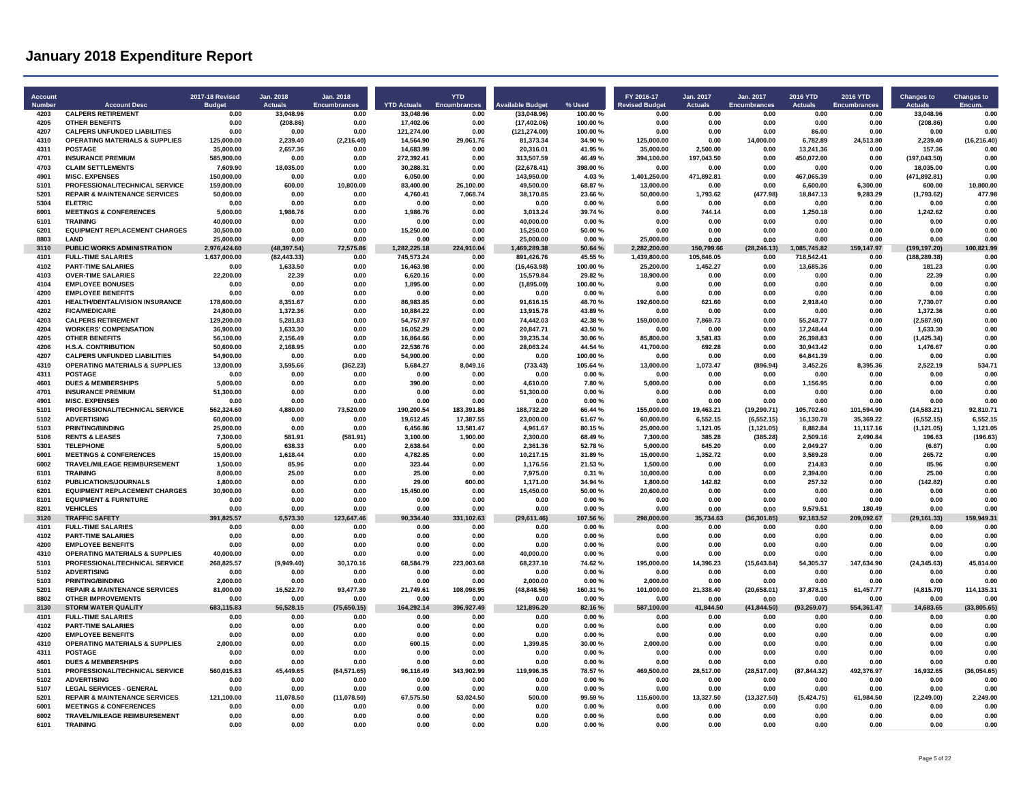| Account<br><b>Numbe</b> | <b>Account Desc</b>                                                              | <b>2017-18 Revised</b><br><b>Buda</b> | Jan. 2018<br><b>Actuals</b> | Jan. 2018<br><b>Encumbrances</b> | <b>YTD Actuals</b>      | <b>YTD</b><br><b>Encumbrances</b> | <b>Available Budget</b>    | % Used            | FY 2016-17<br><b>Revised Budge</b> | Jan. 2017<br><b>Actuals</b> | Jan. 2017<br><b>Encumbrances</b> | 2016 YTD<br><b>Actuals</b> | 2016 YTD<br>Encumbrances | <b>Changes to</b><br><b>Actuals</b> | <b>Changes to</b>    |
|-------------------------|----------------------------------------------------------------------------------|---------------------------------------|-----------------------------|----------------------------------|-------------------------|-----------------------------------|----------------------------|-------------------|------------------------------------|-----------------------------|----------------------------------|----------------------------|--------------------------|-------------------------------------|----------------------|
| 4203                    | <b>CALPERS RETIREMENT</b>                                                        | 0.00                                  | 33.048.96                   | 0.00                             | 33.048.96               | 0.00                              | (33,048.96)                | 100.00%           | 0.00                               | 0.00                        | 0.00                             | 0.00                       | 0.00                     | 33.048.96                           | 0.00                 |
| 4205                    | <b>OTHER BENEFITS</b>                                                            | 0.00                                  | (208.86)                    | 0.00                             | 17.402.06               | 0.00                              | (17, 402.06)               | 100.00%           | 0.00                               | 0.00                        | 0.00                             | 0.00                       | 0.00                     | (208.86)                            | 0.00                 |
| 4207<br>4310            | <b>CALPERS UNFUNDED LIABILITIES</b><br><b>OPERATING MATERIALS &amp; SUPPLIES</b> | 0.00<br>125,000.00                    | 0.00<br>2,239.40            | 0.00<br>(2, 216.40)              | 121,274.00<br>14,564.90 | 0.00<br>29,061.76                 | (121, 274.00)<br>81,373.34 | 100.00%<br>34.90% | 0.00<br>125,000.00                 | 0.00<br>0.00                | 0.00<br>14,000.00                | 86.00<br>6,782.89          | 0.00<br>24,513.80        | 0.00<br>2,239.40                    | 0.00<br>(16, 216.40) |
| 4311                    | <b>POSTAGE</b>                                                                   | 35,000.00                             | 2,657.36                    | 0.00                             | 14,683.99               | 0.00                              | 20,316.01                  | 41.95%            | 35,000.00                          | 2,500.00                    | 0.00                             | 13.241.36                  | 0.00                     | 157.36                              | 0.00                 |
| 4701                    | <b>INSURANCE PREMIUM</b>                                                         | 585.900.00                            | 0.00                        | 0.00                             | 272,392.41              | 0.00                              | 313,507.59                 | 46.49%            | 394,100.00                         | 197.043.50                  | 0.00                             | 450,072.00                 | 0.00                     | (197, 043.50)                       | 0.00                 |
| 4703                    | <b>CLAIM SETTLEMENTS</b>                                                         | 7.609.90                              | 18.035.00                   | 0.00                             | 30.288.31               | 0.00                              | (22.678.41)                | 398.00%           | 0.00                               | 0.00                        | 0.00                             | 0.00                       | 0.00                     | 18.035.00                           | 0.00                 |
| 4901                    | <b>MISC. EXPENSES</b>                                                            | 150.000.00                            | 0.00                        | 0.00                             | 6.050.00                | 0.00                              | 143.950.00                 | 4.03%             | 1.401.250.00                       | 471.892.81                  | 0.00                             | 467.065.39                 | 0.00                     | (471, 892.81)                       | 0.00                 |
| 5101                    | PROFESSIONAL/TECHNICAL SERVICE                                                   | 159.000.00                            | 600.00                      | 10,800.00                        | 83.400.00               | 26.100.00                         | 49,500.00                  | 68.87%            | 13,000.00                          | 0.00                        | 0.00                             | 6.600.00                   | 6,300.00                 | 600.00                              | 10.800.00            |
| 5201                    | <b>REPAIR &amp; MAINTENANCE SERVICES</b>                                         | 50,000.00                             | 0.00                        | 0.00                             | 4.760.41                | 7.068.74                          | 38.170.85                  | 23.66%            | 50,000.00                          | 1,793.62                    | (477.98)                         | 18,847.13                  | 9,283.29                 | (1,793.62)                          | 477.98               |
| 5304                    | <b>ELETRIC</b>                                                                   | 0.00                                  | 0.00                        | 0.00                             | 0.00                    | 0.00                              | 0.00                       | 0.00%             | 0.00                               | 0.00                        | 0.00                             | 0.00                       | 0.00                     | 0.00                                | 0.00                 |
| 6001<br>6101            | <b>MEETINGS &amp; CONFERENCES</b><br><b>TRAINING</b>                             | 5,000.00<br>40.000.00                 | 1,986.76<br>0.00            | 0.00<br>0.00                     | 1,986.76<br>0.00        | 0.00<br>0.00                      | 3,013.24<br>40.000.00      | 39.74 %<br>0.00%  | 0.00<br>0.00                       | 744.14<br>0.00              | 0.00<br>0.00                     | 1,250.18<br>0.00           | 0.00<br>0.00             | 1,242.62<br>0.00                    | 0.00<br>0.00         |
| 6201                    | <b>EQUIPMENT REPLACEMENT CHARGES</b>                                             | 30,500.00                             | 0.00                        | 0.00                             | 15,250.00               | 0.00                              | 15,250.00                  | 50.00%            | 0.00                               | 0.00                        | 0.00                             | 0.00                       | 0.00                     | 0.00                                | 0.00                 |
| 8803                    | <b>I AND</b>                                                                     | 25,000.00                             | 0.00                        | 0.00                             | 0.00                    | 0.00                              | 25,000.00                  | 0.00%             | 25,000.00                          | 0.00                        | 0.00                             | 0.00                       | 0.00                     | 0.00                                | 0.00                 |
| 3110                    | PUBLIC WORKS ADMINISTRATION                                                      | 2,976,424.60                          | (48, 397.54)                | 72,575.86                        | 1,282,225.18            | 224,910.04                        | 1,469,289.38               | 50.64 %           | 2,282,200.00                       | 150,799.66                  | (28, 246.13)                     | 1,085,745.82               | 159,147.97               | (199, 197.20)                       | 100,821.99           |
| 4101                    | <b>FULL-TIME SALARIES</b>                                                        | 1,637,000.00                          | (82.443.33)                 | 0.00                             | 745.573.24              | 0.00                              | 891,426.76                 | 45.55 %           | 1.439.800.00                       | 105.846.05                  | 0.00                             | 718.542.41                 | 0.00                     | (188, 289.38)                       | 0.00                 |
| 4102                    | <b>PART-TIME SALARIES</b>                                                        | 0.00                                  | 1,633.50                    | 0.00                             | 16,463.98               | 0.00                              | (16, 463.98)               | 100.00%           | 25,200.00                          | 1,452.27                    | 0.00                             | 13,685.36                  | 0.00                     | 181.23                              | 0.00                 |
| 4103                    | <b>OVER-TIME SALARIES</b>                                                        | 22.200.00                             | 22.39                       | 0.00                             | 6.620.16                | 0.00                              | 15.579.84                  | 29.82%            | 18.900.00                          | 0.00                        | 0.00                             | 0.00                       | 0.00                     | 22.39                               | 0.00                 |
| 4104                    | <b>EMPLOYEE BONUSES</b><br><b>EMPLOYEE BENEFITS</b>                              | 0.00                                  | 0.00                        | 0.00                             | 1.895.00                | 0.00                              | (1,895.00)                 | 100.00%           | 0.00                               | 0.00                        | 0.00                             | 0.00                       | 0.00                     | 0.00                                | 0.00                 |
| 4200<br>4201            | HEALTH/DENTAL/VISION INSURANCE                                                   | 0.00<br>178,600.00                    | 0.00<br>8,351.67            | 0.00<br>0.00                     | 0.00<br>86,983.85       | 0.00<br>0.00                      | 0.00<br>91,616.15          | 0.00%<br>48.70%   | 0.00<br>192,600.00                 | 0.00<br>621.60              | 0.00<br>0.00                     | 0.00<br>2,918.40           | 0.00<br>0.00             | 0.00<br>7,730.07                    | 0.00<br>0.00         |
| 4202                    | <b>FICA/MEDICARE</b>                                                             | 24,800.00                             | 1,372.36                    | 0.00                             | 10,884.22               | 0.00                              | 13,915.78                  | 43.89%            | 0.00                               | 0.00                        | 0.00                             | 0.00                       | 0.00                     | 1,372.36                            | 0.00                 |
| 4203                    | <b>CALPERS RETIREMENT</b>                                                        | 129,200.00                            | 5,281.83                    | 0.00                             | 54,757.97               | 0.00                              | 74,442.03                  | 42.38%            | 159,000.00                         | 7,869.73                    | 0.00                             | 55,248.77                  | 0.00                     | (2,587.90)                          | 0.00                 |
| 4204                    | <b>WORKERS' COMPENSATION</b>                                                     | 36.900.00                             | 1.633.30                    | 0.00                             | 16,052.29               | 0.00                              | 20,847.71                  | 43.50%            | 0.00                               | 0.00                        | 0.00                             | 17.248.44                  | 0.00                     | 1,633.30                            | 0.00                 |
| 4205                    | <b>OTHER BENEFITS</b>                                                            | 56,100.00                             | 2,156.49                    | 0.00                             | 16.864.66               | 0.00                              | 39,235.34                  | 30.06%            | 85,800.00                          | 3,581.83                    | 0.00                             | 26,398.83                  | 0.00                     | (1, 425.34)                         | 0.00                 |
| 4206                    | <b>H.S.A. CONTRIBUTION</b>                                                       | 50,600.00                             | 2,168.95                    | 0.00                             | 22,536.76               | 0.00                              | 28,063.24                  | 44.54 %           | 41,700.00                          | 692.28                      | 0.00                             | 30,943.42                  | 0.00                     | 1,476.67                            | 0.00                 |
| 4207                    | <b>CALPERS UNFUNDED LIABILITIES</b>                                              | 54,900.00                             | 0.00                        | 0.00                             | 54,900.00               | 0.00                              | 0.00                       | 100.00%           | 0.00                               | 0.00                        | 0.00                             | 64,841.39                  | 0.00                     | 0.00                                | 0.00                 |
| 4310<br>4311            | <b>OPERATING MATERIALS &amp; SUPPLIES</b><br>POSTAGE                             | 13,000.00                             | 3,595.66                    | (362.23)                         | 5,684.27                | 8,049.16                          | (733.43)                   | 105.64%           | 13,000.00                          | 1,073.47                    | (896.94)                         | 3,452.26                   | 8,395.36<br>0.00         | 2,522.19                            | 534.71<br>0.00       |
| 4601                    | <b>DUES &amp; MEMBERSHIPS</b>                                                    | 0.00<br>5.000.00                      | 0.00<br>0.00                | 0.00<br>0.00                     | 0.00<br>390.00          | 0.00<br>0.00                      | 0.00<br>4.610.00           | 0.00 %<br>7.80%   | 0.00<br>5,000.00                   | 0.00<br>0.00                | 0.00<br>0.00                     | 0.00<br>1,156.95           | 0.00                     | 0.00<br>0.00                        | 0.00                 |
| 4701                    | <b>INSURANCE PREMIUM</b>                                                         | 51,300.00                             | 0.00                        | 0.00                             | 0.00                    | 0.00                              | 51,300.00                  | 0.00%             | 0.00                               | 0.00                        | 0.00                             | 0.00                       | 0.00                     | 0.00                                | 0.00                 |
| 4901                    | <b>MISC. EXPENSES</b>                                                            | 0.00                                  | 0.00                        | 0.00                             | 0.00                    | 0.00                              | 0.00                       | 0.00%             | 0.00                               | 0.00                        | 0.00                             | 0.00                       | 0.00                     | 0.00                                | 0.00                 |
| 5101                    | PROFESSIONAL/TECHNICAL SERVICE                                                   | 562,324.60                            | 4.880.00                    | 73,520.00                        | 190,200.54              | 183.391.86                        | 188,732.20                 | 66.44 %           | 155,000.00                         | 19.463.21                   | (19, 290.71)                     | 105,702.60                 | 101,594.90               | (14, 583.21)                        | 92,810.71            |
| 5102                    | <b>ADVERTISING</b>                                                               | 60,000.00                             | 0.00                        | 0.00                             | 19,612.45               | 17,387.55                         | 23,000.00                  | 61.67%            | 60,000.00                          | 6,552.15                    | (6, 552.15)                      | 16,130.78                  | 35,369.22                | (6, 552.15)                         | 6,552.15             |
| 5103                    | <b>PRINTING/BINDING</b>                                                          | 25,000.00                             | 0.00                        | 0.00                             | 6,456.86                | 13.581.47                         | 4.961.67                   | 80 15 %           | 25.000.00                          | 1,121.05                    | (1, 121.05)                      | 8,882.84                   | 11,117.16                | (1, 121.05)                         | 1,121.05             |
| 5106                    | <b>RENTS &amp; LEASES</b>                                                        | 7,300.00                              | 581.91                      | (581.91)                         | 3,100.00                | 1,900.00                          | 2,300.00                   | 68.49%            | 7,300.00                           | 385.28                      | (385.28)                         | 2,509.16                   | 2,490.84                 | 196.63                              | (196.63)             |
| 5301<br>6001            | <b>TELEPHONE</b>                                                                 | 5,000.00                              | 638.33<br>1.618.44          | 0.00<br>0.00                     | 2,638.64                | 0.00                              | 2,361.36                   | 52.78%<br>31.89%  | 5,000.00                           | 645.20                      | 0.00                             | 2,049.27                   | 0.00<br>0.00             | (6.87)<br>265.72                    | 0.00<br>0.00         |
| 6002                    | <b>MEETINGS &amp; CONFERENCES</b><br>TRAVEL/MILEAGE REIMBURSEMENT                | 15,000.00<br>1,500.00                 | 85.96                       | 0.00                             | 4,782.85<br>323.44      | 0.00<br>0.00                      | 10,217.15<br>1,176.56      | 21.53%            | 15,000.00<br>1,500.00              | 1,352.72<br>0.00            | 0.00<br>0.00                     | 3,589.28<br>214.83         | 0.00                     | 85.96                               | 0.00                 |
| 6101                    | <b>TRAINING</b>                                                                  | 8.000.00                              | 25.00                       | 0.00                             | 25.00                   | 0.00                              | 7.975.00                   | 0.31%             | 10.000.00                          | 0.00                        | 0.00                             | 2.394.00                   | 0.00                     | 25.00                               | 0.00                 |
| 6102                    | PUBLICATIONS/JOURNALS                                                            | 1.800.00                              | 0.00                        | 0.00                             | 29.00                   | 600.00                            | 1,171.00                   | 34 94 %           | 1.800.00                           | 14282                       | 0.00                             | 25732                      | 0.00                     | (142.82)                            | 0.00                 |
| 6201                    | <b>EQUIPMENT REPLACEMENT CHARGES</b>                                             | 30,900.00                             | 0.00                        | 0.00                             | 15,450.00               | 0.00                              | 15,450.00                  | 50.00%            | 20,600.00                          | 0.00                        | 0.00                             | 0.00                       | 0.00                     | 0.00                                | 0.00                 |
| 8101                    | <b>EQUIPMENT &amp; FURNITURE</b>                                                 | 0.00                                  | 0.00                        | 0.00                             | 0.00                    | 0.00                              | 0.00                       | 0.00%             | 0.00                               | 0.00                        | 0.00                             | 0.00                       | 0.00                     | 0.00                                | 0.00                 |
| 8201                    | <b>VEHICLES</b>                                                                  | 0.00                                  | 0.00                        | 0.00                             | 0.00                    | 0.00                              | 0.00                       | 0.00%             | 0.00                               | 0.00                        | 0.00                             | 9.579.51                   | 180.49                   | 0.00                                | 0.00                 |
| 3120                    | <b>TRAFFIC SAFETY</b>                                                            | 391.825.57                            | 6.573.30                    | 123,647.46                       | 90,334.40               | 331,102.63                        | (29,611.46)                | 107.56%           | 298,000.00                         | 35.734.63                   | (36, 301.85)                     | 92.183.52                  | 209,092.67               | (29, 161.33)                        | 159.949.31           |
| 4101                    | <b>FULL-TIME SALARIES</b>                                                        | 0.00                                  | 0.00                        | 0.00                             | 0.00                    | 0.00                              | 0.00                       | 0.00%             | 0.00                               | 0.00                        | 0.00                             | 0.00                       | 0.00                     | 0.00                                | 0.00                 |
| 4102<br>4200            | <b>PART-TIME SALARIES</b><br><b>EMPLOYEE BENEFITS</b>                            | 0.00<br>0.00                          | 0.00<br>0.00                | 0.00<br>0.00                     | 0.00<br>0.00            | 0.00<br>0.00                      | 0.00<br>0.00               | 0.00%<br>0.00%    | 0.00<br>0.00                       | 0.00<br>0.00                | 0.00<br>0.00                     | 0.00<br>0.00               | 0.00<br>0.00             | 0.00<br>0.00                        | 0.00<br>0.00         |
| 4310                    | <b>OPERATING MATERIALS &amp; SUPPLIES</b>                                        | 40.000.00                             | 0.00                        | 0.00                             | 0.00                    | 0.00                              | 40.000.00                  | 0.00%             | 0.00                               | 0.00                        | 0.00                             | 0.00                       | 0.00                     | 0.00                                | 0.00                 |
| 5101                    | PROFESSIONAL/TECHNICAL SERVICE                                                   | 268.825.57                            | (9,949.40)                  | 30,170.16                        | 68,584.79               | 223,003.68                        | 68,237.10                  | 74.62%            | 195,000.00                         | 14,396.23                   | (15, 643.84)                     | 54,305.37                  | 147,634.90               | (24, 345.63)                        | 45,814.00            |
| 5102                    | <b>ADVERTISING</b>                                                               | 0.00                                  | 0.00                        | 0.00                             | 0.00                    | 0.00                              | 0.00                       | 0.00%             | 0.00                               | 0.00                        | 0.00                             | 0.00                       | 0.00                     | 0.00                                | 0.00                 |
| 5103                    | <b>PRINTING/BINDING</b>                                                          | 2.000.00                              | 0.00                        | 0.00                             | 0.00                    | 0.00                              | 2.000.00                   | 0.00%             | 2.000.00                           | 0.00                        | 0.00                             | 0.00                       | 0.00                     | 0.00                                | 0.00                 |
| 5201                    | <b>REPAIR &amp; MAINTENANCE SERVICES</b>                                         | 81,000.00                             | 16,522.70                   | 93,477.30                        | 21,749.61               | 108,098.95                        | (48, 848.56)               | 160.31%           | 101,000.00                         | 21,338.40                   | (20, 658.01)                     | 37,878.15                  | 61,457.77                | (4,815.70)                          | 114,135.31           |
| 8802                    | <b>OTHER IMPROVEMENTS</b>                                                        | 0.00                                  | 0.00                        | 0.00                             | 0.00                    | 0.00                              | 0.00                       | 0.00%             | 0.00                               | 0.00                        | 0.00                             | 0.00                       | 0.00                     | 0.00                                | 0.00                 |
| 3130                    | <b>STORM WATER QUALITY</b>                                                       | 683.115.83                            | 56.528.15                   | (75,650.15)                      | 164.292.14              | 396,927.49                        | 121.896.20                 | 82.16%            | 587.100.00                         | 41.844.50                   | (41.844.50)                      | (93, 269.07)               | 554.361.47               | 14.683.65                           | (33,805.65)          |
| 4101<br>4102            | <b>FULL-TIME SALARIES</b><br><b>PART-TIME SALARIES</b>                           | 0.00<br>0.00                          | 0.00<br>0.00                | 0.00<br>0.00                     | 0.00<br>0.00            | 0.00<br>0.00                      | 0.00<br>0.00               | 0.00%<br>0.00%    | 0.00<br>0.00                       | 0.00<br>0.00                | 0.00<br>0.00                     | 0.00<br>0.00               | 0.00<br>0.00             | 0.00<br>0.00                        | 0.00<br>0.00         |
| 4200                    | <b>EMPLOYEE BENEFITS</b>                                                         | 0.00                                  | 0.00                        | 0.00                             | 0.00                    | 0.00                              | 0.00                       | 0.00%             | 0.00                               | 0.00                        | 0.00                             | 0.00                       | 0.00                     | 0.00                                | 0.00                 |
| 4310                    | <b>OPERATING MATERIALS &amp; SUPPLIES</b>                                        | 2,000.00                              | 0.00                        | 0.00                             | 600.15                  | 0.00                              | 1,399.85                   | 30.00%            | 2.000.00                           | 0.00                        | 0.00                             | 0.00                       | 0.00                     | 0.00                                | 0.00                 |
| 4311                    | <b>POSTAGE</b>                                                                   | 0.00                                  | 0.00                        | 0.00                             | 0.00                    | 0.00                              | 0.00                       | 0.00%             | 0.00                               | 0.00                        | 0.00                             | 0.00                       | 0.00                     | 0.00                                | 0.00                 |
| 4601                    | <b>DUES &amp; MEMBERSHIPS</b>                                                    | 0.00                                  | 0.00                        | 0.00                             | 0.00                    | 0.00                              | 0.00                       | 0.00%             | 0.00                               | 0.00                        | 0.00                             | 0.00                       | 0.00                     | 0.00                                | 0.00                 |
| 5101                    | PROFESSIONAL/TECHNICAL SERVICE                                                   | 560.015.83                            | 45.449.65                   | (64.571.65)                      | 96,116.49               | 343.902.99                        | 119.996.35                 | 78.57%            | 469.500.00                         | 28.517.00                   | (28.517.00)                      | (87, 844.32)               | 492.376.97               | 16.932.65                           | (36.054.65)          |
| 5102                    | <b>ADVERTISING</b>                                                               | 0.00                                  | 0.00                        | 0.00                             | 0.00                    | 0.00                              | 0.00                       | 0.00%             | 0.00                               | 0.00                        | 0.00                             | 0.00                       | 0.00                     | 0.00                                | 0.00                 |
| 5107                    | <b>LEGAL SERVICES - GENERAL</b>                                                  | 0.00                                  | 0.00                        | 0.00                             | 0.00                    | 0.00                              | 0.00                       | 0.00%             | 0.00                               | 0.00                        | 0.00                             | 0.00                       | 0.00                     | 0.00                                | 0.00                 |
| 5201<br>6001            | <b>REPAIR &amp; MAINTENANCE SERVICES</b><br><b>MEETINGS &amp; CONFERENCES</b>    | 121,100.00<br>0.00                    | 11,078.50<br>0.00           | (11,078.50)<br>0.00              | 67,575.50<br>0.00       | 53,024.50<br>0.00                 | 500.00<br>0.00             | 99.59 %<br>0.00%  | 115,600.00<br>0.00                 | 13,327.50<br>0.00           | (13, 327.50)<br>0.00             | (5, 424.75)<br>0.00        | 61,984.50<br>0.00        | (2, 249.00)<br>0.00                 | 2,249.00<br>0.00     |
| 6002                    | TRAVEL/MILEAGE REIMBURSEMENT                                                     | 0.00                                  | 0.00                        | 0.00                             | 0.00                    | 0.00                              | 0.00                       | 0.00%             | 0.00                               | 0.00                        | 0.00                             | 0.00                       | 0.00                     | 0.00                                | 0.00                 |
| 6101                    | <b>TRAINING</b>                                                                  | 0.00                                  | 0.00                        | 0.00                             | 0.00                    | 0.00                              | 0.00                       | 0.00%             | 0.00                               | 0.00                        | 0.00                             | 0.00                       | 0.00                     | 0.00                                | 0.00                 |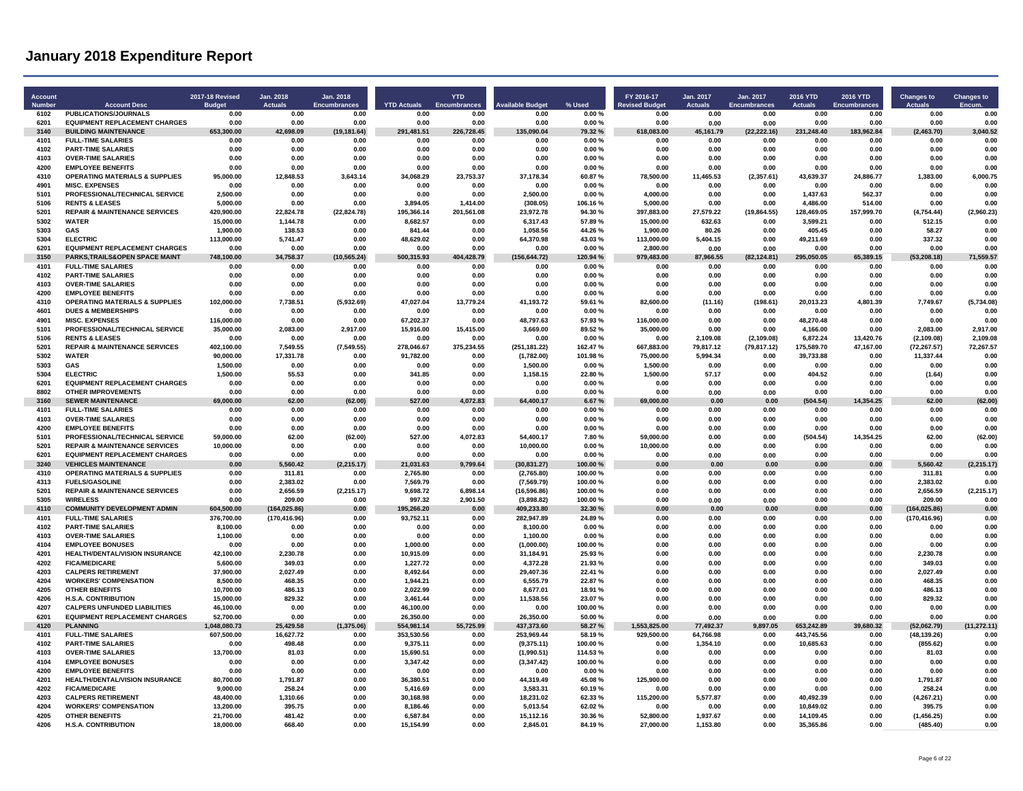| <b>Account</b><br><b>Number</b> | <b>Account Desc</b>                                               | 2017-18 Revised<br><b>Budget</b> | Jan. 2018<br>Actuals  | Jan. 2018<br><b>Encumbrances</b> | <b>YTD Actuals</b>      | <b>YTD</b><br><b>Encumbrances</b> | <b>Available Budget</b>     | % Used             | FY 2016-17<br><b>Revised Budget</b> | Jan. 2017<br><b>Actuals</b> | Jan. 2017<br><b>Encumbrances</b> | 2016 YTD<br><b>Actuals</b> | <b>2016 YTD</b><br><b>Encumbrances</b> | <b>Changes to</b><br><b>Actuals</b> | <b>Changes to</b><br>Encum |
|---------------------------------|-------------------------------------------------------------------|----------------------------------|-----------------------|----------------------------------|-------------------------|-----------------------------------|-----------------------------|--------------------|-------------------------------------|-----------------------------|----------------------------------|----------------------------|----------------------------------------|-------------------------------------|----------------------------|
| 6102                            | PUBLICATIONS/JOURNALS                                             | 0.00                             | 0.00                  | 0.00                             | 0.00                    | 0.00                              | 0.00                        | 0.00%              | 0.00                                | 0.00                        | 0.00                             | 0.00                       | 0.00                                   | 0.00                                | 0.00                       |
| 6201                            | <b>EQUIPMENT REPLACEMENT CHARGES</b>                              | 0.00                             | 0.00                  | 0.00                             | 0.00                    | 0.00                              | 0.00                        | 0.00%              | 0.00                                | 0.00                        | 0.00                             | 0.00                       | 0.00                                   | 0.00                                | 0.00                       |
| 3140                            | <b>BUILDING MAINTENANCE</b>                                       | 653,300.00                       | 42,698.09             | (19, 181.64)                     | 291,481.51              | 226,728.45                        | 135,090.04                  | 79.32%             | 618,083.00                          | 45,161.79                   | (22, 222.16)                     | 231,248.40                 | 183,962.84                             | (2,463.70)                          | 3,040.52                   |
| 4101<br>4102                    | <b>FULL-TIME SALARIES</b><br><b>PART-TIME SALARIES</b>            | 0.00<br>0.00                     | 0.00<br>0.00          | 0.00<br>0.00                     | 0.00<br>0.00            | 0.00<br>0.00                      | 0.00<br>0.00                | 0.00%<br>0.00%     | 0.00<br>0.00                        | 0.00<br>0.00                | 0.00<br>0.00                     | 0.00<br>0.00               | 0.00<br>0.00                           | 0.00<br>0.00                        | 0.00<br>0.00               |
| 4103                            | <b>OVER-TIME SALARIES</b>                                         | 0.00                             | 0.00                  | 0.00                             | 0.00                    | 0.00                              | 0.00                        | 0.00%              | 0.00                                | 0.00                        | 0.00                             | 0.00                       | 0.00                                   | 0.00                                | 0.00                       |
| 4200                            | <b>EMPLOYEE BENEFITS</b>                                          | 0.00                             | 0.00                  | 0.00                             | 0.00                    | 0.00                              | 0.00                        | 0.00%              | 0.00                                | 0.00                        | 0.00                             | 0.00                       | 0.00                                   | 0.00                                | 0.00                       |
| 4310                            | <b>OPERATING MATERIALS &amp; SUPPLIES</b>                         | 95,000.00                        | 12,848.53             | 3.643.14                         | 34,068.29               | 23,753.37                         | 37,178.34                   | 60.87%             | 78,500.00                           | 11,465.53                   | (2,357.61)                       | 43,639.37                  | 24,886.77                              | 1,383.00                            | 6.000.75                   |
| 4901                            | <b>MISC. EXPENSES</b>                                             | 0.00                             | 0.00                  | 0.00                             | 0.00                    | 0.00                              | 0.00                        | 0.00%              | 0.00                                | 0.00                        | 0.00                             | 0.00                       | 0.00                                   | 0.00                                | 0.00                       |
| 5101                            | PROFESSIONAL/TECHNICAL SERVICE                                    | 2.500.00                         | 0.00                  | 0.00                             | 0.00                    | 0.00                              | 2,500.00                    | 0.00%              | 4.000.00                            | 0.00                        | 0.00                             | 1.437.63                   | 562.37                                 | 0.00                                | 0.00                       |
| 5106                            | <b>RENTS &amp; LEASES</b>                                         | 5,000.00                         | 0.00                  | 0.00                             | 3.894.05                | 1.414.00                          | (308.05)                    | 106.16%            | 5.000.00                            | 0.00                        | 0.00                             | 4,486.00                   | 514.00                                 | 0.00                                | 0.00                       |
| 5201<br>5302                    | <b>REPAIR &amp; MAINTENANCE SERVICES</b><br><b>WATER</b>          | 420,900.00<br>15.000.00          | 22,824.78<br>1,144.78 | (22, 824.78)<br>0.00             | 195,366.14<br>8.682.57  | 201.561.08<br>0.00                | 23,972.78<br>6.317.43       | 94.30%<br>57.89%   | 397,883.00<br>15,000.00             | 27,579.22<br>632.63         | (19, 864.55)<br>0.00             | 128,469.05<br>3.599.21     | 157,999.70<br>0.00                     | (4,754.44)<br>512.15                | (2,960.23)<br>0.00         |
| 5303                            | GAS                                                               | 1.900.00                         | 138.53                | 0.00                             | 841.44                  | 0.00                              | 1.058.56                    | 44.26%             | 1.900.00                            | 80.26                       | 0.00                             | 405.45                     | 0.00                                   | 58.27                               | 0.00                       |
| 5304                            | <b>ELECTRIC</b>                                                   | 113.000.00                       | 5.741.47              | 0.00                             | 48.629.02               | 0.00                              | 64.370.98                   | 43.03%             | 113.000.00                          | 5.404.15                    | 0.00                             | 49.211.69                  | 0.00                                   | 337.32                              | 0.00                       |
| 6201                            | <b>EQUIPMENT REPLACEMENT CHARGES</b>                              | 0.00                             | 0.00                  | 0.00                             | 0.00                    | 0.00                              | 0.00                        | 0.00%              | 2.800.00                            | 0.00                        | 0.00                             | 0.00                       | 0.00                                   | 0.00                                | 0.00                       |
| 3150                            | PARKS, TRAILS& OPEN SPACE MAINT                                   | 748,100.00                       | 34,758.37             | (10, 565.24)                     | 500,315.93              | 404,428.79                        | (156, 644.72)               | 120.94 %           | 979,483.00                          | 87,966.55                   | (82, 124.81)                     | 295.050.05                 | 65,389.15                              | (53, 208.18)                        | 71,559.57                  |
| 4101                            | <b>FULL-TIME SALARIES</b>                                         | 0.00                             | 0.00                  | 0.00                             | 0.00                    | 0.00                              | 0.00                        | 0.00%              | 0.00                                | 0.00                        | 0.00                             | 0.00                       | 0.00                                   | 0.00                                | 0.00                       |
| 4102<br>4103                    | <b>PART-TIME SALARIES</b><br><b>OVER-TIME SALARIES</b>            | 0.00<br>0.00                     | 0.00<br>0.00          | 0.00<br>0.00                     | 0.00<br>0.00            | 0.00<br>0.00                      | 0.00<br>0.00                | 0.00%<br>0.00%     | 0.00<br>0.00                        | 0.00<br>0.00                | 0.00<br>0.00                     | 0.00<br>0.00               | 0.00<br>0.00                           | 0.00<br>0.00                        | 0.00<br>0.00               |
| 4200                            | <b>EMPLOYEE BENEFITS</b>                                          | 0.00                             | 0.00                  | 0.00                             | 0.00                    | 0.00                              | 0.00                        | 0.00%              | 0.00                                | 0.00                        | 0.00                             | 0.00                       | 0.00                                   | 0.00                                | 0.00                       |
| 4310                            | <b>OPERATING MATERIALS &amp; SUPPLIES</b>                         | 102,000.00                       | 7.738.51              | (5,932.69)                       | 47,027.04               | 13.779.24                         | 41,193.72                   | 59.61 %            | 82.600.00                           | (11.16)                     | (198.61)                         | 20.013.23                  | 4,801.39                               | 7,749.67                            | (5,734.08)                 |
| 4601                            | <b>DUES &amp; MEMBERSHIPS</b>                                     | 0.00                             | 0.00                  | 0.00                             | 0.00                    | 0.00                              | 0.00                        | 0.00%              | 0.00                                | 0.00                        | 0.00                             | 0.00                       | 0.00                                   | 0.00                                | 0.00                       |
| 4901                            | <b>MISC. EXPENSES</b>                                             | 116,000.00                       | 0.00                  | 0.00                             | 67,202.37               | 0.00                              | 48,797.63                   | 57.93%             | 116,000.00                          | 0.00                        | 0.00                             | 48,270.48                  | 0.00                                   | 0.00                                | 0.00                       |
| 5101                            | PROFESSIONAL/TECHNICAL SERVICE                                    | 35,000.00                        | 2,083.00              | 2,917.00                         | 15,916.00               | 15,415.00                         | 3,669.00                    | 89.52%             | 35,000.00                           | 0.00                        | 0.00                             | 4,166.00                   | 0.00                                   | 2,083.00                            | 2,917.00                   |
| 5106<br>5201                    | <b>RENTS &amp; LEASES</b>                                         | 0.00                             | 0.00                  | 0.00                             | 0.00                    | 0.00                              | 0.00                        | 0.00%              | 0.00                                | 2.109.08                    | (2.109.08)                       | 6.872.24                   | 13.420.76                              | (2.109.08)                          | 2.109.08                   |
| 5302                            | <b>REPAIR &amp; MAINTENANCE SERVICES</b><br><b>WATER</b>          | 402.100.00<br>90,000.00          | 7,549.55<br>17,331.78 | (7, 549.55)<br>0.00              | 278,046.67<br>91,782.00 | 375,234.55<br>0.00                | (251, 181.22)<br>(1,782.00) | 162.47%<br>101.98% | 667,883.00<br>75.000.00             | 79.817.12<br>5.994.34       | (79, 817.12)<br>0.00             | 175,589.70<br>39,733.88    | 47,167.00<br>0.00                      | (72, 267.57)<br>11,337.44           | 72.267.57<br>0.00          |
| 5303                            | GAS                                                               | 1,500.00                         | 0.00                  | 0.00                             | 0.00                    | 0.00                              | 1,500.00                    | 0.00%              | 1,500.00                            | 0.00                        | 0.00                             | 0.00                       | 0.00                                   | 0.00                                | 0.00                       |
| 5304                            | <b>ELECTRIC</b>                                                   | 1,500.00                         | 55.53                 | 0.00                             | 341.85                  | 0.00                              | 1,158.15                    | 22.80%             | 1,500.00                            | 57.17                       | 0.00                             | 404.52                     | 0.00                                   | (1.64)                              | 0.00                       |
| 6201                            | <b>EQUIPMENT REPLACEMENT CHARGES</b>                              | 0.00                             | 0.00                  | 0.00                             | 0.00                    | 0.00                              | 0.00                        | 0.00%              | 0.00                                | 0.00                        | 0.00                             | 0.00                       | 0.00                                   | 0.00                                | 0.00                       |
| 8802                            | OTHER IMPROVEMENTS                                                | 0.00                             | 0.00                  | 0.00                             | 0.00                    | 0.00                              | 0.00                        | 0.00%              | 0.00                                | 0.00                        | 0.00                             | 0.00                       | 0.00                                   | 0.00                                | 0.00                       |
| 3160                            | <b>SEWER MAINTENANCE</b>                                          | 69,000.00                        | 62.00                 | (62.00)                          | 527.00                  | 4.072.83                          | 64.400.17                   | 6.67%              | 69,000,00                           | 0.00                        | 0.00                             | (504.54)                   | 14.354.25                              | 62.00                               | (62.00)                    |
| 4101<br>4103                    | <b>FULL-TIME SALARIES</b><br><b>OVER-TIME SALARIES</b>            | 0.00<br>0.00                     | 0.00<br>0.00          | 0.00<br>0.00                     | 0.00<br>0.00            | 0.00<br>0.00                      | 0.00<br>0.00                | 0.00%<br>0.00%     | 0.00<br>0.00                        | 0.00<br>0.00                | 0.00<br>0.00                     | 0.00<br>0.00               | 0.00<br>0.00                           | 0.00<br>0.00                        | 0.00<br>0.00               |
| 4200                            | <b>EMPLOYEE BENEFITS</b>                                          | 0.00                             | 0.00                  | 0.00                             | 0.00                    | 0.00                              | 0.00                        | 0.00%              | 0.00                                | 0.00                        | 0.00                             | 0.00                       | 0.00                                   | 0.00                                | 0.00                       |
| 5101                            | PROFESSIONAL/TECHNICAL SERVICE                                    | 59.000.00                        | 62.00                 | (62.00)                          | 527.00                  | 4,072.83                          | 54.400.17                   | 7.80%              | 59.000.00                           | 0.00                        | 0.00                             | (504.54)                   | 14.354.25                              | 62.00                               | (62.00)                    |
| 5201                            | <b>REPAIR &amp; MAINTENANCE SERVICES</b>                          | 10,000.00                        | 0.00                  | 0.00                             | 0.00                    | 0.00                              | 10,000.00                   | 0.00%              | 10.000.00                           | 0.00                        | 0.00                             | 0.00                       | 0.00                                   | 0.00                                | 0.00                       |
| 6201                            | <b>EQUIPMENT REPLACEMENT CHARGES</b>                              | 0.00                             | 0.00                  | 0.00                             | 0.00                    | 0.00                              | 0.00                        | 0.00%              | 0.00                                | 0.00                        | 0.00                             | 0.00                       | 0.00                                   | 0.00                                | 0.00                       |
| 3240                            | <b>VEHICLES MAINTENANCE</b>                                       | 0.00                             | 5,560.42              | (2, 215.17)                      | 21,031.63               | 9,799.64                          | (30, 831.27)                | 100.00%            | 0.00                                | 0.00                        | 0.00                             | 0.00                       | 0.00                                   | 5,560.42                            | (2, 215.17)                |
| 4310                            | <b>OPERATING MATERIALS &amp; SUPPLIES</b>                         | 0.00                             | 311.81                | 0.00                             | 2,765.80                | 0.00                              | (2,765.80)                  | 100.00%            | 0.00                                | 0.00                        | 0.00                             | 0.00                       | 0.00                                   | 311.81                              | 0.00                       |
| 4313<br>5201                    | <b>FUELS/GASOLINE</b><br><b>REPAIR &amp; MAINTENANCE SERVICES</b> | 0.00<br>0.00                     | 2,383.02<br>2.656.59  | 0.00<br>(2, 215.17)              | 7,569.79<br>9.698.72    | 0.00<br>6.898.14                  | (7,569.79)<br>(16, 596.86)  | 100.00%<br>100.00% | 0.00<br>0.00                        | 0.00<br>0.00                | 0.00<br>0.00                     | 0.00<br>0.00               | 0.00<br>0.00                           | 2,383.02<br>2.656.59                | 0.00<br>(2.215.17)         |
| 5305                            | <b>WIRELESS</b>                                                   | 0.00                             | 209.00                | 0.00                             | 997.32                  | 2.901.50                          | (3,898.82)                  | 100.00%            | 0.00                                | 0.00                        | 0.00                             | 0.00                       | 0.00                                   | 209.00                              | 0.00                       |
| 4110                            | <b>COMMUNITY DEVELOPMENT ADMIN</b>                                | 604,500.00                       | (164, 025.86)         | 0.00                             | 195,266.20              | 0.00                              | 409.233.80                  | 32.30 %            | 0.00                                | 0.00                        | 0.00                             | 0.00                       | 0.00                                   | (164, 025.86)                       | 0.00                       |
| 4101                            | <b>FULL-TIME SALARIES</b>                                         | 376,700.00                       | (170, 416.96)         | 0.00                             | 93,752.11               | 0.00                              | 282,947.89                  | 24.89%             | 0.00                                | 0.00                        | 0.00                             | 0.00                       | 0.00                                   | (170, 416.96)                       | 0.00                       |
| 4102                            | <b>PART-TIME SALARIES</b>                                         | 8,100.00                         | 0.00                  | 0.00                             | 0.00                    | 0.00                              | 8,100.00                    | 0.00%              | 0.00                                | 0.00                        | 0.00                             | 0.00                       | 0.00                                   | 0.00                                | 0.00                       |
| 4103                            | <b>OVER-TIME SALARIES</b>                                         | 1.100.00                         | 0.00                  | 0.00                             | 0.00                    | 0.00                              | 1.100.00                    | 0.00%              | 0.00                                | 0.00                        | 0.00                             | 0.00                       | 0.00                                   | 0.00                                | 0.00                       |
| 4104<br>4201                    | <b>EMPLOYEE BONUSES</b><br>HEALTH/DENTAL/VISION INSURANCE         | 0.00<br>42,100.00                | 0.00                  | 0.00<br>0.00                     | 1.000.00                | 0.00<br>0.00                      | (1,000.00)                  | 100.00%<br>25.93%  | 0.00<br>0.00                        | 0.00<br>0.00                | 0.00<br>0.00                     | 0.00<br>0.00               | 0.00<br>0.00                           | 0.00<br>2,230.78                    | 0.00<br>0.00               |
| 4202                            | <b>FICA/MEDICARE</b>                                              | 5,600.00                         | 2,230.78<br>349.03    | 0.00                             | 10,915.09<br>1,227.72   | 0.00                              | 31,184.91<br>4,372.28       | 21.93%             | 0.00                                | 0.00                        | 0.00                             | 0.00                       | 0.00                                   | 349.03                              | 0.00                       |
| 4203                            | <b>CALPERS RETIREMENT</b>                                         | 37,900.00                        | 2.027.49              | 0.00                             | 8,492.64                | 0.00                              | 29,407.36                   | 22.41 %            | 0.00                                | 0.00                        | 0.00                             | 0.00                       | 0.00                                   | 2,027.49                            | 0.00                       |
| 4204                            | <b>WORKERS' COMPENSATION</b>                                      | 8,500.00                         | 468.35                | 0.00                             | 1,944.21                | 0.00                              | 6,555.79                    | 22.87%             | 0.00                                | 0.00                        | 0.00                             | 0.00                       | 0.00                                   | 468.35                              | 0.00                       |
| 4205                            | <b>OTHER BENEFITS</b>                                             | 10.700.00                        | 486.13                | 0.00                             | 2.022.99                | 0.00                              | 8.677.01                    | 18.91%             | 0.00                                | 0.00                        | 0.00                             | 0.00                       | 0.00                                   | 486.13                              | 0.00                       |
| 4206                            | <b>H S A CONTRIBUTION</b>                                         | 15,000.00                        | 829.32                | 0.00                             | 3,461.44                | 0.00                              | 11,538.56                   | 23.07%             | 0.00                                | 0.00                        | 0.00                             | 0.00                       | 0.00                                   | 829.32                              | 0.00                       |
| 4207                            | <b>CALPERS UNFUNDED LIABILITIES</b>                               | 46,100.00                        | 0.00                  | 0.00                             | 46.100.00               | 0.00                              | 0.00                        | 100.00%            | 0.00                                | 0.00                        | 0.00                             | 0.00                       | 0.00                                   | 0.00                                | 0.00                       |
| 6201<br>4120                    | <b>EQUIPMENT REPLACEMENT CHARGES</b><br><b>PLANNING</b>           | 52,700.00<br>1,048,080.73        | 0.00<br>25,429.58     | 0.00<br>(1,375.06)               | 26,350.00<br>554,981.14 | 0.00<br>55,725.99                 | 26,350.00<br>437,373.60     | 50.00 %<br>58.27%  | 0.00<br>1,553,825.00                | 0.00<br>77.492.37           | 0.00<br>9,897.05                 | 0.00<br>653,242.89         | 0.00<br>39,680.32                      | 0.00<br>(52,062.79)                 | 0.00<br>(11, 272.11)       |
| 4101                            | <b>FULL-TIME SALARIES</b>                                         | 607,500.00                       | 16,627.72             | 0.00                             | 353,530.56              | 0.00                              | 253,969.44                  | 58.19%             | 929,500.00                          | 64,766.98                   | 0.00                             | 443,745.56                 | 0.00                                   | (48, 139.26)                        | 0.00                       |
| 4102                            | <b>PART-TIME SALARIES</b>                                         | 0.00                             | 498.48                | 0.00                             | 9.375.11                | 0.00                              | (9,375.11)                  | 100.00%            | 0.00                                | 1.354.10                    | 0.00                             | 10.685.63                  | 0.00                                   | (855.62)                            | 0.00                       |
| 4103                            | <b>OVER-TIME SALARIES</b>                                         | 13,700.00                        | 81.03                 | 0.00                             | 15,690.51               | 0.00                              | (1,990.51)                  | 114.53%            | 0.00                                | 0.00                        | 0.00                             | 0.00                       | 0.00                                   | 81.03                               | 0.00                       |
| 4104                            | <b>EMPLOYEE BONUSES</b>                                           | 0.00                             | 0.00                  | 0.00                             | 3.347.42                | 0.00                              | (3,347.42)                  | 100.00%            | 0.00                                | 0.00                        | 0.00                             | 0.00                       | 0.00                                   | 0.00                                | 0.00                       |
| 4200                            | <b>EMPLOYEE BENEFITS</b>                                          | 0.00                             | 0.00                  | 0.00                             | 0.00                    | 0.00                              | 0.00                        | 0.00%              | 0.00                                | 0.00                        | 0.00                             | 0.00                       | 0.00                                   | 0.00                                | 0.00                       |
| 4201<br>4202                    | <b>HEALTH/DENTAL/VISION INSURANCE</b><br><b>FICA/MEDICARE</b>     | 80,700.00<br>9,000.00            | 1,791.87<br>258.24    | 0.00<br>0.00                     | 36,380.51<br>5.416.69   | 0.00<br>0.00                      | 44,319.49<br>3,583.31       | 45.08%<br>60.19%   | 125,900.00<br>0.00                  | 0.00<br>0.00                | 0.00<br>0.00                     | 0.00<br>0.00               | 0.00<br>0.00                           | 1,791.87<br>258.24                  | 0.00<br>0.00               |
| 4203                            | CALPERS RETIREMENT                                                | 48,400.00                        | 1.310.66              | 0.00                             | 30.168.98               | 0.00                              | 18,231.02                   | 62 33 %            | 115.200.00                          | 557787                      | 0.00                             | 40.492.39                  | 0.00                                   | (4, 267.21)                         | 0.00                       |
| 4204                            | <b>WORKERS' COMPENSATION</b>                                      | 13.200.00                        | 395.75                | 0.00                             | 8.186.46                | 0.00                              | 5,013.54                    | 62.02%             | 0.00                                | 0.00                        | 0.00                             | 10.849.02                  | 0.00                                   | 395.75                              | 0.00                       |
| 4205                            | <b>OTHER BENEFITS</b>                                             | 21,700.00                        | 481.42                | 0.00                             | 6,587.84                | 0.00                              | 15,112.16                   | 30.36%             | 52,800.00                           | 1,937.67                    | 0.00                             | 14,109.45                  | 0.00                                   | (1,456.25)                          | 0.00                       |
| 4206                            | <b>H.S.A. CONTRIBUTION</b>                                        | 18,000.00                        | 668.40                | 0.00                             | 15,154.99               | 0.00                              | 2,845.01                    | 84.19%             | 27,000.00                           | 1,153.80                    | 0.00                             | 35,365.86                  | 0.00                                   | (485.40)                            | 0.00                       |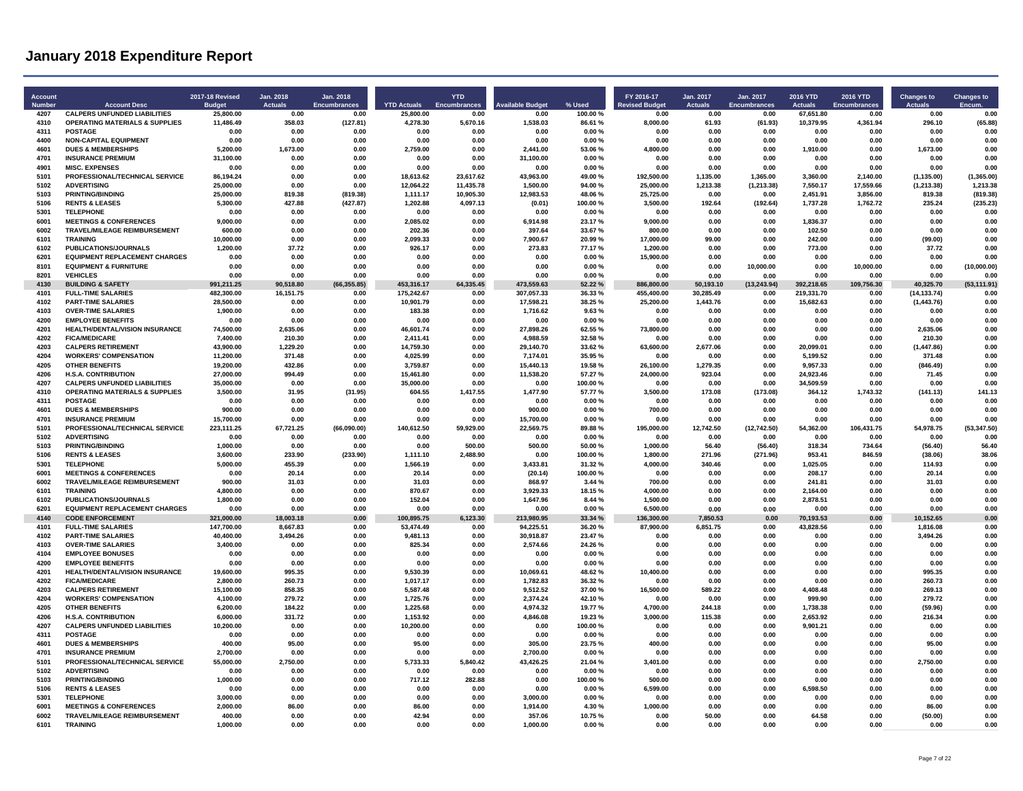| <b>Account</b><br><b>Numbe</b> | <b>Account Desc</b>                                         | <b>2017-18 Revised</b><br><b>Budget</b> | Jan. 2018<br><b>Actuals</b> | Jan. 2018<br>Encumbrances | <b>YTD Actuals</b>    | <b>YTD</b><br><b>Encumbrances</b> | vailable Budget        | % Used            | FY 2016-17<br><b>Revised Budget</b> | Jan. 2017<br><b>Actuals</b> | Jan. 2017<br>Encumbrances | <b>2016 YTD</b><br><b>Actuals</b> | <b>2016 YTD</b><br>Encumbrances | <b>Changes to</b>         | <b>Changes to</b>       |
|--------------------------------|-------------------------------------------------------------|-----------------------------------------|-----------------------------|---------------------------|-----------------------|-----------------------------------|------------------------|-------------------|-------------------------------------|-----------------------------|---------------------------|-----------------------------------|---------------------------------|---------------------------|-------------------------|
| 4207                           | <b>CALPERS UNFUNDED LIABILITIES</b>                         | 25.800.00                               | 0.00                        | 0.00                      | 25.800.00             | 0.00                              | 0.00                   | 100.00%           | 0.00                                | 0.00                        | 0.00                      | 67.651.80                         | 0.00                            | 0.00                      | 0.00                    |
| 4310<br>4311                   | <b>OPERATING MATERIALS &amp; SUPPLIES</b><br><b>POSTAGE</b> | 11.486.49<br>0.00                       | 358.03<br>0.00              | (127.81)<br>0.00          | 4.278.30<br>0.00      | 5.670.16<br>0.00                  | 1.538.03<br>0.00       | 86.61%<br>0.00%   | 8.000.00<br>0.00                    | 61.93<br>0.00               | (61.93)<br>0.00           | 10.379.95<br>0.00                 | 4.361.94<br>0.00                | 296.10<br>0.00            | (65.88)<br>0.00         |
| 4400                           | <b>NON-CAPITAL EQUIPMENT</b>                                | 0.00                                    | 0.00                        | 0.00                      | 0.00                  | 0.00                              | 0.00                   | 0.00%             | 0.00                                | 0.00                        | 0.00                      | 0.00                              | 0.00                            | 0.00                      | 0.00                    |
| 4601                           | <b>DUES &amp; MEMBERSHIPS</b>                               | 5,200.00                                | 1,673.00                    | 0.00                      | 2,759.00              | 0.00                              | 2,441.00               | 53.06%            | 4,800.00                            | 0.00                        | 0.00                      | 1,910.00                          | 0.00                            | 1,673.00                  | 0.00                    |
| 4701                           | <b>INSURANCE PREMIUM</b>                                    | 31,100.00                               | 0.00                        | 0.00                      | 0.00                  | 0.00                              | 31,100.00              | 0.00%             | 0.00                                | 0.00                        | 0.00                      | 0.00                              | 0.00                            | 0.00                      | 0.00                    |
| 4901                           | <b>MISC. EXPENSES</b>                                       | 0.00                                    | 0.00                        | 0.00                      | 0.00                  | 0.00                              | 0.00                   | 0.00%             | 0.00                                | 0.00                        | 0.00                      | 0.00                              | 0.00                            | 0.00                      | 0.00                    |
| 5101                           | PROFESSIONAL/TECHNICAL SERVICE                              | 86.194.24                               | 0.00                        | 0.00                      | 18.613.62             | 23.617.62                         | 43.963.00              | 49.00%            | 192.500.00                          | 1.135.00                    | 1.365.00                  | 3.360.00                          | 2.140.00                        | (1.135.00)                | (1.365.00)              |
| 5102                           | <b>ADVERTISING</b>                                          | 25,000.00                               | 0.00                        | 0.00                      | 12.064.22             | 11,435.78                         | 1.500.00               | 94.00%            | 25.000.00                           | 1,213.38                    | (1, 213.38)               | 7,550.17                          | 17.559.66                       | (1, 213.38)               | 1.213.38                |
| 5103                           | PRINTING/BINDING                                            | 25,000.00                               | 819.38                      | (819.38)                  | 1.111.17              | 10.905.30                         | 12,983.53              | 48.06%            | 25,725.00                           | 0.00                        | 0.00                      | 2,451.91                          | 3,856.00                        | 819.38                    | (819.38)                |
| 5106<br>5301                   | <b>RENTS &amp; LEASES</b><br><b>TELEPHONE</b>               | 5,300.00<br>0.00                        | 427.88<br>0.00              | (427.87)<br>0.00          | 1,202.88<br>0.00      | 4,097.13<br>0.00                  | (0.01)<br>0.00         | 100.00%<br>0.00%  | 3,500.00<br>0.00                    | 192.64<br>0.00              | (192.64)<br>0.00          | 1,737.28<br>0.00                  | 1,762.72<br>0.00                | 235.24<br>0.00            | (235.23)<br>0.00        |
| 6001                           | <b>MEETINGS &amp; CONFERENCES</b>                           | 9,000.00                                | 0.00                        | 0.00                      | 2,085.02              | 0.00                              | 6,914.98               | 23.17%            | 9,000.00                            | 0.00                        | 0.00                      | 1,836.37                          | 0.00                            | 0.00                      | 0.00                    |
| 6002                           | <b>TRAVEL/MILEAGE REIMBURSEMENT</b>                         | 600.00                                  | 0.00                        | 0.00                      | 202.36                | 0.00                              | 397.64                 | 33.67%            | 800.00                              | 0.00                        | 0.00                      | 102.50                            | 0.00                            | 0.00                      | 0 OC                    |
| 6101                           | <b>TRAINING</b>                                             | 10.000.00                               | 0.00                        | 0.00                      | 2.099.33              | 0.00                              | 7.900.67               | 20.99%            | 17.000.00                           | 99.00                       | 0.00                      | 242.00                            | 0.00                            | (99.00)                   | 0.00                    |
| 6102                           | PUBLICATIONS/JOURNALS                                       | 1,200.00                                | 37.72                       | 0.00                      | 926.17                | 0.00                              | 273.83                 | 77.17%            | 1,200.00                            | 0.00                        | 0.00                      | 773.00                            | 0.00                            | 37.72                     | 0.00                    |
| 6201                           | <b>EQUIPMENT REPLACEMENT CHARGES</b>                        | 0.00                                    | 0.00                        | 0.00                      | 0.00                  | 0.00                              | 0.00                   | 0.00%             | 15,900.00                           | 0.00                        | 0.00                      | 0.00                              | 0.00                            | 0.00                      | 0.00                    |
| 8101                           | <b>EQUIPMENT &amp; FURNITURE</b>                            | 0.00                                    | 0.00                        | 0.00                      | 0.00                  | 0.00                              | 0.00                   | 0.00%             | 0.00                                | 0.00                        | 10,000.00                 | 0.00                              | 10,000.00                       | 0.00                      | (10,000.00)             |
| 8201<br>4130                   | <b>VEHICLES</b>                                             | 0.00                                    | 0.00<br>90.518.80           | 0.00                      | 0.00<br>453.316.17    | 0.00<br>64.335.45                 | 0.00<br>473.559.63     | 0.00%             | 0.00                                | 0.00                        | 0.00                      | 0.00<br>392.218.65                | 0.00<br>109,756.30              | 0.00                      | 0.00                    |
| 4101                           | <b>BUILDING &amp; SAFETY</b><br><b>FULL-TIME SALARIES</b>   | 991,211.25<br>482,300.00                | 16,151.75                   | (66, 355.85)<br>0.00      | 175.242.67            | 0.00                              | 307,057.33             | 52.22%<br>36.33 % | 886,800.00<br>455.400.00            | 50.193.10<br>30.285.49      | (13, 243.94)<br>0.00      | 219.331.70                        | 0.00                            | 40,325.70<br>(14, 133.74) | (53, 111.91)<br>0.00    |
| 4102                           | <b>PART-TIME SALARIES</b>                                   | 28,500.00                               | 0.00                        | 0.00                      | 10,901.79             | 0.00                              | 17,598.21              | 38.25%            | 25,200.00                           | 1,443.76                    | 0.00                      | 15,682.63                         | 0.00                            | (1,443.76)                | 0.00                    |
| 4103                           | <b>OVER-TIME SALARIES</b>                                   | 1,900.00                                | 0.00                        | 0.00                      | 183.38                | 0.00                              | 1.716.62               | 9.63%             | 0.00                                | 0.00                        | 0.00                      | 0.00                              | 0.00                            | 0.00                      | 0.00                    |
| 4200                           | <b>EMPLOYEE BENEFITS</b>                                    | 0.00                                    | 0.00                        | 0.00                      | 0.00                  | 0.00                              | 0.00                   | 0.00%             | 0.00                                | 0.00                        | 0.00                      | 0.00                              | 0.00                            | 0.00                      | 0.00                    |
| 4201                           | <b>HEALTH/DENTAL/VISION INSURANCE</b>                       | 74.500.00                               | 2.635.06                    | 0.00                      | 46.601.74             | 0.00                              | 27.898.26              | 62.55%            | 73.800.00                           | 0.00                        | 0.00                      | 0.00                              | 0.00                            | 2.635.06                  | 0.00                    |
| 4202                           | <b>FICA/MEDICARE</b>                                        | 7.400.00                                | 210.30                      | 0.00                      | 2.411.41              | 0.00                              | 4,988.59               | 32.58%            | 0.00                                | 0.00                        | 0.00                      | 0.00                              | 0.00                            | 210.30                    | 0.00                    |
| 4203                           | <b>CALPERS RETIREMENT</b>                                   | 43,900.00                               | 1.229.20                    | 0.00                      | 14,759.30             | 0.00                              | 29,140.70              | 33.62%            | 63,600.00                           | 2,677.06                    | 0.00                      | 20,099.01                         | 0.00                            | (1, 447.86)               | 0.00                    |
| 4204                           | <b>WORKERS' COMPENSATION</b>                                | 11,200.00                               | 371.48                      | 0.00                      | 4,025.99              | 0.00                              | 7,174.01               | 35.95 %           | 0.00                                | 0.00                        | 0.00                      | 5,199.52                          | 0.00                            | 371.48                    | 0.00                    |
| 4205<br>4206                   | <b>OTHER BENEFITS</b><br><b>H.S.A. CONTRIBUTION</b>         | 19,200.00<br>27.000.00                  | 432.86<br>994.49            | 0.00<br>0.00              | 3,759.87<br>15.461.80 | 0.00<br>0.00                      | 15,440.13<br>11.538.20 | 19.58%<br>57.27%  | 26,100.00<br>24.000.00              | 1.279.35<br>923.04          | 0.00<br>0.00              | 9.957.33<br>24.923.46             | 0.00<br>0.00                    | (846.49)<br>71.45         | 0.00<br>0.00            |
| 4207                           | <b>CALPERS UNFUNDED LIABILITIES</b>                         | 35.000.00                               | 0.00                        | 0.00                      | 35.000.00             | 0.00                              | 0.00                   | 100.00%           | 0.00                                | 0.00                        | 0.00                      | 34.509.59                         | 0.00                            | 0.00                      | 0.00                    |
| 4310                           | <b>OPERATING MATERIALS &amp; SUPPLIES</b>                   | 3,500.00                                | 31.95                       | (31.95)                   | 604.55                | 1,417.55                          | 1,477.90               | 57.77%            | 3,500.00                            | 173.08                      | (173.08)                  | 364.12                            | 1,743.32                        | (141.13)                  | 141.13                  |
| 4311                           | <b>POSTAGE</b>                                              | 0.00                                    | 0.00                        | 0.00                      | 0.00                  | 0.00                              | 0.00                   | $0.00 \%$         | 0.00                                | 0.00                        | 0.00                      | 0.00                              | 0.00                            | 0.00                      | 0.00                    |
| 4601                           | <b>DUES &amp; MEMBERSHIPS</b>                               | 900.00                                  | 0.00                        | 0.00                      | 0.00                  | 0.00                              | 900.00                 | 0.00%             | 700.00                              | 0.00                        | 0.00                      | 0.00                              | 0.00                            | 0.00                      | 0.00                    |
| 4701                           | <b>INSURANCE PREMIUM</b>                                    | 15,700.00                               | 0.00                        | 0.00                      | 0.00                  | 0.00                              | 15,700.00              | 0.00%             | 0.00                                | 0.00                        | 0.00                      | 0.00                              | 0.00                            | 0.00                      | 0.00                    |
| 5101                           | PROFESSIONAL/TECHNICAL SERVICE                              | 223,111.25                              | 67,721.25                   | (66,090.00)               | 140,612.50            | 59,929.00                         | 22,569.75              | 89.88%            | 195,000.00                          | 12,742.50                   | (12, 742.50)              | 54,362.00                         | 106,431.75                      | 54,978.75                 | (53, 347.50)            |
| 5102<br>5103                   | <b>ADVERTISING</b>                                          | 0 <sub>0</sub>                          | 0.00<br>0.00                | 0.00<br>0.00              | 0.00<br>0.00          | 0.00<br>500.00                    | 0.00<br>500.00         | 0.00%             | 0.00                                | 0.00                        | 0.00                      | 0.00                              | 0.00                            | 0.00                      | 0 <sub>0</sub><br>56.40 |
| 5106                           | <b>PRINTING/BINDING</b><br><b>RENTS &amp; LEASES</b>        | 1,000.00<br>3,600.00                    | 233.90                      | (233.90)                  | 1,111.10              | 2,488.90                          | 0.00                   | 50.00%<br>100.00% | 1,000.00<br>1,800.00                | 56.40<br>271.96             | (56.40)<br>(271.96)       | 318.34<br>953.41                  | 734.64<br>846.59                | (56.40)<br>(38.06)        | 38.06                   |
| 5301                           | <b>TELEPHONE</b>                                            | 5,000.00                                | 455.39                      | 0.00                      | 1,566.19              | 0.00                              | 3,433.81               | 31.32%            | 4,000.00                            | 340.46                      | 0.00                      | 1,025.05                          | 0.00                            | 114.93                    | 0.00                    |
| 6001                           | <b>MEETINGS &amp; CONFERENCES</b>                           | 0.00                                    | 20.14                       | 0.00                      | 20.14                 | 0.00                              | (20.14)                | 100.00%           | 0.00                                | 0.00                        | 0.00                      | 208.17                            | 0.00                            | 20.14                     | 0.00                    |
| 6002                           | TRAVEL/MILEAGE REIMBURSEMENT                                | 900.00                                  | 31.03                       | 0.00                      | 31.03                 | 0.00                              | 868.97                 | 3.44 %            | 700.00                              | 0.00                        | 0.00                      | 241.81                            | 0.00                            | 31.03                     | 0.00                    |
| 6101                           | <b>TRAINING</b>                                             | 4,800.00                                | 0.00                        | 0.00                      | 870.67                | 0.00                              | 3,929.33               | 18.15%            | 4.000.00                            | 0.00                        | 0.00                      | 2.164.00                          | 0.00                            | 0.00                      | 0.00                    |
| 6102                           | <b>PUBLICATIONS/JOURNALS</b>                                | 1,800.00                                | 0.00                        | 0.00                      | 152.04                | 0.00                              | 1.647.96               | 8.44 %            | 1.500.00                            | 0.00                        | 0.00                      | 2.878.51                          | 0.00                            | 0.00                      | 0.00                    |
| 6201                           | <b>EQUIPMENT REPLACEMENT CHARGES</b>                        | 0.00                                    | 0.00                        | 0.00                      | 0.00                  | 0.00                              | 0.00                   | 0.00%             | 6,500.00                            | 0.00                        | 0.00                      | 0.00                              | 0.00                            | 0.00                      | 0.00                    |
| 4140                           | <b>CODE ENFORCEMENT</b>                                     | 321,000.00                              | 18.003.18                   | 0.00                      | 100.895.75            | 6.123.30                          | 213.980.95             | 33.34 %           | 136.300.00                          | 7.850.53                    | 0.00                      | 70,193.53                         | 0.00                            | 10,152.65                 | 0.00                    |
| 4101<br>4102                   | <b>FULL-TIME SALARIES</b><br><b>PART-TIME SALARIES</b>      | 147,700.00<br>40.400.00                 | 8,667.83<br>3.494.26        | 0.00<br>0.00              | 53,474.49<br>9.481.13 | 0.00<br>0.00                      | 94,225.51<br>30.918.87 | 36.20%<br>23.47%  | 87,900.00<br>0.00                   | 6,851.75<br>0.00            | 0.00<br>0.00              | 43,828.56<br>0.00                 | 0.00<br>0.00                    | 1,816.08<br>3.494.26      | 0.00<br>0.00            |
| 4103                           | <b>OVER-TIME SALARIES</b>                                   | 3,400.00                                | 0.00                        | 0.00                      | 825.34                | 0.00                              | 2,574.66               | 24.26%            | 0.00                                | 0.00                        | 0.00                      | 0.00                              | 0.00                            | 0.00                      | 0.00                    |
| 4104                           | <b>EMPLOYEE BONUSES</b>                                     | 0.00                                    | 0.00                        | 0.00                      | 0.00                  | 0.00                              | 0.00                   | 0.00%             | 0.00                                | 0.00                        | 0.00                      | 0.00                              | 0.00                            | 0.00                      | 0.00                    |
| 4200                           | <b>EMPLOYEE BENEFITS</b>                                    | 0.00                                    | 0.00                        | 0.00                      | 0.00                  | 0.00                              | 0.00                   | 0.00%             | 0.00                                | 0.00                        | 0.00                      | 0.00                              | 0.00                            | 0.00                      | 0.00                    |
| 4201                           | HEALTH/DENTAL/VISION INSURANCE                              | 19,600.00                               | 995.35                      | 0.00                      | 9,530.39              | 0.00                              | 10,069.61              | 48.62%            | 10,400.00                           | 0.00                        | 0.00                      | 0.00                              | 0.00                            | 995.35                    | 0.00                    |
| 4202                           | <b>FICA/MEDICARE</b>                                        | 2,800.00                                | 260.73                      | 0.00                      | 1,017.17              | 0.00                              | 1,782.83               | 36.32%            | 0.00                                | 0.00                        | 0.00                      | 0.00                              | 0.00                            | 260.73                    | 0.00                    |
| 4203                           | <b>CALPERS RETIREMENT</b>                                   | 15.100.00                               | 858.35                      | 0.00                      | 5.587.48              | 0.00                              | 9.512.52               | 37.00%            | 16,500.00                           | 589.22                      | 0.00                      | 4.408.48                          | 0.00                            | 269.13                    | 0.00                    |
| 4204<br>4205                   | <b>WORKERS' COMPENSATION</b><br><b>OTHER BENEFITS</b>       | 4,100.00<br>6.200.00                    | 279.72<br>184.22            | 0.00<br>0.00              | 1,725.76<br>1.225.68  | 0.00<br>0.00                      | 2.374.24<br>4,974.32   | 42.10%<br>19.77%  | 0.00<br>4.700.00                    | 0.00<br>244.18              | 0.00<br>0.00              | 999.90<br>1.738.38                | 0.00<br>0.00                    | 279.72<br>(59.96)         | 0.00<br>0.00            |
| 4206                           | <b>H.S.A. CONTRIBUTION</b>                                  | 6,000.00                                | 331.72                      | 0.00                      | 1,153.92              | 0.00                              | 4,846.08               | 19.23%            | 3,000.00                            | 115.38                      | 0.00                      | 2,653.92                          | 0.00                            | 216.34                    | 0.00                    |
| 4207                           | <b>CALPERS UNFUNDED LIABILITIES</b>                         | 10,200.00                               | 0.00                        | 0.00                      | 10,200.00             | 0.00                              | 0.00                   | 100.00%           | 0.00                                | 0.00                        | 0.00                      | 9.901.21                          | 0.00                            | 0.00                      | 0.00                    |
| 4311                           | POSTAGE                                                     | 0.00                                    | 0.00                        | 0.00                      | 0.00                  | 0.00                              | 0.00                   | 0.00%             | 0.00                                | 0.00                        | 0.00                      | 0.00                              | 0.00                            | 0.00                      | 0.00                    |
| 4601                           | <b>DUES &amp; MEMBERSHIPS</b>                               | 400.00                                  | 95.00                       | 0.00                      | 95.00                 | 0.00                              | 305.00                 | 23.75%            | 400.00                              | 0.00                        | 0.00                      | 0.00                              | 0.00                            | 95.00                     | 0.00                    |
| 4701                           | <b>INSURANCE PREMIUM</b>                                    | 2,700.00                                | n nn                        | 0.00                      | 0.00                  | 0.00                              | 2,700.00               | 0.00%             | 0.00                                | 0.00                        | 0.00                      | 0.00                              | 0.00                            | 0.00                      | 0.00                    |
| 5101                           | PROFESSIONAL/TECHNICAL SERVICE                              | 55.000.00                               | 2,750.00                    | 0.00                      | 5.733.33              | 5.840.42                          | 43.426.25              | 21.04 %           | 3.401.00                            | 0.00                        | 0.00                      | 0.00                              | 0.00                            | 2,750.00                  | 0.00                    |
| 5102                           | <b>ADVERTISING</b>                                          | 0.00                                    | 0.00                        | 0.00                      | 0.00                  | 0.00                              | 0.00                   | 0.00%             | 0.00                                | 0.00                        | 0.00                      | 0.00                              | 0.00                            | 0.00                      | 0.00                    |
| 5103<br>5106                   | <b>PRINTING/BINDING</b><br><b>RENTS &amp; LEASES</b>        | 1,000.00<br>0.00                        | 0.00<br>0.00                | 0.00<br>0.00              | 717.12<br>0.00        | 282.88<br>0.00                    | 0.00<br>0.00           | 100.00%<br>0.00%  | 500.00<br>6,599.00                  | 0.00<br>0.00                | 0.00<br>0.00              | 0.00<br>6,598.50                  | 0.00<br>0.00                    | 0.00<br>0.00              | 0.00<br>0.00            |
| 5301                           | TELEPHONE                                                   | 3.000.00                                | 0.00                        | 0.00                      | 0.00                  | 0.00                              | 3.000.00               | 0.00%             | 0.00                                | 0.00                        | n nn                      | 0.00                              | 0.00                            | 0.00                      | 0.00                    |
| 6001                           | <b>MEETINGS &amp; CONFERENCES</b>                           | 2,000.00                                | 86.00                       | 0.00                      | 86.00                 | 0.00                              | 1.914.00               | 4.30%             | 1.000.00                            | 0.00                        | 0.00                      | 0.00                              | 0.00                            | 86.00                     | 0.00                    |
| 6002                           | TRAVEL/MILEAGE REIMBURSEMENT                                | 400.00                                  | 0.00                        | 0.00                      | 42.94                 | 0.00                              | 357.06                 | 10.75%            | 0.00                                | 50.00                       | 0.00                      | 64.58                             | 0.00                            | (50.00)                   | 0.00                    |
| 6101                           | <b>TRAINING</b>                                             | 1,000.00                                | 0.00                        | 0.00                      | 0.00                  | 0.00                              | 1,000.00               | 0.00%             | 0.00                                | 0.00                        | 0.00                      | 0.00                              | 0.00                            | 0.00                      | 0.00                    |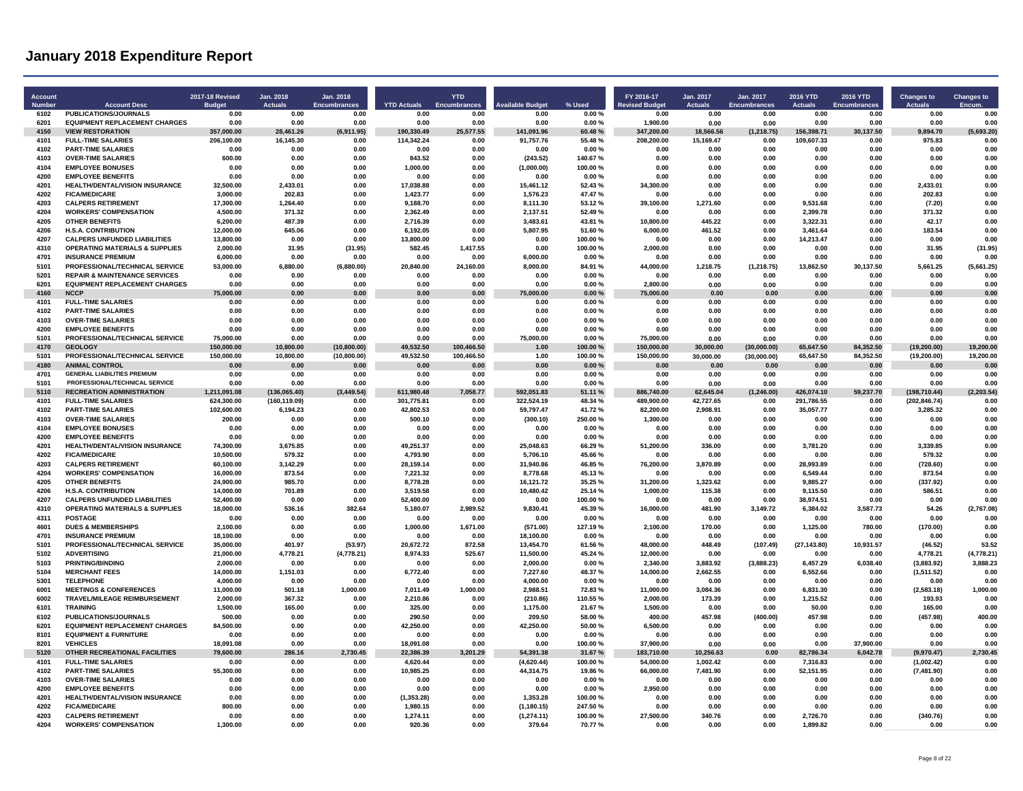| Account<br><b>Number</b> | <b>Account Desc</b>                                               | 2017-18 Revised<br><b>Budget</b> | Jan. 2018<br><b>Actuals</b> | Jan. 2018<br><b>Encumbrances</b> | <b>YTD Actuals</b>       | <b>YTD</b><br><b>Encumbrances</b> | <b>Available Budget</b> | % Used             | FY 2016-17<br><b>Revised Budget</b> | Jan. 2017<br>Actuals | Jan. 2017<br><b>Encumbrances</b> | 2016 YTD<br><b>Actuals</b> | <b>2016 YTD</b><br><b>Encumbrances</b> | <b>Changes to</b><br><b>Actuals</b> | <b>Changes to</b><br>Encum |
|--------------------------|-------------------------------------------------------------------|----------------------------------|-----------------------------|----------------------------------|--------------------------|-----------------------------------|-------------------------|--------------------|-------------------------------------|----------------------|----------------------------------|----------------------------|----------------------------------------|-------------------------------------|----------------------------|
| 6102                     | PUBLICATIONS/JOURNALS                                             | 0.00                             | 0.00                        | 0.00                             | 0.00                     | 0.00                              | 0.00                    | 0.00%              | 0.00                                | 0.00                 | 0.00                             | 0.00                       | 0.00                                   | 0.00                                | 0.00                       |
| 6201                     | <b>EQUIPMENT REPLACEMENT CHARGES</b>                              | 0.00                             | 0.00                        | 0.00                             | 0.00                     | 0.00                              | 0.00                    | 0.00%              | 1,900.00                            | 0.00                 | 0.00                             | 0.00                       | 0.00                                   | 0.00                                | 0.00                       |
| 4150<br>4101             | <b>VIEW RESTORATION</b>                                           | 357,000.00                       | 28,461.26                   | (6,911.95)                       | 190,330.49<br>114,342.24 | 25,577.55<br>0.00                 | 141,091.96              | 60.48%             | 347,200.00                          | 18,566.56            | (1, 218.75)                      | 156,398.71                 | 30,137.50                              | 9,894.70                            | (5,693.20)<br>0.00         |
| 4102                     | <b>FULL-TIME SALARIES</b><br><b>PART-TIME SALARIES</b>            | 206,100.00<br>0.00               | 16,145.30<br>0.00           | 0.00<br>0.00                     | 0.00                     | 0.00                              | 91,757.76<br>0.00       | 55.48%<br>0.00%    | 208,200.00<br>0.00                  | 15,169.47<br>0.00    | 0.00<br>0.00                     | 109,607.33<br>0.00         | 0.00<br>0.00                           | 975.83<br>0.00                      | 0.00                       |
| 4103                     | <b>OVER-TIME SALARIES</b>                                         | 600.00                           | 0.00                        | 0.00                             | 843.52                   | 0.00                              | (243.52)                | 140.67%            | 0.00                                | 0.00                 | 0.00                             | 0.00                       | 0.00                                   | 0.00                                | 0.00                       |
| 4104                     | <b>EMPLOYEE BONUSES</b>                                           | 0.00                             | 0.00                        | 0.00                             | 1,000.00                 | 0.00                              | (1,000.00)              | 100.00%            | 0.00                                | 0.00                 | 0.00                             | 0.00                       | 0.00                                   | 0.00                                | 0.00                       |
| 4200                     | <b>EMPLOYEE BENEFITS</b>                                          | 0.00                             | 0.00                        | 0.00                             | 0.00                     | 0.00                              | 0.00                    | 0.00%              | 0.00                                | 0.00                 | 0.00                             | 0.00                       | 0.00                                   | 0.00                                | 0.00                       |
| 4201                     | HEALTH/DENTAL/VISION INSURANCE                                    | 32,500.00                        | 2.433.01                    | 0.00                             | 17,038.88                | 0.00                              | 15,461.12               | 52.43%             | 34.300.00                           | 0.00                 | 0.00                             | 0.00                       | 0.00                                   | 2,433.01                            | 0.00                       |
| 4202                     | <b>FICA/MEDICARE</b>                                              | 3,000.00                         | 202.83                      | 0.00                             | 1,423.77                 | 0.00                              | 1,576.23                | 47.47%             | 0.00                                | 0.00                 | 0.00                             | 0.00                       | 0.00                                   | 20283                               | 0.00                       |
| 4203                     | <b>CALPERS RETIREMENT</b>                                         | 17,300.00                        | 1.264.40                    | 0.00                             | 9,188.70                 | 0.00                              | 8,111.30                | 53.12%             | 39,100.00                           | 1,271.60             | 0.00                             | 9.531.68                   | 0.00                                   | (7.20)                              | 0.00                       |
| 4204                     | <b>WORKERS' COMPENSATION</b>                                      | 4.500.00                         | 371.32                      | 0.00                             | 2.362.49                 | 0.00                              | 2.137.51                | 52.49%             | 0.00                                | 0.00                 | 0.00                             | 2.399.78                   | 0.00                                   | 371.32                              | 0.00                       |
| 4205                     | <b>OTHER BENEFITS</b>                                             | 6.200.00                         | 487.39                      | 0.00                             | 2.716.39                 | 0.00                              | 3.483.61                | 43.81%             | 10.800.00                           | 445.22               | 0.00                             | 3.322.31                   | 0.00                                   | 42.17                               | 0.00                       |
| 4206<br>4207             | <b>H.S.A. CONTRIBUTION</b><br><b>CALPERS UNFUNDED LIABILITIES</b> | 12.000.00<br>13,800.00           | 645.06<br>0.00              | 0.00<br>0.00                     | 6.192.05<br>13,800.00    | 0.00<br>0.00                      | 5.807.95<br>0.00        | 51.60%<br>100.00%  | 6.000.00<br>0.00                    | 461.52<br>0.00       | 0.00<br>0.00                     | 3.461.64<br>14,213.47      | 0.00<br>0.00                           | 183.54<br>0.00                      | 0.00<br>0.00               |
| 4310                     | <b>OPERATING MATERIALS &amp; SUPPLIES</b>                         | 2,000.00                         | 31.95                       | (31.95)                          | 582.45                   | 1.417.55                          | 0.00                    | 100.00%            | 2,000.00                            | 0.00                 | 0.00                             | 0.00                       | 0.00                                   | 31.95                               | (31.95)                    |
| 4701                     | <b>INSURANCE PREMIUM</b>                                          | 6,000.00                         | 0.00                        | 0.00                             | 0.00                     | 0.00                              | 6,000.00                | $0.00 \%$          | 0.00                                | 0.00                 | 0.00                             | 0.00                       | 0.00                                   | 0.00                                | 0.00                       |
| 5101                     | PROFESSIONAL/TECHNICAL SERVICE                                    | 53.000.00                        | 6.880.00                    | (6,880.00)                       | 20.840.00                | 24.160.00                         | 8.000.00                | 84.91%             | 44.000.00                           | 1.218.75             | (1, 218.75)                      | 13.862.50                  | 30.137.50                              | 5.661.25                            | (5,661.25)                 |
| 5201                     | <b>REPAIR &amp; MAINTENANCE SERVICES</b>                          | 0.00                             | 0.00                        | 0.00                             | 0.00                     | 0.00                              | 0.00                    | 0.00%              | 0.00                                | 0.00                 | 0.00                             | 0.00                       | 0.00                                   | 0.00                                | 0.00                       |
| 6201                     | <b>EQUIPMENT REPLACEMENT CHARGES</b>                              | 0.00                             | 0.00                        | 0.00                             | 0.00                     | 0.00                              | 0.00                    | 0.00%              | 2,800.00                            | 0.00                 | 0.00                             | 0.00                       | 0.00                                   | 0.00                                | 0.00                       |
| 4160                     | <b>NCCP</b>                                                       | 75,000.00                        | 0.00                        | 0.00                             | 0.00                     | 0.00                              | 75,000.00               | 0.00%              | 75,000.00                           | 0.00                 | 0.00                             | 0.00                       | 0.00                                   | 0.00                                | 0.00                       |
| 4101                     | <b>FULL-TIME SALARIES</b>                                         | 0.00                             | 0.00                        | 0.00                             | 0.00                     | 0.00                              | 0.00                    | 0.00%              | 0.00                                | 0.00                 | 0.00                             | 0.00                       | 0.00                                   | 0.00                                | 0.00                       |
| 4102                     | <b>PART-TIME SALARIES</b>                                         | 0.00                             | 0.00                        | 0.00                             | 0.00                     | 0.00                              | 0.00                    | 0.00%              | 0.00                                | 0.00                 | 0.00                             | 0.00                       | 0.00                                   | 0.00                                | 0.00                       |
| 4103                     | <b>OVER-TIME SALARIES</b>                                         | 0.00                             | 0.00                        | 0.00                             | 0.00                     | 0.00                              | 0.00                    | 0.00%              | 0.00                                | 0.00                 | 0.00                             | 0.00                       | 0.00                                   | 0.00                                | 0.00                       |
| 4200<br>5101             | <b>EMPLOYEE BENEFITS</b><br>PROFESSIONAL/TECHNICAL SERVICE        | 0.00<br>75.000.00                | 0.00<br>0.00                | 0.00<br>0.00                     | 0.00<br>0.00             | 0.00<br>0.00                      | 0.00<br>75.000.00       | 0.00%<br>0.00%     | 0.00<br>75,000.00                   | 0.00                 | 0.00                             | 0.00<br>0.00               | 0.00<br>0.00                           | 0.00<br>0.00                        | 0.00<br>0.00               |
| 4170                     | <b>GEOLOGY</b>                                                    | 150,000.00                       | 10,800.00                   | (10,800.00)                      | 49,532.50                | 100,466.50                        | 1.00                    | 100.00%            | 150.000.00                          | 0.00<br>30.000.00    | 0.00<br>(30,000.00)              | 65,647.50                  | 84,352.50                              | (19, 200.00)                        | 19,200.00                  |
| 5101                     | PROFESSIONAL/TECHNICAL SERVICE                                    | 150,000.00                       | 10,800.00                   | (10,800.00)                      | 49,532.50                | 100,466.50                        | 1.00                    | 100.00%            | 150,000.00                          | 30,000.00            | (30,000.00)                      | 65,647.50                  | 84,352.50                              | (19, 200.00)                        | 19,200.00                  |
| 4180                     | <b>ANIMAL CONTROL</b>                                             | 0.00                             | 0.00                        | 0.00                             | 0.00                     | 0.00                              | 0.00                    | 0.00%              | 0.00                                | 0.00                 | 0.00                             | 0.00                       | 0.00                                   | 0.00                                | 0.00                       |
| 4701                     | <b>GENERAL LIABILITIES PREMIUM</b>                                | 0.00                             | 0.00                        | 0.00                             | 0.00                     | 0.00                              | 0.00                    | 0.00%              | 0.00                                | 0.00                 | 0.00                             | 0.00                       | 0.00                                   | 0.00                                | 0.00                       |
| 5101                     | PROFESSIONAL/TECHNICAL SERVICE                                    | 0.00                             | 0.00                        | 0.00                             | 0.00                     | 0.00                              | 0.00                    | 0.00%              | 0.00                                | 0.00                 | 0.00                             | 0.00                       | 0.00                                   | 0.00                                | 0.00                       |
| 5110                     | <b>RECREATION ADMINISTRATION</b>                                  | 1,211,091.08                     | (136,065.40)                | (3, 449.54)                      | 611,980.48               | 7.058.77                          | 592.051.83              | 51.11%             | 886,740.00                          | 62.645.04            | (1.246.00)                       | 426.074.10                 | 59,237.70                              | (198, 710.44)                       | (2, 203.54)                |
| 4101                     | <b>FULL-TIME SALARIES</b>                                         | 624,300.00                       | (160, 119.09)               | 0.00                             | 301.775.81               | 0.00                              | 322,524.19              | 48.34 %            | 489.900.00                          | 42.727.65            | 0.00                             | 291.786.55                 | 0.00                                   | (202, 846.74)                       | 0.00                       |
| 4102                     | <b>PART-TIME SALARIES</b>                                         | 102,600.00                       | 6,194.23                    | 0.00                             | 42,802.53                | 0.00                              | 59,797.47               | 41.72%             | 82,200.00                           | 2,908.91             | 0.00                             | 35,057.77                  | 0.00                                   | 3,285.32                            | 0.00                       |
| 4103<br>4104             | <b>OVER-TIME SALARIES</b><br><b>EMPLOYEE BONUSES</b>              | 200.00<br>0.00                   | 0.00<br>0.00                | 0.00<br>0.00                     | 500.10<br>0.00           | 0.00<br>0.00                      | (300.10)<br>0.00        | 250.00%<br>0.00%   | 1,300.00<br>0.00                    | 0.00<br>0.00         | 0.00<br>0.00                     | 0.00<br>0.00               | 0.00<br>0.00                           | 0.00<br>0.00                        | 0.00<br>0.00               |
| 4200                     | <b>EMPLOYEE RENEFITS</b>                                          | 0.00                             | 0.00                        | 0.00                             | 0.00                     | 0.00                              | 0.00                    | 0.00%              | 0.00                                | 0.00                 | 0.00                             | 0.00                       | 0.00                                   | 0.00                                | 0.00                       |
| 4201                     | HEALTH/DENTAL/VISION INSURANCE                                    | 74,300.00                        | 3.675.85                    | 0.00                             | 49,251.37                | 0.00                              | 25,048.63               | 66.29%             | 51,200.00                           | 336.00               | 0.00                             | 3,781.20                   | 0.00                                   | 3,339.85                            | 0.00                       |
| 4202                     | <b>FICA/MEDICARE</b>                                              | 10,500.00                        | 579.32                      | 0.00                             | 4,793.90                 | 0.00                              | 5,706.10                | 45.66%             | 0.00                                | 0.00                 | 0.00                             | 0.00                       | 0.00                                   | 579.32                              | 0.00                       |
| 4203                     | <b>CALPERS RETIREMENT</b>                                         | 60,100.00                        | 3.142.29                    | 0.00                             | 28,159.14                | 0.00                              | 31,940.86               | 46.85%             | 76,200.00                           | 3.870.89             | 0.00                             | 28,993.89                  | 0.00                                   | (728.60)                            | 0.00                       |
| 4204                     | <b>WORKERS' COMPENSATION</b>                                      | 16,000.00                        | 873.54                      | 0.00                             | 7,221.32                 | 0.00                              | 8,778.68                | 45.13%             | 0.00                                | 0.00                 | 0.00                             | 6,549.44                   | 0.00                                   | 873.54                              | 0.00                       |
| 4205                     | <b>OTHER BENEFITS</b>                                             | 24,900.00                        | 985.70                      | 0.00                             | 8,778.28                 | 0.00                              | 16,121.72               | 35.25 %            | 31,200.00                           | 1,323.62             | 0.00                             | 9,885.27                   | 0.00                                   | (337.92)                            | 0.00                       |
| 4206                     | <b>H.S.A. CONTRIBUTION</b>                                        | 14,000.00                        | 701.89                      | 0.00                             | 3.519.58                 | 0.00                              | 10.480.42               | 25.14%             | 1.000.00                            | 115.38               | 0.00                             | 9,115.50                   | 0.00                                   | 586.51                              | 0.00                       |
| 4207                     | <b>CALPERS UNFUNDED LIABILITIES</b>                               | 52.400.00                        | 0.00                        | 0.00                             | 52.400.00                | 0.00                              | 0.00                    | 100.00%            | 0.00                                | 0.00                 | 0.00                             | 38,974.51                  | 0.00                                   | 0.00                                | 0.00                       |
| 4310<br>4311             | <b>OPERATING MATERIALS &amp; SUPPLIES</b><br><b>POSTAGE</b>       | 18,000.00                        | 536.16                      | 382.64                           | 5,180.07                 | 2,989.52                          | 9,830.41                | 45.39%<br>0.00%    | 16,000.00                           | 481.90<br>0.00       | 3,149.72                         | 6,384.02                   | 3,587.73                               | 54.26<br>0.00                       | (2,767.08)<br>0.00         |
| 4601                     | <b>DUES &amp; MEMBERSHIPS</b>                                     | 0.00<br>2,100.00                 | 0.00<br>0.00                | 0.00<br>0.00                     | 0.00<br>1,000.00         | 0.00<br>1,671.00                  | 0.00<br>(571.00)        | 127.19%            | 0.00<br>2,100.00                    | 170.00               | 0.00<br>0.00                     | 0.00<br>1,125.00           | 0.00<br>780.00                         | (170.00)                            | 0.00                       |
| 4701                     | <b>INSURANCE PREMIUM</b>                                          | 18,100.00                        | 0.00                        | 0.00                             | 0.00                     | 0.00                              | 18,100.00               | 0.00%              | 0.00                                | 0.00                 | 0.00                             | 0.00                       | 0.00                                   | 0.00                                | 0.00                       |
| 5101                     | PROFESSIONAL/TECHNICAL SERVICE                                    | 35,000.00                        | 401.97                      | (53.97)                          | 20,672.72                | 872.58                            | 13,454.70               | 61.56%             | 48,000.00                           | 448.49               | (107.49)                         | (27, 143.80)               | 10,931.57                              | (46.52)                             | 53.52                      |
| 5102                     | <b>ADVERTISING</b>                                                | 21,000.00                        | 4,778.21                    | (4,778.21)                       | 8,974.33                 | 525.67                            | 11,500.00               | 45.24 %            | 12,000.00                           | 0.00                 | 0.00                             | 0.00                       | 0.00                                   | 4,778.21                            | (4,778.21)                 |
| 5103                     | <b>PRINTING/BINDING</b>                                           | 2,000.00                         | 0.00                        | 0.00                             | 0.00                     | 0.00                              | 2,000.00                | 0.00%              | 2,340.00                            | 3,883.92             | (3,888.23)                       | 6,457.29                   | 6,038.40                               | (3,883.92)                          | 3,888.23                   |
| 5104                     | <b>MERCHANT FEES</b>                                              | 14,000.00                        | 1,151.03                    | 0.00                             | 6,772.40                 | 0.00                              | 7,227.60                | 48.37%             | 14,000.00                           | 2,662.55             | 0.00                             | 6,552.66                   | 0.00                                   | (1,511.52)                          | 0.00                       |
| 5301                     | <b>TELEPHONE</b>                                                  | 4,000.00                         | 0.00                        | 0.00                             | 0.00                     | 0.00                              | 4,000.00                | 0.00%              | 0.00                                | 0.00                 | 0.00                             | 0.00                       | 0.00                                   | 0.00                                | 0.00                       |
| 6001                     | <b>MEETINGS &amp; CONFERENCES</b>                                 | 11,000.00                        | 501.18                      | 1,000.00                         | 7.011.49                 | 1.000.00                          | 2,988.51                | 72.83%             | 11,000.00                           | 3.084.36             | 0.00                             | 6.831.30                   | 0.00                                   | (2, 583.18)                         | 1,000.00                   |
| 6002<br>6101             | TRAVEL/MILEAGE REIMBURSEMENT<br><b>TRAINING</b>                   | 2,000.00<br>1,500.00             | 367.32<br>165.00            | 0.00<br>0.00                     | 2.210.86<br>325.00       | 0.00<br>0.00                      | (210.86)<br>1,175.00    | 110.55%<br>21.67%  | 2,000.00<br>1,500.00                | 173.39<br>0.00       | 0.00<br>0.00                     | 1,215.52<br>50.00          | 0.00<br>0.00                           | 193.93<br>165.00                    | 0.00<br>0.00               |
| 6102                     | <b>PUBLICATIONS/JOURNALS</b>                                      | 500.00                           | 0.00                        | 0.00                             | 290.50                   | 0.00                              | 209.50                  | 58.00%             | 400.00                              | 457.98               | (400.00)                         | 457.98                     | 0.00                                   | (457.98)                            | 400.00                     |
| 6201                     | <b>EQUIPMENT REPLACEMENT CHARGES</b>                              | 84,500.00                        | 0.00                        | 0.00                             | 42,250.00                | 0.00                              | 42,250.00               | 50.00%             | 6,500.00                            | 0.00                 | 0.00                             | 0.00                       | 0.00                                   | 0.00                                | 0.00                       |
| 8101                     | <b>EQUIPMENT &amp; FURNITURE</b>                                  | 0.00                             | 0.00                        | 0.00                             | 0.00                     | 0.00                              | 0.00                    | 0.00%              | 0.00                                | 0.00                 | 0.00                             | 0.00                       | 0.00                                   | 0.00                                | 0.00                       |
| 8201                     | <b>VEHICLES</b>                                                   | 18,091.08                        | 0.00                        | 0.00                             | 18,091.08                | 0.00                              | 0.00                    | 100.00%            | 37,900.00                           | 0.00                 | 0.00                             | 0.00                       | 37,900.00                              | 0.00                                | 0.00                       |
| 5120                     | OTHER RECREATIONAL FACILITIES                                     | 79,600.00                        | 286.16                      | 2,730.45                         | 22,386.39                | 3,201.29                          | 54,391.38               | 31.67%             | 183,710.00                          | 10,256.63            | 0.00                             | 82,786.34                  | 6,042.78                               | (9,970.47)                          | 2,730.45                   |
| 4101                     | <b>FULL-TIME SALARIES</b>                                         | 0.00                             | 0.00                        | 0.00                             | 4.620.44                 | 0.00                              | (4,620.44)              | 100.00%            | 54,000.00                           | 1.002.42             | 0.00                             | 7,316.83                   | 0.00                                   | (1,002.42)                          | 0.00                       |
| 4102                     | <b>PART-TIME SALARIES</b>                                         | 55,300.00                        | 0.00                        | 0.00                             | 10,985.25                | 0.00                              | 44,314.75               | 19.86%             | 66,000.00                           | 7,481.90             | 0.00                             | 52,151.95                  | 0.00                                   | (7,481.90)                          | 0.00                       |
| 4103                     | <b>OVER-TIME SALARIES</b>                                         | 0.00                             | 0.00                        | 0.00                             | 0.00                     | 0.00                              | 0.00                    | 0.00%              | 0.00                                | 0.00                 | 0.00                             | 0.00                       | 0.00                                   | 0.00                                | 0.00                       |
| 4200                     | <b>EMPLOYEE BENEFITS</b>                                          | 0.00                             | 0.00                        | 0.00                             | 0.00                     | 0.00                              | 0.00                    | 0.00%              | 2,950.00                            | 0.00                 | 0.00                             | 0.00                       | 0.00                                   | 0.00                                | 0.00                       |
| 4201<br>4202             | HEALTH/DENTAL/VISION INSURANCE<br><b>FICA/MEDICARE</b>            | 0.00<br>800.00                   | 0.00<br>0.00                | 0.00<br>0.00                     | (1, 353.28)<br>1,980.15  | 0.00<br>0.00                      | 1.353.28<br>(1, 180.15) | 100.00%<br>247.50% | 0.00<br>0.00                        | 0.00<br>0.00         | 0.00<br>0.00                     | 0.00<br>0.00               | 0.00<br>0.00                           | 0.00<br>0.00                        | 0.00<br>0.00               |
| 4203                     | <b>CALPERS RETIREMENT</b>                                         | 0.00                             | 0.00                        | 0.00                             | 1.274.11                 | 0.00                              | (1, 274.11)             | 100.00%            | 27.500.00                           | 340.76               | 0.00                             | 2.726.70                   | 0.00                                   | (340.76)                            | 0.00                       |
| 4204                     | <b>WORKERS' COMPENSATION</b>                                      | 1.300.00                         | 0.00                        | 0.00                             | 920.36                   | 0.00                              | 379.64                  | 70.77%             | 0.00                                | 0.00                 | 0.00                             | 1.899.82                   | 0.00                                   | 0.00                                | 0.00                       |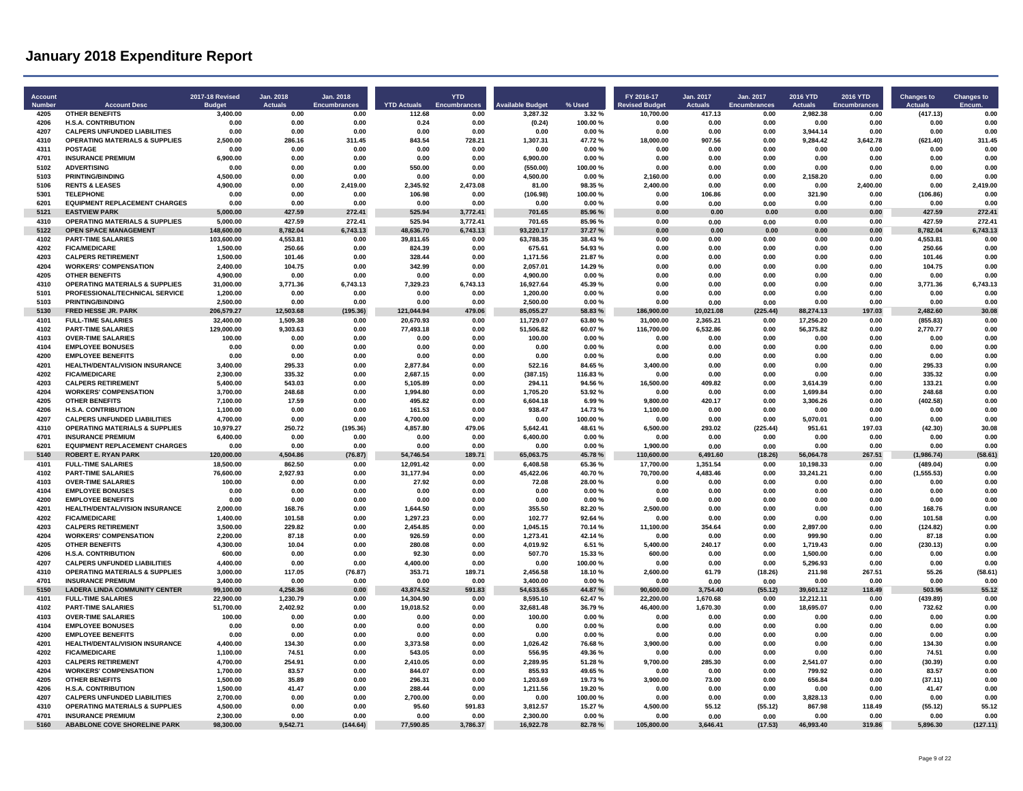| 4206<br><b>H.S.A. CONTRIBUTION</b><br>0.00<br>0.00<br>0.00<br>0.24<br>0.00<br>(0.24)<br>100.00%<br>0.00<br>0.00<br>0.00<br>0.00<br>0.00<br>0.00<br>0.00<br>4207<br><b>CALPERS UNFUNDED LIABILITIES</b><br>0.00<br>0.00<br>0.00<br>0.00<br>0.00<br>0.00<br>0.00%<br>0.00<br>0.00<br>0.00<br>3,944.14<br>0.00<br>0.00<br>0.00<br>4310<br><b>OPERATING MATERIALS &amp; SUPPLIES</b><br>2.500.00<br>311.45<br>843.54<br>1.307.31<br>47.72%<br>3.642.78<br>311.45<br>286.16<br>728.21<br>18,000.00<br>907.56<br>0.00<br>9.284.42<br>(621.40)<br>4311<br><b>POSTAGE</b><br>0.00%<br>0.00<br>0.00<br>0.00<br>0.00<br>0.00<br>0.00<br>0.00<br>0.00<br>0.00<br>0.00<br>0.00<br>0.00<br>0.00<br><b>INSURANCE PREMIUM</b><br>6,900.00<br>4701<br>0.00<br>0.00<br>0.00<br>0.00<br>6.900.00<br>0.00%<br>0.00<br>0.00<br>0.00<br>0.00<br>0.00<br>0.00<br>0.00<br>5102<br><b>ADVERTISING</b><br>0.00<br>550.00<br>(550.00)<br>100.00%<br>0.00<br>0.00<br>0.00<br>0.00<br>0.00<br>0.00<br>0.00<br>0.00<br>0.00<br>0.00<br>5103<br>4,500.00<br>4,500.00<br>0.00<br>0.00<br><b>PRINTING/BINDING</b><br>0.00<br>0.00<br>0.00<br>0.00<br>0.00%<br>2.160.00<br>0.00<br>2,158.20<br>0.00<br>0.00<br>5106<br><b>RENTS &amp; LEASES</b><br>4,900.00<br>0.00<br>2,419.00<br>2,345.92<br>2,473.08<br>81.00<br>98.35%<br>2,400.00<br>0.00<br>0.00<br>0.00<br>2,400.00<br>0.00<br>2,419.00<br>5301<br><b>TELEPHONE</b><br>0.00<br>0.00<br>106.98<br>(106.98)<br>100.00%<br>0.00<br>321.90<br>0.00<br>(106.86)<br>0.00<br>0.00<br>0.00<br>0.00<br>106.86<br>6201<br><b>EQUIPMENT REPLACEMENT CHARGES</b><br>0.00<br>0.00<br>0.00<br>0.00<br>0.00<br>0.00<br>0.00%<br>0.00<br>0.00<br>0.00<br>0.00<br>0.00<br>0.00<br>0.00<br>5121<br><b>EASTVIEW PARK</b><br>5,000.00<br>427.59<br>272.41<br>525.94<br>3,772.41<br>701.65<br>85.96 %<br>0.00<br>0.00<br>0.00<br>0.00<br>0.00<br>427.59<br>272.41<br>4310<br><b>OPERATING MATERIALS &amp; SUPPLIES</b><br>5,000.00<br>427.59<br>272.41<br>525.94<br>3,772.41<br>701.65<br>85.96%<br>0.00<br>0.00<br>0.00<br>427.59<br>272.41<br>0.00<br>0.00<br><b>OPEN SPACE MANAGEMENT</b><br>0.00<br>8.782.04<br>5122<br>148,600.00<br>8.782.04<br>6.743.13<br>48.636.70<br>6,743.13<br>93.220.17<br>37.27 %<br>0.00<br>0.00<br>0.00<br>0.00<br>6,743.13<br>4102<br><b>PART-TIME SALARIES</b><br>103,600.00<br>4,553.81<br>0.00<br>39,811.65<br>0.00<br>63,788.35<br>38.43%<br>0.00<br>0.00<br>0.00<br>0.00<br>0.00<br>4,553.81<br>0.00<br>4202<br><b>FICA/MEDICARE</b><br>1,500.00<br>250.66<br>0.00<br>675.61<br>54.93%<br>0.00<br>0.00<br>0.00<br>0.00<br>0.00<br>250.66<br>0.00<br>824.39<br>0.00<br>4203<br><b>CALPERS RETIREMENT</b><br>1,500.00<br>328.44<br>1,171.56<br>21.87%<br>0.00<br>101.46<br>0.00<br>0.00<br>0.00<br>0.00<br>0.00<br>0.00<br>0.00<br>101.46<br>4204<br><b>WORKERS' COMPENSATION</b><br>2,400.00<br>104.75<br>0.00<br>342.99<br>0.00<br>2,057.01<br>14.29 %<br>0.00<br>0.00<br>0.00<br>0.00<br>0.00<br>104.75<br>0.00<br>4205<br><b>OTHER BENEFITS</b><br>4,900.00<br>0.00<br>0.00<br>0.00<br>0.00<br>4,900.00<br>0.00%<br>0.00<br>0.00<br>0.00<br>0.00<br>0.00<br>0.00<br>0.00<br>4310<br><b>OPERATING MATERIALS &amp; SUPPLIES</b><br>6,743.13<br>3,771.36<br>6,743.13<br>31,000.00<br>3,771.36<br>7.329.23<br>6.743.13<br>16,927.64<br>45.39%<br>0.00<br>0.00<br>0.00<br>0.00<br>0.00<br>5101<br>PROFESSIONAL/TECHNICAL SERVICE<br>1.200.00<br>0.00<br>0.00<br>0.00<br>1.200.00<br>0.00%<br>0.00<br>0.00<br>0.00<br>0.00<br>0.00<br>0.00<br>0.00<br>0.00<br>5103<br><b>PRINTING/BINDING</b><br>2.500.00<br>0.00<br>0.00<br>2.500.00<br>0.00<br>0.00<br>0.00<br>0.00<br>0.00<br>0.00%<br>0.00<br>0.00<br>0.00<br>0.00<br>85.055.27<br>5130<br>FRED HESSE JR. PARK<br>206,579.27<br>12.503.68<br>(195.36)<br>121,044.94<br>479.06<br>58.83%<br>186,900.00<br>(225.44)<br>88.274.13<br>197.03<br>2 482 60<br>30.08<br>10.021.08<br>4101<br>11,729.07<br>(855.83)<br><b>FULL-TIME SALARIES</b><br>32,400.00<br>1.509.38<br>0.00<br>20.670.93<br>0.00<br>63.80%<br>31.000.00<br>2.365.21<br>0.00<br>17.256.20<br>0.00<br>0.00<br>4102<br><b>PART-TIME SALARIES</b><br>129,000.00<br>9,303.63<br>0.00<br>77,493.18<br>0.00<br>51,506.82<br>60.07%<br>116,700.00<br>6,532.86<br>0.00<br>56,375.82<br>0.00<br>2,770.77<br>0.00<br>4103<br><b>OVER-TIME SALARIES</b><br>100.00<br>0.00<br>0.00<br>0.00<br>0.00<br>100.00<br>0.00%<br>0.00<br>0.00<br>0.00<br>0.00<br>0.00<br>0.00<br>0.00<br>4104<br><b>EMPLOYEE BONUSES</b><br>0.00<br>0.00<br>0.00<br>0.00<br>0.00<br>0.00<br>0.00%<br>0.00<br>0.00<br>0.00<br>0.00<br>0.00<br>0.00<br>0.00<br>4200<br><b>EMPLOYEE BENEFITS</b><br>0.00<br>0.00<br>0.00<br>0.00<br>0.00<br>0.00<br>0.00%<br>0.00<br>0.00<br>0.00<br>0.00<br>0.00<br>0.00<br>0.00<br>4201<br>HEALTH/DENTAL/VISION INSURANCE<br>295.33<br>2,877.84<br>522.16<br>295.33<br>0.00<br>3.400.00<br>0.00<br>0.00<br>84.65%<br>3.400.00<br>0.00<br>0.00<br>0.00<br>0.00<br>4202<br><b>FICA/MEDICARE</b><br>2,300.00<br>335.32<br>0.00<br>2,687.15<br>0.00<br>(387.15)<br>116.83%<br>0.00<br>0.00<br>0.00<br>0.00<br>0.00<br>335.32<br>0.00<br>4203<br><b>CALPERS RETIREMENT</b><br>5,400.00<br>543.03<br>0.00<br>5,105.89<br>0.00<br>294.11<br>94.56 %<br>16,500.00<br>409.82<br>0.00<br>3,614.39<br>0.00<br>133.21<br>0.00<br>4204<br><b>WORKERS' COMPENSATION</b><br>248.68<br>3.700.00<br>0.00<br>1,994.80<br>0.00<br>1,705.20<br>53.92%<br>0.00<br>0.00<br>0.00<br>1.699.84<br>0.00<br>248.68<br>0.00<br>4205<br><b>OTHER BENEFITS</b><br>7,100.00<br>17.59<br>0.00<br>495.82<br>0.00<br>6,604.18<br>6.99%<br>9,800.00<br>420.17<br>0.00<br>3,306.26<br>0.00<br>(402.58)<br>0.00<br>4206<br>1.100.00<br>0.00<br>938.47<br>14.73%<br>1,100.00<br>0.00<br>0.00<br>0.00<br><b>H.S.A. CONTRIBUTION</b><br>0.00<br>161.53<br>0.00<br>0.00<br>0.00<br>0.00<br>4207<br><b>CALPERS UNFUNDED LIABILITIES</b><br>4.700.00<br>0.00<br>0.00<br>4.700.00<br>0.00<br>100.00%<br>0.00<br>5,070.01<br>0.00<br>0.00<br>0.00<br>0.00<br>0.00<br>0.00<br>4310<br><b>OPERATING MATERIALS &amp; SUPPLIES</b><br>250.72<br>(195.36)<br>5,642.41<br>48.61%<br>197.03<br>30.08<br>10.979.27<br>4,857.80<br>479.06<br>6,500.00<br>293.02<br>(225.44)<br>951.61<br>(42.30)<br>4701<br><b>INSURANCE PREMIUM</b><br>6,400.00<br>0.00<br>0.00<br>0.00<br>0.00<br>6,400.00<br>0.00%<br>0.00<br>0.00<br>0.00<br>0.00<br>0.00<br>0.00<br>0.00<br>6201<br><b>EQUIPMENT REPLACEMENT CHARGES</b><br>0.00<br>0.00<br>0.00<br>0.00%<br>1,900.00<br>0.00<br>0.00<br>0.00<br>0.00<br>0.00<br>0.00<br>0.00<br>0.00<br>0.00<br>5140<br><b>ROBERT E. RYAN PARK</b><br>120,000.00<br>4.504.86<br>(76.87)<br>54,746.54<br>189.71<br>65,063.75<br>45.78%<br>110,600.00<br>6,491.60<br>(18.26)<br>56,064.78<br>267.51<br>(1,986.74)<br>(58.61)<br>4101<br><b>FULL-TIME SALARIES</b><br>18,500.00<br>862.50<br>12,091.42<br>6,408.58<br>65.36%<br>17,700.00<br>0.00<br>0.00<br>1.351.54<br>0.00<br>10.198.33<br>0.00<br>(489.04)<br>0.00<br>4102<br><b>PART-TIME SALARIES</b><br>76.600.00<br>0.00<br>2.927.93<br>0.00<br>31,177.94<br>45,422.06<br>40.70%<br>70.700.00<br>4.483.46<br>0.00<br>33,241.21<br>0.00<br>(1, 555.53)<br>0.00<br>4103<br><b>OVER-TIME SALARIES</b><br>100.00<br>72.08<br>28.00%<br>0.00<br>0.00<br>0.00<br>27.92<br>0.00<br>0.00<br>0.00<br>0.00<br>0.00<br>0.00<br>0.00<br>4104<br><b>EMPLOYEE BONUSES</b><br>0.00<br>0.00<br>0.00<br>0.00<br>0.00<br>0.00<br>0.00%<br>0.00<br>0.00<br>0.00<br>0.00<br>0.00<br>0.00<br>0.00<br>4200<br><b>EMPLOYEE BENEFITS</b><br>0.00<br>0.00<br>0.00<br>0.00<br>0.00%<br>0.00<br>0.00<br>0.00<br>0.00<br>0.00<br>0.00<br>0.00<br>0.00<br>0.00<br>4201<br>HEALTH/DENTAL/VISION INSURANCE<br>2,000.00<br>168.76<br>0.00<br>1,644.50<br>0.00<br>355.50<br>82.20%<br>2,500.00<br>0.00<br>0.00<br>0.00<br>0.00<br>168.76<br>0.00<br>4202<br><b>FICA/MEDICARE</b><br>102.77<br>0.00<br>1.400.00<br>101.58<br>0.00<br>1.297.23<br>0.00<br>92.64%<br>0.00<br>0.00<br>0.00<br>0.00<br>101.58<br>0.00<br>4203<br><b>CALPERS RETIREMENT</b><br>3,500.00<br>229.82<br>2,454.85<br>1,045.15<br>11,100.00<br>2,897.00<br>(124.82)<br>0.00<br>0.00<br>0.00<br>70.14%<br>354.64<br>0.00<br>0.00<br>4204<br><b>WORKERS' COMPENSATION</b><br>1,273.41<br>2,200.00<br>87.18<br>0.00<br>926.59<br>0.00<br>42.14%<br>0.00<br>0.00<br>0.00<br>999.90<br>0.00<br>87.18<br>0.00<br>4205<br><b>OTHER BENEFITS</b><br>4,300.00<br>10.04<br>0.00<br>280.08<br>0.00<br>4.019.92<br>6.51 %<br>5,400.00<br>240.17<br>0.00<br>1,719.43<br>0.00<br>(230.13)<br>0.00<br>4206<br><b>H.S.A. CONTRIBUTION</b><br>507.70<br>600.00<br>0.00<br>0.00<br>92.30<br>0.00<br>15.33 %<br>600.00<br>0.00<br>0.00<br>1.500.00<br>0.00<br>0.00<br>0.00<br>4207<br><b>CALPERS UNFUNDED LIABILITIES</b><br>4.400.00<br>0.00<br>0.00<br>4.400.00<br>0.00<br>0.00<br>100.00%<br>0.00<br>0.00<br>0.00<br>5.296.93<br>0.00<br>0.00<br>0.00<br>4310<br><b>OPERATING MATERIALS &amp; SUPPLIES</b><br>3.000.00<br>117.05<br>(76.87)<br>353.71<br>189.71<br>2.456.58<br>18.10%<br>2.600.00<br>61.79<br>(18.26)<br>267.51<br>55.26<br>(58.61)<br>211.98<br>4701<br><b>INSURANCE PREMIUM</b><br>0.00<br>0.00<br>3.400.00<br>0.00%<br>3.400.00<br>0.00<br>0.00<br>0.00<br>0.00<br>0.00<br>0.00<br>0.00<br>0.00<br>0.00<br>55.12<br>5150<br><b>LADERA LINDA COMMUNITY CENTER</b><br>99,100.00<br>4,258.36<br>43,874.52<br>591.83<br>54,633.65<br>44.87%<br>90,600.00<br>3,754.40<br>39,601.12<br>118.49<br>503.96<br>0.00<br>(55.12)<br>4101<br><b>FULL-TIME SALARIES</b><br>22,900.00<br>1,230.79<br>0.00<br>14,304.90<br>8,595.10<br>62.47%<br>22,200.00<br>0.00<br>12,212.11<br>0.00<br>(439.89)<br>0.00<br>0.00<br>1.670.68<br>4102<br><b>PART-TIME SALARIES</b><br>51,700.00<br>2,402.92<br>0.00<br>19,018.52<br>32,681.48<br>36.79%<br>46,400.00<br>1,670.30<br>0.00<br>18,695.07<br>0.00<br>732.62<br>0.00<br>0.00<br>4103<br><b>OVER-TIME SALARIES</b><br>100.00<br>0.00<br>0.00<br>0.00<br>0.00<br>100.00<br>0.00%<br>0.00<br>0.00<br>0.00<br>0.00<br>0.00<br>0.00<br>0.00<br>4104<br><b>EMPLOYEE BONUSES</b><br>0.00<br>0.00<br>0.00<br>0.00<br>0.00<br>0.00%<br>0.00<br>0.00<br>0.00<br>0.00<br>0.00<br>0.00<br>0.00<br>0.00<br>4200<br><b>EMPLOYEE BENEFITS</b><br>0.00<br>0.00<br>0.00<br>0.00%<br>0.00<br>0.00<br>0.00<br>0.00<br>0.00<br>0.00<br>0.00<br>0.00<br>0.00<br>0.00<br>4201<br>HEALTH/DENTAL/VISION INSURANCE<br>134.30<br>0.00<br>4,400.00<br>134.30<br>0.00<br>3.373.58<br>0.00<br>1.026.42<br>76.68%<br>3.900.00<br>0.00<br>0.00<br>0.00<br>0.00<br>4202<br><b>FICA/MEDICARE</b><br>1,100.00<br>74.51<br>0.00<br>543.05<br>0.00<br>556.95<br>49.36%<br>0.00<br>0.00<br>0.00<br>0.00<br>0.00<br>74.51<br>0.00<br>4203<br><b>CALPERS RETIREMENT</b><br>4,700.00<br>254.91<br>0.00<br>2,410.05<br>0.00<br>2,289.95<br>51.28%<br>9,700.00<br>285.30<br>0.00<br>2,541.07<br>0.00<br>(30.39)<br>0.00<br><b>WORKERS' COMPENSATION</b><br>4204<br>1,700.00<br>83.57<br>0.00<br>844.07<br>0.00<br>855.93<br>49.65%<br>0.00<br>0.00<br>0.00<br>799.92<br>0.00<br>83.57<br>0.00<br>4205<br><b>OTHER BENEFITS</b><br>1.500.00<br>1.203.69<br>19.73%<br>3.900.00<br>656.84<br>0.00<br>35.89<br>0.00<br>296.31<br>0.00<br>73.00<br>0.00<br>0.00<br>(37.11)<br>4206<br><b>H.S.A. CONTRIBUTION</b><br>1.500.00<br>41.47<br>0.00<br>288,44<br>1.211.56<br>19.20%<br>0.00<br>0.00<br>0.00<br>0.00<br>0.00<br>0.00<br>0.00<br>41.47<br>4207<br><b>CALPERS UNFUNDED LIABILITIES</b><br>2,700.00<br>3,828.13<br>0.00<br>0.00<br>0.00<br>2.700.00<br>0.00<br>0.00<br>100.00%<br>0.00<br>0.00<br>0.00<br>0.00<br>0.00<br>4310<br><b>OPERATING MATERIALS &amp; SUPPLIES</b><br>4,500.00<br>0.00<br>0.00<br>95.60<br>591.83<br>3,812.57<br>15.27 %<br>4.500.00<br>55.12<br>(55.12)<br>867.98<br>118.49<br>(55.12)<br>55.12<br>4701<br><b>INSURANCE PREMIUM</b><br>2,300.00<br>0.00<br>2,300.00<br>0.00%<br>0.00<br>0.00<br>0.00<br>0.00<br>0.00<br>0.00<br>0.00<br>0.00<br>0.00<br>0.00<br>5160<br>ABABLONE COVE SHORELINE PARK<br>98,300.00<br>9,542.71<br>(144.64)<br>77,590.85<br>3,786.37<br>16,922.78<br>82.78%<br>105,800.00<br>3,646.41<br>(17.53)<br>46,993.40<br>319.86<br>5,896.30<br>(127.11) | Account<br>Number | <b>Account Desc</b>   | 2017-18 Revised<br><b>Budge</b> | Jan. 2018<br><b>Actuals</b> | Jan. 2018<br><b>Encumbrances</b> | <b>YTD Actuals</b> | <b>YTD</b><br>Encumbrances | <b>Available Budget</b> | % Used | FY 2016-17<br><b>Revised Budget</b> | Jan. 2017<br>Actuals | Jan. 2017<br>Encumbrances | 2016 YTD<br><b>Actuals</b> | <b>2016 YTD</b><br><b>Encumbrances</b> | <b>Changes to</b><br><b>Actuals</b> | <b>Changes to</b><br><b>Encum</b> |
|---------------------------------------------------------------------------------------------------------------------------------------------------------------------------------------------------------------------------------------------------------------------------------------------------------------------------------------------------------------------------------------------------------------------------------------------------------------------------------------------------------------------------------------------------------------------------------------------------------------------------------------------------------------------------------------------------------------------------------------------------------------------------------------------------------------------------------------------------------------------------------------------------------------------------------------------------------------------------------------------------------------------------------------------------------------------------------------------------------------------------------------------------------------------------------------------------------------------------------------------------------------------------------------------------------------------------------------------------------------------------------------------------------------------------------------------------------------------------------------------------------------------------------------------------------------------------------------------------------------------------------------------------------------------------------------------------------------------------------------------------------------------------------------------------------------------------------------------------------------------------------------------------------------------------------------------------------------------------------------------------------------------------------------------------------------------------------------------------------------------------------------------------------------------------------------------------------------------------------------------------------------------------------------------------------------------------------------------------------------------------------------------------------------------------------------------------------------------------------------------------------------------------------------------------------------------------------------------------------------------------------------------------------------------------------------------------------------------------------------------------------------------------------------------------------------------------------------------------------------------------------------------------------------------------------------------------------------------------------------------------------------------------------------------------------------------------------------------------------------------------------------------------------------------------------------------------------------------------------------------------------------------------------------------------------------------------------------------------------------------------------------------------------------------------------------------------------------------------------------------------------------------------------------------------------------------------------------------------------------------------------------------------------------------------------------------------------------------------------------------------------------------------------------------------------------------------------------------------------------------------------------------------------------------------------------------------------------------------------------------------------------------------------------------------------------------------------------------------------------------------------------------------------------------------------------------------------------------------------------------------------------------------------------------------------------------------------------------------------------------------------------------------------------------------------------------------------------------------------------------------------------------------------------------------------------------------------------------------------------------------------------------------------------------------------------------------------------------------------------------------------------------------------------------------------------------------------------------------------------------------------------------------------------------------------------------------------------------------------------------------------------------------------------------------------------------------------------------------------------------------------------------------------------------------------------------------------------------------------------------------------------------------------------------------------------------------------------------------------------------------------------------------------------------------------------------------------------------------------------------------------------------------------------------------------------------------------------------------------------------------------------------------------------------------------------------------------------------------------------------------------------------------------------------------------------------------------------------------------------------------------------------------------------------------------------------------------------------------------------------------------------------------------------------------------------------------------------------------------------------------------------------------------------------------------------------------------------------------------------------------------------------------------------------------------------------------------------------------------------------------------------------------------------------------------------------------------------------------------------------------------------------------------------------------------------------------------------------------------------------------------------------------------------------------------------------------------------------------------------------------------------------------------------------------------------------------------------------------------------------------------------------------------------------------------------------------------------------------------------------------------------------------------------------------------------------------------------------------------------------------------------------------------------------------------------------------------------------------------------------------------------------------------------------------------------------------------------------------------------------------------------------------------------------------------------------------------------------------------------------------------------------------------------------------------------------------------------------------------------------------------------------------------------------------------------------------------------------------------------------------------------------------------------------------------------------------------------------------------------------------------------------------------------------------------------------------------------------------------------------------------------------------------------------------------------------------------------------------------------------------------------------------------------------------------------------------------------------------------------------------------------------------------------------------------------------------------------------------------------------------------------------------------------------------------------------------------------------------------------------------------------------------------------------------------------------------------------------------------------------------------------------------------------------------------------------------------------------------------------------------------------------------------------------------------------------------------------------------------------------------------------------------------------------------------------------------------------------------------------------------------------------------------------------------------------------------------------------------------------------------------------------------------------------------------------------------------------------------------------------------------------------------------------------------------------------------------------------------------------------------------------------------------------------------------------------------------------------------------------------------------------------------------------------------------------------------------------------------------------------------------------------------------------------------------------------------------------------------------------------------------------------------------------------------------------------------------------------------------------------------------------------------------------------------------------------------------------------------------------------------------------------------------------------------------------------------------------------------------------------------------------------------------------------------------------------------------------------------------------------------------------------------------------------------------------------------------------------------------------------------------------------------------------------------------------------------------------------------------------------------------------------------------------------------------------------------------------------------------------------------------------------------------------------------------------------------------------------------------------------------------------------------------------------------------------------------------------------------------------------------------------------------------------------------------------------------------------------------------------------------------------------------------------------------------------------------------------------------------------------------------------------------------------------------------------------------------------------------------------------------------------------------------------------------------------------------------------------------------------------------------------------------------------------------------------------------------------------------------------------------------------------------------------------------------------------------------------------------------------------------------------------------------------------------------------------------------------------------------------------------------------------------------------------------------------------------------------------------------------------------------------------------------------------------------------------------------------------------------------------------------------------------------------------------------------------------------------------------------|-------------------|-----------------------|---------------------------------|-----------------------------|----------------------------------|--------------------|----------------------------|-------------------------|--------|-------------------------------------|----------------------|---------------------------|----------------------------|----------------------------------------|-------------------------------------|-----------------------------------|
|                                                                                                                                                                                                                                                                                                                                                                                                                                                                                                                                                                                                                                                                                                                                                                                                                                                                                                                                                                                                                                                                                                                                                                                                                                                                                                                                                                                                                                                                                                                                                                                                                                                                                                                                                                                                                                                                                                                                                                                                                                                                                                                                                                                                                                                                                                                                                                                                                                                                                                                                                                                                                                                                                                                                                                                                                                                                                                                                                                                                                                                                                                                                                                                                                                                                                                                                                                                                                                                                                                                                                                                                                                                                                                                                                                                                                                                                                                                                                                                                                                                                                                                                                                                                                                                                                                                                                                                                                                                                                                                                                                                                                                                                                                                                                                                                                                                                                                                                                                                                                                                                                                                                                                                                                                                                                                                                                                                                                                                                                                                                                                                                                                                                                                                                                                                                                                                                                                                                                                                                                                                                                                                                                                                                                                                                                                                                                                                                                                                                                                                                                                                                                                                                                                                                                                                                                                                                                                                                                                                                                                                                                                                                                                                                                                                                                                                                                                                                                                                                                                                                                                                                                                                                                                                                                                                                                                                                                                                                                                                                                                                                                                                                                                                                                                                                                                                                                                                                                                                                                                                                                                                                                                                                                                                                                                                                                                                                                                                                                                                                                                                                                                                                                                                                                                                                                                                                                                                                                                                                                                                                                                                                                                                                                                                                                                                                                                                                                                                                                                                                                                                                                                                                                                                                                                                                                                                                                                                                                                                                                                                                                                                                                                                                                                                                                                                                                                                                                                                                                                                                                                                                                                                                                                                                                                                                                                                                                                                                                                                                                                                                                                                                                                                                                                                                                                                                                                                                                                                                                                                                                                                                                                         | 4205              | <b>OTHER BENEFITS</b> | 3,400.00                        | 0.00                        | 0.00                             | 112.68             | 0.00                       | 3.287.32                | 3.32%  | 10,700.00                           | 417.13               | 0.00                      | 2.982.38                   | 0.00                                   | (417.13)                            | 0.00                              |
|                                                                                                                                                                                                                                                                                                                                                                                                                                                                                                                                                                                                                                                                                                                                                                                                                                                                                                                                                                                                                                                                                                                                                                                                                                                                                                                                                                                                                                                                                                                                                                                                                                                                                                                                                                                                                                                                                                                                                                                                                                                                                                                                                                                                                                                                                                                                                                                                                                                                                                                                                                                                                                                                                                                                                                                                                                                                                                                                                                                                                                                                                                                                                                                                                                                                                                                                                                                                                                                                                                                                                                                                                                                                                                                                                                                                                                                                                                                                                                                                                                                                                                                                                                                                                                                                                                                                                                                                                                                                                                                                                                                                                                                                                                                                                                                                                                                                                                                                                                                                                                                                                                                                                                                                                                                                                                                                                                                                                                                                                                                                                                                                                                                                                                                                                                                                                                                                                                                                                                                                                                                                                                                                                                                                                                                                                                                                                                                                                                                                                                                                                                                                                                                                                                                                                                                                                                                                                                                                                                                                                                                                                                                                                                                                                                                                                                                                                                                                                                                                                                                                                                                                                                                                                                                                                                                                                                                                                                                                                                                                                                                                                                                                                                                                                                                                                                                                                                                                                                                                                                                                                                                                                                                                                                                                                                                                                                                                                                                                                                                                                                                                                                                                                                                                                                                                                                                                                                                                                                                                                                                                                                                                                                                                                                                                                                                                                                                                                                                                                                                                                                                                                                                                                                                                                                                                                                                                                                                                                                                                                                                                                                                                                                                                                                                                                                                                                                                                                                                                                                                                                                                                                                                                                                                                                                                                                                                                                                                                                                                                                                                                                                                                                                                                                                                                                                                                                                                                                                                                                                                                                                                                                                         |                   |                       |                                 |                             |                                  |                    |                            |                         |        |                                     |                      |                           |                            |                                        |                                     |                                   |
|                                                                                                                                                                                                                                                                                                                                                                                                                                                                                                                                                                                                                                                                                                                                                                                                                                                                                                                                                                                                                                                                                                                                                                                                                                                                                                                                                                                                                                                                                                                                                                                                                                                                                                                                                                                                                                                                                                                                                                                                                                                                                                                                                                                                                                                                                                                                                                                                                                                                                                                                                                                                                                                                                                                                                                                                                                                                                                                                                                                                                                                                                                                                                                                                                                                                                                                                                                                                                                                                                                                                                                                                                                                                                                                                                                                                                                                                                                                                                                                                                                                                                                                                                                                                                                                                                                                                                                                                                                                                                                                                                                                                                                                                                                                                                                                                                                                                                                                                                                                                                                                                                                                                                                                                                                                                                                                                                                                                                                                                                                                                                                                                                                                                                                                                                                                                                                                                                                                                                                                                                                                                                                                                                                                                                                                                                                                                                                                                                                                                                                                                                                                                                                                                                                                                                                                                                                                                                                                                                                                                                                                                                                                                                                                                                                                                                                                                                                                                                                                                                                                                                                                                                                                                                                                                                                                                                                                                                                                                                                                                                                                                                                                                                                                                                                                                                                                                                                                                                                                                                                                                                                                                                                                                                                                                                                                                                                                                                                                                                                                                                                                                                                                                                                                                                                                                                                                                                                                                                                                                                                                                                                                                                                                                                                                                                                                                                                                                                                                                                                                                                                                                                                                                                                                                                                                                                                                                                                                                                                                                                                                                                                                                                                                                                                                                                                                                                                                                                                                                                                                                                                                                                                                                                                                                                                                                                                                                                                                                                                                                                                                                                                                                                                                                                                                                                                                                                                                                                                                                                                                                                                                                                                         |                   |                       |                                 |                             |                                  |                    |                            |                         |        |                                     |                      |                           |                            |                                        |                                     |                                   |
|                                                                                                                                                                                                                                                                                                                                                                                                                                                                                                                                                                                                                                                                                                                                                                                                                                                                                                                                                                                                                                                                                                                                                                                                                                                                                                                                                                                                                                                                                                                                                                                                                                                                                                                                                                                                                                                                                                                                                                                                                                                                                                                                                                                                                                                                                                                                                                                                                                                                                                                                                                                                                                                                                                                                                                                                                                                                                                                                                                                                                                                                                                                                                                                                                                                                                                                                                                                                                                                                                                                                                                                                                                                                                                                                                                                                                                                                                                                                                                                                                                                                                                                                                                                                                                                                                                                                                                                                                                                                                                                                                                                                                                                                                                                                                                                                                                                                                                                                                                                                                                                                                                                                                                                                                                                                                                                                                                                                                                                                                                                                                                                                                                                                                                                                                                                                                                                                                                                                                                                                                                                                                                                                                                                                                                                                                                                                                                                                                                                                                                                                                                                                                                                                                                                                                                                                                                                                                                                                                                                                                                                                                                                                                                                                                                                                                                                                                                                                                                                                                                                                                                                                                                                                                                                                                                                                                                                                                                                                                                                                                                                                                                                                                                                                                                                                                                                                                                                                                                                                                                                                                                                                                                                                                                                                                                                                                                                                                                                                                                                                                                                                                                                                                                                                                                                                                                                                                                                                                                                                                                                                                                                                                                                                                                                                                                                                                                                                                                                                                                                                                                                                                                                                                                                                                                                                                                                                                                                                                                                                                                                                                                                                                                                                                                                                                                                                                                                                                                                                                                                                                                                                                                                                                                                                                                                                                                                                                                                                                                                                                                                                                                                                                                                                                                                                                                                                                                                                                                                                                                                                                                                                                                         |                   |                       |                                 |                             |                                  |                    |                            |                         |        |                                     |                      |                           |                            |                                        |                                     |                                   |
|                                                                                                                                                                                                                                                                                                                                                                                                                                                                                                                                                                                                                                                                                                                                                                                                                                                                                                                                                                                                                                                                                                                                                                                                                                                                                                                                                                                                                                                                                                                                                                                                                                                                                                                                                                                                                                                                                                                                                                                                                                                                                                                                                                                                                                                                                                                                                                                                                                                                                                                                                                                                                                                                                                                                                                                                                                                                                                                                                                                                                                                                                                                                                                                                                                                                                                                                                                                                                                                                                                                                                                                                                                                                                                                                                                                                                                                                                                                                                                                                                                                                                                                                                                                                                                                                                                                                                                                                                                                                                                                                                                                                                                                                                                                                                                                                                                                                                                                                                                                                                                                                                                                                                                                                                                                                                                                                                                                                                                                                                                                                                                                                                                                                                                                                                                                                                                                                                                                                                                                                                                                                                                                                                                                                                                                                                                                                                                                                                                                                                                                                                                                                                                                                                                                                                                                                                                                                                                                                                                                                                                                                                                                                                                                                                                                                                                                                                                                                                                                                                                                                                                                                                                                                                                                                                                                                                                                                                                                                                                                                                                                                                                                                                                                                                                                                                                                                                                                                                                                                                                                                                                                                                                                                                                                                                                                                                                                                                                                                                                                                                                                                                                                                                                                                                                                                                                                                                                                                                                                                                                                                                                                                                                                                                                                                                                                                                                                                                                                                                                                                                                                                                                                                                                                                                                                                                                                                                                                                                                                                                                                                                                                                                                                                                                                                                                                                                                                                                                                                                                                                                                                                                                                                                                                                                                                                                                                                                                                                                                                                                                                                                                                                                                                                                                                                                                                                                                                                                                                                                                                                                                                                                                         |                   |                       |                                 |                             |                                  |                    |                            |                         |        |                                     |                      |                           |                            |                                        |                                     |                                   |
|                                                                                                                                                                                                                                                                                                                                                                                                                                                                                                                                                                                                                                                                                                                                                                                                                                                                                                                                                                                                                                                                                                                                                                                                                                                                                                                                                                                                                                                                                                                                                                                                                                                                                                                                                                                                                                                                                                                                                                                                                                                                                                                                                                                                                                                                                                                                                                                                                                                                                                                                                                                                                                                                                                                                                                                                                                                                                                                                                                                                                                                                                                                                                                                                                                                                                                                                                                                                                                                                                                                                                                                                                                                                                                                                                                                                                                                                                                                                                                                                                                                                                                                                                                                                                                                                                                                                                                                                                                                                                                                                                                                                                                                                                                                                                                                                                                                                                                                                                                                                                                                                                                                                                                                                                                                                                                                                                                                                                                                                                                                                                                                                                                                                                                                                                                                                                                                                                                                                                                                                                                                                                                                                                                                                                                                                                                                                                                                                                                                                                                                                                                                                                                                                                                                                                                                                                                                                                                                                                                                                                                                                                                                                                                                                                                                                                                                                                                                                                                                                                                                                                                                                                                                                                                                                                                                                                                                                                                                                                                                                                                                                                                                                                                                                                                                                                                                                                                                                                                                                                                                                                                                                                                                                                                                                                                                                                                                                                                                                                                                                                                                                                                                                                                                                                                                                                                                                                                                                                                                                                                                                                                                                                                                                                                                                                                                                                                                                                                                                                                                                                                                                                                                                                                                                                                                                                                                                                                                                                                                                                                                                                                                                                                                                                                                                                                                                                                                                                                                                                                                                                                                                                                                                                                                                                                                                                                                                                                                                                                                                                                                                                                                                                                                                                                                                                                                                                                                                                                                                                                                                                                                                                                         |                   |                       |                                 |                             |                                  |                    |                            |                         |        |                                     |                      |                           |                            |                                        |                                     |                                   |
|                                                                                                                                                                                                                                                                                                                                                                                                                                                                                                                                                                                                                                                                                                                                                                                                                                                                                                                                                                                                                                                                                                                                                                                                                                                                                                                                                                                                                                                                                                                                                                                                                                                                                                                                                                                                                                                                                                                                                                                                                                                                                                                                                                                                                                                                                                                                                                                                                                                                                                                                                                                                                                                                                                                                                                                                                                                                                                                                                                                                                                                                                                                                                                                                                                                                                                                                                                                                                                                                                                                                                                                                                                                                                                                                                                                                                                                                                                                                                                                                                                                                                                                                                                                                                                                                                                                                                                                                                                                                                                                                                                                                                                                                                                                                                                                                                                                                                                                                                                                                                                                                                                                                                                                                                                                                                                                                                                                                                                                                                                                                                                                                                                                                                                                                                                                                                                                                                                                                                                                                                                                                                                                                                                                                                                                                                                                                                                                                                                                                                                                                                                                                                                                                                                                                                                                                                                                                                                                                                                                                                                                                                                                                                                                                                                                                                                                                                                                                                                                                                                                                                                                                                                                                                                                                                                                                                                                                                                                                                                                                                                                                                                                                                                                                                                                                                                                                                                                                                                                                                                                                                                                                                                                                                                                                                                                                                                                                                                                                                                                                                                                                                                                                                                                                                                                                                                                                                                                                                                                                                                                                                                                                                                                                                                                                                                                                                                                                                                                                                                                                                                                                                                                                                                                                                                                                                                                                                                                                                                                                                                                                                                                                                                                                                                                                                                                                                                                                                                                                                                                                                                                                                                                                                                                                                                                                                                                                                                                                                                                                                                                                                                                                                                                                                                                                                                                                                                                                                                                                                                                                                                                                                                         |                   |                       |                                 |                             |                                  |                    |                            |                         |        |                                     |                      |                           |                            |                                        |                                     |                                   |
|                                                                                                                                                                                                                                                                                                                                                                                                                                                                                                                                                                                                                                                                                                                                                                                                                                                                                                                                                                                                                                                                                                                                                                                                                                                                                                                                                                                                                                                                                                                                                                                                                                                                                                                                                                                                                                                                                                                                                                                                                                                                                                                                                                                                                                                                                                                                                                                                                                                                                                                                                                                                                                                                                                                                                                                                                                                                                                                                                                                                                                                                                                                                                                                                                                                                                                                                                                                                                                                                                                                                                                                                                                                                                                                                                                                                                                                                                                                                                                                                                                                                                                                                                                                                                                                                                                                                                                                                                                                                                                                                                                                                                                                                                                                                                                                                                                                                                                                                                                                                                                                                                                                                                                                                                                                                                                                                                                                                                                                                                                                                                                                                                                                                                                                                                                                                                                                                                                                                                                                                                                                                                                                                                                                                                                                                                                                                                                                                                                                                                                                                                                                                                                                                                                                                                                                                                                                                                                                                                                                                                                                                                                                                                                                                                                                                                                                                                                                                                                                                                                                                                                                                                                                                                                                                                                                                                                                                                                                                                                                                                                                                                                                                                                                                                                                                                                                                                                                                                                                                                                                                                                                                                                                                                                                                                                                                                                                                                                                                                                                                                                                                                                                                                                                                                                                                                                                                                                                                                                                                                                                                                                                                                                                                                                                                                                                                                                                                                                                                                                                                                                                                                                                                                                                                                                                                                                                                                                                                                                                                                                                                                                                                                                                                                                                                                                                                                                                                                                                                                                                                                                                                                                                                                                                                                                                                                                                                                                                                                                                                                                                                                                                                                                                                                                                                                                                                                                                                                                                                                                                                                                                                                                         |                   |                       |                                 |                             |                                  |                    |                            |                         |        |                                     |                      |                           |                            |                                        |                                     |                                   |
|                                                                                                                                                                                                                                                                                                                                                                                                                                                                                                                                                                                                                                                                                                                                                                                                                                                                                                                                                                                                                                                                                                                                                                                                                                                                                                                                                                                                                                                                                                                                                                                                                                                                                                                                                                                                                                                                                                                                                                                                                                                                                                                                                                                                                                                                                                                                                                                                                                                                                                                                                                                                                                                                                                                                                                                                                                                                                                                                                                                                                                                                                                                                                                                                                                                                                                                                                                                                                                                                                                                                                                                                                                                                                                                                                                                                                                                                                                                                                                                                                                                                                                                                                                                                                                                                                                                                                                                                                                                                                                                                                                                                                                                                                                                                                                                                                                                                                                                                                                                                                                                                                                                                                                                                                                                                                                                                                                                                                                                                                                                                                                                                                                                                                                                                                                                                                                                                                                                                                                                                                                                                                                                                                                                                                                                                                                                                                                                                                                                                                                                                                                                                                                                                                                                                                                                                                                                                                                                                                                                                                                                                                                                                                                                                                                                                                                                                                                                                                                                                                                                                                                                                                                                                                                                                                                                                                                                                                                                                                                                                                                                                                                                                                                                                                                                                                                                                                                                                                                                                                                                                                                                                                                                                                                                                                                                                                                                                                                                                                                                                                                                                                                                                                                                                                                                                                                                                                                                                                                                                                                                                                                                                                                                                                                                                                                                                                                                                                                                                                                                                                                                                                                                                                                                                                                                                                                                                                                                                                                                                                                                                                                                                                                                                                                                                                                                                                                                                                                                                                                                                                                                                                                                                                                                                                                                                                                                                                                                                                                                                                                                                                                                                                                                                                                                                                                                                                                                                                                                                                                                                                                                                                                         |                   |                       |                                 |                             |                                  |                    |                            |                         |        |                                     |                      |                           |                            |                                        |                                     |                                   |
|                                                                                                                                                                                                                                                                                                                                                                                                                                                                                                                                                                                                                                                                                                                                                                                                                                                                                                                                                                                                                                                                                                                                                                                                                                                                                                                                                                                                                                                                                                                                                                                                                                                                                                                                                                                                                                                                                                                                                                                                                                                                                                                                                                                                                                                                                                                                                                                                                                                                                                                                                                                                                                                                                                                                                                                                                                                                                                                                                                                                                                                                                                                                                                                                                                                                                                                                                                                                                                                                                                                                                                                                                                                                                                                                                                                                                                                                                                                                                                                                                                                                                                                                                                                                                                                                                                                                                                                                                                                                                                                                                                                                                                                                                                                                                                                                                                                                                                                                                                                                                                                                                                                                                                                                                                                                                                                                                                                                                                                                                                                                                                                                                                                                                                                                                                                                                                                                                                                                                                                                                                                                                                                                                                                                                                                                                                                                                                                                                                                                                                                                                                                                                                                                                                                                                                                                                                                                                                                                                                                                                                                                                                                                                                                                                                                                                                                                                                                                                                                                                                                                                                                                                                                                                                                                                                                                                                                                                                                                                                                                                                                                                                                                                                                                                                                                                                                                                                                                                                                                                                                                                                                                                                                                                                                                                                                                                                                                                                                                                                                                                                                                                                                                                                                                                                                                                                                                                                                                                                                                                                                                                                                                                                                                                                                                                                                                                                                                                                                                                                                                                                                                                                                                                                                                                                                                                                                                                                                                                                                                                                                                                                                                                                                                                                                                                                                                                                                                                                                                                                                                                                                                                                                                                                                                                                                                                                                                                                                                                                                                                                                                                                                                                                                                                                                                                                                                                                                                                                                                                                                                                                                                                                         |                   |                       |                                 |                             |                                  |                    |                            |                         |        |                                     |                      |                           |                            |                                        |                                     |                                   |
|                                                                                                                                                                                                                                                                                                                                                                                                                                                                                                                                                                                                                                                                                                                                                                                                                                                                                                                                                                                                                                                                                                                                                                                                                                                                                                                                                                                                                                                                                                                                                                                                                                                                                                                                                                                                                                                                                                                                                                                                                                                                                                                                                                                                                                                                                                                                                                                                                                                                                                                                                                                                                                                                                                                                                                                                                                                                                                                                                                                                                                                                                                                                                                                                                                                                                                                                                                                                                                                                                                                                                                                                                                                                                                                                                                                                                                                                                                                                                                                                                                                                                                                                                                                                                                                                                                                                                                                                                                                                                                                                                                                                                                                                                                                                                                                                                                                                                                                                                                                                                                                                                                                                                                                                                                                                                                                                                                                                                                                                                                                                                                                                                                                                                                                                                                                                                                                                                                                                                                                                                                                                                                                                                                                                                                                                                                                                                                                                                                                                                                                                                                                                                                                                                                                                                                                                                                                                                                                                                                                                                                                                                                                                                                                                                                                                                                                                                                                                                                                                                                                                                                                                                                                                                                                                                                                                                                                                                                                                                                                                                                                                                                                                                                                                                                                                                                                                                                                                                                                                                                                                                                                                                                                                                                                                                                                                                                                                                                                                                                                                                                                                                                                                                                                                                                                                                                                                                                                                                                                                                                                                                                                                                                                                                                                                                                                                                                                                                                                                                                                                                                                                                                                                                                                                                                                                                                                                                                                                                                                                                                                                                                                                                                                                                                                                                                                                                                                                                                                                                                                                                                                                                                                                                                                                                                                                                                                                                                                                                                                                                                                                                                                                                                                                                                                                                                                                                                                                                                                                                                                                                                                                                                         |                   |                       |                                 |                             |                                  |                    |                            |                         |        |                                     |                      |                           |                            |                                        |                                     |                                   |
|                                                                                                                                                                                                                                                                                                                                                                                                                                                                                                                                                                                                                                                                                                                                                                                                                                                                                                                                                                                                                                                                                                                                                                                                                                                                                                                                                                                                                                                                                                                                                                                                                                                                                                                                                                                                                                                                                                                                                                                                                                                                                                                                                                                                                                                                                                                                                                                                                                                                                                                                                                                                                                                                                                                                                                                                                                                                                                                                                                                                                                                                                                                                                                                                                                                                                                                                                                                                                                                                                                                                                                                                                                                                                                                                                                                                                                                                                                                                                                                                                                                                                                                                                                                                                                                                                                                                                                                                                                                                                                                                                                                                                                                                                                                                                                                                                                                                                                                                                                                                                                                                                                                                                                                                                                                                                                                                                                                                                                                                                                                                                                                                                                                                                                                                                                                                                                                                                                                                                                                                                                                                                                                                                                                                                                                                                                                                                                                                                                                                                                                                                                                                                                                                                                                                                                                                                                                                                                                                                                                                                                                                                                                                                                                                                                                                                                                                                                                                                                                                                                                                                                                                                                                                                                                                                                                                                                                                                                                                                                                                                                                                                                                                                                                                                                                                                                                                                                                                                                                                                                                                                                                                                                                                                                                                                                                                                                                                                                                                                                                                                                                                                                                                                                                                                                                                                                                                                                                                                                                                                                                                                                                                                                                                                                                                                                                                                                                                                                                                                                                                                                                                                                                                                                                                                                                                                                                                                                                                                                                                                                                                                                                                                                                                                                                                                                                                                                                                                                                                                                                                                                                                                                                                                                                                                                                                                                                                                                                                                                                                                                                                                                                                                                                                                                                                                                                                                                                                                                                                                                                                                                                                                                         |                   |                       |                                 |                             |                                  |                    |                            |                         |        |                                     |                      |                           |                            |                                        |                                     |                                   |
|                                                                                                                                                                                                                                                                                                                                                                                                                                                                                                                                                                                                                                                                                                                                                                                                                                                                                                                                                                                                                                                                                                                                                                                                                                                                                                                                                                                                                                                                                                                                                                                                                                                                                                                                                                                                                                                                                                                                                                                                                                                                                                                                                                                                                                                                                                                                                                                                                                                                                                                                                                                                                                                                                                                                                                                                                                                                                                                                                                                                                                                                                                                                                                                                                                                                                                                                                                                                                                                                                                                                                                                                                                                                                                                                                                                                                                                                                                                                                                                                                                                                                                                                                                                                                                                                                                                                                                                                                                                                                                                                                                                                                                                                                                                                                                                                                                                                                                                                                                                                                                                                                                                                                                                                                                                                                                                                                                                                                                                                                                                                                                                                                                                                                                                                                                                                                                                                                                                                                                                                                                                                                                                                                                                                                                                                                                                                                                                                                                                                                                                                                                                                                                                                                                                                                                                                                                                                                                                                                                                                                                                                                                                                                                                                                                                                                                                                                                                                                                                                                                                                                                                                                                                                                                                                                                                                                                                                                                                                                                                                                                                                                                                                                                                                                                                                                                                                                                                                                                                                                                                                                                                                                                                                                                                                                                                                                                                                                                                                                                                                                                                                                                                                                                                                                                                                                                                                                                                                                                                                                                                                                                                                                                                                                                                                                                                                                                                                                                                                                                                                                                                                                                                                                                                                                                                                                                                                                                                                                                                                                                                                                                                                                                                                                                                                                                                                                                                                                                                                                                                                                                                                                                                                                                                                                                                                                                                                                                                                                                                                                                                                                                                                                                                                                                                                                                                                                                                                                                                                                                                                                                                                                                         |                   |                       |                                 |                             |                                  |                    |                            |                         |        |                                     |                      |                           |                            |                                        |                                     |                                   |
|                                                                                                                                                                                                                                                                                                                                                                                                                                                                                                                                                                                                                                                                                                                                                                                                                                                                                                                                                                                                                                                                                                                                                                                                                                                                                                                                                                                                                                                                                                                                                                                                                                                                                                                                                                                                                                                                                                                                                                                                                                                                                                                                                                                                                                                                                                                                                                                                                                                                                                                                                                                                                                                                                                                                                                                                                                                                                                                                                                                                                                                                                                                                                                                                                                                                                                                                                                                                                                                                                                                                                                                                                                                                                                                                                                                                                                                                                                                                                                                                                                                                                                                                                                                                                                                                                                                                                                                                                                                                                                                                                                                                                                                                                                                                                                                                                                                                                                                                                                                                                                                                                                                                                                                                                                                                                                                                                                                                                                                                                                                                                                                                                                                                                                                                                                                                                                                                                                                                                                                                                                                                                                                                                                                                                                                                                                                                                                                                                                                                                                                                                                                                                                                                                                                                                                                                                                                                                                                                                                                                                                                                                                                                                                                                                                                                                                                                                                                                                                                                                                                                                                                                                                                                                                                                                                                                                                                                                                                                                                                                                                                                                                                                                                                                                                                                                                                                                                                                                                                                                                                                                                                                                                                                                                                                                                                                                                                                                                                                                                                                                                                                                                                                                                                                                                                                                                                                                                                                                                                                                                                                                                                                                                                                                                                                                                                                                                                                                                                                                                                                                                                                                                                                                                                                                                                                                                                                                                                                                                                                                                                                                                                                                                                                                                                                                                                                                                                                                                                                                                                                                                                                                                                                                                                                                                                                                                                                                                                                                                                                                                                                                                                                                                                                                                                                                                                                                                                                                                                                                                                                                                                                                                         |                   |                       |                                 |                             |                                  |                    |                            |                         |        |                                     |                      |                           |                            |                                        |                                     |                                   |
|                                                                                                                                                                                                                                                                                                                                                                                                                                                                                                                                                                                                                                                                                                                                                                                                                                                                                                                                                                                                                                                                                                                                                                                                                                                                                                                                                                                                                                                                                                                                                                                                                                                                                                                                                                                                                                                                                                                                                                                                                                                                                                                                                                                                                                                                                                                                                                                                                                                                                                                                                                                                                                                                                                                                                                                                                                                                                                                                                                                                                                                                                                                                                                                                                                                                                                                                                                                                                                                                                                                                                                                                                                                                                                                                                                                                                                                                                                                                                                                                                                                                                                                                                                                                                                                                                                                                                                                                                                                                                                                                                                                                                                                                                                                                                                                                                                                                                                                                                                                                                                                                                                                                                                                                                                                                                                                                                                                                                                                                                                                                                                                                                                                                                                                                                                                                                                                                                                                                                                                                                                                                                                                                                                                                                                                                                                                                                                                                                                                                                                                                                                                                                                                                                                                                                                                                                                                                                                                                                                                                                                                                                                                                                                                                                                                                                                                                                                                                                                                                                                                                                                                                                                                                                                                                                                                                                                                                                                                                                                                                                                                                                                                                                                                                                                                                                                                                                                                                                                                                                                                                                                                                                                                                                                                                                                                                                                                                                                                                                                                                                                                                                                                                                                                                                                                                                                                                                                                                                                                                                                                                                                                                                                                                                                                                                                                                                                                                                                                                                                                                                                                                                                                                                                                                                                                                                                                                                                                                                                                                                                                                                                                                                                                                                                                                                                                                                                                                                                                                                                                                                                                                                                                                                                                                                                                                                                                                                                                                                                                                                                                                                                                                                                                                                                                                                                                                                                                                                                                                                                                                                                                                                                         |                   |                       |                                 |                             |                                  |                    |                            |                         |        |                                     |                      |                           |                            |                                        |                                     |                                   |
|                                                                                                                                                                                                                                                                                                                                                                                                                                                                                                                                                                                                                                                                                                                                                                                                                                                                                                                                                                                                                                                                                                                                                                                                                                                                                                                                                                                                                                                                                                                                                                                                                                                                                                                                                                                                                                                                                                                                                                                                                                                                                                                                                                                                                                                                                                                                                                                                                                                                                                                                                                                                                                                                                                                                                                                                                                                                                                                                                                                                                                                                                                                                                                                                                                                                                                                                                                                                                                                                                                                                                                                                                                                                                                                                                                                                                                                                                                                                                                                                                                                                                                                                                                                                                                                                                                                                                                                                                                                                                                                                                                                                                                                                                                                                                                                                                                                                                                                                                                                                                                                                                                                                                                                                                                                                                                                                                                                                                                                                                                                                                                                                                                                                                                                                                                                                                                                                                                                                                                                                                                                                                                                                                                                                                                                                                                                                                                                                                                                                                                                                                                                                                                                                                                                                                                                                                                                                                                                                                                                                                                                                                                                                                                                                                                                                                                                                                                                                                                                                                                                                                                                                                                                                                                                                                                                                                                                                                                                                                                                                                                                                                                                                                                                                                                                                                                                                                                                                                                                                                                                                                                                                                                                                                                                                                                                                                                                                                                                                                                                                                                                                                                                                                                                                                                                                                                                                                                                                                                                                                                                                                                                                                                                                                                                                                                                                                                                                                                                                                                                                                                                                                                                                                                                                                                                                                                                                                                                                                                                                                                                                                                                                                                                                                                                                                                                                                                                                                                                                                                                                                                                                                                                                                                                                                                                                                                                                                                                                                                                                                                                                                                                                                                                                                                                                                                                                                                                                                                                                                                                                                                                                                                         |                   |                       |                                 |                             |                                  |                    |                            |                         |        |                                     |                      |                           |                            |                                        |                                     |                                   |
|                                                                                                                                                                                                                                                                                                                                                                                                                                                                                                                                                                                                                                                                                                                                                                                                                                                                                                                                                                                                                                                                                                                                                                                                                                                                                                                                                                                                                                                                                                                                                                                                                                                                                                                                                                                                                                                                                                                                                                                                                                                                                                                                                                                                                                                                                                                                                                                                                                                                                                                                                                                                                                                                                                                                                                                                                                                                                                                                                                                                                                                                                                                                                                                                                                                                                                                                                                                                                                                                                                                                                                                                                                                                                                                                                                                                                                                                                                                                                                                                                                                                                                                                                                                                                                                                                                                                                                                                                                                                                                                                                                                                                                                                                                                                                                                                                                                                                                                                                                                                                                                                                                                                                                                                                                                                                                                                                                                                                                                                                                                                                                                                                                                                                                                                                                                                                                                                                                                                                                                                                                                                                                                                                                                                                                                                                                                                                                                                                                                                                                                                                                                                                                                                                                                                                                                                                                                                                                                                                                                                                                                                                                                                                                                                                                                                                                                                                                                                                                                                                                                                                                                                                                                                                                                                                                                                                                                                                                                                                                                                                                                                                                                                                                                                                                                                                                                                                                                                                                                                                                                                                                                                                                                                                                                                                                                                                                                                                                                                                                                                                                                                                                                                                                                                                                                                                                                                                                                                                                                                                                                                                                                                                                                                                                                                                                                                                                                                                                                                                                                                                                                                                                                                                                                                                                                                                                                                                                                                                                                                                                                                                                                                                                                                                                                                                                                                                                                                                                                                                                                                                                                                                                                                                                                                                                                                                                                                                                                                                                                                                                                                                                                                                                                                                                                                                                                                                                                                                                                                                                                                                                                                                                         |                   |                       |                                 |                             |                                  |                    |                            |                         |        |                                     |                      |                           |                            |                                        |                                     |                                   |
|                                                                                                                                                                                                                                                                                                                                                                                                                                                                                                                                                                                                                                                                                                                                                                                                                                                                                                                                                                                                                                                                                                                                                                                                                                                                                                                                                                                                                                                                                                                                                                                                                                                                                                                                                                                                                                                                                                                                                                                                                                                                                                                                                                                                                                                                                                                                                                                                                                                                                                                                                                                                                                                                                                                                                                                                                                                                                                                                                                                                                                                                                                                                                                                                                                                                                                                                                                                                                                                                                                                                                                                                                                                                                                                                                                                                                                                                                                                                                                                                                                                                                                                                                                                                                                                                                                                                                                                                                                                                                                                                                                                                                                                                                                                                                                                                                                                                                                                                                                                                                                                                                                                                                                                                                                                                                                                                                                                                                                                                                                                                                                                                                                                                                                                                                                                                                                                                                                                                                                                                                                                                                                                                                                                                                                                                                                                                                                                                                                                                                                                                                                                                                                                                                                                                                                                                                                                                                                                                                                                                                                                                                                                                                                                                                                                                                                                                                                                                                                                                                                                                                                                                                                                                                                                                                                                                                                                                                                                                                                                                                                                                                                                                                                                                                                                                                                                                                                                                                                                                                                                                                                                                                                                                                                                                                                                                                                                                                                                                                                                                                                                                                                                                                                                                                                                                                                                                                                                                                                                                                                                                                                                                                                                                                                                                                                                                                                                                                                                                                                                                                                                                                                                                                                                                                                                                                                                                                                                                                                                                                                                                                                                                                                                                                                                                                                                                                                                                                                                                                                                                                                                                                                                                                                                                                                                                                                                                                                                                                                                                                                                                                                                                                                                                                                                                                                                                                                                                                                                                                                                                                                                                                                         |                   |                       |                                 |                             |                                  |                    |                            |                         |        |                                     |                      |                           |                            |                                        |                                     |                                   |
|                                                                                                                                                                                                                                                                                                                                                                                                                                                                                                                                                                                                                                                                                                                                                                                                                                                                                                                                                                                                                                                                                                                                                                                                                                                                                                                                                                                                                                                                                                                                                                                                                                                                                                                                                                                                                                                                                                                                                                                                                                                                                                                                                                                                                                                                                                                                                                                                                                                                                                                                                                                                                                                                                                                                                                                                                                                                                                                                                                                                                                                                                                                                                                                                                                                                                                                                                                                                                                                                                                                                                                                                                                                                                                                                                                                                                                                                                                                                                                                                                                                                                                                                                                                                                                                                                                                                                                                                                                                                                                                                                                                                                                                                                                                                                                                                                                                                                                                                                                                                                                                                                                                                                                                                                                                                                                                                                                                                                                                                                                                                                                                                                                                                                                                                                                                                                                                                                                                                                                                                                                                                                                                                                                                                                                                                                                                                                                                                                                                                                                                                                                                                                                                                                                                                                                                                                                                                                                                                                                                                                                                                                                                                                                                                                                                                                                                                                                                                                                                                                                                                                                                                                                                                                                                                                                                                                                                                                                                                                                                                                                                                                                                                                                                                                                                                                                                                                                                                                                                                                                                                                                                                                                                                                                                                                                                                                                                                                                                                                                                                                                                                                                                                                                                                                                                                                                                                                                                                                                                                                                                                                                                                                                                                                                                                                                                                                                                                                                                                                                                                                                                                                                                                                                                                                                                                                                                                                                                                                                                                                                                                                                                                                                                                                                                                                                                                                                                                                                                                                                                                                                                                                                                                                                                                                                                                                                                                                                                                                                                                                                                                                                                                                                                                                                                                                                                                                                                                                                                                                                                                                                                                                                         |                   |                       |                                 |                             |                                  |                    |                            |                         |        |                                     |                      |                           |                            |                                        |                                     |                                   |
|                                                                                                                                                                                                                                                                                                                                                                                                                                                                                                                                                                                                                                                                                                                                                                                                                                                                                                                                                                                                                                                                                                                                                                                                                                                                                                                                                                                                                                                                                                                                                                                                                                                                                                                                                                                                                                                                                                                                                                                                                                                                                                                                                                                                                                                                                                                                                                                                                                                                                                                                                                                                                                                                                                                                                                                                                                                                                                                                                                                                                                                                                                                                                                                                                                                                                                                                                                                                                                                                                                                                                                                                                                                                                                                                                                                                                                                                                                                                                                                                                                                                                                                                                                                                                                                                                                                                                                                                                                                                                                                                                                                                                                                                                                                                                                                                                                                                                                                                                                                                                                                                                                                                                                                                                                                                                                                                                                                                                                                                                                                                                                                                                                                                                                                                                                                                                                                                                                                                                                                                                                                                                                                                                                                                                                                                                                                                                                                                                                                                                                                                                                                                                                                                                                                                                                                                                                                                                                                                                                                                                                                                                                                                                                                                                                                                                                                                                                                                                                                                                                                                                                                                                                                                                                                                                                                                                                                                                                                                                                                                                                                                                                                                                                                                                                                                                                                                                                                                                                                                                                                                                                                                                                                                                                                                                                                                                                                                                                                                                                                                                                                                                                                                                                                                                                                                                                                                                                                                                                                                                                                                                                                                                                                                                                                                                                                                                                                                                                                                                                                                                                                                                                                                                                                                                                                                                                                                                                                                                                                                                                                                                                                                                                                                                                                                                                                                                                                                                                                                                                                                                                                                                                                                                                                                                                                                                                                                                                                                                                                                                                                                                                                                                                                                                                                                                                                                                                                                                                                                                                                                                                                                                                         |                   |                       |                                 |                             |                                  |                    |                            |                         |        |                                     |                      |                           |                            |                                        |                                     |                                   |
|                                                                                                                                                                                                                                                                                                                                                                                                                                                                                                                                                                                                                                                                                                                                                                                                                                                                                                                                                                                                                                                                                                                                                                                                                                                                                                                                                                                                                                                                                                                                                                                                                                                                                                                                                                                                                                                                                                                                                                                                                                                                                                                                                                                                                                                                                                                                                                                                                                                                                                                                                                                                                                                                                                                                                                                                                                                                                                                                                                                                                                                                                                                                                                                                                                                                                                                                                                                                                                                                                                                                                                                                                                                                                                                                                                                                                                                                                                                                                                                                                                                                                                                                                                                                                                                                                                                                                                                                                                                                                                                                                                                                                                                                                                                                                                                                                                                                                                                                                                                                                                                                                                                                                                                                                                                                                                                                                                                                                                                                                                                                                                                                                                                                                                                                                                                                                                                                                                                                                                                                                                                                                                                                                                                                                                                                                                                                                                                                                                                                                                                                                                                                                                                                                                                                                                                                                                                                                                                                                                                                                                                                                                                                                                                                                                                                                                                                                                                                                                                                                                                                                                                                                                                                                                                                                                                                                                                                                                                                                                                                                                                                                                                                                                                                                                                                                                                                                                                                                                                                                                                                                                                                                                                                                                                                                                                                                                                                                                                                                                                                                                                                                                                                                                                                                                                                                                                                                                                                                                                                                                                                                                                                                                                                                                                                                                                                                                                                                                                                                                                                                                                                                                                                                                                                                                                                                                                                                                                                                                                                                                                                                                                                                                                                                                                                                                                                                                                                                                                                                                                                                                                                                                                                                                                                                                                                                                                                                                                                                                                                                                                                                                                                                                                                                                                                                                                                                                                                                                                                                                                                                                                                                                         |                   |                       |                                 |                             |                                  |                    |                            |                         |        |                                     |                      |                           |                            |                                        |                                     |                                   |
|                                                                                                                                                                                                                                                                                                                                                                                                                                                                                                                                                                                                                                                                                                                                                                                                                                                                                                                                                                                                                                                                                                                                                                                                                                                                                                                                                                                                                                                                                                                                                                                                                                                                                                                                                                                                                                                                                                                                                                                                                                                                                                                                                                                                                                                                                                                                                                                                                                                                                                                                                                                                                                                                                                                                                                                                                                                                                                                                                                                                                                                                                                                                                                                                                                                                                                                                                                                                                                                                                                                                                                                                                                                                                                                                                                                                                                                                                                                                                                                                                                                                                                                                                                                                                                                                                                                                                                                                                                                                                                                                                                                                                                                                                                                                                                                                                                                                                                                                                                                                                                                                                                                                                                                                                                                                                                                                                                                                                                                                                                                                                                                                                                                                                                                                                                                                                                                                                                                                                                                                                                                                                                                                                                                                                                                                                                                                                                                                                                                                                                                                                                                                                                                                                                                                                                                                                                                                                                                                                                                                                                                                                                                                                                                                                                                                                                                                                                                                                                                                                                                                                                                                                                                                                                                                                                                                                                                                                                                                                                                                                                                                                                                                                                                                                                                                                                                                                                                                                                                                                                                                                                                                                                                                                                                                                                                                                                                                                                                                                                                                                                                                                                                                                                                                                                                                                                                                                                                                                                                                                                                                                                                                                                                                                                                                                                                                                                                                                                                                                                                                                                                                                                                                                                                                                                                                                                                                                                                                                                                                                                                                                                                                                                                                                                                                                                                                                                                                                                                                                                                                                                                                                                                                                                                                                                                                                                                                                                                                                                                                                                                                                                                                                                                                                                                                                                                                                                                                                                                                                                                                                                                                                                         |                   |                       |                                 |                             |                                  |                    |                            |                         |        |                                     |                      |                           |                            |                                        |                                     |                                   |
|                                                                                                                                                                                                                                                                                                                                                                                                                                                                                                                                                                                                                                                                                                                                                                                                                                                                                                                                                                                                                                                                                                                                                                                                                                                                                                                                                                                                                                                                                                                                                                                                                                                                                                                                                                                                                                                                                                                                                                                                                                                                                                                                                                                                                                                                                                                                                                                                                                                                                                                                                                                                                                                                                                                                                                                                                                                                                                                                                                                                                                                                                                                                                                                                                                                                                                                                                                                                                                                                                                                                                                                                                                                                                                                                                                                                                                                                                                                                                                                                                                                                                                                                                                                                                                                                                                                                                                                                                                                                                                                                                                                                                                                                                                                                                                                                                                                                                                                                                                                                                                                                                                                                                                                                                                                                                                                                                                                                                                                                                                                                                                                                                                                                                                                                                                                                                                                                                                                                                                                                                                                                                                                                                                                                                                                                                                                                                                                                                                                                                                                                                                                                                                                                                                                                                                                                                                                                                                                                                                                                                                                                                                                                                                                                                                                                                                                                                                                                                                                                                                                                                                                                                                                                                                                                                                                                                                                                                                                                                                                                                                                                                                                                                                                                                                                                                                                                                                                                                                                                                                                                                                                                                                                                                                                                                                                                                                                                                                                                                                                                                                                                                                                                                                                                                                                                                                                                                                                                                                                                                                                                                                                                                                                                                                                                                                                                                                                                                                                                                                                                                                                                                                                                                                                                                                                                                                                                                                                                                                                                                                                                                                                                                                                                                                                                                                                                                                                                                                                                                                                                                                                                                                                                                                                                                                                                                                                                                                                                                                                                                                                                                                                                                                                                                                                                                                                                                                                                                                                                                                                                                                                                                                         |                   |                       |                                 |                             |                                  |                    |                            |                         |        |                                     |                      |                           |                            |                                        |                                     |                                   |
|                                                                                                                                                                                                                                                                                                                                                                                                                                                                                                                                                                                                                                                                                                                                                                                                                                                                                                                                                                                                                                                                                                                                                                                                                                                                                                                                                                                                                                                                                                                                                                                                                                                                                                                                                                                                                                                                                                                                                                                                                                                                                                                                                                                                                                                                                                                                                                                                                                                                                                                                                                                                                                                                                                                                                                                                                                                                                                                                                                                                                                                                                                                                                                                                                                                                                                                                                                                                                                                                                                                                                                                                                                                                                                                                                                                                                                                                                                                                                                                                                                                                                                                                                                                                                                                                                                                                                                                                                                                                                                                                                                                                                                                                                                                                                                                                                                                                                                                                                                                                                                                                                                                                                                                                                                                                                                                                                                                                                                                                                                                                                                                                                                                                                                                                                                                                                                                                                                                                                                                                                                                                                                                                                                                                                                                                                                                                                                                                                                                                                                                                                                                                                                                                                                                                                                                                                                                                                                                                                                                                                                                                                                                                                                                                                                                                                                                                                                                                                                                                                                                                                                                                                                                                                                                                                                                                                                                                                                                                                                                                                                                                                                                                                                                                                                                                                                                                                                                                                                                                                                                                                                                                                                                                                                                                                                                                                                                                                                                                                                                                                                                                                                                                                                                                                                                                                                                                                                                                                                                                                                                                                                                                                                                                                                                                                                                                                                                                                                                                                                                                                                                                                                                                                                                                                                                                                                                                                                                                                                                                                                                                                                                                                                                                                                                                                                                                                                                                                                                                                                                                                                                                                                                                                                                                                                                                                                                                                                                                                                                                                                                                                                                                                                                                                                                                                                                                                                                                                                                                                                                                                                                                                                         |                   |                       |                                 |                             |                                  |                    |                            |                         |        |                                     |                      |                           |                            |                                        |                                     |                                   |
|                                                                                                                                                                                                                                                                                                                                                                                                                                                                                                                                                                                                                                                                                                                                                                                                                                                                                                                                                                                                                                                                                                                                                                                                                                                                                                                                                                                                                                                                                                                                                                                                                                                                                                                                                                                                                                                                                                                                                                                                                                                                                                                                                                                                                                                                                                                                                                                                                                                                                                                                                                                                                                                                                                                                                                                                                                                                                                                                                                                                                                                                                                                                                                                                                                                                                                                                                                                                                                                                                                                                                                                                                                                                                                                                                                                                                                                                                                                                                                                                                                                                                                                                                                                                                                                                                                                                                                                                                                                                                                                                                                                                                                                                                                                                                                                                                                                                                                                                                                                                                                                                                                                                                                                                                                                                                                                                                                                                                                                                                                                                                                                                                                                                                                                                                                                                                                                                                                                                                                                                                                                                                                                                                                                                                                                                                                                                                                                                                                                                                                                                                                                                                                                                                                                                                                                                                                                                                                                                                                                                                                                                                                                                                                                                                                                                                                                                                                                                                                                                                                                                                                                                                                                                                                                                                                                                                                                                                                                                                                                                                                                                                                                                                                                                                                                                                                                                                                                                                                                                                                                                                                                                                                                                                                                                                                                                                                                                                                                                                                                                                                                                                                                                                                                                                                                                                                                                                                                                                                                                                                                                                                                                                                                                                                                                                                                                                                                                                                                                                                                                                                                                                                                                                                                                                                                                                                                                                                                                                                                                                                                                                                                                                                                                                                                                                                                                                                                                                                                                                                                                                                                                                                                                                                                                                                                                                                                                                                                                                                                                                                                                                                                                                                                                                                                                                                                                                                                                                                                                                                                                                                                                                                         |                   |                       |                                 |                             |                                  |                    |                            |                         |        |                                     |                      |                           |                            |                                        |                                     |                                   |
|                                                                                                                                                                                                                                                                                                                                                                                                                                                                                                                                                                                                                                                                                                                                                                                                                                                                                                                                                                                                                                                                                                                                                                                                                                                                                                                                                                                                                                                                                                                                                                                                                                                                                                                                                                                                                                                                                                                                                                                                                                                                                                                                                                                                                                                                                                                                                                                                                                                                                                                                                                                                                                                                                                                                                                                                                                                                                                                                                                                                                                                                                                                                                                                                                                                                                                                                                                                                                                                                                                                                                                                                                                                                                                                                                                                                                                                                                                                                                                                                                                                                                                                                                                                                                                                                                                                                                                                                                                                                                                                                                                                                                                                                                                                                                                                                                                                                                                                                                                                                                                                                                                                                                                                                                                                                                                                                                                                                                                                                                                                                                                                                                                                                                                                                                                                                                                                                                                                                                                                                                                                                                                                                                                                                                                                                                                                                                                                                                                                                                                                                                                                                                                                                                                                                                                                                                                                                                                                                                                                                                                                                                                                                                                                                                                                                                                                                                                                                                                                                                                                                                                                                                                                                                                                                                                                                                                                                                                                                                                                                                                                                                                                                                                                                                                                                                                                                                                                                                                                                                                                                                                                                                                                                                                                                                                                                                                                                                                                                                                                                                                                                                                                                                                                                                                                                                                                                                                                                                                                                                                                                                                                                                                                                                                                                                                                                                                                                                                                                                                                                                                                                                                                                                                                                                                                                                                                                                                                                                                                                                                                                                                                                                                                                                                                                                                                                                                                                                                                                                                                                                                                                                                                                                                                                                                                                                                                                                                                                                                                                                                                                                                                                                                                                                                                                                                                                                                                                                                                                                                                                                                                                                                         |                   |                       |                                 |                             |                                  |                    |                            |                         |        |                                     |                      |                           |                            |                                        |                                     |                                   |
|                                                                                                                                                                                                                                                                                                                                                                                                                                                                                                                                                                                                                                                                                                                                                                                                                                                                                                                                                                                                                                                                                                                                                                                                                                                                                                                                                                                                                                                                                                                                                                                                                                                                                                                                                                                                                                                                                                                                                                                                                                                                                                                                                                                                                                                                                                                                                                                                                                                                                                                                                                                                                                                                                                                                                                                                                                                                                                                                                                                                                                                                                                                                                                                                                                                                                                                                                                                                                                                                                                                                                                                                                                                                                                                                                                                                                                                                                                                                                                                                                                                                                                                                                                                                                                                                                                                                                                                                                                                                                                                                                                                                                                                                                                                                                                                                                                                                                                                                                                                                                                                                                                                                                                                                                                                                                                                                                                                                                                                                                                                                                                                                                                                                                                                                                                                                                                                                                                                                                                                                                                                                                                                                                                                                                                                                                                                                                                                                                                                                                                                                                                                                                                                                                                                                                                                                                                                                                                                                                                                                                                                                                                                                                                                                                                                                                                                                                                                                                                                                                                                                                                                                                                                                                                                                                                                                                                                                                                                                                                                                                                                                                                                                                                                                                                                                                                                                                                                                                                                                                                                                                                                                                                                                                                                                                                                                                                                                                                                                                                                                                                                                                                                                                                                                                                                                                                                                                                                                                                                                                                                                                                                                                                                                                                                                                                                                                                                                                                                                                                                                                                                                                                                                                                                                                                                                                                                                                                                                                                                                                                                                                                                                                                                                                                                                                                                                                                                                                                                                                                                                                                                                                                                                                                                                                                                                                                                                                                                                                                                                                                                                                                                                                                                                                                                                                                                                                                                                                                                                                                                                                                                                                                         |                   |                       |                                 |                             |                                  |                    |                            |                         |        |                                     |                      |                           |                            |                                        |                                     |                                   |
|                                                                                                                                                                                                                                                                                                                                                                                                                                                                                                                                                                                                                                                                                                                                                                                                                                                                                                                                                                                                                                                                                                                                                                                                                                                                                                                                                                                                                                                                                                                                                                                                                                                                                                                                                                                                                                                                                                                                                                                                                                                                                                                                                                                                                                                                                                                                                                                                                                                                                                                                                                                                                                                                                                                                                                                                                                                                                                                                                                                                                                                                                                                                                                                                                                                                                                                                                                                                                                                                                                                                                                                                                                                                                                                                                                                                                                                                                                                                                                                                                                                                                                                                                                                                                                                                                                                                                                                                                                                                                                                                                                                                                                                                                                                                                                                                                                                                                                                                                                                                                                                                                                                                                                                                                                                                                                                                                                                                                                                                                                                                                                                                                                                                                                                                                                                                                                                                                                                                                                                                                                                                                                                                                                                                                                                                                                                                                                                                                                                                                                                                                                                                                                                                                                                                                                                                                                                                                                                                                                                                                                                                                                                                                                                                                                                                                                                                                                                                                                                                                                                                                                                                                                                                                                                                                                                                                                                                                                                                                                                                                                                                                                                                                                                                                                                                                                                                                                                                                                                                                                                                                                                                                                                                                                                                                                                                                                                                                                                                                                                                                                                                                                                                                                                                                                                                                                                                                                                                                                                                                                                                                                                                                                                                                                                                                                                                                                                                                                                                                                                                                                                                                                                                                                                                                                                                                                                                                                                                                                                                                                                                                                                                                                                                                                                                                                                                                                                                                                                                                                                                                                                                                                                                                                                                                                                                                                                                                                                                                                                                                                                                                                                                                                                                                                                                                                                                                                                                                                                                                                                                                                                                                                         |                   |                       |                                 |                             |                                  |                    |                            |                         |        |                                     |                      |                           |                            |                                        |                                     |                                   |
|                                                                                                                                                                                                                                                                                                                                                                                                                                                                                                                                                                                                                                                                                                                                                                                                                                                                                                                                                                                                                                                                                                                                                                                                                                                                                                                                                                                                                                                                                                                                                                                                                                                                                                                                                                                                                                                                                                                                                                                                                                                                                                                                                                                                                                                                                                                                                                                                                                                                                                                                                                                                                                                                                                                                                                                                                                                                                                                                                                                                                                                                                                                                                                                                                                                                                                                                                                                                                                                                                                                                                                                                                                                                                                                                                                                                                                                                                                                                                                                                                                                                                                                                                                                                                                                                                                                                                                                                                                                                                                                                                                                                                                                                                                                                                                                                                                                                                                                                                                                                                                                                                                                                                                                                                                                                                                                                                                                                                                                                                                                                                                                                                                                                                                                                                                                                                                                                                                                                                                                                                                                                                                                                                                                                                                                                                                                                                                                                                                                                                                                                                                                                                                                                                                                                                                                                                                                                                                                                                                                                                                                                                                                                                                                                                                                                                                                                                                                                                                                                                                                                                                                                                                                                                                                                                                                                                                                                                                                                                                                                                                                                                                                                                                                                                                                                                                                                                                                                                                                                                                                                                                                                                                                                                                                                                                                                                                                                                                                                                                                                                                                                                                                                                                                                                                                                                                                                                                                                                                                                                                                                                                                                                                                                                                                                                                                                                                                                                                                                                                                                                                                                                                                                                                                                                                                                                                                                                                                                                                                                                                                                                                                                                                                                                                                                                                                                                                                                                                                                                                                                                                                                                                                                                                                                                                                                                                                                                                                                                                                                                                                                                                                                                                                                                                                                                                                                                                                                                                                                                                                                                                                                                                         |                   |                       |                                 |                             |                                  |                    |                            |                         |        |                                     |                      |                           |                            |                                        |                                     |                                   |
|                                                                                                                                                                                                                                                                                                                                                                                                                                                                                                                                                                                                                                                                                                                                                                                                                                                                                                                                                                                                                                                                                                                                                                                                                                                                                                                                                                                                                                                                                                                                                                                                                                                                                                                                                                                                                                                                                                                                                                                                                                                                                                                                                                                                                                                                                                                                                                                                                                                                                                                                                                                                                                                                                                                                                                                                                                                                                                                                                                                                                                                                                                                                                                                                                                                                                                                                                                                                                                                                                                                                                                                                                                                                                                                                                                                                                                                                                                                                                                                                                                                                                                                                                                                                                                                                                                                                                                                                                                                                                                                                                                                                                                                                                                                                                                                                                                                                                                                                                                                                                                                                                                                                                                                                                                                                                                                                                                                                                                                                                                                                                                                                                                                                                                                                                                                                                                                                                                                                                                                                                                                                                                                                                                                                                                                                                                                                                                                                                                                                                                                                                                                                                                                                                                                                                                                                                                                                                                                                                                                                                                                                                                                                                                                                                                                                                                                                                                                                                                                                                                                                                                                                                                                                                                                                                                                                                                                                                                                                                                                                                                                                                                                                                                                                                                                                                                                                                                                                                                                                                                                                                                                                                                                                                                                                                                                                                                                                                                                                                                                                                                                                                                                                                                                                                                                                                                                                                                                                                                                                                                                                                                                                                                                                                                                                                                                                                                                                                                                                                                                                                                                                                                                                                                                                                                                                                                                                                                                                                                                                                                                                                                                                                                                                                                                                                                                                                                                                                                                                                                                                                                                                                                                                                                                                                                                                                                                                                                                                                                                                                                                                                                                                                                                                                                                                                                                                                                                                                                                                                                                                                                                                                                         |                   |                       |                                 |                             |                                  |                    |                            |                         |        |                                     |                      |                           |                            |                                        |                                     |                                   |
|                                                                                                                                                                                                                                                                                                                                                                                                                                                                                                                                                                                                                                                                                                                                                                                                                                                                                                                                                                                                                                                                                                                                                                                                                                                                                                                                                                                                                                                                                                                                                                                                                                                                                                                                                                                                                                                                                                                                                                                                                                                                                                                                                                                                                                                                                                                                                                                                                                                                                                                                                                                                                                                                                                                                                                                                                                                                                                                                                                                                                                                                                                                                                                                                                                                                                                                                                                                                                                                                                                                                                                                                                                                                                                                                                                                                                                                                                                                                                                                                                                                                                                                                                                                                                                                                                                                                                                                                                                                                                                                                                                                                                                                                                                                                                                                                                                                                                                                                                                                                                                                                                                                                                                                                                                                                                                                                                                                                                                                                                                                                                                                                                                                                                                                                                                                                                                                                                                                                                                                                                                                                                                                                                                                                                                                                                                                                                                                                                                                                                                                                                                                                                                                                                                                                                                                                                                                                                                                                                                                                                                                                                                                                                                                                                                                                                                                                                                                                                                                                                                                                                                                                                                                                                                                                                                                                                                                                                                                                                                                                                                                                                                                                                                                                                                                                                                                                                                                                                                                                                                                                                                                                                                                                                                                                                                                                                                                                                                                                                                                                                                                                                                                                                                                                                                                                                                                                                                                                                                                                                                                                                                                                                                                                                                                                                                                                                                                                                                                                                                                                                                                                                                                                                                                                                                                                                                                                                                                                                                                                                                                                                                                                                                                                                                                                                                                                                                                                                                                                                                                                                                                                                                                                                                                                                                                                                                                                                                                                                                                                                                                                                                                                                                                                                                                                                                                                                                                                                                                                                                                                                                                                                                         |                   |                       |                                 |                             |                                  |                    |                            |                         |        |                                     |                      |                           |                            |                                        |                                     |                                   |
|                                                                                                                                                                                                                                                                                                                                                                                                                                                                                                                                                                                                                                                                                                                                                                                                                                                                                                                                                                                                                                                                                                                                                                                                                                                                                                                                                                                                                                                                                                                                                                                                                                                                                                                                                                                                                                                                                                                                                                                                                                                                                                                                                                                                                                                                                                                                                                                                                                                                                                                                                                                                                                                                                                                                                                                                                                                                                                                                                                                                                                                                                                                                                                                                                                                                                                                                                                                                                                                                                                                                                                                                                                                                                                                                                                                                                                                                                                                                                                                                                                                                                                                                                                                                                                                                                                                                                                                                                                                                                                                                                                                                                                                                                                                                                                                                                                                                                                                                                                                                                                                                                                                                                                                                                                                                                                                                                                                                                                                                                                                                                                                                                                                                                                                                                                                                                                                                                                                                                                                                                                                                                                                                                                                                                                                                                                                                                                                                                                                                                                                                                                                                                                                                                                                                                                                                                                                                                                                                                                                                                                                                                                                                                                                                                                                                                                                                                                                                                                                                                                                                                                                                                                                                                                                                                                                                                                                                                                                                                                                                                                                                                                                                                                                                                                                                                                                                                                                                                                                                                                                                                                                                                                                                                                                                                                                                                                                                                                                                                                                                                                                                                                                                                                                                                                                                                                                                                                                                                                                                                                                                                                                                                                                                                                                                                                                                                                                                                                                                                                                                                                                                                                                                                                                                                                                                                                                                                                                                                                                                                                                                                                                                                                                                                                                                                                                                                                                                                                                                                                                                                                                                                                                                                                                                                                                                                                                                                                                                                                                                                                                                                                                                                                                                                                                                                                                                                                                                                                                                                                                                                                                                                                         |                   |                       |                                 |                             |                                  |                    |                            |                         |        |                                     |                      |                           |                            |                                        |                                     |                                   |
|                                                                                                                                                                                                                                                                                                                                                                                                                                                                                                                                                                                                                                                                                                                                                                                                                                                                                                                                                                                                                                                                                                                                                                                                                                                                                                                                                                                                                                                                                                                                                                                                                                                                                                                                                                                                                                                                                                                                                                                                                                                                                                                                                                                                                                                                                                                                                                                                                                                                                                                                                                                                                                                                                                                                                                                                                                                                                                                                                                                                                                                                                                                                                                                                                                                                                                                                                                                                                                                                                                                                                                                                                                                                                                                                                                                                                                                                                                                                                                                                                                                                                                                                                                                                                                                                                                                                                                                                                                                                                                                                                                                                                                                                                                                                                                                                                                                                                                                                                                                                                                                                                                                                                                                                                                                                                                                                                                                                                                                                                                                                                                                                                                                                                                                                                                                                                                                                                                                                                                                                                                                                                                                                                                                                                                                                                                                                                                                                                                                                                                                                                                                                                                                                                                                                                                                                                                                                                                                                                                                                                                                                                                                                                                                                                                                                                                                                                                                                                                                                                                                                                                                                                                                                                                                                                                                                                                                                                                                                                                                                                                                                                                                                                                                                                                                                                                                                                                                                                                                                                                                                                                                                                                                                                                                                                                                                                                                                                                                                                                                                                                                                                                                                                                                                                                                                                                                                                                                                                                                                                                                                                                                                                                                                                                                                                                                                                                                                                                                                                                                                                                                                                                                                                                                                                                                                                                                                                                                                                                                                                                                                                                                                                                                                                                                                                                                                                                                                                                                                                                                                                                                                                                                                                                                                                                                                                                                                                                                                                                                                                                                                                                                                                                                                                                                                                                                                                                                                                                                                                                                                                                                                                                         |                   |                       |                                 |                             |                                  |                    |                            |                         |        |                                     |                      |                           |                            |                                        |                                     |                                   |
|                                                                                                                                                                                                                                                                                                                                                                                                                                                                                                                                                                                                                                                                                                                                                                                                                                                                                                                                                                                                                                                                                                                                                                                                                                                                                                                                                                                                                                                                                                                                                                                                                                                                                                                                                                                                                                                                                                                                                                                                                                                                                                                                                                                                                                                                                                                                                                                                                                                                                                                                                                                                                                                                                                                                                                                                                                                                                                                                                                                                                                                                                                                                                                                                                                                                                                                                                                                                                                                                                                                                                                                                                                                                                                                                                                                                                                                                                                                                                                                                                                                                                                                                                                                                                                                                                                                                                                                                                                                                                                                                                                                                                                                                                                                                                                                                                                                                                                                                                                                                                                                                                                                                                                                                                                                                                                                                                                                                                                                                                                                                                                                                                                                                                                                                                                                                                                                                                                                                                                                                                                                                                                                                                                                                                                                                                                                                                                                                                                                                                                                                                                                                                                                                                                                                                                                                                                                                                                                                                                                                                                                                                                                                                                                                                                                                                                                                                                                                                                                                                                                                                                                                                                                                                                                                                                                                                                                                                                                                                                                                                                                                                                                                                                                                                                                                                                                                                                                                                                                                                                                                                                                                                                                                                                                                                                                                                                                                                                                                                                                                                                                                                                                                                                                                                                                                                                                                                                                                                                                                                                                                                                                                                                                                                                                                                                                                                                                                                                                                                                                                                                                                                                                                                                                                                                                                                                                                                                                                                                                                                                                                                                                                                                                                                                                                                                                                                                                                                                                                                                                                                                                                                                                                                                                                                                                                                                                                                                                                                                                                                                                                                                                                                                                                                                                                                                                                                                                                                                                                                                                                                                                                                                         |                   |                       |                                 |                             |                                  |                    |                            |                         |        |                                     |                      |                           |                            |                                        |                                     |                                   |
|                                                                                                                                                                                                                                                                                                                                                                                                                                                                                                                                                                                                                                                                                                                                                                                                                                                                                                                                                                                                                                                                                                                                                                                                                                                                                                                                                                                                                                                                                                                                                                                                                                                                                                                                                                                                                                                                                                                                                                                                                                                                                                                                                                                                                                                                                                                                                                                                                                                                                                                                                                                                                                                                                                                                                                                                                                                                                                                                                                                                                                                                                                                                                                                                                                                                                                                                                                                                                                                                                                                                                                                                                                                                                                                                                                                                                                                                                                                                                                                                                                                                                                                                                                                                                                                                                                                                                                                                                                                                                                                                                                                                                                                                                                                                                                                                                                                                                                                                                                                                                                                                                                                                                                                                                                                                                                                                                                                                                                                                                                                                                                                                                                                                                                                                                                                                                                                                                                                                                                                                                                                                                                                                                                                                                                                                                                                                                                                                                                                                                                                                                                                                                                                                                                                                                                                                                                                                                                                                                                                                                                                                                                                                                                                                                                                                                                                                                                                                                                                                                                                                                                                                                                                                                                                                                                                                                                                                                                                                                                                                                                                                                                                                                                                                                                                                                                                                                                                                                                                                                                                                                                                                                                                                                                                                                                                                                                                                                                                                                                                                                                                                                                                                                                                                                                                                                                                                                                                                                                                                                                                                                                                                                                                                                                                                                                                                                                                                                                                                                                                                                                                                                                                                                                                                                                                                                                                                                                                                                                                                                                                                                                                                                                                                                                                                                                                                                                                                                                                                                                                                                                                                                                                                                                                                                                                                                                                                                                                                                                                                                                                                                                                                                                                                                                                                                                                                                                                                                                                                                                                                                                                                                                         |                   |                       |                                 |                             |                                  |                    |                            |                         |        |                                     |                      |                           |                            |                                        |                                     |                                   |
|                                                                                                                                                                                                                                                                                                                                                                                                                                                                                                                                                                                                                                                                                                                                                                                                                                                                                                                                                                                                                                                                                                                                                                                                                                                                                                                                                                                                                                                                                                                                                                                                                                                                                                                                                                                                                                                                                                                                                                                                                                                                                                                                                                                                                                                                                                                                                                                                                                                                                                                                                                                                                                                                                                                                                                                                                                                                                                                                                                                                                                                                                                                                                                                                                                                                                                                                                                                                                                                                                                                                                                                                                                                                                                                                                                                                                                                                                                                                                                                                                                                                                                                                                                                                                                                                                                                                                                                                                                                                                                                                                                                                                                                                                                                                                                                                                                                                                                                                                                                                                                                                                                                                                                                                                                                                                                                                                                                                                                                                                                                                                                                                                                                                                                                                                                                                                                                                                                                                                                                                                                                                                                                                                                                                                                                                                                                                                                                                                                                                                                                                                                                                                                                                                                                                                                                                                                                                                                                                                                                                                                                                                                                                                                                                                                                                                                                                                                                                                                                                                                                                                                                                                                                                                                                                                                                                                                                                                                                                                                                                                                                                                                                                                                                                                                                                                                                                                                                                                                                                                                                                                                                                                                                                                                                                                                                                                                                                                                                                                                                                                                                                                                                                                                                                                                                                                                                                                                                                                                                                                                                                                                                                                                                                                                                                                                                                                                                                                                                                                                                                                                                                                                                                                                                                                                                                                                                                                                                                                                                                                                                                                                                                                                                                                                                                                                                                                                                                                                                                                                                                                                                                                                                                                                                                                                                                                                                                                                                                                                                                                                                                                                                                                                                                                                                                                                                                                                                                                                                                                                                                                                                                                                         |                   |                       |                                 |                             |                                  |                    |                            |                         |        |                                     |                      |                           |                            |                                        |                                     |                                   |
|                                                                                                                                                                                                                                                                                                                                                                                                                                                                                                                                                                                                                                                                                                                                                                                                                                                                                                                                                                                                                                                                                                                                                                                                                                                                                                                                                                                                                                                                                                                                                                                                                                                                                                                                                                                                                                                                                                                                                                                                                                                                                                                                                                                                                                                                                                                                                                                                                                                                                                                                                                                                                                                                                                                                                                                                                                                                                                                                                                                                                                                                                                                                                                                                                                                                                                                                                                                                                                                                                                                                                                                                                                                                                                                                                                                                                                                                                                                                                                                                                                                                                                                                                                                                                                                                                                                                                                                                                                                                                                                                                                                                                                                                                                                                                                                                                                                                                                                                                                                                                                                                                                                                                                                                                                                                                                                                                                                                                                                                                                                                                                                                                                                                                                                                                                                                                                                                                                                                                                                                                                                                                                                                                                                                                                                                                                                                                                                                                                                                                                                                                                                                                                                                                                                                                                                                                                                                                                                                                                                                                                                                                                                                                                                                                                                                                                                                                                                                                                                                                                                                                                                                                                                                                                                                                                                                                                                                                                                                                                                                                                                                                                                                                                                                                                                                                                                                                                                                                                                                                                                                                                                                                                                                                                                                                                                                                                                                                                                                                                                                                                                                                                                                                                                                                                                                                                                                                                                                                                                                                                                                                                                                                                                                                                                                                                                                                                                                                                                                                                                                                                                                                                                                                                                                                                                                                                                                                                                                                                                                                                                                                                                                                                                                                                                                                                                                                                                                                                                                                                                                                                                                                                                                                                                                                                                                                                                                                                                                                                                                                                                                                                                                                                                                                                                                                                                                                                                                                                                                                                                                                                                                                                         |                   |                       |                                 |                             |                                  |                    |                            |                         |        |                                     |                      |                           |                            |                                        |                                     |                                   |
|                                                                                                                                                                                                                                                                                                                                                                                                                                                                                                                                                                                                                                                                                                                                                                                                                                                                                                                                                                                                                                                                                                                                                                                                                                                                                                                                                                                                                                                                                                                                                                                                                                                                                                                                                                                                                                                                                                                                                                                                                                                                                                                                                                                                                                                                                                                                                                                                                                                                                                                                                                                                                                                                                                                                                                                                                                                                                                                                                                                                                                                                                                                                                                                                                                                                                                                                                                                                                                                                                                                                                                                                                                                                                                                                                                                                                                                                                                                                                                                                                                                                                                                                                                                                                                                                                                                                                                                                                                                                                                                                                                                                                                                                                                                                                                                                                                                                                                                                                                                                                                                                                                                                                                                                                                                                                                                                                                                                                                                                                                                                                                                                                                                                                                                                                                                                                                                                                                                                                                                                                                                                                                                                                                                                                                                                                                                                                                                                                                                                                                                                                                                                                                                                                                                                                                                                                                                                                                                                                                                                                                                                                                                                                                                                                                                                                                                                                                                                                                                                                                                                                                                                                                                                                                                                                                                                                                                                                                                                                                                                                                                                                                                                                                                                                                                                                                                                                                                                                                                                                                                                                                                                                                                                                                                                                                                                                                                                                                                                                                                                                                                                                                                                                                                                                                                                                                                                                                                                                                                                                                                                                                                                                                                                                                                                                                                                                                                                                                                                                                                                                                                                                                                                                                                                                                                                                                                                                                                                                                                                                                                                                                                                                                                                                                                                                                                                                                                                                                                                                                                                                                                                                                                                                                                                                                                                                                                                                                                                                                                                                                                                                                                                                                                                                                                                                                                                                                                                                                                                                                                                                                                                                                         |                   |                       |                                 |                             |                                  |                    |                            |                         |        |                                     |                      |                           |                            |                                        |                                     |                                   |
|                                                                                                                                                                                                                                                                                                                                                                                                                                                                                                                                                                                                                                                                                                                                                                                                                                                                                                                                                                                                                                                                                                                                                                                                                                                                                                                                                                                                                                                                                                                                                                                                                                                                                                                                                                                                                                                                                                                                                                                                                                                                                                                                                                                                                                                                                                                                                                                                                                                                                                                                                                                                                                                                                                                                                                                                                                                                                                                                                                                                                                                                                                                                                                                                                                                                                                                                                                                                                                                                                                                                                                                                                                                                                                                                                                                                                                                                                                                                                                                                                                                                                                                                                                                                                                                                                                                                                                                                                                                                                                                                                                                                                                                                                                                                                                                                                                                                                                                                                                                                                                                                                                                                                                                                                                                                                                                                                                                                                                                                                                                                                                                                                                                                                                                                                                                                                                                                                                                                                                                                                                                                                                                                                                                                                                                                                                                                                                                                                                                                                                                                                                                                                                                                                                                                                                                                                                                                                                                                                                                                                                                                                                                                                                                                                                                                                                                                                                                                                                                                                                                                                                                                                                                                                                                                                                                                                                                                                                                                                                                                                                                                                                                                                                                                                                                                                                                                                                                                                                                                                                                                                                                                                                                                                                                                                                                                                                                                                                                                                                                                                                                                                                                                                                                                                                                                                                                                                                                                                                                                                                                                                                                                                                                                                                                                                                                                                                                                                                                                                                                                                                                                                                                                                                                                                                                                                                                                                                                                                                                                                                                                                                                                                                                                                                                                                                                                                                                                                                                                                                                                                                                                                                                                                                                                                                                                                                                                                                                                                                                                                                                                                                                                                                                                                                                                                                                                                                                                                                                                                                                                                                                                                                         |                   |                       |                                 |                             |                                  |                    |                            |                         |        |                                     |                      |                           |                            |                                        |                                     |                                   |
|                                                                                                                                                                                                                                                                                                                                                                                                                                                                                                                                                                                                                                                                                                                                                                                                                                                                                                                                                                                                                                                                                                                                                                                                                                                                                                                                                                                                                                                                                                                                                                                                                                                                                                                                                                                                                                                                                                                                                                                                                                                                                                                                                                                                                                                                                                                                                                                                                                                                                                                                                                                                                                                                                                                                                                                                                                                                                                                                                                                                                                                                                                                                                                                                                                                                                                                                                                                                                                                                                                                                                                                                                                                                                                                                                                                                                                                                                                                                                                                                                                                                                                                                                                                                                                                                                                                                                                                                                                                                                                                                                                                                                                                                                                                                                                                                                                                                                                                                                                                                                                                                                                                                                                                                                                                                                                                                                                                                                                                                                                                                                                                                                                                                                                                                                                                                                                                                                                                                                                                                                                                                                                                                                                                                                                                                                                                                                                                                                                                                                                                                                                                                                                                                                                                                                                                                                                                                                                                                                                                                                                                                                                                                                                                                                                                                                                                                                                                                                                                                                                                                                                                                                                                                                                                                                                                                                                                                                                                                                                                                                                                                                                                                                                                                                                                                                                                                                                                                                                                                                                                                                                                                                                                                                                                                                                                                                                                                                                                                                                                                                                                                                                                                                                                                                                                                                                                                                                                                                                                                                                                                                                                                                                                                                                                                                                                                                                                                                                                                                                                                                                                                                                                                                                                                                                                                                                                                                                                                                                                                                                                                                                                                                                                                                                                                                                                                                                                                                                                                                                                                                                                                                                                                                                                                                                                                                                                                                                                                                                                                                                                                                                                                                                                                                                                                                                                                                                                                                                                                                                                                                                                                                                         |                   |                       |                                 |                             |                                  |                    |                            |                         |        |                                     |                      |                           |                            |                                        |                                     |                                   |
|                                                                                                                                                                                                                                                                                                                                                                                                                                                                                                                                                                                                                                                                                                                                                                                                                                                                                                                                                                                                                                                                                                                                                                                                                                                                                                                                                                                                                                                                                                                                                                                                                                                                                                                                                                                                                                                                                                                                                                                                                                                                                                                                                                                                                                                                                                                                                                                                                                                                                                                                                                                                                                                                                                                                                                                                                                                                                                                                                                                                                                                                                                                                                                                                                                                                                                                                                                                                                                                                                                                                                                                                                                                                                                                                                                                                                                                                                                                                                                                                                                                                                                                                                                                                                                                                                                                                                                                                                                                                                                                                                                                                                                                                                                                                                                                                                                                                                                                                                                                                                                                                                                                                                                                                                                                                                                                                                                                                                                                                                                                                                                                                                                                                                                                                                                                                                                                                                                                                                                                                                                                                                                                                                                                                                                                                                                                                                                                                                                                                                                                                                                                                                                                                                                                                                                                                                                                                                                                                                                                                                                                                                                                                                                                                                                                                                                                                                                                                                                                                                                                                                                                                                                                                                                                                                                                                                                                                                                                                                                                                                                                                                                                                                                                                                                                                                                                                                                                                                                                                                                                                                                                                                                                                                                                                                                                                                                                                                                                                                                                                                                                                                                                                                                                                                                                                                                                                                                                                                                                                                                                                                                                                                                                                                                                                                                                                                                                                                                                                                                                                                                                                                                                                                                                                                                                                                                                                                                                                                                                                                                                                                                                                                                                                                                                                                                                                                                                                                                                                                                                                                                                                                                                                                                                                                                                                                                                                                                                                                                                                                                                                                                                                                                                                                                                                                                                                                                                                                                                                                                                                                                                                                                         |                   |                       |                                 |                             |                                  |                    |                            |                         |        |                                     |                      |                           |                            |                                        |                                     |                                   |
|                                                                                                                                                                                                                                                                                                                                                                                                                                                                                                                                                                                                                                                                                                                                                                                                                                                                                                                                                                                                                                                                                                                                                                                                                                                                                                                                                                                                                                                                                                                                                                                                                                                                                                                                                                                                                                                                                                                                                                                                                                                                                                                                                                                                                                                                                                                                                                                                                                                                                                                                                                                                                                                                                                                                                                                                                                                                                                                                                                                                                                                                                                                                                                                                                                                                                                                                                                                                                                                                                                                                                                                                                                                                                                                                                                                                                                                                                                                                                                                                                                                                                                                                                                                                                                                                                                                                                                                                                                                                                                                                                                                                                                                                                                                                                                                                                                                                                                                                                                                                                                                                                                                                                                                                                                                                                                                                                                                                                                                                                                                                                                                                                                                                                                                                                                                                                                                                                                                                                                                                                                                                                                                                                                                                                                                                                                                                                                                                                                                                                                                                                                                                                                                                                                                                                                                                                                                                                                                                                                                                                                                                                                                                                                                                                                                                                                                                                                                                                                                                                                                                                                                                                                                                                                                                                                                                                                                                                                                                                                                                                                                                                                                                                                                                                                                                                                                                                                                                                                                                                                                                                                                                                                                                                                                                                                                                                                                                                                                                                                                                                                                                                                                                                                                                                                                                                                                                                                                                                                                                                                                                                                                                                                                                                                                                                                                                                                                                                                                                                                                                                                                                                                                                                                                                                                                                                                                                                                                                                                                                                                                                                                                                                                                                                                                                                                                                                                                                                                                                                                                                                                                                                                                                                                                                                                                                                                                                                                                                                                                                                                                                                                                                                                                                                                                                                                                                                                                                                                                                                                                                                                                                                                         |                   |                       |                                 |                             |                                  |                    |                            |                         |        |                                     |                      |                           |                            |                                        |                                     |                                   |
|                                                                                                                                                                                                                                                                                                                                                                                                                                                                                                                                                                                                                                                                                                                                                                                                                                                                                                                                                                                                                                                                                                                                                                                                                                                                                                                                                                                                                                                                                                                                                                                                                                                                                                                                                                                                                                                                                                                                                                                                                                                                                                                                                                                                                                                                                                                                                                                                                                                                                                                                                                                                                                                                                                                                                                                                                                                                                                                                                                                                                                                                                                                                                                                                                                                                                                                                                                                                                                                                                                                                                                                                                                                                                                                                                                                                                                                                                                                                                                                                                                                                                                                                                                                                                                                                                                                                                                                                                                                                                                                                                                                                                                                                                                                                                                                                                                                                                                                                                                                                                                                                                                                                                                                                                                                                                                                                                                                                                                                                                                                                                                                                                                                                                                                                                                                                                                                                                                                                                                                                                                                                                                                                                                                                                                                                                                                                                                                                                                                                                                                                                                                                                                                                                                                                                                                                                                                                                                                                                                                                                                                                                                                                                                                                                                                                                                                                                                                                                                                                                                                                                                                                                                                                                                                                                                                                                                                                                                                                                                                                                                                                                                                                                                                                                                                                                                                                                                                                                                                                                                                                                                                                                                                                                                                                                                                                                                                                                                                                                                                                                                                                                                                                                                                                                                                                                                                                                                                                                                                                                                                                                                                                                                                                                                                                                                                                                                                                                                                                                                                                                                                                                                                                                                                                                                                                                                                                                                                                                                                                                                                                                                                                                                                                                                                                                                                                                                                                                                                                                                                                                                                                                                                                                                                                                                                                                                                                                                                                                                                                                                                                                                                                                                                                                                                                                                                                                                                                                                                                                                                                                                                                                                         |                   |                       |                                 |                             |                                  |                    |                            |                         |        |                                     |                      |                           |                            |                                        |                                     |                                   |
|                                                                                                                                                                                                                                                                                                                                                                                                                                                                                                                                                                                                                                                                                                                                                                                                                                                                                                                                                                                                                                                                                                                                                                                                                                                                                                                                                                                                                                                                                                                                                                                                                                                                                                                                                                                                                                                                                                                                                                                                                                                                                                                                                                                                                                                                                                                                                                                                                                                                                                                                                                                                                                                                                                                                                                                                                                                                                                                                                                                                                                                                                                                                                                                                                                                                                                                                                                                                                                                                                                                                                                                                                                                                                                                                                                                                                                                                                                                                                                                                                                                                                                                                                                                                                                                                                                                                                                                                                                                                                                                                                                                                                                                                                                                                                                                                                                                                                                                                                                                                                                                                                                                                                                                                                                                                                                                                                                                                                                                                                                                                                                                                                                                                                                                                                                                                                                                                                                                                                                                                                                                                                                                                                                                                                                                                                                                                                                                                                                                                                                                                                                                                                                                                                                                                                                                                                                                                                                                                                                                                                                                                                                                                                                                                                                                                                                                                                                                                                                                                                                                                                                                                                                                                                                                                                                                                                                                                                                                                                                                                                                                                                                                                                                                                                                                                                                                                                                                                                                                                                                                                                                                                                                                                                                                                                                                                                                                                                                                                                                                                                                                                                                                                                                                                                                                                                                                                                                                                                                                                                                                                                                                                                                                                                                                                                                                                                                                                                                                                                                                                                                                                                                                                                                                                                                                                                                                                                                                                                                                                                                                                                                                                                                                                                                                                                                                                                                                                                                                                                                                                                                                                                                                                                                                                                                                                                                                                                                                                                                                                                                                                                                                                                                                                                                                                                                                                                                                                                                                                                                                                                                                                                                         |                   |                       |                                 |                             |                                  |                    |                            |                         |        |                                     |                      |                           |                            |                                        |                                     |                                   |
|                                                                                                                                                                                                                                                                                                                                                                                                                                                                                                                                                                                                                                                                                                                                                                                                                                                                                                                                                                                                                                                                                                                                                                                                                                                                                                                                                                                                                                                                                                                                                                                                                                                                                                                                                                                                                                                                                                                                                                                                                                                                                                                                                                                                                                                                                                                                                                                                                                                                                                                                                                                                                                                                                                                                                                                                                                                                                                                                                                                                                                                                                                                                                                                                                                                                                                                                                                                                                                                                                                                                                                                                                                                                                                                                                                                                                                                                                                                                                                                                                                                                                                                                                                                                                                                                                                                                                                                                                                                                                                                                                                                                                                                                                                                                                                                                                                                                                                                                                                                                                                                                                                                                                                                                                                                                                                                                                                                                                                                                                                                                                                                                                                                                                                                                                                                                                                                                                                                                                                                                                                                                                                                                                                                                                                                                                                                                                                                                                                                                                                                                                                                                                                                                                                                                                                                                                                                                                                                                                                                                                                                                                                                                                                                                                                                                                                                                                                                                                                                                                                                                                                                                                                                                                                                                                                                                                                                                                                                                                                                                                                                                                                                                                                                                                                                                                                                                                                                                                                                                                                                                                                                                                                                                                                                                                                                                                                                                                                                                                                                                                                                                                                                                                                                                                                                                                                                                                                                                                                                                                                                                                                                                                                                                                                                                                                                                                                                                                                                                                                                                                                                                                                                                                                                                                                                                                                                                                                                                                                                                                                                                                                                                                                                                                                                                                                                                                                                                                                                                                                                                                                                                                                                                                                                                                                                                                                                                                                                                                                                                                                                                                                                                                                                                                                                                                                                                                                                                                                                                                                                                                                                                                                         |                   |                       |                                 |                             |                                  |                    |                            |                         |        |                                     |                      |                           |                            |                                        |                                     |                                   |
|                                                                                                                                                                                                                                                                                                                                                                                                                                                                                                                                                                                                                                                                                                                                                                                                                                                                                                                                                                                                                                                                                                                                                                                                                                                                                                                                                                                                                                                                                                                                                                                                                                                                                                                                                                                                                                                                                                                                                                                                                                                                                                                                                                                                                                                                                                                                                                                                                                                                                                                                                                                                                                                                                                                                                                                                                                                                                                                                                                                                                                                                                                                                                                                                                                                                                                                                                                                                                                                                                                                                                                                                                                                                                                                                                                                                                                                                                                                                                                                                                                                                                                                                                                                                                                                                                                                                                                                                                                                                                                                                                                                                                                                                                                                                                                                                                                                                                                                                                                                                                                                                                                                                                                                                                                                                                                                                                                                                                                                                                                                                                                                                                                                                                                                                                                                                                                                                                                                                                                                                                                                                                                                                                                                                                                                                                                                                                                                                                                                                                                                                                                                                                                                                                                                                                                                                                                                                                                                                                                                                                                                                                                                                                                                                                                                                                                                                                                                                                                                                                                                                                                                                                                                                                                                                                                                                                                                                                                                                                                                                                                                                                                                                                                                                                                                                                                                                                                                                                                                                                                                                                                                                                                                                                                                                                                                                                                                                                                                                                                                                                                                                                                                                                                                                                                                                                                                                                                                                                                                                                                                                                                                                                                                                                                                                                                                                                                                                                                                                                                                                                                                                                                                                                                                                                                                                                                                                                                                                                                                                                                                                                                                                                                                                                                                                                                                                                                                                                                                                                                                                                                                                                                                                                                                                                                                                                                                                                                                                                                                                                                                                                                                                                                                                                                                                                                                                                                                                                                                                                                                                                                                                                                         |                   |                       |                                 |                             |                                  |                    |                            |                         |        |                                     |                      |                           |                            |                                        |                                     |                                   |
|                                                                                                                                                                                                                                                                                                                                                                                                                                                                                                                                                                                                                                                                                                                                                                                                                                                                                                                                                                                                                                                                                                                                                                                                                                                                                                                                                                                                                                                                                                                                                                                                                                                                                                                                                                                                                                                                                                                                                                                                                                                                                                                                                                                                                                                                                                                                                                                                                                                                                                                                                                                                                                                                                                                                                                                                                                                                                                                                                                                                                                                                                                                                                                                                                                                                                                                                                                                                                                                                                                                                                                                                                                                                                                                                                                                                                                                                                                                                                                                                                                                                                                                                                                                                                                                                                                                                                                                                                                                                                                                                                                                                                                                                                                                                                                                                                                                                                                                                                                                                                                                                                                                                                                                                                                                                                                                                                                                                                                                                                                                                                                                                                                                                                                                                                                                                                                                                                                                                                                                                                                                                                                                                                                                                                                                                                                                                                                                                                                                                                                                                                                                                                                                                                                                                                                                                                                                                                                                                                                                                                                                                                                                                                                                                                                                                                                                                                                                                                                                                                                                                                                                                                                                                                                                                                                                                                                                                                                                                                                                                                                                                                                                                                                                                                                                                                                                                                                                                                                                                                                                                                                                                                                                                                                                                                                                                                                                                                                                                                                                                                                                                                                                                                                                                                                                                                                                                                                                                                                                                                                                                                                                                                                                                                                                                                                                                                                                                                                                                                                                                                                                                                                                                                                                                                                                                                                                                                                                                                                                                                                                                                                                                                                                                                                                                                                                                                                                                                                                                                                                                                                                                                                                                                                                                                                                                                                                                                                                                                                                                                                                                                                                                                                                                                                                                                                                                                                                                                                                                                                                                                                                                                                         |                   |                       |                                 |                             |                                  |                    |                            |                         |        |                                     |                      |                           |                            |                                        |                                     |                                   |
|                                                                                                                                                                                                                                                                                                                                                                                                                                                                                                                                                                                                                                                                                                                                                                                                                                                                                                                                                                                                                                                                                                                                                                                                                                                                                                                                                                                                                                                                                                                                                                                                                                                                                                                                                                                                                                                                                                                                                                                                                                                                                                                                                                                                                                                                                                                                                                                                                                                                                                                                                                                                                                                                                                                                                                                                                                                                                                                                                                                                                                                                                                                                                                                                                                                                                                                                                                                                                                                                                                                                                                                                                                                                                                                                                                                                                                                                                                                                                                                                                                                                                                                                                                                                                                                                                                                                                                                                                                                                                                                                                                                                                                                                                                                                                                                                                                                                                                                                                                                                                                                                                                                                                                                                                                                                                                                                                                                                                                                                                                                                                                                                                                                                                                                                                                                                                                                                                                                                                                                                                                                                                                                                                                                                                                                                                                                                                                                                                                                                                                                                                                                                                                                                                                                                                                                                                                                                                                                                                                                                                                                                                                                                                                                                                                                                                                                                                                                                                                                                                                                                                                                                                                                                                                                                                                                                                                                                                                                                                                                                                                                                                                                                                                                                                                                                                                                                                                                                                                                                                                                                                                                                                                                                                                                                                                                                                                                                                                                                                                                                                                                                                                                                                                                                                                                                                                                                                                                                                                                                                                                                                                                                                                                                                                                                                                                                                                                                                                                                                                                                                                                                                                                                                                                                                                                                                                                                                                                                                                                                                                                                                                                                                                                                                                                                                                                                                                                                                                                                                                                                                                                                                                                                                                                                                                                                                                                                                                                                                                                                                                                                                                                                                                                                                                                                                                                                                                                                                                                                                                                                                                                                                                         |                   |                       |                                 |                             |                                  |                    |                            |                         |        |                                     |                      |                           |                            |                                        |                                     |                                   |
|                                                                                                                                                                                                                                                                                                                                                                                                                                                                                                                                                                                                                                                                                                                                                                                                                                                                                                                                                                                                                                                                                                                                                                                                                                                                                                                                                                                                                                                                                                                                                                                                                                                                                                                                                                                                                                                                                                                                                                                                                                                                                                                                                                                                                                                                                                                                                                                                                                                                                                                                                                                                                                                                                                                                                                                                                                                                                                                                                                                                                                                                                                                                                                                                                                                                                                                                                                                                                                                                                                                                                                                                                                                                                                                                                                                                                                                                                                                                                                                                                                                                                                                                                                                                                                                                                                                                                                                                                                                                                                                                                                                                                                                                                                                                                                                                                                                                                                                                                                                                                                                                                                                                                                                                                                                                                                                                                                                                                                                                                                                                                                                                                                                                                                                                                                                                                                                                                                                                                                                                                                                                                                                                                                                                                                                                                                                                                                                                                                                                                                                                                                                                                                                                                                                                                                                                                                                                                                                                                                                                                                                                                                                                                                                                                                                                                                                                                                                                                                                                                                                                                                                                                                                                                                                                                                                                                                                                                                                                                                                                                                                                                                                                                                                                                                                                                                                                                                                                                                                                                                                                                                                                                                                                                                                                                                                                                                                                                                                                                                                                                                                                                                                                                                                                                                                                                                                                                                                                                                                                                                                                                                                                                                                                                                                                                                                                                                                                                                                                                                                                                                                                                                                                                                                                                                                                                                                                                                                                                                                                                                                                                                                                                                                                                                                                                                                                                                                                                                                                                                                                                                                                                                                                                                                                                                                                                                                                                                                                                                                                                                                                                                                                                                                                                                                                                                                                                                                                                                                                                                                                                                                                                                         |                   |                       |                                 |                             |                                  |                    |                            |                         |        |                                     |                      |                           |                            |                                        |                                     |                                   |
|                                                                                                                                                                                                                                                                                                                                                                                                                                                                                                                                                                                                                                                                                                                                                                                                                                                                                                                                                                                                                                                                                                                                                                                                                                                                                                                                                                                                                                                                                                                                                                                                                                                                                                                                                                                                                                                                                                                                                                                                                                                                                                                                                                                                                                                                                                                                                                                                                                                                                                                                                                                                                                                                                                                                                                                                                                                                                                                                                                                                                                                                                                                                                                                                                                                                                                                                                                                                                                                                                                                                                                                                                                                                                                                                                                                                                                                                                                                                                                                                                                                                                                                                                                                                                                                                                                                                                                                                                                                                                                                                                                                                                                                                                                                                                                                                                                                                                                                                                                                                                                                                                                                                                                                                                                                                                                                                                                                                                                                                                                                                                                                                                                                                                                                                                                                                                                                                                                                                                                                                                                                                                                                                                                                                                                                                                                                                                                                                                                                                                                                                                                                                                                                                                                                                                                                                                                                                                                                                                                                                                                                                                                                                                                                                                                                                                                                                                                                                                                                                                                                                                                                                                                                                                                                                                                                                                                                                                                                                                                                                                                                                                                                                                                                                                                                                                                                                                                                                                                                                                                                                                                                                                                                                                                                                                                                                                                                                                                                                                                                                                                                                                                                                                                                                                                                                                                                                                                                                                                                                                                                                                                                                                                                                                                                                                                                                                                                                                                                                                                                                                                                                                                                                                                                                                                                                                                                                                                                                                                                                                                                                                                                                                                                                                                                                                                                                                                                                                                                                                                                                                                                                                                                                                                                                                                                                                                                                                                                                                                                                                                                                                                                                                                                                                                                                                                                                                                                                                                                                                                                                                                                                                                         |                   |                       |                                 |                             |                                  |                    |                            |                         |        |                                     |                      |                           |                            |                                        |                                     |                                   |
|                                                                                                                                                                                                                                                                                                                                                                                                                                                                                                                                                                                                                                                                                                                                                                                                                                                                                                                                                                                                                                                                                                                                                                                                                                                                                                                                                                                                                                                                                                                                                                                                                                                                                                                                                                                                                                                                                                                                                                                                                                                                                                                                                                                                                                                                                                                                                                                                                                                                                                                                                                                                                                                                                                                                                                                                                                                                                                                                                                                                                                                                                                                                                                                                                                                                                                                                                                                                                                                                                                                                                                                                                                                                                                                                                                                                                                                                                                                                                                                                                                                                                                                                                                                                                                                                                                                                                                                                                                                                                                                                                                                                                                                                                                                                                                                                                                                                                                                                                                                                                                                                                                                                                                                                                                                                                                                                                                                                                                                                                                                                                                                                                                                                                                                                                                                                                                                                                                                                                                                                                                                                                                                                                                                                                                                                                                                                                                                                                                                                                                                                                                                                                                                                                                                                                                                                                                                                                                                                                                                                                                                                                                                                                                                                                                                                                                                                                                                                                                                                                                                                                                                                                                                                                                                                                                                                                                                                                                                                                                                                                                                                                                                                                                                                                                                                                                                                                                                                                                                                                                                                                                                                                                                                                                                                                                                                                                                                                                                                                                                                                                                                                                                                                                                                                                                                                                                                                                                                                                                                                                                                                                                                                                                                                                                                                                                                                                                                                                                                                                                                                                                                                                                                                                                                                                                                                                                                                                                                                                                                                                                                                                                                                                                                                                                                                                                                                                                                                                                                                                                                                                                                                                                                                                                                                                                                                                                                                                                                                                                                                                                                                                                                                                                                                                                                                                                                                                                                                                                                                                                                                                                                                                         |                   |                       |                                 |                             |                                  |                    |                            |                         |        |                                     |                      |                           |                            |                                        |                                     |                                   |
|                                                                                                                                                                                                                                                                                                                                                                                                                                                                                                                                                                                                                                                                                                                                                                                                                                                                                                                                                                                                                                                                                                                                                                                                                                                                                                                                                                                                                                                                                                                                                                                                                                                                                                                                                                                                                                                                                                                                                                                                                                                                                                                                                                                                                                                                                                                                                                                                                                                                                                                                                                                                                                                                                                                                                                                                                                                                                                                                                                                                                                                                                                                                                                                                                                                                                                                                                                                                                                                                                                                                                                                                                                                                                                                                                                                                                                                                                                                                                                                                                                                                                                                                                                                                                                                                                                                                                                                                                                                                                                                                                                                                                                                                                                                                                                                                                                                                                                                                                                                                                                                                                                                                                                                                                                                                                                                                                                                                                                                                                                                                                                                                                                                                                                                                                                                                                                                                                                                                                                                                                                                                                                                                                                                                                                                                                                                                                                                                                                                                                                                                                                                                                                                                                                                                                                                                                                                                                                                                                                                                                                                                                                                                                                                                                                                                                                                                                                                                                                                                                                                                                                                                                                                                                                                                                                                                                                                                                                                                                                                                                                                                                                                                                                                                                                                                                                                                                                                                                                                                                                                                                                                                                                                                                                                                                                                                                                                                                                                                                                                                                                                                                                                                                                                                                                                                                                                                                                                                                                                                                                                                                                                                                                                                                                                                                                                                                                                                                                                                                                                                                                                                                                                                                                                                                                                                                                                                                                                                                                                                                                                                                                                                                                                                                                                                                                                                                                                                                                                                                                                                                                                                                                                                                                                                                                                                                                                                                                                                                                                                                                                                                                                                                                                                                                                                                                                                                                                                                                                                                                                                                                                                                                         |                   |                       |                                 |                             |                                  |                    |                            |                         |        |                                     |                      |                           |                            |                                        |                                     |                                   |
|                                                                                                                                                                                                                                                                                                                                                                                                                                                                                                                                                                                                                                                                                                                                                                                                                                                                                                                                                                                                                                                                                                                                                                                                                                                                                                                                                                                                                                                                                                                                                                                                                                                                                                                                                                                                                                                                                                                                                                                                                                                                                                                                                                                                                                                                                                                                                                                                                                                                                                                                                                                                                                                                                                                                                                                                                                                                                                                                                                                                                                                                                                                                                                                                                                                                                                                                                                                                                                                                                                                                                                                                                                                                                                                                                                                                                                                                                                                                                                                                                                                                                                                                                                                                                                                                                                                                                                                                                                                                                                                                                                                                                                                                                                                                                                                                                                                                                                                                                                                                                                                                                                                                                                                                                                                                                                                                                                                                                                                                                                                                                                                                                                                                                                                                                                                                                                                                                                                                                                                                                                                                                                                                                                                                                                                                                                                                                                                                                                                                                                                                                                                                                                                                                                                                                                                                                                                                                                                                                                                                                                                                                                                                                                                                                                                                                                                                                                                                                                                                                                                                                                                                                                                                                                                                                                                                                                                                                                                                                                                                                                                                                                                                                                                                                                                                                                                                                                                                                                                                                                                                                                                                                                                                                                                                                                                                                                                                                                                                                                                                                                                                                                                                                                                                                                                                                                                                                                                                                                                                                                                                                                                                                                                                                                                                                                                                                                                                                                                                                                                                                                                                                                                                                                                                                                                                                                                                                                                                                                                                                                                                                                                                                                                                                                                                                                                                                                                                                                                                                                                                                                                                                                                                                                                                                                                                                                                                                                                                                                                                                                                                                                                                                                                                                                                                                                                                                                                                                                                                                                                                                                                                                                         |                   |                       |                                 |                             |                                  |                    |                            |                         |        |                                     |                      |                           |                            |                                        |                                     |                                   |
|                                                                                                                                                                                                                                                                                                                                                                                                                                                                                                                                                                                                                                                                                                                                                                                                                                                                                                                                                                                                                                                                                                                                                                                                                                                                                                                                                                                                                                                                                                                                                                                                                                                                                                                                                                                                                                                                                                                                                                                                                                                                                                                                                                                                                                                                                                                                                                                                                                                                                                                                                                                                                                                                                                                                                                                                                                                                                                                                                                                                                                                                                                                                                                                                                                                                                                                                                                                                                                                                                                                                                                                                                                                                                                                                                                                                                                                                                                                                                                                                                                                                                                                                                                                                                                                                                                                                                                                                                                                                                                                                                                                                                                                                                                                                                                                                                                                                                                                                                                                                                                                                                                                                                                                                                                                                                                                                                                                                                                                                                                                                                                                                                                                                                                                                                                                                                                                                                                                                                                                                                                                                                                                                                                                                                                                                                                                                                                                                                                                                                                                                                                                                                                                                                                                                                                                                                                                                                                                                                                                                                                                                                                                                                                                                                                                                                                                                                                                                                                                                                                                                                                                                                                                                                                                                                                                                                                                                                                                                                                                                                                                                                                                                                                                                                                                                                                                                                                                                                                                                                                                                                                                                                                                                                                                                                                                                                                                                                                                                                                                                                                                                                                                                                                                                                                                                                                                                                                                                                                                                                                                                                                                                                                                                                                                                                                                                                                                                                                                                                                                                                                                                                                                                                                                                                                                                                                                                                                                                                                                                                                                                                                                                                                                                                                                                                                                                                                                                                                                                                                                                                                                                                                                                                                                                                                                                                                                                                                                                                                                                                                                                                                                                                                                                                                                                                                                                                                                                                                                                                                                                                                                                                                         |                   |                       |                                 |                             |                                  |                    |                            |                         |        |                                     |                      |                           |                            |                                        |                                     |                                   |
|                                                                                                                                                                                                                                                                                                                                                                                                                                                                                                                                                                                                                                                                                                                                                                                                                                                                                                                                                                                                                                                                                                                                                                                                                                                                                                                                                                                                                                                                                                                                                                                                                                                                                                                                                                                                                                                                                                                                                                                                                                                                                                                                                                                                                                                                                                                                                                                                                                                                                                                                                                                                                                                                                                                                                                                                                                                                                                                                                                                                                                                                                                                                                                                                                                                                                                                                                                                                                                                                                                                                                                                                                                                                                                                                                                                                                                                                                                                                                                                                                                                                                                                                                                                                                                                                                                                                                                                                                                                                                                                                                                                                                                                                                                                                                                                                                                                                                                                                                                                                                                                                                                                                                                                                                                                                                                                                                                                                                                                                                                                                                                                                                                                                                                                                                                                                                                                                                                                                                                                                                                                                                                                                                                                                                                                                                                                                                                                                                                                                                                                                                                                                                                                                                                                                                                                                                                                                                                                                                                                                                                                                                                                                                                                                                                                                                                                                                                                                                                                                                                                                                                                                                                                                                                                                                                                                                                                                                                                                                                                                                                                                                                                                                                                                                                                                                                                                                                                                                                                                                                                                                                                                                                                                                                                                                                                                                                                                                                                                                                                                                                                                                                                                                                                                                                                                                                                                                                                                                                                                                                                                                                                                                                                                                                                                                                                                                                                                                                                                                                                                                                                                                                                                                                                                                                                                                                                                                                                                                                                                                                                                                                                                                                                                                                                                                                                                                                                                                                                                                                                                                                                                                                                                                                                                                                                                                                                                                                                                                                                                                                                                                                                                                                                                                                                                                                                                                                                                                                                                                                                                                                                                                                         |                   |                       |                                 |                             |                                  |                    |                            |                         |        |                                     |                      |                           |                            |                                        |                                     |                                   |
|                                                                                                                                                                                                                                                                                                                                                                                                                                                                                                                                                                                                                                                                                                                                                                                                                                                                                                                                                                                                                                                                                                                                                                                                                                                                                                                                                                                                                                                                                                                                                                                                                                                                                                                                                                                                                                                                                                                                                                                                                                                                                                                                                                                                                                                                                                                                                                                                                                                                                                                                                                                                                                                                                                                                                                                                                                                                                                                                                                                                                                                                                                                                                                                                                                                                                                                                                                                                                                                                                                                                                                                                                                                                                                                                                                                                                                                                                                                                                                                                                                                                                                                                                                                                                                                                                                                                                                                                                                                                                                                                                                                                                                                                                                                                                                                                                                                                                                                                                                                                                                                                                                                                                                                                                                                                                                                                                                                                                                                                                                                                                                                                                                                                                                                                                                                                                                                                                                                                                                                                                                                                                                                                                                                                                                                                                                                                                                                                                                                                                                                                                                                                                                                                                                                                                                                                                                                                                                                                                                                                                                                                                                                                                                                                                                                                                                                                                                                                                                                                                                                                                                                                                                                                                                                                                                                                                                                                                                                                                                                                                                                                                                                                                                                                                                                                                                                                                                                                                                                                                                                                                                                                                                                                                                                                                                                                                                                                                                                                                                                                                                                                                                                                                                                                                                                                                                                                                                                                                                                                                                                                                                                                                                                                                                                                                                                                                                                                                                                                                                                                                                                                                                                                                                                                                                                                                                                                                                                                                                                                                                                                                                                                                                                                                                                                                                                                                                                                                                                                                                                                                                                                                                                                                                                                                                                                                                                                                                                                                                                                                                                                                                                                                                                                                                                                                                                                                                                                                                                                                                                                                                                                                                         |                   |                       |                                 |                             |                                  |                    |                            |                         |        |                                     |                      |                           |                            |                                        |                                     |                                   |
|                                                                                                                                                                                                                                                                                                                                                                                                                                                                                                                                                                                                                                                                                                                                                                                                                                                                                                                                                                                                                                                                                                                                                                                                                                                                                                                                                                                                                                                                                                                                                                                                                                                                                                                                                                                                                                                                                                                                                                                                                                                                                                                                                                                                                                                                                                                                                                                                                                                                                                                                                                                                                                                                                                                                                                                                                                                                                                                                                                                                                                                                                                                                                                                                                                                                                                                                                                                                                                                                                                                                                                                                                                                                                                                                                                                                                                                                                                                                                                                                                                                                                                                                                                                                                                                                                                                                                                                                                                                                                                                                                                                                                                                                                                                                                                                                                                                                                                                                                                                                                                                                                                                                                                                                                                                                                                                                                                                                                                                                                                                                                                                                                                                                                                                                                                                                                                                                                                                                                                                                                                                                                                                                                                                                                                                                                                                                                                                                                                                                                                                                                                                                                                                                                                                                                                                                                                                                                                                                                                                                                                                                                                                                                                                                                                                                                                                                                                                                                                                                                                                                                                                                                                                                                                                                                                                                                                                                                                                                                                                                                                                                                                                                                                                                                                                                                                                                                                                                                                                                                                                                                                                                                                                                                                                                                                                                                                                                                                                                                                                                                                                                                                                                                                                                                                                                                                                                                                                                                                                                                                                                                                                                                                                                                                                                                                                                                                                                                                                                                                                                                                                                                                                                                                                                                                                                                                                                                                                                                                                                                                                                                                                                                                                                                                                                                                                                                                                                                                                                                                                                                                                                                                                                                                                                                                                                                                                                                                                                                                                                                                                                                                                                                                                                                                                                                                                                                                                                                                                                                                                                                                                                                                         |                   |                       |                                 |                             |                                  |                    |                            |                         |        |                                     |                      |                           |                            |                                        |                                     |                                   |
|                                                                                                                                                                                                                                                                                                                                                                                                                                                                                                                                                                                                                                                                                                                                                                                                                                                                                                                                                                                                                                                                                                                                                                                                                                                                                                                                                                                                                                                                                                                                                                                                                                                                                                                                                                                                                                                                                                                                                                                                                                                                                                                                                                                                                                                                                                                                                                                                                                                                                                                                                                                                                                                                                                                                                                                                                                                                                                                                                                                                                                                                                                                                                                                                                                                                                                                                                                                                                                                                                                                                                                                                                                                                                                                                                                                                                                                                                                                                                                                                                                                                                                                                                                                                                                                                                                                                                                                                                                                                                                                                                                                                                                                                                                                                                                                                                                                                                                                                                                                                                                                                                                                                                                                                                                                                                                                                                                                                                                                                                                                                                                                                                                                                                                                                                                                                                                                                                                                                                                                                                                                                                                                                                                                                                                                                                                                                                                                                                                                                                                                                                                                                                                                                                                                                                                                                                                                                                                                                                                                                                                                                                                                                                                                                                                                                                                                                                                                                                                                                                                                                                                                                                                                                                                                                                                                                                                                                                                                                                                                                                                                                                                                                                                                                                                                                                                                                                                                                                                                                                                                                                                                                                                                                                                                                                                                                                                                                                                                                                                                                                                                                                                                                                                                                                                                                                                                                                                                                                                                                                                                                                                                                                                                                                                                                                                                                                                                                                                                                                                                                                                                                                                                                                                                                                                                                                                                                                                                                                                                                                                                                                                                                                                                                                                                                                                                                                                                                                                                                                                                                                                                                                                                                                                                                                                                                                                                                                                                                                                                                                                                                                                                                                                                                                                                                                                                                                                                                                                                                                                                                                                                                                                         |                   |                       |                                 |                             |                                  |                    |                            |                         |        |                                     |                      |                           |                            |                                        |                                     |                                   |
|                                                                                                                                                                                                                                                                                                                                                                                                                                                                                                                                                                                                                                                                                                                                                                                                                                                                                                                                                                                                                                                                                                                                                                                                                                                                                                                                                                                                                                                                                                                                                                                                                                                                                                                                                                                                                                                                                                                                                                                                                                                                                                                                                                                                                                                                                                                                                                                                                                                                                                                                                                                                                                                                                                                                                                                                                                                                                                                                                                                                                                                                                                                                                                                                                                                                                                                                                                                                                                                                                                                                                                                                                                                                                                                                                                                                                                                                                                                                                                                                                                                                                                                                                                                                                                                                                                                                                                                                                                                                                                                                                                                                                                                                                                                                                                                                                                                                                                                                                                                                                                                                                                                                                                                                                                                                                                                                                                                                                                                                                                                                                                                                                                                                                                                                                                                                                                                                                                                                                                                                                                                                                                                                                                                                                                                                                                                                                                                                                                                                                                                                                                                                                                                                                                                                                                                                                                                                                                                                                                                                                                                                                                                                                                                                                                                                                                                                                                                                                                                                                                                                                                                                                                                                                                                                                                                                                                                                                                                                                                                                                                                                                                                                                                                                                                                                                                                                                                                                                                                                                                                                                                                                                                                                                                                                                                                                                                                                                                                                                                                                                                                                                                                                                                                                                                                                                                                                                                                                                                                                                                                                                                                                                                                                                                                                                                                                                                                                                                                                                                                                                                                                                                                                                                                                                                                                                                                                                                                                                                                                                                                                                                                                                                                                                                                                                                                                                                                                                                                                                                                                                                                                                                                                                                                                                                                                                                                                                                                                                                                                                                                                                                                                                                                                                                                                                                                                                                                                                                                                                                                                                                                                                                         |                   |                       |                                 |                             |                                  |                    |                            |                         |        |                                     |                      |                           |                            |                                        |                                     |                                   |
|                                                                                                                                                                                                                                                                                                                                                                                                                                                                                                                                                                                                                                                                                                                                                                                                                                                                                                                                                                                                                                                                                                                                                                                                                                                                                                                                                                                                                                                                                                                                                                                                                                                                                                                                                                                                                                                                                                                                                                                                                                                                                                                                                                                                                                                                                                                                                                                                                                                                                                                                                                                                                                                                                                                                                                                                                                                                                                                                                                                                                                                                                                                                                                                                                                                                                                                                                                                                                                                                                                                                                                                                                                                                                                                                                                                                                                                                                                                                                                                                                                                                                                                                                                                                                                                                                                                                                                                                                                                                                                                                                                                                                                                                                                                                                                                                                                                                                                                                                                                                                                                                                                                                                                                                                                                                                                                                                                                                                                                                                                                                                                                                                                                                                                                                                                                                                                                                                                                                                                                                                                                                                                                                                                                                                                                                                                                                                                                                                                                                                                                                                                                                                                                                                                                                                                                                                                                                                                                                                                                                                                                                                                                                                                                                                                                                                                                                                                                                                                                                                                                                                                                                                                                                                                                                                                                                                                                                                                                                                                                                                                                                                                                                                                                                                                                                                                                                                                                                                                                                                                                                                                                                                                                                                                                                                                                                                                                                                                                                                                                                                                                                                                                                                                                                                                                                                                                                                                                                                                                                                                                                                                                                                                                                                                                                                                                                                                                                                                                                                                                                                                                                                                                                                                                                                                                                                                                                                                                                                                                                                                                                                                                                                                                                                                                                                                                                                                                                                                                                                                                                                                                                                                                                                                                                                                                                                                                                                                                                                                                                                                                                                                                                                                                                                                                                                                                                                                                                                                                                                                                                                                                                                                         |                   |                       |                                 |                             |                                  |                    |                            |                         |        |                                     |                      |                           |                            |                                        |                                     |                                   |
|                                                                                                                                                                                                                                                                                                                                                                                                                                                                                                                                                                                                                                                                                                                                                                                                                                                                                                                                                                                                                                                                                                                                                                                                                                                                                                                                                                                                                                                                                                                                                                                                                                                                                                                                                                                                                                                                                                                                                                                                                                                                                                                                                                                                                                                                                                                                                                                                                                                                                                                                                                                                                                                                                                                                                                                                                                                                                                                                                                                                                                                                                                                                                                                                                                                                                                                                                                                                                                                                                                                                                                                                                                                                                                                                                                                                                                                                                                                                                                                                                                                                                                                                                                                                                                                                                                                                                                                                                                                                                                                                                                                                                                                                                                                                                                                                                                                                                                                                                                                                                                                                                                                                                                                                                                                                                                                                                                                                                                                                                                                                                                                                                                                                                                                                                                                                                                                                                                                                                                                                                                                                                                                                                                                                                                                                                                                                                                                                                                                                                                                                                                                                                                                                                                                                                                                                                                                                                                                                                                                                                                                                                                                                                                                                                                                                                                                                                                                                                                                                                                                                                                                                                                                                                                                                                                                                                                                                                                                                                                                                                                                                                                                                                                                                                                                                                                                                                                                                                                                                                                                                                                                                                                                                                                                                                                                                                                                                                                                                                                                                                                                                                                                                                                                                                                                                                                                                                                                                                                                                                                                                                                                                                                                                                                                                                                                                                                                                                                                                                                                                                                                                                                                                                                                                                                                                                                                                                                                                                                                                                                                                                                                                                                                                                                                                                                                                                                                                                                                                                                                                                                                                                                                                                                                                                                                                                                                                                                                                                                                                                                                                                                                                                                                                                                                                                                                                                                                                                                                                                                                                                                                                                                         |                   |                       |                                 |                             |                                  |                    |                            |                         |        |                                     |                      |                           |                            |                                        |                                     |                                   |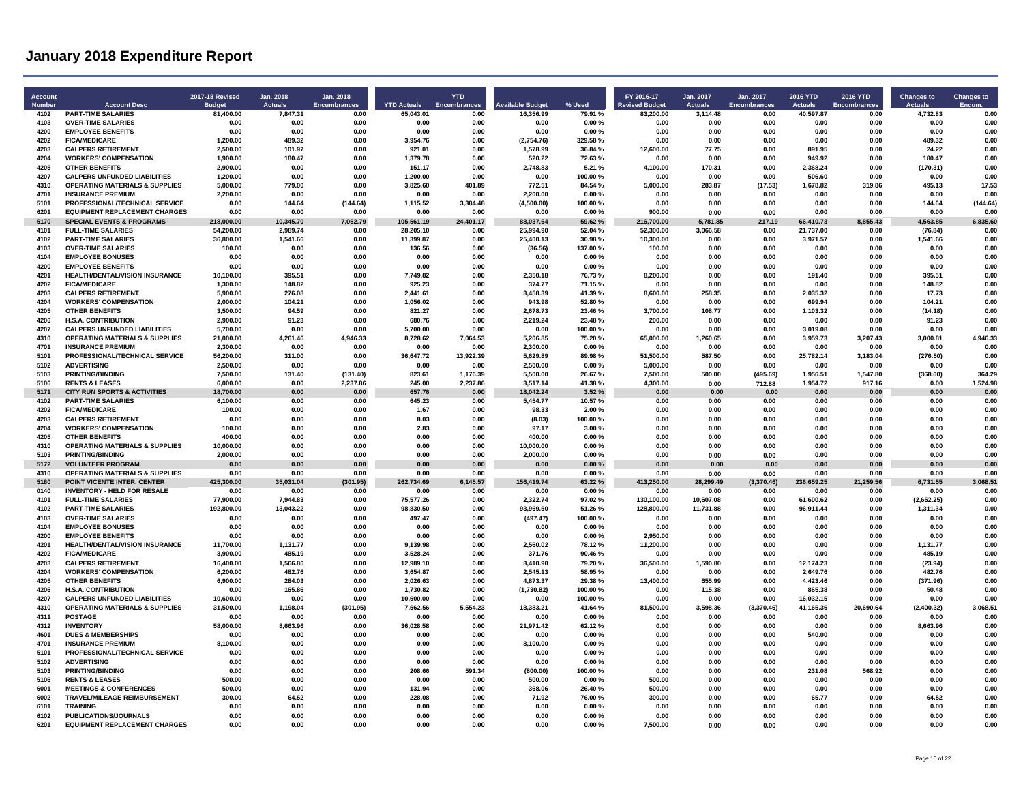| Account<br><b>Number</b> | <b>Account Desc</b>                                                    | 2017-18 Revised<br><b>Budge</b> | Jan. 2018<br><b>Actuals</b> | Jan. 2018<br><b>Encumbrances</b> | <b>YTD Actuals</b>    | <b>YTD</b><br><b>Encumbrances</b> | <b>Available Budget</b> | % Used           | FY 2016-17<br><b>Revised Budget</b> | Jan. 2017<br><b>Actuals</b> | Jan. 2017<br><b>Encumbrances</b> | <b>2016 YTD</b><br><b>Actuals</b> | <b>2016 YTD</b><br><b>Encumbrances</b> | <b>Changes to</b><br><b>Actuals</b> | <b>Changes to</b><br><b>Encum</b> |
|--------------------------|------------------------------------------------------------------------|---------------------------------|-----------------------------|----------------------------------|-----------------------|-----------------------------------|-------------------------|------------------|-------------------------------------|-----------------------------|----------------------------------|-----------------------------------|----------------------------------------|-------------------------------------|-----------------------------------|
| 4102                     | <b>PART-TIME SALARIES</b>                                              | 81,400.00                       | 7,847.31                    | 0.00                             | 65,043.01             | 0.00                              | 16.356.99               | 79.91 %          | 83,200.00                           | 3,114.48                    | 0.00                             | 40,597.87                         | 0.00                                   | 4,732.83                            | 0.00                              |
| 4103                     | <b>OVER-TIME SALARIES</b>                                              | 0.00                            | 0.00                        | 0.00                             | 0.00                  | 0.00                              | 0.00                    | 0.00%            | 0.00                                | 0.00                        | 0.00                             | 0.00                              | 0.00                                   | 0.00                                | 0.00                              |
| 4200<br>4202             | <b>EMPLOYEE BENEFITS</b><br><b>FICA/MEDICARE</b>                       | 0.00<br>1,200.00                | 0.00<br>489.32              | 0.00<br>0.00                     | 0.00                  | 0.00<br>0.00                      | 0.00                    | 0.00%<br>329.58% | 0.00<br>0.00                        | 0.00<br>0.00                | 0.00<br>0.00                     | 0.00<br>0.00                      | 0.00<br>0.00                           | 0.00<br>48932                       | 0.00<br>0.00                      |
| 4203                     | <b>CALPERS RETIREMENT</b>                                              | 2,500.00                        | 101.97                      | 0.00                             | 3,954.76<br>921.01    | 0.00                              | (2,754.76)<br>1,578.99  | 36.84 %          | 12,600.00                           | 77.75                       | 0.00                             | 891.95                            | 0.00                                   | 24.22                               | 0.00                              |
| 4204                     | <b>WORKERS' COMPENSATION</b>                                           | 1,900.00                        | 180.47                      | 0.00                             | 1,379.78              | 0.00                              | 520.22                  | 72.63%           | 0.00                                | 0.00                        | 0.00                             | 949.92                            | 0.00                                   | 180.47                              | 0.00                              |
| 4205                     | <b>OTHER BENEFITS</b>                                                  | 2,900.00                        | 0.00                        | 0.00                             | 151.17                | 0.00                              | 2,748.83                | 5.21 %           | 4,100.00                            | 170.31                      | 0.00                             | 2,368.24                          | 0.00                                   | (170.31)                            | 0.00                              |
| 4207                     | <b>CALPERS UNFUNDED LIABILITIES</b>                                    | 1,200.00                        | 0.00                        | 0.00                             | 1,200.00              | 0.00                              | 0.00                    | 100.00%          | 0.00                                | 0.00                        | 0.00                             | 506.60                            | 0.00                                   | 0.00                                | 0.00                              |
| 4310                     | <b>OPERATING MATERIALS &amp; SUPPLIES</b>                              | 5,000.00                        | 779.00                      | 0.00                             | 3,825.60              | 401.89                            | 772.51                  | 84.54 %          | 5,000.00                            | 283.87                      | (17.53)                          | 1,678.82                          | 319.86                                 | 495.13                              | 17.53                             |
| 4701                     | <b>INSURANCE PREMIUM</b>                                               | 2,200.00                        | 0.00                        | 0.00                             | 0.00                  | 0.00                              | 2,200.00                | 0.00%            | 0.00                                | 0.00                        | 0.00                             | 0.00                              | 0.00                                   | 0.00                                | 0.00                              |
| 5101<br>6201             | PROFESSIONAL/TECHNICAL SERVICE<br><b>EQUIPMENT REPLACEMENT CHARGES</b> | 0.00<br>0.00                    | 144.64<br>0.00              | (144.64)<br>0.00                 | 1,115.52<br>0.00      | 3,384.48<br>0.00                  | (4,500.00)<br>0.00      | 100.00%<br>0.00% | 0.00<br>900.00                      | 0.00<br>0.00                | 0.00<br>0.00                     | 0.00<br>0.00                      | 0.00<br>0.00                           | 144.64<br>0.00                      | (144.64)<br>0.00                  |
| 5170                     | <b>SPECIAL EVENTS &amp; PROGRAMS</b>                                   | 218,000.00                      | 10.345.70                   | 7,052.79                         | 105,561.19            | 24,401.17                         | 88,037.64               | 59.62%           | 216,700.00                          | 5.781.85                    | 217.19                           | 66,410.73                         | 8,855.43                               | 4,563.85                            | 6,835.60                          |
| 4101                     | <b>FULL-TIME SALARIES</b>                                              | 54,200.00                       | 2.989.74                    | 0.00                             | 28,205.10             | 0.00                              | 25.994.90               | 52.04%           | 52.300.00                           | 3.066.58                    | 0.00                             | 21,737.00                         | 0.00                                   | (76.84)                             | 0.00                              |
| 4102                     | <b>PART-TIME SALARIES</b>                                              | 36,800.00                       | 1.541.66                    | 0.00                             | 11,399.87             | 0.00                              | 25,400.13               | 30.98%           | 10.300.00                           | 0.00                        | 0.00                             | 3.971.57                          | 0.00                                   | 1,541.66                            | 0.00                              |
| 4103                     | <b>OVER-TIME SALARIES</b>                                              | 100.00                          | 0.00                        | 0.00                             | 136.56                | 0.00                              | (36.56)                 | 137.00%          | 100.00                              | 0.00                        | 0.00                             | 0.00                              | 0.00                                   | 0.00                                | 0.00                              |
| 4104                     | <b>EMPLOYEE BONUSES</b>                                                | 0.00                            | 0.00                        | 0.00                             | 0.00                  | 0.00                              | 0.00                    | 0.00%            | 0.00                                | 0.00                        | 0.00                             | 0.00                              | 0.00                                   | 0.00                                | 0.00                              |
| 4200                     | <b>EMPLOYEE BENEFITS</b>                                               | 0.00                            | 0.00                        | 0.00                             | 0.00                  | 0.00                              | 0.00                    | 0.00%            | 0.00                                | 0.00                        | 0.00                             | 0.00                              | 0.00                                   | 0.00                                | 0.00                              |
| 4201<br>4202             | HEALTH/DENTAL/VISION INSURANCE<br><b>FICA/MEDICARE</b>                 | 10,100.00<br>1.300.00           | 395.51<br>148.82            | 0.00<br>0.00                     | 7,749.82<br>925.23    | 0.00<br>0.00                      | 2,350.18<br>374.77      | 76.73%<br>71.15% | 8,200.00<br>0.00                    | 0.00<br>0.00                | 0.00<br>0.00                     | 191.40<br>0.00                    | 0.00<br>0.00                           | 395.51<br>148.82                    | 0.00<br>0.00                      |
| 4203                     | <b>CALPERS RETIREMENT</b>                                              | 5,900.00                        | 276.08                      | 0.00                             | 2,441.61              | 0.00                              | 3,458.39                | 41.39%           | 8,600.00                            | 258.35                      | 0.00                             | 2.035.32                          | 0.00                                   | 17.73                               | 0.00                              |
| 4204                     | <b>WORKERS' COMPENSATION</b>                                           | 2,000.00                        | 104.21                      | 0.00                             | 1,056.02              | 0.00                              | 943.98                  | 52.80%           | 0.00                                | 0.00                        | 0.00                             | 699.94                            | 0.00                                   | 104.21                              | 0.00                              |
| 4205                     | <b>OTHER BENEFITS</b>                                                  | 3.500.00                        | 94.59                       | 0.00                             | 821.27                | 0.00                              | 2.678.73                | 23.46%           | 3.700.00                            | 108.77                      | 0.00                             | 1,103.32                          | 0.00                                   | (14.18)                             | 0.00                              |
| 4206                     | <b>H.S.A. CONTRIBUTION</b>                                             | 2,900.00                        | 91.23                       | 0.00                             | 680.76                | 0.00                              | 2,219.24                | 23.48%           | 200.00                              | 0.00                        | 0.00                             | 0.00                              | 0.00                                   | 91.23                               | 0.00                              |
| 4207                     | <b>CALPERS UNFUNDED LIABILITIES</b>                                    | 5,700.00                        | 0.00                        | 0.00                             | 5.700.00              | 0.00                              | 0.00                    | 100.00%          | 0.00                                | 0.00                        | 0.00                             | 3,019.08                          | 0.00                                   | 0.00                                | 0.00                              |
| 4310                     | <b>OPERATING MATERIALS &amp; SUPPLIES</b>                              | 21,000.00                       | 4.261.46                    | 4,946.33                         | 8,728.62              | 7,064.53                          | 5,206.85                | 75.20%           | 65,000.00                           | 1.260.65                    | 0.00                             | 3,959.73                          | 3,207.43                               | 3,000.81                            | 4,946.33                          |
| 4701<br>5101             | <b>INSURANCE PREMIUM</b><br>PROFESSIONAL/TECHNICAL SERVICE             | 2,300.00<br>56,200.00           | 0.00<br>311.00              | 0.00<br>0.00                     | 0.00<br>36,647.72     | 0.00<br>13,922.39                 | 2,300.00<br>5,629.89    | 0.00%<br>89.98%  | 0.00<br>51,500.00                   | 0.00<br>587.50              | 0.00<br>0.00                     | 0.00<br>25,782.14                 | 0.00<br>3,183.04                       | 0.00<br>(276.50)                    | 0.00<br>0.00                      |
| 5102                     | <b>ADVERTISING</b>                                                     | 2,500.00                        | 0.00                        | 0.00                             | 0.00                  | 0.00                              | 2,500.00                | 0.00%            | 5,000.00                            | 0.00                        | 0.00                             | 0.00                              | 0.00                                   | 0.00                                | 0.00                              |
| 5103                     | <b>PRINTING/BINDING</b>                                                | 7.500.00                        | 131.40                      | (131.40)                         | 823.61                | 1.176.39                          | 5.500.00                | 26.67%           | 7.500.00                            | 500.00                      | (495.69)                         | 1.956.51                          | 1.547.80                               | (368.60)                            | 364.29                            |
| 5106                     | <b>RENTS &amp; LEASES</b>                                              | 6,000.00                        | 0.00                        | 2,237.86                         | 245.00                | 2.237.86                          | 3.517.14                | 41.38%           | 4.300.00                            | 0.00                        | 712.88                           | 1,954.72                          | 917.16                                 | 0.00                                | 1.524.98                          |
| 5171                     | <b>CITY RUN SPORTS &amp; ACTIVITIES</b>                                | 18,700.00                       | 0.00                        | 0.00                             | 657.76                | 0.00                              | 18,042.24               | 3.52%            | 0.00                                | 0.00                        | 0.00                             | 0.00                              | 0.00                                   | 0.00                                | 0.00                              |
| 4102                     | <b>PART-TIME SALARIES</b>                                              | 6,100.00                        | 0.00                        | 0.00                             | 645.23                | 0.00                              | 5,454.77                | 10.57%           | 0.00                                | 0.00                        | 0.00                             | 0.00                              | 0.00                                   | 0.00                                | 0.00                              |
| 4202<br>4203             | <b>FICA/MEDICARE</b>                                                   | 100.00<br>0.00                  | 0.00<br>0.00                | 0.00<br>0.00                     | 1.67                  | 0.00<br>0.00                      | 98.33                   | 2.00%            | 0.00<br>0.00                        | 0.00<br>0.00                | 0.00<br>0.00                     | 0.00<br>0.00                      | 0.00<br>0.00                           | 0.00<br>0.00                        | 0.00<br>0.00                      |
| 4204                     | <b>CALPERS RETIREMENT</b><br><b>WORKERS' COMPENSATION</b>              | 100.00                          | 0.00                        | 0.00                             | 8.03<br>2.83          | 0.00                              | (8.03)<br>97.17         | 100.00%<br>3.00% | 0.00                                | 0.00                        | 0.00                             | 0.00                              | 0.00                                   | 0.00                                | 0.00                              |
| 4205                     | <b>OTHER BENEFITS</b>                                                  | 400.00                          | 0.00                        | 0.00                             | 0.00                  | 0.00                              | 400.00                  | 0.00%            | 0.00                                | 0.00                        | 0.00                             | 0.00                              | 0.00                                   | 0.00                                | 0.00                              |
| 4310                     | <b>OPERATING MATERIALS &amp; SUPPLIES</b>                              | 10,000.00                       | 0.00                        | 0.00                             | 0.00                  | 0.00                              | 10,000.00               | 0.00%            | 0.00                                | 0.00                        | 0.00                             | 0.00                              | 0.00                                   | 0.00                                | 0.00                              |
| 5103                     | <b>PRINTING/BINDING</b>                                                | 2.000.00                        | 0.00                        | 0.00                             | 0.00                  | 0.00                              | 2,000.00                | 0.00%            | 0.00                                | 0.00                        | 0.00                             | 0.00                              | 0.00                                   | 0.00                                | 0.00                              |
| 5172                     | <b>VOLUNTEER PROGRAM</b>                                               | 0.00                            | 0.00                        | 0.00                             | 0.00                  | 0.00                              | 0.00                    | 0.00%            | 0.00                                | 0.00                        | 0.00                             | 0.00                              | 0.00                                   | 0.00                                | 0.00                              |
| 4310                     | <b>OPERATING MATERIALS &amp; SUPPLIES</b>                              | 0.00                            | 0.00                        | 0.00                             | 0.00                  | 0.00                              | 0.00                    | 0.00%            | 0.00                                | 0.00                        | 0.00                             | 0.00                              | 0.00                                   | 0.00                                | 0.00                              |
| 5180                     | POINT VICENTE INTER, CENTER                                            | 425.300.00                      | 35.031.04                   | (301.95)                         | 262.734.69            | 6.145.57                          | 156,419.74              | 63.22%           | 413.250.00                          | 28.299.49                   | (3.370.46)                       | 236.659.25                        | 21.259.56                              | 6.731.55                            | 3.068.51                          |
| 0140<br>4101             | <b>INVENTORY - HELD FOR RESALE</b><br><b>FULL-TIME SALARIES</b>        | 0.00<br>77,900.00               | 0.00<br>7,944.83            | 0.00<br>0.00                     | 0.00<br>75,577.26     | 0.00<br>0.00                      | 0.00<br>2,322.74        | 0.00%<br>97.02%  | 0.00<br>130,100.00                  | 0.00<br>10.607.08           | 0.00<br>0.00                     | 0.00<br>61.600.62                 | 0.00<br>0.00                           | 0.00<br>(2,662.25)                  | 0.00<br>0.00                      |
| 4102                     | <b>PART-TIME SALARIES</b>                                              | 192,800.00                      | 13,043.22                   | 0.00                             | 98,830.50             | 0.00                              | 93,969.50               | 51.26%           | 128,800.00                          | 11,731.88                   | 0.00                             | 96,911.44                         | 0.00                                   | 1,311.34                            | 0.00                              |
| 4103                     | <b>OVER-TIME SALARIES</b>                                              | 0.00                            | 0.00                        | 0.00                             | 497.47                | 0.00                              | (497.47)                | 100.00%          | 0.00                                | 0.00                        | 0.00                             | 0.00                              | 0.00                                   | 0.00                                | 0.00                              |
| 4104                     | <b>EMPLOYEE BONUSES</b>                                                | 0.00                            | 0.00                        | 0.00                             | 0.00                  | 0.00                              | 0.00                    | 0.00%            | 0.00                                | 0.00                        | 0.00                             | 0.00                              | 0.00                                   | 0.00                                | 0.00                              |
| 4200                     | <b>EMPLOYEE BENEFITS</b>                                               | 0.00                            | 0.00                        | 0.00                             | 0.00                  | 0.00                              | 0.00                    | 0.00%            | 2.950.00                            | 0.00                        | 0.00                             | 0.00                              | 0.00                                   | 0.00                                | 0.00                              |
| 4201                     | HEALTH/DENTAL/VISION INSURANCE                                         | 11,700.00                       | 1,131.77                    | 0.00                             | 9,139.98              | 0.00                              | 2,560.02                | 78.12%           | 11,200.00                           | 0.00                        | 0.00                             | 0.00                              | 0.00                                   | 1,131.77                            | 0.00                              |
| 4202<br>4203             | <b>FICA/MEDICARE</b><br><b>CALPERS RETIREMENT</b>                      | 3.900.00<br>16,400.00           | 485.19<br>1,566.86          | 0.00<br>0.00                     | 3,528.24<br>12,989.10 | 0.00<br>0.00                      | 371.76<br>3,410.90      | 90.46%<br>79.20% | 0.00<br>36,500.00                   | 0.00<br>1,590.80            | 0.00<br>0.00                     | 0.00<br>12,174.23                 | 0.00<br>0.00                           | 485.19<br>(23.94)                   | 0.00<br>0.00                      |
| 4204                     | <b>WORKERS' COMPENSATION</b>                                           | 6.200.00                        | 482.76                      | 0.00                             | 3.654.87              | 0.00                              | 2.545.13                | 58.95%           | 0.00                                | 0.00                        | 0.00                             | 2.649.76                          | 0.00                                   | 482.76                              | 0.00                              |
| 4205                     | <b>OTHER BENEFITS</b>                                                  | 6,900.00                        | 284.03                      | 0.00                             | 2.026.63              | 0.00                              | 4,873.37                | 29.38%           | 13.400.00                           | 655.99                      | 0.00                             | 4.423.46                          | 0.00                                   | (371.96)                            | 0.00                              |
| 4206                     | <b>H.S.A. CONTRIBUTION</b>                                             | 0.00                            | 165.86                      | 0.00                             | 1,730.82              | 0.00                              | (1,730.82)              | 100.00%          | 0.00                                | 115.38                      | 0.00                             | 865.38                            | 0.00                                   | 50.48                               | 0.00                              |
| 4207                     | <b>CALPERS UNFUNDED LIABILITIES</b>                                    | 10,600.00                       | 0.00                        | 0.00                             | 10,600.00             | 0.00                              | 0.00                    | 100.00%          | 0.00                                | 0.00                        | 0.00                             | 16.032.15                         | 0.00                                   | 0.00                                | 0.00                              |
| 4310                     | <b>OPERATING MATERIALS &amp; SUPPLIES</b>                              | 31,500.00                       | 1,198.04                    | (301.95)                         | 7,562.56              | 5.554.23                          | 18,383.21               | 41.64%           | 81,500.00                           | 3.598.36                    | (3,370.46)                       | 41.165.36                         | 20.690.64                              | (2,400.32)                          | 3,068.51                          |
| 4311<br>4312             | <b>POSTAGE</b><br><b>INVENTORY</b>                                     | 0.00<br>58.000.00               | 0.00<br>8.663.96            | 0.00<br>0.00                     | 0.00                  | 0.00<br>0.00                      | 0.00<br>21.971.42       | 0.00%<br>62.12%  | 0.00<br>0.00                        | 0.00<br>0.00                | 0.00<br>0.00                     | 0.00<br>0.00                      | 0.00<br>0.00                           | 0.00<br>8.663.96                    | 0.00<br>0.00                      |
| 4601                     | <b>DUES &amp; MEMBERSHIPS</b>                                          | 0.00                            | 0.00                        | 0.00                             | 36,028.58<br>0.00     | 0.00                              | 0.00                    | 0.00%            | 0.00                                | 0.00                        | 0.00                             | 540.00                            | 0.00                                   | 0.00                                | 0.00                              |
| 4701                     | <b>INSURANCE PREMIUM</b>                                               | 8,100.00                        | 0.00                        | 0.00                             | 0.00                  | 0.00                              | 8,100.00                | 0.00%            | 0.00                                | 0.00                        | 0.00                             | 0.00                              | 0.00                                   | 0.00                                | 0.00                              |
| 5101                     | PROFESSIONAL/TECHNICAL SERVICE                                         | 0.00                            | 0.00                        | 0.00                             | 0.00                  | 0.00                              | 0.00                    | 0.00%            | 0.00                                | 0.00                        | 0.00                             | 0.00                              | 0.00                                   | 0.00                                | 0.00                              |
| 5102                     | <b>ADVERTISING</b>                                                     | 0.00                            | 0.00                        | 0.00                             | 0.00                  | 0.00                              | 0.00                    | 0.00%            | 0.00                                | 0.00                        | 0.00                             | 0.00                              | 0.00                                   | 0.00                                | 0.00                              |
| 5103                     | <b>PRINTING/BINDING</b>                                                | 0.00                            | 0.00                        | 0.00                             | 208.66                | 591.34                            | (800.00)                | 100.00%          | 0.00                                | 0.00                        | 0.00                             | 231.08                            | 568.92                                 | 0.00                                | 0.00                              |
| 5106                     | <b>RENTS &amp; LEASES</b>                                              | 500.00                          | 0.00                        | 0.00                             | 0.00                  | 0.00                              | 500.00                  | 0.00%            | 500.00                              | 0.00                        | 0.00                             | 0.00                              | 0.00                                   | 0.00                                | 0.00                              |
| 6001                     | <b>MEETINGS &amp; CONFERENCES</b>                                      | 500.00                          | 0.00                        | 0.00                             | 131.94                | 0.00                              | 368.06                  | 26.40%           | 500.00                              | 0.00                        | 0.00                             | 0.00                              | 0.00                                   | 0.00                                | 0.00                              |
| 6002<br>6101             | TRAVEL/MILEAGE REIMBURSEMENT<br><b>TRAINING</b>                        | 300.00<br>0.00                  | 64.52<br>0.00               | 0.00<br>0.00                     | 228.08<br>0.00        | 0.00<br>0.00                      | 71.92<br>0.00           | 76.00%<br>0.00%  | 300.00<br>0.00                      | 0.00<br>0.00                | 0.00<br>0.00                     | 65.77<br>0.00                     | 0.00<br>0.00                           | 64.52<br>0.00                       | 0.00<br>0.00                      |
| 6102                     | PUBLICATIONS/JOURNALS                                                  | 0.00                            | 0.00                        | 0.00                             | 0.00                  | 0.00                              | 0.00                    | 0.00%            | 0.00                                | 0.00                        | 0.00                             | 0.00                              | 0.00                                   | 0.00                                | 0.00                              |
| 6201                     | <b>EQUIPMENT REPLACEMENT CHARGES</b>                                   | 0.00                            | 0.00                        | 0.00                             | 0.00                  | 0.00                              | 0.00                    | 0.00%            | 7.500.00                            | 0.00                        | 0.00                             | 0.00                              | 0.00                                   | 0.00                                | 0.00                              |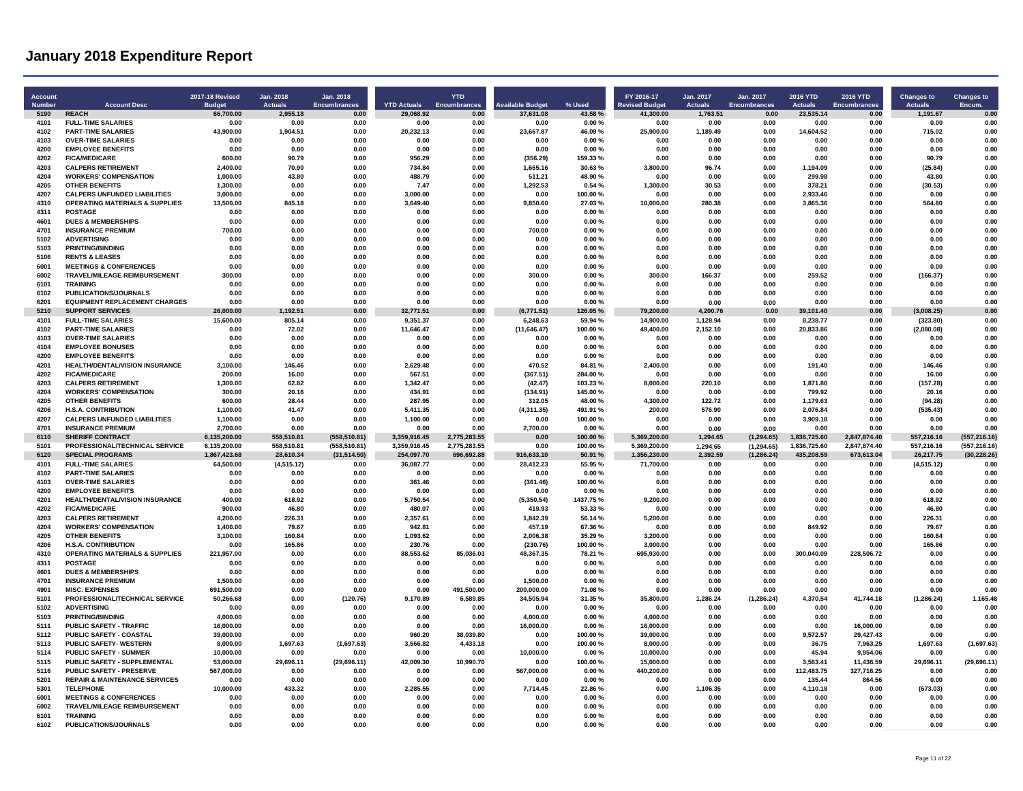| <b>Account</b><br>Number | <b>Account Desc</b>                                               | 2017-18 Revised<br><b>Budget</b> | Jan. 2018<br><b>Actuals</b> | Jan. 2018<br><b>Encumbrances</b> | <b>YTD Actuals</b>   | <b>YTD</b><br><b>Encumbrances</b> | <b>Available Budget</b> | % Used             | FY 2016-17<br><b>Revised Budget</b> | Jan. 2017<br><b>Actuals</b> | Jan. 2017<br><b>Encumbrances</b> | 2016 YTD<br><b>Actuals</b> | 2016 YTD<br>Encumbrances | <b>Changes to</b><br><b>Actuals</b> | <b>Changes to</b><br>Encum. |
|--------------------------|-------------------------------------------------------------------|----------------------------------|-----------------------------|----------------------------------|----------------------|-----------------------------------|-------------------------|--------------------|-------------------------------------|-----------------------------|----------------------------------|----------------------------|--------------------------|-------------------------------------|-----------------------------|
| 5190                     | <b>REACH</b>                                                      | 66.700.00                        | 2.955.18                    | 0.00                             | 29.068.92            | 0.00                              | 37.631.08               | 43.58%             | 41.300.00                           | 1.763.51                    | 0.00                             | 23.535.14                  | 0.00                     | 1,191.67                            | 0.00                        |
| 4101                     | <b>FULL-TIME SALARIES</b>                                         | 0.00                             | 0.00                        | 0.00                             | 0.00                 | 0.00                              | 0.00                    | 0.00%              | 0.00                                | 0.00                        | 0.00                             | 0.00                       | 0.00                     | 0.00                                | 0.00                        |
| 4102                     | <b>PART-TIME SALARIES</b>                                         | 43,900.00                        | 1,904.51                    | 0.00                             | 20,232.13            | 0.00                              | 23,667.87               | 46.09%             | 25,900.00                           | 1.189.49                    | 0.00                             | 14,604.52                  | 0.00                     | 715.02                              | 0.00                        |
| 4103                     | <b>OVER-TIME SALARIES</b>                                         | 0.00<br>0.00                     | 0.00<br>0.00                | 0.00<br>0.00                     | 0.00<br>0.00         | 0.00<br>0.00                      | 0.00<br>0.00            | 0.00%<br>0.00%     | 0.00<br>0.00                        | 0.00<br>0.00                | 0.00<br>0.00                     | 0.00<br>0.00               | 0.00<br>0.00             | 0.00                                | 0.00                        |
| 4200<br>4202             | <b>EMPLOYEE BENEFITS</b><br><b>FICA/MEDICARE</b>                  | 600.00                           | 90.79                       | 0.00                             | 956.29               | 0.00                              | (356.29)                | 159.33%            | 0.00                                | 0.00                        | 0.00                             | 0.00                       | 0.00                     | 0.00<br>90.79                       | 0.00<br>0.00                |
| 4203                     | <b>CALPERS RETIREMENT</b>                                         | 2.400.00                         | 70.90                       | 0.00                             | 734.84               | 0.00                              | 1.665.16                | 30.63%             | 3.800.00                            | 96.74                       | 0.00                             | 1.194.09                   | 0.00                     | (25.84)                             | 0.00                        |
| 4204                     | <b>WORKERS' COMPENSATION</b>                                      | 1.000.00                         | 43.80                       | 0.00                             | 488.79               | 0.00                              | 511.21                  | 48.90%             | 0.00                                | 0.00                        | 0.00                             | 299.98                     | 0.00                     | 43.80                               | 0.00                        |
| 4205                     | <b>OTHER BENEFITS</b>                                             | 1.300.00                         | 0.00                        | 0.00                             | 7.47                 | 0.00                              | 1,292.53                | 0.54%              | 1,300.00                            | 30.53                       | 0.00                             | 378.21                     | 0.00                     | (30.53)                             | 0.00                        |
| 4207                     | <b>CALPERS UNFUNDED LIABILITIES</b>                               | 3,000.00                         | 0.00                        | 0.00                             | 3.000.00             | 0.00                              | 0.00                    | 100.00%            | 0.00                                | 0.00                        | 0.00                             | 2.933.46                   | 0.00                     | 0.00                                | 0.00                        |
| 4310                     | <b>OPERATING MATERIALS &amp; SUPPLIES</b>                         | 13.500.00                        | 845.18                      | 0.00                             | 3.649.40             | 0.00                              | 9.850.60                | 27.03%             | 10.000.00                           | 280.38                      | 0.00                             | 3.865.36                   | 0.00                     | 564.80                              | 0.00                        |
| 4311                     | POSTAGE                                                           | 0.00                             | 0.00                        | 0.00                             | 0.00                 | 0.00                              | 0.00                    | 0.00%              | 0.00                                | 0.00                        | 0.00                             | 0.00                       | 0.00                     | 0.00                                | 0.00                        |
| 4601                     | <b>DUES &amp; MEMBERSHIPS</b>                                     | 0.00                             | 0.00                        | 0.00                             | 0.00                 | 0.00                              | 0.00                    | 0.00%              | 0.00                                | 0.00                        | 0.00                             | 0.00                       | 0.00                     | 0.00                                | 0.00                        |
| 4701                     | <b>INSURANCE PREMIUM</b>                                          | 700.00                           | 0.00                        | 0.00                             | 0.00                 | 0.00                              | 700.00                  | 0.00%              | 0.00                                | 0.00                        | 0.00                             | 0.00                       | 0.00                     | 0.00                                | 0.00                        |
| 5102                     | <b>ADVERTISING</b>                                                | 0.00                             | 0.00                        | 0.00                             | 0.00                 | 0.00                              | 0.00                    | 0.00%              | 0.00                                | 0.00                        | 0.00                             | 0.00                       | 0.00                     | 0.00                                | 0.00                        |
| 5103                     | <b>PRINTING/BINDING</b>                                           | 0.00                             | 0.00                        | 0.00                             | 0.00                 | 0.00                              | 0.00                    | 0.00%              | 0.00                                | 0.00                        | 0.00                             | 0.00                       | 0.00                     | 0.00                                | 0.00                        |
| 5106                     | <b>RENTS &amp; LEASES</b>                                         | 0.00                             | 0.00                        | 0.00                             | 0.00                 | 0.00                              | 0.00                    | 0.00%              | 0.00                                | 0.00                        | 0.00                             | 0.00                       | 0.00                     | 0.00                                | 0.00                        |
| 6001<br>6002             | <b>MEETINGS &amp; CONFERENCES</b><br>TRAVEL/MILEAGE REIMBURSEMENT | 0.00<br>300.00                   | 0.00<br>0.00                | 0.00<br>0.00                     | 0.00<br>0.00         | 0.00<br>0.00                      | 0.00<br>300.00          | 0.00%<br>0.00%     | 0.00<br>300.00                      | 0.00<br>166.37              | 0.00<br>0.00                     | 0.00<br>259.52             | 0.00<br>0.00             | 0.00<br>(166.37)                    | 0.00<br>0.00                |
| 6101                     | <b>TRAINING</b>                                                   | 0.00                             | 0.00                        | 0.00                             | 0.00                 | 0.00                              | 0.00                    | 0.00%              | 0.00                                | 0.00                        | 0.00                             | 0.00                       | 0.00                     | 0.00                                | 0.00                        |
| 6102                     | PUBLICATIONS/JOURNALS                                             | 0.00                             | 0.00                        | 0.00                             | 0.00                 | 0.00                              | 0.00                    | 0.00%              | 0.00                                | 0.00                        | 0.00                             | 0.00                       | 0.00                     | 0.00                                | 0.00                        |
| 6201                     | <b>EQUIPMENT REPLACEMENT CHARGES</b>                              | 0.00                             | 0.00                        | 0.00                             | 0.00                 | 0.00                              | 0.00                    | 0.00%              | 0.00                                | 0.00                        | 0.00                             | 0.00                       | 0.00                     | 0.00                                | 0.00                        |
| 5210                     | <b>SUPPORT SERVICES</b>                                           | 26.000.00                        | 1.192.51                    | 0.00                             | 32.771.51            | 0.00                              | (6,771.51)              | 126.05%            | 79.200.00                           | 4.200.76                    | 0.00                             | 39.101.40                  | 0.00                     | (3.008.25)                          | 0.00                        |
| 4101                     | <b>FULL-TIME SALARIES</b>                                         | 15.600.00                        | 805.14                      | 0.00                             | 9.351.37             | 0.00                              | 6,248.63                | 59.94 %            | 14,900.00                           | 1.128.94                    | 0.00                             | 8.238.77                   | 0.00                     | (323.80)                            | 0.00                        |
| 4102                     | <b>PART-TIME SALARIES</b>                                         | 0.00                             | 72.02                       | 0.00                             | 11,646.47            | 0.00                              | (11, 646.47)            | 100.00%            | 49,400.00                           | 2.152.10                    | 0.00                             | 20,833.86                  | 0.00                     | (2,080.08)                          | 0.00                        |
| 4103                     | <b>OVER-TIME SALARIES</b>                                         | 0.00                             | 0.00                        | 0.00                             | 0.00                 | 0.00                              | 0.00                    | 0.00%              | 0.00                                | 0.00                        | 0.00                             | 0.00                       | 0.00                     | 0.00                                | 0.00                        |
| 4104                     | <b>EMPLOYEE BONUSES</b>                                           | 0.00                             | 0.00                        | 0.00                             | 0.00                 | 0.00                              | 0.00                    | 0.00%              | 0.00                                | 0.00                        | 0.00                             | 0.00                       | 0.00                     | 0.00                                | 0.00                        |
| 4200                     | <b>EMPLOYEE BENEFITS</b>                                          | 0.00                             | 0.00                        | 0.00                             | 0.00                 | 0.00                              | 0.00                    | 0.00%              | 0.00                                | 0.00                        | 0.00                             | 0.00                       | 0.00                     | 0.00                                | 0.00                        |
| 4201                     | <b>HEALTH/DENTAL/VISION INSURANCE</b>                             | 3.100.00                         | 146.46                      | 0.00                             | 2.629.48             | 0.00                              | 470.52                  | 84.81%             | 2.400.00                            | 0.00                        | 0.00                             | 191.40                     | 0.00                     | 146.46                              | 0.00                        |
| 4202                     | <b>FICA/MEDICARE</b>                                              | 200.00                           | 16.00                       | 0.00                             | 567.51               | 0.00                              | (367.51)                | 284.00%            | 0.00                                | 0.00                        | 0.00                             | 0.00                       | 0.00                     | 16.00                               | 0.00                        |
| 4203                     | <b>CALPERS RETIREMENT</b>                                         | 1,300.00                         | 62.82                       | 0.00                             | 1.342.47             | 0.00                              | (42.47)                 | 103.23%            | 8,000.00                            | 220.10                      | 0.00                             | 1.871.80                   | 0.00                     | (157.28)                            | 0.00                        |
| 4204                     | <b>WORKERS' COMPENSATION</b>                                      | 300.00                           | 20.16                       | 0.00                             | 434.91               | 0.00                              | (134.91)                | 145.00%            | 0.00                                | 0.00                        | 0.00                             | 799.92                     | 0.00                     | 20.16                               | 0.00                        |
| 4205                     | <b>OTHER BENEFITS</b>                                             | 600.00                           | 28.44                       | 0.00                             | 287.95               | 0.00                              | 312.05                  | 48.00%             | 4,300.00                            | 122.72                      | 0.00                             | 1.179.63                   | 0.00                     | (94.28)                             | 0.00                        |
| 4206<br>4207             | <b>H.S.A. CONTRIBUTION</b><br><b>CALPERS UNFUNDED LIABILITIES</b> | 1,100.00<br>1.100.00             | 41.47<br>0.00               | 0.00<br>0.00                     | 5,411.35<br>1.100.00 | 0.00<br>0.00                      | (4, 311.35)<br>0.00     | 491.91%<br>100.00% | 200.00<br>0.00                      | 576.90<br>0.00              | 0.00<br>0.00                     | 2,076.84<br>3.909.18       | 0.00<br>0.00             | (535.43)<br>0.00                    | 0.00<br>0.00                |
| 4701                     | <b>INSURANCE PREMIUM</b>                                          | 2,700.00                         | 0.00                        | 0.00                             | 0.00                 | 0.00                              | 2,700.00                | 0.00%              | 0.00                                | 0.00                        | 0.00                             | 0.00                       | 0.00                     | 0.00                                | 0.00                        |
| 6110                     | <b>SHERIFF CONTRACT</b>                                           | 6,135,200.00                     | 558,510.81                  | (558, 510.81)                    | 3,359,916.45         | 2,775,283.55                      | 0.00                    | 100.00%            | 5,369,200.00                        | 1,294.65                    | (1, 294.65)                      | 1,836,725.60               | 2,847,874.40             | 557,216.16                          | (557, 216.16)               |
| 5101                     | PROFESSIONAL/TECHNICAL SERVICE                                    | 6,135,200.00                     | 558,510.81                  | (558, 510.81)                    | 3,359,916.45         | 2,775,283.55                      | 0.00                    | 100.00%            | 5,369,200.00                        | 1,294.65                    | (1, 294.65)                      | 1.836.725.60               | 2,847,874.40             | 557,216.16                          | (557, 216.16)               |
| 6120                     | <b>SPECIAL PROGRAMS</b>                                           | 1,867,423.68                     | 28,610.34                   | (31, 514.50)                     | 254,097.70           | 696,692.88                        | 916,633.10              | 50.91 %            | 1,356,230.00                        | 2,392.59                    | (1, 286.24)                      | 435,208.59                 | 673,613.04               | 26,217.75                           | (30, 228.26)                |
| 4101                     | <b>FULL-TIME SALARIES</b>                                         | 64.500.00                        | (4,515.12)                  | 0.00                             | 36.087.77            | 0.00                              | 28.412.23               | 55.95 %            | 71.700.00                           | 0.00                        | 0.00                             | 0.00                       | 0.00                     | (4, 515.12)                         | 0.00                        |
| 4102                     | <b>PART-TIME SALARIES</b>                                         | 0.00                             | 0.00                        | 0.00                             | 0.00                 | 0.00                              | 0.00                    | 0.00%              | 0.00                                | 0.00                        | 0.00                             | 0.00                       | 0.00                     | 0.00                                | 0.00                        |
| 4103                     | <b>OVER-TIME SALARIES</b>                                         | 0.00                             | 0.00                        | 0.00                             | 361.46               | 0.00                              | (361.46)                | 100.00%            | 0.00                                | 0.00                        | 0.00                             | 0.00                       | 0.00                     | 0.00                                | 0.00                        |
| 4200                     | <b>EMPLOYEE BENEFITS</b>                                          | 0.00                             | 0.00                        | 0.00                             | 0.00                 | 0.00                              | 0.00                    | 0.00%              | 0.00                                | 0.00                        | 0.00                             | 0.00                       | 0.00                     | 0.00                                | 0.00                        |
| 4201                     | HEALTH/DENTAL/VISION INSURANCE                                    | 400.00                           | 618.92                      | 0.00                             | 5,750.54             | 0.00                              | (5, 350.54)             | 1437.75%           | 9.200.00                            | 0.00                        | 0.00                             | 0.00                       | 0.00                     | 618.92                              | 0.00                        |
| 4202                     | <b>FICA/MEDICARE</b>                                              | 900.00                           | 46.80                       | 0.00                             | 480.07               | 0.00                              | 419.93                  | 53.33 %            | 0.00                                | 0.00                        | 0.00                             | 0.00                       | 0.00                     | 46.80                               | 0.00                        |
| 4203                     | <b>CALPERS RETIREMENT</b>                                         | 4.200.00                         | 226.31                      | 0.00                             | 2,357.61             | 0.00                              | 1.842.39                | 56.14%             | 5.200.00                            | 0.00                        | 0.00                             | 0.00                       | 0.00                     | 226.31                              | 0.00                        |
| 4204                     | <b>WORKERS' COMPENSATION</b>                                      | 1,400.00                         | 79.67                       | 0.00                             | 942.81               | 0.00                              | 457.19                  | 67.36%             | 0.00                                | 0.00                        | 0.00                             | 849.92                     | 0.00                     | 79.67                               | 0.00<br>0.00                |
| 4205<br>4206             | <b>OTHER BENEFITS</b><br><b>H.S.A. CONTRIBUTION</b>               | 3,100.00<br>0.00                 | 160.84<br>165.86            | 0.00<br>0.00                     | 1,093.62<br>230.76   | 0.00<br>0.00                      | 2,006.38<br>(230.76)    | 35.29 %<br>100.00% | 3,200.00<br>3,000.00                | 0.00<br>0.00                | 0.00<br>0.00                     | 0.00<br>0.00               | 0.00<br>0.00             | 160.84<br>165.86                    | 0.00                        |
| 4310                     | <b>OPERATING MATERIALS &amp; SUPPLIES</b>                         | 221,957.00                       | 0.00                        | 0.00                             | 88,553.62            | 85,036.03                         | 48,367.35               | 78.21 %            | 695,930.00                          | 0.00                        | 0.00                             | 300,040.09                 | 228,506.72               | 0.00                                | 0.00                        |
| 4311                     | <b>POSTAGE</b>                                                    | 0.00                             | 0.00                        | 0.00                             | 0.00                 | 0.00                              | 0.00                    | 0.00%              | 0.00                                | 0.00                        | 0.00                             | 0.00                       | 0.00                     | 0.00                                | 0.00                        |
| 4601                     | <b>DUES &amp; MEMBERSHIPS</b>                                     | 0.00                             | 0.00                        | 0.00                             | 0.00                 | 0.00                              | 0.00                    | 0.00%              | 0.00                                | 0.00                        | 0.00                             | 0.00                       | 0.00                     | 0.00                                | 0.00                        |
| 4701                     | <b>INSURANCE PREMIUM</b>                                          | 1,500.00                         | 0.00                        | 0.00                             | 0.00                 | 0.00                              | 1,500.00                | 0.00%              | 0.00                                | 0.00                        | 0.00                             | 0.00                       | 0.00                     | 0.00                                | 0.00                        |
| 4901                     | <b>MISC. EXPENSES</b>                                             | 691,500.00                       | 0.00                        | 0.00                             | 0.00                 | 491,500.00                        | 200,000.00              | 71.08%             | 0.00                                | 0.00                        | 0.00                             | 0.00                       | 0.00                     | 0.00                                | 0.00                        |
| 5101                     | PROFESSIONAL/TECHNICAL SERVICE                                    | 50,266.68                        | 0.00                        | (120.76)                         | 9,170.89             | 6,589.85                          | 34,505.94               | 31.35 %            | 35,800.00                           | 1,286.24                    | (1, 286.24)                      | 4,370.54                   | 41,744.18                | (1, 286.24)                         | 1,165.48                    |
| 5102                     | <b>ADVERTISING</b>                                                | 0.00                             | 0.00                        | 0.00                             | 0.00                 | 0.00                              | 0.00                    | 0.00%              | 0.00                                | 0.00                        | 0.00                             | 0.00                       | 0.00                     | 0.00                                | 0.00                        |
| 5103                     | <b>PRINTING/RINDING</b>                                           | 4,000.00                         | 0.00                        | 0 <sub>0</sub>                   | 0.00                 | 0.00                              | 4.000.00                | 0.00 %             | 4.000.00                            | 0.00                        | 0.00                             | 0.00                       | 0.00                     | 0.00                                | 0.00                        |
| 5111                     | <b>PUBLIC SAFETY - TRAFFIC</b>                                    | 16,000.00                        | 0.00                        | 0.00                             | 0.00                 | 0.00                              | 16,000.00               | 0.00%              | 16.000.00                           | 0.00                        | 0.00                             | 0.00                       | 16,000.00                | 0.00                                | 0.00                        |
| 5112                     | <b>PUBLIC SAFETY - COASTAL</b>                                    | 39,000.00                        | 0.00                        | 0.00                             | 960.20               | 38,039.80                         | 0.00                    | 100.00%            | 39,000.00                           | 0.00                        | 0.00                             | 9,572.57                   | 29,427.43                | 0.00                                | 0.00                        |
| 5113                     | <b>PUBLIC SAFETY- WESTERN</b>                                     | 8,000.00                         | 1,697.63                    | (1,697.63)                       | 3,566.82             | 4,433.18                          | 0.00                    | 100.00%            | 8.000.00                            | 0.00                        | 0.00                             | 36.75                      | 7,963.25                 | 1,697.63                            | (1,697.63)                  |
| 5114<br>5115             | <b>PUBLIC SAFETY - SUMMER</b><br>PUBLIC SAFETY - SUPPLEMENTAL     | 10,000.00<br>53,000.00           | 0.00<br>29,696.11           | 0.00                             | 0.00<br>42,009.30    | 0.00<br>10,990.70                 | 10,000.00               | 0.00%<br>100.00%   | 10,000.00<br>15,000.00              | 0.00                        | 0.00<br>0.00                     | 45.94<br>3,563.41          | 9,954.06<br>11,436.59    | 0.00<br>29,696.11                   | 0.00<br>(29, 696.11)        |
| 5116                     | <b>PUBLIC SAFETY - PRESERVE</b>                                   | 567,000.00                       | 0.00                        | (29, 696.11)<br>0.00             | 0.00                 | 0.00                              | 0.00<br>567.000.00      | 0.00%              | 440.200.00                          | 0.00<br>0.00                | 0.00                             | 112.483.75                 | 327,716.25               | 0.00                                | 0.00                        |
| 5201                     | <b>REPAIR &amp; MAINTENANCE SERVICES</b>                          | 0.00                             | 0.00                        | 0.00                             | 0.00                 | 0.00                              | 0.00                    | 0.00%              | 0.00                                | 0.00                        | 0.00                             | 135.44                     | 864.56                   | 0.00                                | 0.00                        |
| 5301                     | <b>TELEPHONE</b>                                                  | 10,000.00                        | 433.32                      | 0.00                             | 2.285.55             | 0.00                              | 7,714.45                | 22.86%             | 0.00                                | 1,106.35                    | 0.00                             | 4,110.18                   | 0.00                     | (673.03)                            | 0.00                        |
| 6001                     | <b>MEETINGS &amp; CONFERENCES</b>                                 | 0.00                             | 0.00                        | 0.00                             | 0.00                 | 0.00                              | 0.00                    | 0.00%              | 0.00                                | 0.00                        | 0.00                             | 0.00                       | 0.00                     | 0.00                                | 0.00                        |
| 6002                     | TRAVEL/MILEAGE REIMBURSEMENT                                      | 0.00                             | 0.00                        | 0.00                             | 0.00                 | 0.00                              | 0.00                    | 0.00%              | 0.00                                | 0.00                        | 0.00                             | 0.00                       | 0.00                     | 0.00                                | 0.00                        |
| 6101                     | <b>TRAINING</b>                                                   | 0.00                             | 0.00                        | 0.00                             | 0.00                 | 0.00                              | 0.00                    | 0.00 %             | 0.00                                | 0.00                        | 0.00                             | 0.00                       | 0.00                     | 0.00                                | 0.00                        |
| 6102                     | <b>PUBLICATIONS/JOURNALS</b>                                      | 0.00                             | 0.00                        | 0.00                             | 0.00                 | 0.00                              | 0.00                    | 0.00 %             | 0.00                                | 0.00                        | 0.00                             | 0.00                       | 0.00                     | 0.00                                | 0.00                        |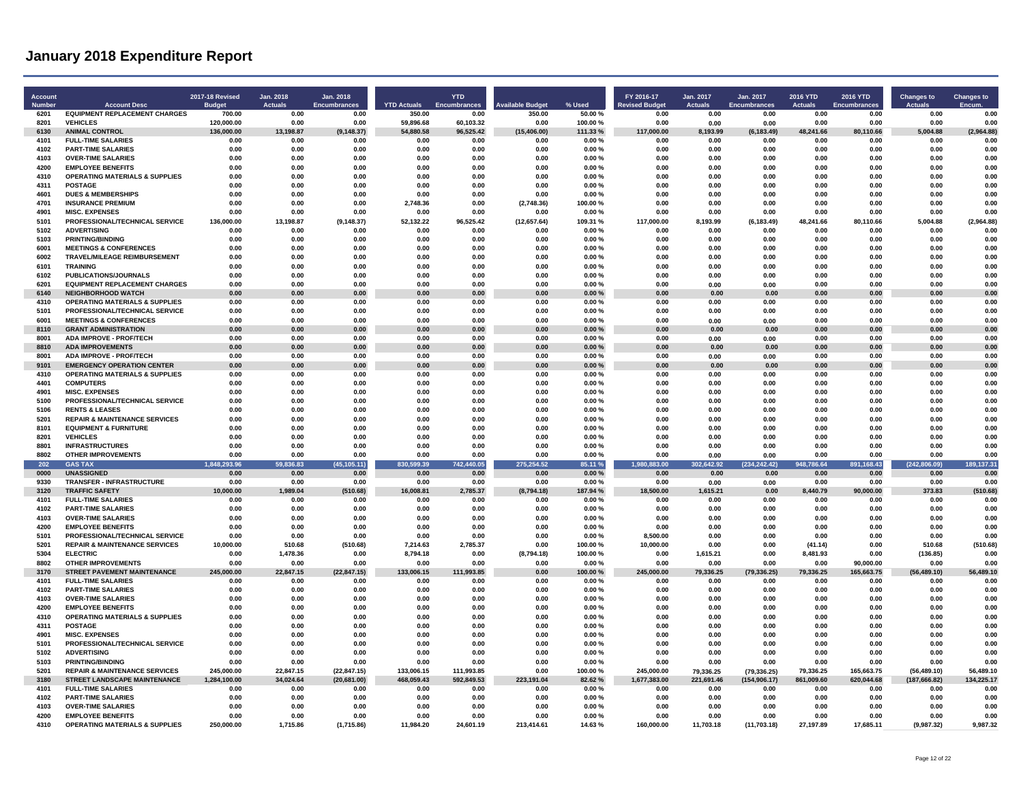| Account<br><b>Number</b> | <b>Account Desc</b>                                                      | 2017-18 Revised<br><b>Budget</b> | Jan. 2018<br><b>Actuals</b> | Jan. 2018<br><b>Encumbrances</b> | <b>YTD Actuals</b>       | <b>YTD</b><br><b>Encumbrances</b> | <b>Available Budget</b> | % Used              | FY 2016-17<br><b>Revised Budget</b> | Jan. 2017<br>Actuals    | Jan. 2017<br><b>Encumbrances</b> | 2016 YTD<br><b>Actuals</b> | <b>2016 YTD</b><br><b>Encumbrances</b> | <b>Changes to</b><br><b>Actuals</b> | <b>Changes to</b><br>Encum |
|--------------------------|--------------------------------------------------------------------------|----------------------------------|-----------------------------|----------------------------------|--------------------------|-----------------------------------|-------------------------|---------------------|-------------------------------------|-------------------------|----------------------------------|----------------------------|----------------------------------------|-------------------------------------|----------------------------|
| 6201                     | <b>EQUIPMENT REPLACEMENT CHARGES</b>                                     | 700.00                           | 0.00                        | 0.00                             | 350.00                   | 0.00                              | 350.00                  | 50.00 %             | 0.00                                | 0.00                    | 0.00                             | 0.00                       | 0.00                                   | 0.00                                | 0.00                       |
| 8201<br>6130             | <b>VEHICLES</b><br><b>ANIMAL CONTROL</b>                                 | 120,000.00<br>136,000.00         | 0.00<br>13,198.87           | 0.00<br>(9, 148.37)              | 59,896.68<br>54,880.58   | 60,103.32<br>96,525.42            | 0.00<br>(15, 406.00)    | 100.00%<br>111.33 % | 0.00<br>117,000.00                  | 0.00<br>8,193.99        | 0.00<br>(6, 183.49)              | 0.00<br>48,241.66          | 0.00<br>80,110.66                      | 0.00<br>5,004.88                    | 0.00<br>(2,964.88)         |
| 4101                     | <b>FULL-TIME SALARIES</b>                                                | 0.00                             | 0.00                        | 0.00                             | 0.00                     | 0.00                              | 0.00                    | 0.00%               | 0.00                                | 0.00                    | 0.00                             | 0.00                       | 0.00                                   | 0.00                                | 0.00                       |
| 4102                     | <b>PART-TIME SALARIES</b>                                                | 0.00                             | 0.00                        | 0.00                             | 0.00                     | 0.00                              | 0.00                    | 0.00%               | 0.00                                | 0.00                    | 0.00                             | 0.00                       | 0.00                                   | 0.00                                | 0.00                       |
| 4103                     | <b>OVER-TIME SALARIES</b>                                                | 0.00                             | 0.00                        | 0.00                             | 0.00                     | 0.00                              | 0.00                    | $0.00 \%$           | 0.00                                | 0.00                    | 0.00                             | 0.00                       | 0.00                                   | 0.00                                | 0.00                       |
| 4200                     | <b>EMPLOYEE BENEFITS</b>                                                 | 0.00                             | 0.00                        | 0.00                             | 0.00                     | 0.00                              | 0.00                    | 0.00%               | 0.00                                | 0.00                    | 0.00                             | 0.00                       | 0.00                                   | 0.00                                | 0.00                       |
| 4310                     | <b>OPERATING MATERIALS &amp; SUPPLIES</b>                                | 0.00                             | 0.00                        | 0.00                             | 0.00                     | 0.00                              | 0.00                    | 0.00%               | 0.00                                | 0.00                    | 0.00                             | 0.00                       | 0.00                                   | 0.00                                | 0.00                       |
| 4311                     | <b>POSTAGE</b>                                                           | 0.00                             | 0.00                        | 0.00                             | 0.00                     | 0.00                              | 0.00                    | 0.00%               | 0.00                                | 0.00                    | 0.00                             | 0.00                       | 0.00                                   | 0.00                                | 0.00                       |
| 4601<br>4701             | <b>DUES &amp; MEMBERSHIPS</b><br><b>INSURANCE PREMIUM</b>                | 0.00                             | 0.00<br>0.00                | 0.00<br>0.00                     | 0.00                     | 0.00<br>0.00                      | 0.00                    | 0.00%<br>100.00%    | 0.00<br>0.00                        | 0.00<br>0.00            | 0.00                             | 0.00                       | 0.00<br>0.00                           | 0.00                                | 0.00<br>0.00               |
| 4901                     | <b>MISC. EXPENSES</b>                                                    | 0.00<br>0.00                     | 0.00                        | 0.00                             | 2,748.36<br>0.00         | 0.00                              | (2,748.36)<br>0.00      | 0.00%               | 0.00                                | 0.00                    | 0.00<br>0.00                     | 0.00<br>0.00               | 0.00                                   | 0.00<br>0.00                        | 0.00                       |
| 5101                     | PROFESSIONAL/TECHNICAL SERVICE                                           | 136,000.00                       | 13.198.87                   | (9, 148.37)                      | 52,132.22                | 96.525.42                         | (12, 657.64)            | 109.31 %            | 117,000.00                          | 8,193.99                | (6, 183.49)                      | 48,241.66                  | 80.110.66                              | 5,004.88                            | (2,964.88)                 |
| 5102                     | <b>ADVERTISING</b>                                                       | 0.00                             | 0.00                        | 0.00                             | 0.00                     | 0.00                              | 0.00                    | 0.00%               | 0.00                                | 0.00                    | 0.00                             | 0.00                       | 0.00                                   | 0.00                                | 0.00                       |
| 5103                     | <b>PRINTING/BINDING</b>                                                  | 0.00                             | 0.00                        | 0.00                             | 0.00                     | 0.00                              | 0.00                    | 0.00%               | 0.00                                | 0.00                    | 0.00                             | 0.00                       | 0.00                                   | 0.00                                | 0.00                       |
| 6001                     | <b>MEETINGS &amp; CONFERENCES</b>                                        | 0.00                             | 0.00                        | 0.00                             | 0.00                     | 0.00                              | 0.00                    | 0.00%               | 0.00                                | 0.00                    | 0.00                             | 0.00                       | 0.00                                   | 0.00                                | 0.00                       |
| 6002                     | TRAVEL/MILEAGE REIMBURSEMENT                                             | 0.00                             | 0.00                        | 0.00                             | 0.00                     | 0.00                              | 0.00                    | 0.00%               | 0.00                                | 0.00                    | 0.00                             | 0.00                       | 0.00                                   | 0.00                                | 0.00                       |
| 6101<br>6102             | <b>TRAINING</b><br>PUBLICATIONS/JOURNALS                                 | 0.00<br>0.00                     | 0.00<br>0.00                | 0.00<br>0.00                     | 0.00<br>0.00             | 0.00<br>0.00                      | 0.00<br>0.00            | 0.00%<br>0.00%      | 0.00<br>0.00                        | 0.00<br>0.00            | 0.00<br>0.00                     | 0.00<br>0.00               | 0.00<br>0.00                           | 0.00<br>0.00                        | 0.00<br>0.00               |
| 6201                     | <b>EQUIPMENT REPLACEMENT CHARGES</b>                                     | 0.00                             | 0.00                        | 0.00                             | 0.00                     | 0.00                              | 0.00                    | 0.00%               | 0.00                                | 0.00                    | 0.00                             | 0.00                       | 0.00                                   | 0.00                                | 0.00                       |
| 6140                     | <b>NEIGHBORHOOD WATCH</b>                                                | 0.00                             | 0.00                        | 0.00                             | 0.00                     | 0.00                              | 0.00                    | 0.00%               | 0.00                                | 0.00                    | 0.00                             | 0.00                       | 0.00                                   | 0.00                                | 0.00                       |
| 4310                     | <b>OPERATING MATERIALS &amp; SUPPLIES</b>                                | 0.00                             | 0.00                        | 0.00                             | 0.00                     | 0.00                              | 0.00                    | 0.00%               | 0.00                                | 0.00                    | 0.00                             | 0.00                       | 0.00                                   | 0.00                                | 0.00                       |
| 5101                     | PROFESSIONAL/TECHNICAL SERVICE                                           | 0.00                             | 0.00                        | 0.00                             | 0.00                     | 0.00                              | 0.00                    | 0.00%               | 0.00                                | 0.00                    | 0.00                             | 0.00                       | 0.00                                   | 0.00                                | 0.00                       |
| 6001                     | <b>MEETINGS &amp; CONFERENCES</b>                                        | 0.00                             | 0.00                        | 0.00                             | 0.00                     | 0.00                              | 0.00                    | 0.00%               | 0.00                                | 0.00                    | 0.00                             | 0.00                       | 0.00                                   | 0.00                                | 0.00                       |
| 8110                     | <b>GRANT ADMINISTRATION</b>                                              | 0.00                             | 0.00                        | 0.00                             | 0.00                     | 0.00                              | 0.00                    | 0.00%               | 0.00                                | 0.00                    | 0.00                             | 0.00                       | 0.00                                   | 0.00                                | 0.00                       |
| 8001                     | <b>ADA IMPROVE - PROF/TECH</b>                                           | 0.00                             | 0.00                        | 0.00                             | 0.00                     | 0.00                              | 0.00                    | 0.00%               | 0.00                                | 0.00                    | 0.00                             | 0.00                       | 0.00                                   | 0.00                                | 0.00                       |
| 8810<br>8001             | <b>ADA IMPROVEMENTS</b><br><b>ADA IMPROVE - PROF/TECH</b>                | 0.00<br>0.00                     | 0.00<br>0.00                | 0.00<br>0.00                     | 0.00<br>0.00             | 0.00<br>0.00                      | 0.00<br>0.00            | 0.00%<br>0.00%      | 0.00<br>0.00                        | 0.00                    | 0.00                             | 0.00<br>0.00               | 0.00<br>0.00                           | 0.00<br>0.00                        | 0.00<br>0.00               |
| 9101                     | <b>EMERGENCY OPERATION CENTER</b>                                        | 0.00                             | 0.00                        | 0.00                             | 0.00                     | 0.00                              | 0.00                    | 0.00%               | 0.00                                | 0.00<br>0.00            | 0.00<br>0.00                     | 0.00                       | 0.00                                   | 0.00                                | 0.00                       |
| 4310                     | <b>OPERATING MATERIALS &amp; SUPPLIES</b>                                | 0.00                             | 0.00                        | 0.00                             | 0.00                     | 0.00                              | 0.00                    | 0.00%               | 0.00                                | 0.00                    | 0.00                             | 0.00                       | 0.00                                   | 0.00                                | 0.00                       |
| 4401                     | <b>COMPUTERS</b>                                                         | 0.00                             | 0.00                        | 0.00                             | 0.00                     | 0.00                              | 0.00                    | 0.00%               | 0.00                                | 0.00                    | 0.00                             | 0.00                       | 0.00                                   | 0.00                                | 0.00                       |
| 4901                     | <b>MISC EXPENSES</b>                                                     | 0.00                             | 0.00                        | 0.00                             | 0.00                     | 0.00                              | 0.00                    | 0.00%               | 0.00                                | 0.00                    | 0.00                             | 0.00                       | 0.00                                   | 0.00                                | 0.00                       |
| 5100                     | PROFESSIONAL/TECHNICAL SERVICE                                           | 0.00                             | 0.00                        | 0.00                             | 0.00                     | 0.00                              | 0.00                    | 0.00%               | 0.00                                | 0.00                    | 0.00                             | 0.00                       | 0.00                                   | 0.00                                | 0.00                       |
| 5106                     | <b>RENTS &amp; LEASES</b>                                                | 0.00                             | 0.00                        | 0.00                             | 0.00                     | 0.00                              | 0.00                    | 0.00%               | 0.00                                | 0.00                    | 0.00                             | 0.00                       | 0.00                                   | 0.00                                | 0.00                       |
| 5201                     | <b>REPAIR &amp; MAINTENANCE SERVICES</b>                                 | 0.00                             | 0.00                        | 0.00                             | 0.00                     | 0.00                              | 0.00                    | 0.00%               | 0.00                                | 0.00                    | 0.00                             | 0.00                       | 0.00                                   | 0.00                                | 0.00                       |
| 8101<br>8201             | <b>EQUIPMENT &amp; FURNITURE</b><br><b>VEHICLES</b>                      | 0.00<br>0.00                     | 0.00<br>0.00                | 0.00<br>0.00                     | 0.00<br>0.00             | 0.00<br>0.00                      | 0.00<br>0.00            | 0.00%<br>0.00%      | 0.00<br>0.00                        | 0.00<br>0.00            | 0.00<br>0.00                     | 0.00<br>0.00               | 0.00<br>0.00                           | 0.00<br>0.00                        | 0.00<br>0.00               |
| 8801                     | <b>INFRASTRUCTURES</b>                                                   | 0.00                             | 0.00                        | 0.00                             | 0.00                     | 0.00                              | 0.00                    | 0.00%               | 0.00                                | 0.00                    | 0.00                             | 0.00                       | 0.00                                   | 0.00                                | 0.00                       |
| 8802                     | <b>OTHER IMPROVEMENTS</b>                                                | 0.00                             | 0.00                        | 0.00                             | 0.00                     | 0.00                              | 0.00                    | 0.00%               | 0.00                                | 0.00                    | 0.00                             | 0.00                       | 0.00                                   | 0.00                                | 0.00                       |
| 202                      | <b>GAS TAX</b>                                                           | 1,848,293.96                     | 59.836.83                   | (45, 105.11)                     | 830,599.39               | 742,440.05                        | 275,254.52              | 85.11 %             | 1,980,883.00                        | 302,642.92              | (234, 242.42)                    | 948,786.64                 | 891,168.43                             | (242, 806.09)                       | 189, 137.31                |
| 0000                     | <b>UNASSIGNED</b>                                                        | 0.00                             | 0.00                        | 0.00                             | 0.00                     | 0.00                              | 0.00                    | 0.00%               | 0.00                                | 0.00                    | 0.00                             | 0.00                       | 0.00                                   | 0.00                                | 0.00                       |
| 9330                     | TRANSFER - INFRASTRUCTURE                                                | 0.00                             | 0.00                        | 0.00                             | 0.00                     | 0.00                              | 0.00                    | 0.00%               | 0.00                                | 0.00                    | 0.00                             | 0.00                       | 0.00                                   | 0.00                                | 0.00                       |
| 3120                     | <b>TRAFFIC SAFETY</b>                                                    | 10.000.00                        | 1.989.04                    | (510.68)                         | 16.008.81                | 2.785.37                          | (8,794.18)              | 187.94%             | 18.500.00                           | 1.615.21                | 0.00                             | 8.440.79                   | 90.000.00                              | 373.83                              | (510.68)                   |
| 4101                     | <b>FULL-TIME SALARIES</b>                                                | 0.00                             | 0.00                        | 0.00                             | 0.00                     | 0.00                              | 0.00                    | 0.00%               | 0.00                                | 0.00                    | 0.00                             | 0.00                       | 0.00                                   | 0.00                                | 0.00                       |
| 4102<br>4103             | <b>PART-TIME SALARIES</b><br><b>OVER-TIME SALARIES</b>                   | 0.00<br>0.00                     | 0.00<br>0.00                | 0.00<br>0.00                     | 0.00<br>0.00             | 0.00<br>0.00                      | 0.00<br>0.00            | 0.00%<br>0.00%      | 0.00<br>0.00                        | 0.00<br>0.00            | 0.00<br>0.00                     | 0.00<br>0.00               | 0.00<br>0.00                           | 0.00<br>0.00                        | 0.00<br>0.00               |
| 4200                     | <b>EMPLOYEE BENEFITS</b>                                                 | 0.00                             | 0.00                        | 0.00                             | 0.00                     | 0.00                              | 0.00                    | 0.00%               | 0.00                                | 0.00                    | 0.00                             | 0.00                       | 0.00                                   | 0.00                                | 0.00                       |
| 5101                     | PROFESSIONAL/TECHNICAL SERVICE                                           | 0.00                             | 0.00                        | 0.00                             | 0.00                     | 0.00                              | 0.00                    | 0.00%               | 8.500.00                            | 0.00                    | 0.00                             | 0.00                       | 0.00                                   | 0.00                                | 0.00                       |
| 5201                     | <b>REPAIR &amp; MAINTENANCE SERVICES</b>                                 | 10.000.00                        | 510.68                      | (510.68)                         | 7,214.63                 | 2.785.37                          | 0.00                    | 100.00%             | 10.000.00                           | 0.00                    | 0.00                             | (41.14)                    | 0.00                                   | 510.68                              | (510.68)                   |
| 5304                     | <b>ELECTRIC</b>                                                          | 0.00                             | 1.478.36                    | 0.00                             | 8.794.18                 | 0.00                              | (8,794.18)              | 100.00%             | 0.00                                | 1,615.21                | 0.00                             | 8,481.93                   | 0.00                                   | (136.85)                            | 0.00                       |
| 8802                     | <b>OTHER IMPROVEMENTS</b>                                                | 0.00                             | 0.00                        | 0.00                             | 0.00                     | 0.00                              | 0.00                    | 0.00%               | 0.00                                | 0.00                    | 0.00                             | 0.00                       | 90,000.00                              | 0.00                                | 0.00                       |
| 3170                     | <b>STREET PAVEMENT MAINTENANCE</b>                                       | 245,000.00                       | 22,847.15                   | (22, 847.15)                     | 133,006.15               | 111,993.85                        | 0.00                    | 100.00%             | 245,000.00                          | 79,336.25               | (79, 336.25)                     | 79,336.25                  | 165,663.75                             | (56, 489.10)                        | 56,489.10                  |
| 4101<br>4102             | <b>FULL-TIME SALARIES</b><br><b>PART-TIME SALARIES</b>                   | 0.00<br>0.00                     | 0.00<br>0.00                | 0.00<br>0.00                     | 0.00<br>0.00             | 0.00<br>0.00                      | 0.00<br>0.00            | 0.00%<br>0.00%      | 0.00<br>0.00                        | 0.00<br>0.00            | 0.00<br>0.00                     | 0.00<br>0.00               | 0.00<br>0.00                           | 0.00<br>0.00                        | 0.00<br>0.00               |
| 4103                     | <b>OVER-TIME SALARIES</b>                                                | 0.00                             | 0.00                        | 0.00                             | 0.00                     | 0.00                              | 0.00                    | 0.00%               | 0.00                                | 0.00                    | 0.00                             | 0.00                       | 0.00                                   | 0.00                                | 0.00                       |
| 4200                     | <b>EMPLOYEE BENEFITS</b>                                                 | 0.00                             | 0.00                        | 0.00                             | 0.00                     | 0.00                              | 0.00                    | 0.00%               | 0.00                                | 0.00                    | 0.00                             | 0.00                       | 0.00                                   | 0.00                                | 0.00                       |
| 4310                     | <b>OPERATING MATERIALS &amp; SUPPLIES</b>                                | 0.00                             | 0.00                        | 0.00                             | 0.00                     | 0.00                              | 0.00                    | 0.00%               | 0.00                                | 0.00                    | 0.00                             | 0.00                       | 0.00                                   | 0.00                                | 0.00                       |
| 4311                     | <b>POSTAGE</b>                                                           | 0.00                             | 0.00                        | 0.00                             | 0.00                     | 0.00                              | 0.00                    | 0.00%               | 0.00                                | 0.00                    | 0.00                             | 0.00                       | 0.00                                   | 0.00                                | 0.00                       |
| 4901                     | <b>MISC. EXPENSES</b>                                                    | 0.00                             | 0.00                        | 0.00                             | 0.00                     | 0.00                              | 0.00                    | 0.00%               | 0.00                                | 0.00                    | 0.00                             | 0.00                       | 0.00                                   | 0.00                                | 0.00                       |
| 5101                     | PROFESSIONAL/TECHNICAL SERVICE                                           | 0.00                             | 0.00                        | 0.00                             | 0.00                     | 0.00                              | 0.00                    | 0.00%               | 0.00                                | 0.00                    | 0.00                             | 0.00                       | 0.00                                   | 0.00                                | 0.00                       |
| 5102                     | <b>ADVERTISING</b>                                                       | 0.00                             | 0.00                        | 0.00                             | 0.00                     | 0.00                              | 0.00                    | 0.00%               | 0.00                                | 0.00                    | 0.00                             | 0.00                       | 0.00                                   | 0.00                                | 0.00                       |
| 5103                     | <b>PRINTING/BINDING</b>                                                  | 0.00                             | 0.00                        | 0.00                             | 0.00                     | 0.00                              | 0.00                    | 0.00%               | 0.00                                | 0.00                    | 0.00                             | 0.00                       | 0.00                                   | 0.00                                | 0.00                       |
| 5201<br>3180             | <b>REPAIR &amp; MAINTENANCE SERVICES</b><br>STREET LANDSCAPE MAINTENANCE | 245,000.00<br>1,284,100.00       | 22,847.15<br>34,024.64      | (22, 847.15)<br>(20, 681.00)     | 133,006.15<br>468,059.43 | 111,993.85<br>592,849.53          | 0.00<br>223,191.04      | 100.00%<br>82.62%   | 245,000.00<br>1,677,383.00          | 79,336.25<br>221,691.46 | (79, 336.25)<br>(154, 906.17)    | 79,336.25<br>861,009.60    | 165,663.75<br>620,044.68               | (56, 489.10)<br>(187, 666.82)       | 56,489.10<br>134,225.17    |
| 4101                     | <b>FULL-TIME SALARIES</b>                                                | 0.00                             | 0.00                        | 0.00                             | 0.00                     | 0.00                              | 0.00                    | 0.00%               | 0.00                                | 0.00                    | 0.00                             | 0.00                       | 0.00                                   | 0.00                                | 0.00                       |
| 4102                     | <b>PART-TIME SALARIES</b>                                                | 0.00                             | 0.00                        | 0.00                             | 0.00                     | 0.00                              | 0.00                    | 0.00%               | 0.00                                | 0.00                    | 0.00                             | 0.00                       | 0.00                                   | 0.00                                | 0.00                       |
| 4103                     | <b>OVER-TIME SALARIES</b>                                                | 0.00                             | 0.00                        | 0.00                             | 0.00                     | 0.00                              | 0.00                    | 0.00%               | 0.00                                | 0.00                    | 0.00                             | 0.00                       | 0.00                                   | 0.00                                | 0.00                       |
| 4200                     | <b>EMPLOYEE BENEFITS</b>                                                 | 0.00                             | 0.00                        | 0.00                             | 0.00                     | 0.00                              | 0.00                    | 0.00%               | 0.00                                | 0.00                    | 0.00                             | 0.00                       | 0.00                                   | 0.00                                | 0.00                       |
| 4310                     | <b>OPERATING MATERIALS &amp; SUPPLIES</b>                                | 250,000.00                       | 1,715.86                    | (1,715.86)                       | 11,984.20                | 24,601.19                         | 213,414.61              | 14.63%              | 160,000.00                          | 11,703.18               | (11,703.18)                      | 27,197.89                  | 17,685.11                              | (9,987.32)                          | 9,987.32                   |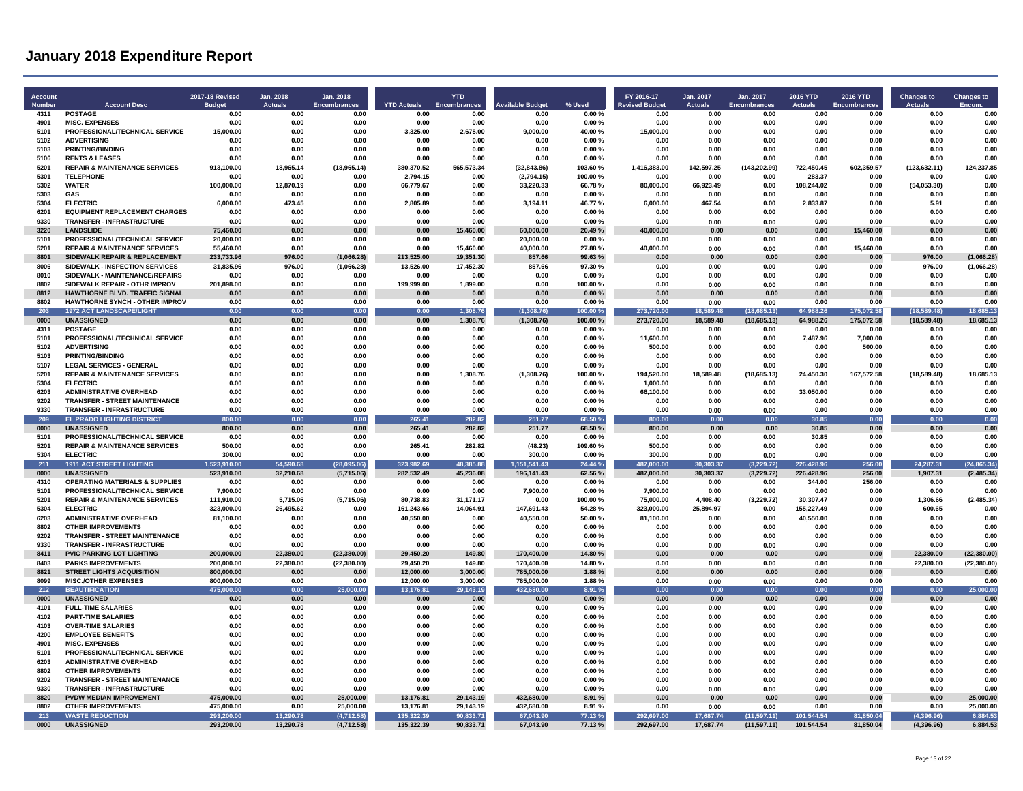| Account<br>Number | <b>Account Desc</b>                                                         | 2017-18 Revised       | Jan. 2018<br><b>Actuals</b> | Jan. 2018<br><b>Encumbrances</b> | <b>YTD Actuals</b> | <b>YTD</b><br><b>Encumbrances</b> | vailable Budget      | % Used             | FY 2016-17<br><b>Revised Budget</b> | Jan. 2017<br><b>Actuals</b> | Jan. 2017<br><b>Encumbrances</b> | 2016 YTD<br><b>Actuals</b> | 2016 YTD<br>Encumbrances | <b>Changes to</b><br><b>Actuals</b> | <b>Changes to</b><br>Encum |
|-------------------|-----------------------------------------------------------------------------|-----------------------|-----------------------------|----------------------------------|--------------------|-----------------------------------|----------------------|--------------------|-------------------------------------|-----------------------------|----------------------------------|----------------------------|--------------------------|-------------------------------------|----------------------------|
| 4311              | <b>POSTAGE</b>                                                              | <b>Budget</b><br>0.00 | 0.00                        | 0.00                             | 0.00               | 0.00                              | 0.00                 | 0.00%              | 0.00                                | 0.00                        | 0.00                             | 0.00                       | 0.00                     | 0.00                                | 0.00                       |
| 4901              | <b>MISC. EXPENSES</b>                                                       | 0.00                  | 0.00                        | 0.00                             | 0.00               | 0.00                              | 0.00                 | 0.00%              | 0.00                                | n nn                        | n nn                             | 0.00                       | 0.00                     | 0.00                                | 0.00                       |
| 5101              | PROFESSIONAL/TECHNICAL SERVICE                                              | 15,000.00             | 0.00                        | 0.00                             | 3,325.00           | 2,675.00                          | 9,000.00             | 40.00%             | 15,000.00                           | 0.00                        | 0.00                             | 0.00                       | 0.00                     | 0.00                                | 0.00                       |
| 5102              | <b>ADVERTISING</b>                                                          | 0.00                  | 0.00                        | 0.00                             | 0.00               | 0.00                              | 0.00                 | 0.00%              | 0.00                                | 0.00                        | 0.00                             | 0.00                       | 0.00                     | 0.00                                | 0.00                       |
| 5103              | <b>PRINTING/BINDING</b>                                                     | 0.00                  | 0.00                        | 0.00                             | 0.00               | 0.00                              | 0.00                 | 0.00%              | 0.00                                | 0.00                        | 0.00                             | 0.00                       | 0.00                     | 0.00                                | 0.00                       |
| 5106<br>5201      | <b>RENTS &amp; LEASES</b><br><b>REPAIR &amp; MAINTENANCE SERVICES</b>       | 0.00<br>913.100.00    | 0.00<br>18,965.14           | 0.00<br>(18, 965.14)             | 0.00<br>380,370.52 | 0.00<br>565,573.34                | 0.00<br>(32, 843.86) | 0.00%<br>103.60%   | 0.00<br>1,416,383.00                | 0.00<br>142,597.25          | 0.00<br>(143, 202.99)            | 0.00<br>722.450.45         | 0.00<br>602.359.57       | 0.00<br>(123, 632.11)               | 0.00<br>124.237.85         |
| 5301              | <b>TELEPHONE</b>                                                            | 0.00                  | 0.00                        | 0.00                             | 2,794.15           | 0.00                              | (2,794.15)           | 100.00%            | 0.00                                | 0.00                        | 0.00                             | 283.37                     | 0.00                     | 0.00                                | 0.00                       |
| 5302              | <b>WATER</b>                                                                | 100,000.00            | 12,870.19                   | 0.00                             | 66,779.67          | 0.00                              | 33,220.33            | 66.78%             | 80,000.00                           | 66,923.49                   | 0.00                             | 108.244.02                 | 0.00                     | (54,053.30)                         | 0.00                       |
| 5303              | <b>GAS</b>                                                                  | 0.00                  | 0.00                        | 0.00                             | 0.00               | 0.00                              | 0.00                 | 0.00%              | 0.00                                | 0.00                        | 0.00                             | 0.00                       | 0.00                     | 0.00                                | 0.00                       |
| 5304              | <b>ELECTRIC</b>                                                             | 6,000.00              | 473.45                      | 0.00                             | 2,805.89           | 0.00                              | 3,194.11             | 46.77%             | 6.000.00                            | 467.54                      | 0.00                             | 2,833.87                   | 0.00                     | 5.91                                | 0.00                       |
| 6201              | <b>EQUIPMENT REPLACEMENT CHARGES</b>                                        | 0.00                  | 0.00                        | 0.00                             | 0.00               | 0.00                              | 0.00                 | 0.00%              | 0.00                                | 0.00                        | 0.00                             | 0.00                       | 0.00                     | 0.00                                | 0.00                       |
| 9330<br>3220      | <b>TRANSFER - INFRASTRUCTURE</b><br><b>I ANDSLIDE</b>                       | 0.00<br>75.460.00     | 0.00<br>0.00                | 0.00<br>0.00                     | 0.00<br>0.00       | 0.00<br>15,460.00                 | 0.00<br>60,000.00    | 0.00%<br>20.49%    | 0.00<br>40.000.00                   | 0.00<br>0.00                | 0.00<br>0.00                     | 0.00<br>0.00               | 0.00<br>15,460.00        | 0.00<br>0.00                        | 0.00<br>0.00               |
| 5101              | PROFESSIONAL/TECHNICAL SERVICE                                              | 20,000.00             | 0.00                        | 0.00                             | 0.00               | 0.00                              | 20,000.00            | 0.00%              | 0.00                                | 0.00                        | 0.00                             | 0.00                       | 0.00                     | 0.00                                | 0.00                       |
| 5201              | <b>REPAIR &amp; MAINTENANCE SERVICES</b>                                    | 55,460.00             | 0.00                        | 0.00                             | 0.00               | 15,460.00                         | 40,000.00            | 27.88%             | 40,000.00                           | 0.00                        | 0.00                             | 0.00                       | 15,460.00                | 0.00                                | 0.00                       |
| 8801              | SIDEWALK REPAIR & REPLACEMENT                                               | 233,733.96            | 976.00                      | (1,066.28)                       | 213,525.00         | 19,351.30                         | 857.66               | 99.63%             | 0.00                                | 0.00                        | 0.00                             | 0.00                       | 0.00                     | 976.00                              | (1,066.28)                 |
| 8006              | SIDEWALK - INSPECTION SERVICES                                              | 31,835.96             | 976.00                      | (1,066.28)                       | 13,526.00          | 17,452.30                         | 857.66               | 97.30%             | 0.00                                | 0.00                        | 0.00                             | 0.00                       | 0.00                     | 976.00                              | (1,066.28)                 |
| 8010              | SIDEWALK - MAINTENANCE/REPAIRS                                              | 0.00                  | 0.00                        | 0.00                             | 0.00               | 0.00                              | 0.00                 | 0.00%              | 0.00                                | 0.00                        | 0.00                             | 0.00                       | 0.00                     | 0.00                                | 0.00                       |
| 8802              | SIDEWALK REPAIR - OTHR IMPROV                                               | 201,898.00            | 0.00                        | 0.00                             | 199,999.00         | 1.899.00                          | 0.00                 | 100.00%            | 0.00                                | 0.00                        | 0.00                             | 0.00                       | 0.00                     | 0.00                                | 0.00                       |
| 8812<br>8802      | HAWTHORNE BLVD. TRAFFIC SIGNAL<br>HAWTHORNE SYNCH - OTHER IMPROV            | 0.00<br>0.00          | 0.00<br>0.00                | $0.00\,$<br>0.00                 | 0.00<br>0.00       | 0.00<br>0.00                      | 0.00<br>0.00         | 0.00%<br>0.00%     | 0.00<br>0.00                        | 0.00<br>0.00                | 0.00<br>0.00                     | 0.00<br>0.00               | $\bf 0.00$<br>0.00       | 0.00<br>0.00                        | 0.00<br>0.00               |
| 203               | <b>1972 ACT LANDSCAPE/LIGHT</b>                                             | 0.00                  | 0.00                        | 0.00                             | 0.00               | 1,308.76                          | (1, 308.76)          | 100.00%            | 273,720.00                          | 18.589.48                   | (18,685.13)                      | 64.988.26                  | 175.072.58               | (18.589.48)                         | 18.685.13                  |
| 0000              | <b>UNASSIGNED</b>                                                           | 0.00                  | 0.00                        | 0.00                             | 0.00               | 1,308.76                          | (1,308.76)           | 100.00%            | 273.720.00                          | 18.589.48                   | (18,685.13)                      | 64.988.26                  | 175,072.58               | (18, 589.48)                        | 18.685.13                  |
| 4311              | <b>POSTAGE</b>                                                              | 0.00                  | 0.00                        | 0.00                             | 0.00               | 0.00                              | 0.00                 | 0.00%              | 0.00                                | 0.00                        | 0.00                             | 0.00                       | 0.00                     | 0.00                                | 0.00                       |
| 5101              | PROFESSIONAL/TECHNICAL SERVICE                                              | 0.00                  | 0.00                        | 0.00                             | 0.00               | 0.00                              | 0.00                 | 0.00%              | 11.600.00                           | 0.00                        | 0.00                             | 7.487.96                   | 7.000.00                 | 0.00                                | 0.00                       |
| 5102              | <b>ADVERTISING</b>                                                          | 0.00                  | 0.00                        | 0.00                             | 0.00               | 0.00                              | 0.00                 | 0.00%              | 500.00                              | 0.00                        | 0.00                             | 0.00                       | 500.00                   | 0.00                                | 0.00                       |
| 5103<br>5107      | <b>PRINTING/BINDING</b><br><b>LEGAL SERVICES - GENERAL</b>                  | 0.00<br>0.00          | 0.00<br>0.00                | 0.00<br>0.00                     | 0.00<br>0.00       | 0.00<br>0.00                      | 0.00<br>0.00         | 0.00%<br>0.00%     | 0.00<br>0.00                        | 0.00<br>0.00                | 0.00<br>0.00                     | 0.00<br>0.00               | 0.00<br>0.00             | 0.00<br>0.00                        | 0.00<br>0.00               |
| 5201              | <b>REPAIR &amp; MAINTENANCE SERVICES</b>                                    | 0.00                  | 0.00                        | 0.00                             | 0.00               | 1,308.76                          | (1,308.76)           | 100.00%            | 194,520.00                          | 18,589.48                   | (18,685.13)                      | 24,450.30                  | 167,572.58               | (18,589.48)                         | 18,685.13                  |
| 5304              | <b>ELECTRIC</b>                                                             | 0.00                  | 0.00                        | 0.00                             | 0.00               | 0.00                              | 0.00                 | 0.00%              | 1,000.00                            | 0.00                        | 0.00                             | 0.00                       | 0.00                     | 0.00                                | 0.00                       |
| 6203              | <b>ADMINISTRATIVE OVERHEAD</b>                                              | 0.00                  | 0.00                        | 0.00                             | 0.00               | 0.00                              | 0.00                 | 0.00%              | 66.100.00                           | 0.00                        | 0.00                             | 33.050.00                  | 0.00                     | 0.00                                | 0.00                       |
| 9202              | <b>TRANSFER - STREET MAINTENANCE</b>                                        | 0.00                  | 0.00                        | 0.00                             | 0.00               | 0.00                              | 0.00                 | 0.00%              | 0.00                                | 0.00                        | 0.00                             | 0.00                       | 0.00                     | 0.00                                | 0.00                       |
| 9330              | TRANSFER - INFRASTRUCTURE                                                   | 0.00                  | 0.00                        | 0.00                             | 0.00               | 0.00                              | 0.00                 | 0.00%              | 0.00                                | 0.00                        | 0.00                             | 0.00                       | 0.00                     | 0.00                                | 0.00                       |
| 209<br>0000       | <b>EL PRADO LIGHTING DISTRICT</b><br><b>UNASSIGNED</b>                      | 800.00<br>800.00      | 0.00<br>0.00                | 0.00<br>0.00                     | 265.41<br>265.41   | 282.82<br>282.82                  | 251.77<br>251.77     | 68.50 %<br>68.50 % | 800.00<br>800.00                    | 0.00<br>0.00                | 0.00<br>0.00                     | 30.85<br>30.85             | 0.00<br>0.00             | 0.00<br>0.00                        | 0.00<br>0.00               |
| 5101              | PROFESSIONAL/TECHNICAL SERVICE                                              | 0.00                  | 0.00                        | 0.00                             | 0.00               | 0.00                              | 0.00                 | 0.00%              | 0.00                                | 0.00                        | 0.00                             | 30.85                      | 0.00                     | 0.00                                | 0.00                       |
| 5201              | <b>REPAIR &amp; MAINTENANCE SERVICES</b>                                    | 500.00                | 0.00                        | 0.00                             | 265.41             | 282.82                            | (48.23)              | 109.60%            | 500.00                              | 0.00                        | 0.00                             | 0.00                       | 0.00                     | 0.00                                | 0.00                       |
| 5304              | <b>ELECTRIC</b>                                                             | 300.00                | 0.00                        | 0.00                             | 0.00               | 0.00                              | 300.00               | 0.00%              | 300.00                              | 0.00                        | 0.00                             | 0.00                       | 0.00                     | 0.00                                | 0.00                       |
| 211               | <b>1911 ACT STREET LIGHTING</b>                                             | 1,523,910.00          | 54.590.68                   | (28, 095.06)                     | 323,982.69         | 48,385.88                         | 1,151,541.43         | 24.44 %            | 487,000.00                          | 30.303.37                   | (3,229.72)                       | 226,428.96                 | 256.00                   | 24,287.31                           | (24, 865.34)               |
| 0000              | <b>UNASSIGNED</b>                                                           | 523,910.00            | 32,210.68                   | (5,715.06)                       | 282,532.49         | 45,236.08                         | 196,141.43           | 62.56%             | 487,000.00                          | 30,303.37                   | (3, 229.72)                      | 226,428.96                 | 256.00                   | 1,907.31                            | (2,485.34)                 |
| 4310<br>5101      | <b>OPERATING MATERIALS &amp; SUPPLIES</b><br>PROFESSIONAL/TECHNICAL SERVICE | 0.00<br>7.900.00      | 0.00<br>0.00                | 0.00<br>0.00                     | 0.00<br>0.00       | 0.00<br>0.00                      | 0.00<br>7.900.00     | 0.00%<br>0.00%     | 0.00<br>7.900.00                    | 0.00<br>0.00                | 0.00<br>0.00                     | 344.00<br>0.00             | 256.00<br>0.00           | 0.00<br>0.00                        | 0.00<br>0.00               |
| 5201              | <b>REPAIR &amp; MAINTENANCE SERVICES</b>                                    | 111.910.00            | 5.715.06                    | (5,715.06)                       | 80.738.83          | 31.171.17                         | 0.00                 | 100.00%            | 75.000.00                           | 4.408.40                    | (3.229.72)                       | 30.307.47                  | 0.00                     | 1.306.66                            | (2.485.34)                 |
| 5304              | <b>ELECTRIC</b>                                                             | 323,000.00            | 26.495.62                   | 0.00                             | 161,243.66         | 14,064.91                         | 147,691.43           | 54.28%             | 323,000.00                          | 25.894.97                   | 0.00                             | 155,227.49                 | 0.00                     | 600.65                              | 0.00                       |
| 6203              | <b>ADMINISTRATIVE OVERHEAD</b>                                              | 81,100.00             | 0.00                        | 0.00                             | 40,550.00          | 0.00                              | 40,550.00            | 50.00 %            | 81,100.00                           | 0.00                        | 0.00                             | 40,550.00                  | 0.00                     | 0.00                                | 0.00                       |
| 8802              | <b>OTHER IMPROVEMENTS</b>                                                   | 0.00                  | 0.00                        | 0.00                             | 0.00               | 0.00                              | 0.00                 | 0.00%              | 0.00                                | 0.00                        | 0.00                             | 0.00                       | 0.00                     | 0.00                                | 0.00                       |
| 9202              | <b>TRANSFER - STREET MAINTENANCE</b>                                        | 0.00                  | 0.00                        | 0.00                             | 0.00               | 0.00                              | 0.00                 | 0.00%              | 0.00                                | 0.00                        | 0.00                             | 0.00                       | 0.00                     | 0.00                                | 0.00                       |
| 9330<br>8411      | <b>TRANSFER - INFRASTRUCTURE</b><br><b>PVIC PARKING LOT LIGHTING</b>        | 0.00<br>200.000.00    | 0.00<br>22,380.00           | 0.00<br>(22, 380.00)             | 0.00<br>29,450.20  | 0.00<br>149.80                    | 0.00<br>170,400.00   | 0.00%<br>14.80%    | 0.00<br>0.00                        | 0.00<br>0.00                | 0.00<br>0.00                     | 0.00<br>0.00               | 0.00<br>0.00             | 0.00<br>22,380.00                   | 0.00<br>(22, 380.00)       |
| 8403              | <b>PARKS IMPROVEMENTS</b>                                                   | 200,000.00            | 22,380.00                   | (22, 380.00)                     | 29,450.20          | 14980                             | 170,400.00           | 14.80%             | 0.00                                | 0.00                        | 0.00                             | 0.00                       | 0.00                     | 22,380.00                           | (22, 380.00)               |
| 8821              | <b>STREET LIGHTS ACQUISITION</b>                                            | 800,000.00            | 0.00                        | 0.00                             | 12,000.00          | 3,000.00                          | 785,000.00           | 1.88%              | 0.00                                | 0.00                        | 0.00                             | $\boldsymbol{0.00}$        | 0.00                     | 0.00                                | 0.00                       |
| 8099              | <b>MISC./OTHER EXPENSES</b>                                                 | 800,000.00            | 0.00                        | 0.00                             | 12,000.00          | 3,000.00                          | 785,000.00           | 1.88%              | 0.00                                | 0.00                        | 0.00                             | 0.00                       | 0.00                     | 0.00                                | 0.00                       |
| 212               | <b>BEAUTIFICATION</b>                                                       | 475.000.00            | 0.00                        | 25.000.00                        | 13,176.81          | 29.143.19                         | 432.680.00           | 8.91%              | 0.00                                | 0.00                        | 0.00                             | 0.00                       | 0.00                     | 0.00                                | 25,000.00                  |
| 0000              | <b>UNASSIGNED</b>                                                           | 0.00                  | 0.00                        | 0.00                             | 0.00               | 0.00                              | 0.00                 | 0.00%              | 0.00                                | 0.00                        | 0.00                             | 0.00                       | 0.00                     | 0.00                                | 0.00                       |
| 4101<br>4102      | <b>FULL-TIME SALARIES</b><br><b>PART-TIME SALARIES</b>                      | 0.00<br>0.00          | 0.00<br>0.00                | 0.00<br>0.00                     | 0.00<br>0.00       | 0.00<br>0.00                      | 0.00<br>0.00         | 0.00%<br>0.00%     | 0.00<br>0.00                        | 0.00<br>0.00                | 0.00<br>0.00                     | 0.00<br>0.00               | 0.00<br>0.00             | 0.00<br>0.00                        | 0.00<br>0.00               |
| 4103              | <b>OVER-TIME SALARIES</b>                                                   | 0.00                  | 0.00                        | 0.00                             | 0.00               | 0.00                              | 0.00                 | 0.00%              | 0.00                                | 0.00                        | 0.00                             | 0.00                       | 0.00                     | 0.00                                | 0.00                       |
| 4200              | <b>EMPLOYEE BENEFITS</b>                                                    | 0.00                  | 0.00                        | 0.00                             | 0.00               | 0.00                              | 0.00                 | 0.00%              | 0.00                                | 0.00                        | 0.00                             | 0.00                       | 0.00                     | 0.00                                | 0.00                       |
| 4901              | <b>MISC. EXPENSES</b>                                                       | 0.00                  | 0.00                        | 0.00                             | 0.00               | 0.00                              | 0.00                 | 0.00%              | 0.00                                | 0.00                        | 0.00                             | 0.00                       | 0.00                     | 0.00                                | 0.00                       |
| 5101              | PROFESSIONAL/TECHNICAL SERVICE                                              | 0.00                  | 0.00                        | 0.00                             | 0.00               | 0.00                              | 0.00                 | 0.00%              | 0.00                                | 0.00                        | 0.00                             | 0.00                       | 0.00                     | 0.00                                | 0.00                       |
| 6203              | <b>ADMINISTRATIVE OVERHEAD</b>                                              | 0.00                  | 0.00                        | 0.00                             | 0.00               | 0.00                              | 0.00                 | 0.00%              | 0.00                                | 0.00                        | 0.00                             | 0.00                       | 0.00                     | 0.00                                | 0.00                       |
| 8802              | <b>OTHER IMPROVEMENTS</b>                                                   | 0.00                  | 0.00                        | 0.00                             | 0.00               | 0.00                              | 0.00                 | 0.00%              | 0.00                                | 0.00                        | 0.00                             | 0.00                       | 0.00                     | 0.00                                | 0.00<br>0.00               |
| 9202<br>9330      | TRANSFER - STREET MAINTENANCE<br><b>TRANSFER - INFRASTRUCTURE</b>           | 0.00<br>0.00          | 0.00<br>0.00                | 0.00<br>0.00                     | 0.00<br>0.00       | 0.00<br>0.00                      | 0.00<br>0.00         | 0.00%<br>0.00%     | 0.00<br>0.00                        | 0.00<br>0.00                | 0.00<br>0.00                     | 0.00<br>0.00               | 0.00<br>0.00             | 0.00<br>0.00                        | 0.00                       |
| 8820              | <b>PVDW MEDIAN IMPROVEMENT</b>                                              | 475,000.00            | 0.00                        | 25,000.00                        | 13,176.81          | 29,143.19                         | 432,680.00           | 8.91%              | 0.00                                | 0.00                        | 0.00                             | 0.00                       | 0.00                     | 0.00                                | 25,000.00                  |
| 8802              | <b>OTHER IMPROVEMENTS</b>                                                   | 475,000.00            | 0.00                        | 25,000.00                        | 13,176.81          | 29,143.19                         | 432,680.00           | 8.91%              | 0.00                                | 0.00                        | 0.00                             | 0.00                       | 0.00                     | 0.00                                | 25.000.00                  |
| 213               | <b>WASTE REDUCTION</b>                                                      | 293.200.00            | 13.290.78                   | (4.712.58)                       | 135.322.39         | 90.833.71                         | 67.043.90            | 77.13%             | 292.697.00                          | 17.687.74                   | (11, 597.11)                     | 101.544.54                 | 81.850.04                | (4.396.96)                          | 6.884.53                   |
| 0000              | <b>UNASSIGNED</b>                                                           | 293.200.00            | 13,290.78                   | (4,712.58)                       | 135.322.39         | 90,833.71                         | 67,043.90            | 77.13%             | 292.697.00                          | 17,687.74                   | (11, 597.11)                     | 101,544.54                 | 81.850.04                | (4,396.96)                          | 6,884.53                   |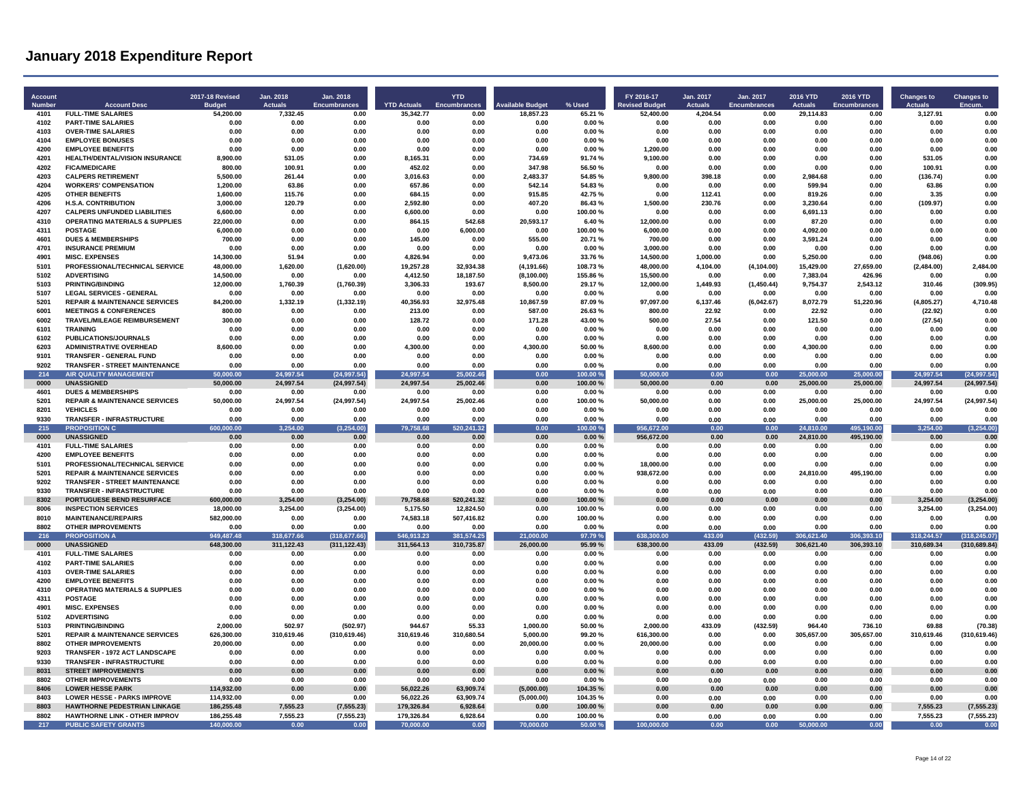| Account<br>Number | <b>Account Desc</b>                                                   | <b>2017-18 Revised</b><br><b>Budget</b> | Jan. 2018<br><b>Actuals</b> | Jan. 2018<br><b>Encumbrances</b> | <b>YTD Actuals</b>      | <b>YTD</b><br><b>Encumbrances</b> | <b>Available Budget</b> | % Used             | FY 2016-17<br><b>Revised Budget</b> | Jan. 2017<br>Actuals | Jan. 2017<br><b>Encumbrances</b> | 2016 YTD<br><b>Actuals</b> | 2016 YTD<br><b>Encumbrances</b> | <b>Changes to</b><br><b>Actuals</b> | <b>Changes to</b>   |
|-------------------|-----------------------------------------------------------------------|-----------------------------------------|-----------------------------|----------------------------------|-------------------------|-----------------------------------|-------------------------|--------------------|-------------------------------------|----------------------|----------------------------------|----------------------------|---------------------------------|-------------------------------------|---------------------|
| 4101              | <b>FULL-TIME SALARIES</b>                                             | 54,200.00                               | 7,332.45                    | 0.00                             | 35,342.77               | 0.00                              | 18,857.23               | 65.21 %            | 52,400.00                           | 4,204.54             | 0.00                             | 29,114.83                  | 0.00                            | 3,127.91                            | 0.00                |
| 4102              | <b>PART-TIME SALARIES</b>                                             | 0.00                                    | 0.00                        | 0.00                             | 0.00                    | 0.00                              | 0.00                    | 0.00%              | 0.00                                | 0.00                 | 0.00                             | 0.00                       | 0.00                            | 0.00                                | 0.00                |
| 4103              | <b>OVER-TIME SALARIES</b>                                             | 0.00                                    | 0.00                        | 0.00                             | 0.00                    | 0.00                              | 0.00                    | 0.00%              | 0.00                                | 0.00                 | 0.00                             | 0.00                       | 0.00                            | 0.00                                | 0.00                |
| 4104              | <b>EMPLOYEE BONUSES</b>                                               | 0.00                                    | 0.00                        | 0.00                             | 0.00                    | 0.00                              | 0.00                    | 0.00%              | 0.00                                | 0.00                 | 0.00                             | 0.00                       | 0.00                            | 0.00                                | 0.00                |
| 4200              | <b>EMPLOYEE BENEFITS</b>                                              | 0.00                                    | 0.00                        | 0.00                             | 0.00                    | 0.00                              | 0.00                    | 0.00%              | 1,200.00                            | 0.00                 | 0.00                             | 0.00                       | 0.00                            | 0.00                                | 0.00                |
| 4201              | HEALTH/DENTAL/VISION INSURANCE                                        | 8,900.00                                | 531.05                      | 0.00                             | 8,165.31                | 0.00                              | 734.69                  | 91.74%             | 9,100.00                            | 0.00                 | 0.00                             | 0.00                       | 0.00                            | 531.05                              | 0.00                |
| 4202              | <b>FICA/MEDICARE</b>                                                  | 800.00                                  | 100.91                      | 0.00                             | 452.02                  | 0.00                              | 347.98                  | 56.50%             | 0.00                                | 0.00                 | 0.00                             | 0.00                       | 0.00                            | 100.91                              | 0.00                |
| 4203<br>4204      | <b>CALPERS RETIREMENT</b><br><b>WORKERS' COMPENSATION</b>             | 5,500.00                                | 261.44<br>63.86             | 0.00<br>0.00                     | 3,016.63<br>657.86      | 0.00<br>0.00                      | 2,483.37<br>542.14      | 54.85%<br>54.83%   | 9,800.00<br>0.00                    | 398.18<br>0.00       | 0.00<br>0.00                     | 2,984.68<br>599.94         | 0.00<br>0.00                    | (136.74)                            | 0.00<br>0.00        |
| 4205              | <b>OTHER BENEFITS</b>                                                 | 1,200.00<br>1,600.00                    | 115.76                      | 0.00                             | 684.15                  | 0.00                              | 915.85                  | 42.75%             | 0.00                                | 112.41               | 0.00                             | 819.26                     | 0.00                            | 63.86<br>3.35                       | 0.00                |
| 4206              | <b>H.S.A. CONTRIBUTION</b>                                            | 3.000.00                                | 120.79                      | 0.00                             | 2.592.80                | 0.00                              | 407.20                  | 86.43%             | 1,500.00                            | 230.76               | 0.00                             | 3.230.64                   | 0.00                            | (109.97)                            | 0.00                |
| 4207              | <b>CALPERS UNFUNDED LIABILITIES</b>                                   | 6,600.00                                | 0.00                        | 0.00                             | 6,600.00                | 0.00                              | 0.00                    | 100.00%            | 0.00                                | 0.00                 | 0.00                             | 6,691.13                   | 0.00                            | 0.00                                | 0.00                |
| 4310              | <b>OPERATING MATERIALS &amp; SUPPLIES</b>                             | 22.000.00                               | 0.00                        | 0.00                             | 864.15                  | 542.68                            | 20,593.17               | 6.40%              | 12.000.00                           | 0.00                 | 0.00                             | 87.20                      | 0.00                            | 0.00                                | 0.00                |
| 4311              | POSTAGE                                                               | 6.000.00                                | 0.00                        | 0.00                             | 0.00                    | 6.000.00                          | 0.00                    | 100.00%            | 6.000.00                            | 0.00                 | 0.00                             | 4.092.00                   | 0.00                            | 0.00                                | 0.00                |
| 4601              | <b>DUES &amp; MEMBERSHIPS</b>                                         | 700.00                                  | 0.00                        | 0.00                             | 145.00                  | 0.00                              | 555.00                  | 20.71%             | 700.00                              | 0.00                 | 0.00                             | 3.591.24                   | 0.00                            | 0.00                                | 0.00                |
| 4701              | <b>INSURANCE PREMIUM</b>                                              | 0.00                                    | 0.00                        | 0.00                             | 0.00                    | 0.00                              | 0.00                    | 0.00%              | 3,000.00                            | 0.00                 | 0.00                             | 0.00                       | 0.00                            | 0.00                                | 0.00                |
| 4901              | <b>MISC. EXPENSES</b>                                                 | 14,300.00                               | 51.94                       | 0.00                             | 4,826.94                | 0.00                              | 9,473.06                | 33.76%             | 14,500.00                           | 1,000.00             | 0.00                             | 5,250.00                   | 0.00                            | (948.06)                            | 0.00                |
| 5101              | PROFESSIONAL/TECHNICAL SERVICE                                        | 48,000.00                               | 1.620.00                    | (1,620.00)                       | 19,257.28               | 32,934.38                         | (4, 191.66)             | 108.73%            | 48,000.00                           | 4,104.00             | (4, 104.00)                      | 15.429.00                  | 27,659.00                       | (2,484.00)                          | 2,484.00            |
| 5102              | <b>ADVERTISING</b>                                                    | 14.500.00                               | 0.00                        | 0.00                             | 4,412.50                | 18,187.50                         | (8, 100.00)             | 155.86%            | 15,500.00                           | 0.00                 | 0.00                             | 7,383.04                   | 426.96                          | 0.00                                | 0.00                |
| 5103              | <b>PRINTING/BINDING</b>                                               | 12.000.00                               | 1.760.39                    | (1,760.39)                       | 3.306.33                | 193.67                            | 8.500.00                | 29.17%             | 12.000.00                           | 1.449.93             | (1.450.44)                       | 9.754.37                   | 2.543.12                        | 310.46                              | (309.95)            |
| 5107              | <b>LEGAL SERVICES - GENERAL</b>                                       | 0.00                                    | 0.00                        | 0.00                             | 0.00                    | 0.00                              | 0.00                    | 0.00%              | 0.00                                | 0.00                 | 0.00                             | 0.00                       | 0.00                            | 0.00                                | 0.00                |
| 5201              | <b>REPAIR &amp; MAINTENANCE SERVICES</b>                              | 84,200.00                               | 1.332.19                    | (1, 332.19)                      | 40.356.93               | 32.975.48                         | 10.867.59               | 87.09%             | 97.097.00                           | 6.137.46             | (6,042.67)                       | 8.072.79                   | 51,220.96                       | (4,805.27)                          | 4.710.48            |
| 6001              | <b>MEETINGS &amp; CONFERENCES</b>                                     | 800.00                                  | 0.00                        | 0.00                             | 213.00                  | 0.00                              | 587.00                  | 26.63%             | 800.00                              | 22.92                | 0.00                             | 22.92                      | 0.00                            | (22.92)                             | 0.00                |
| 6002<br>6101      | TRAVEL/MILEAGE REIMBURSEMENT<br><b>TRAINING</b>                       | 300.00<br>0.00                          | 0.00<br>0.00                | 0.00<br>0.00                     | 128.72<br>0.00          | 0.00<br>0.00                      | 171.28<br>0.00          | 43.00%<br>0.00%    | 500.00<br>0.00                      | 27.54<br>0.00        | 0.00<br>0.00                     | 121.50<br>0.00             | 0.00<br>0.00                    | (27.54)<br>0.00                     | 0.00<br>0.00        |
| 6102              | <b>PUBLICATIONS/JOURNALS</b>                                          | 0.00                                    | 0.00                        | 0.00                             | 0.00                    | 0.00                              | 0.00                    | 0.00%              | 0.00                                | 0.00                 | 0.00                             | 0.00                       | 0.00                            | 0.00                                | 0.00                |
| 6203              | <b>ADMINISTRATIVE OVERHEAD</b>                                        | 8.600.00                                | 0.00                        | 0.00                             | 4,300.00                | 0.00                              | 4,300.00                | 50.00%             | 8,600.00                            | 0.00                 | 0.00                             | 4,300.00                   | 0.00                            | 0.00                                | 0.00                |
| 9101              | TRANSFER - GENERAL FUND                                               | 0.00                                    | 0.00                        | 0.00                             | 0.00                    | 0.00                              | 0.00                    | 0.00%              | 0.00                                | 0.00                 | 0.00                             | 0.00                       | 0.00                            | 0.00                                | 0.00                |
| 9202              | <b>TRANSFER - STREET MAINTENANCE</b>                                  | 0.00                                    | 0.00                        | 0.00                             | 0.00                    | 0.00                              | 0.00                    | 0.00%              | 0.00                                | 0.00                 | 0.00                             | 0.00                       | 0.00                            | 0.00                                | 0.00                |
| 214               | <b>AIR QUALITY MANAGEMENT</b>                                         | 50.000.00                               | 24,997.54                   | (24, 997.54)                     | 24,997.54               | 25,002.46                         | 0.00                    | 100.00%            | 50.000.00                           | 0.00                 | 0.00                             | 25.000.00                  | 25,000.00                       | 24,997.54                           | (24, 997.54)        |
| 0000              | <b>UNASSIGNED</b>                                                     | 50,000.00                               | 24,997.54                   | (24, 997.54)                     | 24,997.54               | 25,002.46                         | 0.00                    | 100.00%            | 50,000.00                           | 0.00                 | 0.00                             | 25,000.00                  | 25,000.00                       | 24,997.54                           | (24, 997.54)        |
| 4601              | <b>DUES &amp; MEMBERSHIPS</b>                                         | 0.00                                    | 0.00                        | 0.00                             | 0.00                    | 0.00                              | 0.00                    | 0.00%              | 0.00                                | 0.00                 | 0.00                             | 0.00                       | 0.00                            | 0.00                                | 0.00                |
| 5201              | <b>REPAIR &amp; MAINTENANCE SERVICES</b>                              | 50.000.00                               | 24,997.54                   | (24, 997.54)                     | 24,997.54               | 25,002.46                         | 0.00                    | 100.00%            | 50.000.00                           | 0.00                 | 0.00                             | 25,000.00                  | 25,000.00                       | 24,997.54                           | (24, 997.54)        |
| 8201              | <b>VEHICLES</b>                                                       | 0.00                                    | 0.00                        | 0.00                             | 0.00                    | 0.00                              | 0.00                    | 0.00%              | 0.00                                | 0.00                 | 0.00                             | 0.00                       | 0.00                            | 0.00                                | 0.00                |
| 9330              | <b>TRANSFER - INFRASTRUCTURE</b>                                      | 0.00                                    | 0.00                        | 0.00                             | 0.00                    | 0.00                              | 0.00                    | 0.00%              | 0.00                                | 0.00                 | 0.00                             | 0.00                       | 0.00                            | 0.00                                | 0.00                |
| 215               | <b>PROPOSITION C</b>                                                  | 600.000.00                              | 3.254.00                    | (3, 254.00)                      | 79,758.68               | 520,241.32                        | 0.00                    | 100.00%            | 956,672.00                          | 0.00                 | 0.00                             | 24.810.00                  | 495,190.00                      | 3.254.00                            | (3,254.00)          |
| 0000              | <b>UNASSIGNED</b>                                                     | 0.00                                    | 0.00                        | 0.00                             | 0.00                    | 0.00                              | 0.00                    | 0.00%              | 956,672.00                          | 0.00                 | 0.00                             | 24.810.00                  | 495,190.00                      | 0.00                                | 0.00                |
| 4101              | <b>FULL-TIME SALARIES</b><br><b>EMPLOYEE BENEFITS</b>                 | 0.00                                    | 0.00                        | 0.00                             | 0.00                    | 0.00                              | 0.00                    | 0.00%              | 0.00                                | 0.00                 | 0.00                             | 0.00                       | 0.00                            | 0.00                                | 0.00                |
| 4200<br>5101      | PROFESSIONAL/TECHNICAL SERVICE                                        | 0.00<br>0.00                            | 0.00<br>0.00                | 0.00<br>0.00                     | 0.00<br>0.00            | 0.00<br>0.00                      | 0.00<br>0.00            | 0.00%<br>0.00%     | 0.00<br>18,000.00                   | 0.00<br>0.00         | 0.00<br>0.00                     | 0.00<br>0.00               | 0.00<br>0.00                    | 0.00<br>0.00                        | 0.00<br>0.00        |
| 5201              | <b>REPAIR &amp; MAINTENANCE SERVICES</b>                              | 0.00                                    | 0.00                        | 0.00                             | 0.00                    | 0.00                              | 0.00                    | 0.00%              | 938.672.00                          | 0.00                 | 0.00                             | 24.810.00                  | 495.190.00                      | 0.00                                | 0.00                |
| 9202              | <b>TRANSFER - STREET MAINTENANCE</b>                                  | 0.00                                    | 0.00                        | 0.00                             | 0.00                    | 0.00                              | 0.00                    | 0.00%              | 0.00                                | 0.00                 | 0.00                             | 0.00                       | 0.00                            | 0.00                                | 0.00                |
| 9330              | <b>TRANSFER - INFRASTRUCTURE</b>                                      | 0.00                                    | 0.00                        | 0.00                             | 0.00                    | 0.00                              | 0.00                    | 0.00%              | 0.00                                | 0.00                 | 0.00                             | 0.00                       | 0.00                            | 0.00                                | 0.00                |
| 8302              | PORTUGUESE BEND RESURFACE                                             | 600,000.00                              | 3.254.00                    | (3.254.00)                       | 79,758.68               | 520,241.32                        | 0.00                    | 100.00%            | 0.00                                | 0.00                 | 0.00                             | 0.00                       | 0.00                            | 3.254.00                            | (3, 254.00)         |
| 8006              | <b>INSPECTION SERVICES</b>                                            | 18,000.00                               | 3,254.00                    | (3,254.00)                       | 5,175.50                | 12,824.50                         | 0.00                    | 100.00%            | 0.00                                | 0.00                 | 0.00                             | 0.00                       | 0.00                            | 3,254.00                            | (3,254.00)          |
| 8010              | <b>MAINTENANCE/REPAIRS</b>                                            | 582,000.00                              | 0.00                        | 0.00                             | 74,583.18               | 507,416.82                        | 0.00                    | 100.00%            | 0.00                                | 0.00                 | 0.00                             | 0.00                       | 0.00                            | 0.00                                | 0.00                |
| 8802              | <b>OTHER IMPROVEMENTS</b>                                             | 0.00                                    | 0.00                        | 0.00                             | 0.00                    | 0.00                              | 0.00                    | 0.00%              | 0.00                                | 0.00                 | 0.00                             | 0.00                       | 0.00                            | 0.00                                | 0.00                |
| 216               | <b>PROPOSITION A</b>                                                  | 949.487.48                              | 318,677.66                  | (318.677.66)                     | 546.913.23              | 381,574.25                        | 21.000.00               | 97.79%             | 638.300.00                          | 433.09               | 432.59                           | 306.621.40                 | 306.393.10                      | 318.244.57                          | (318.245.07)        |
| 0000              | <b>UNASSIGNED</b>                                                     | 648.300.00                              | 311,122.43                  | (311, 122.43)                    | 311,564.13              | 310,735.87                        | 26,000.00               | 95.99%             | 638.300.00                          | 433.09               | (432.59)                         | 306,621.40                 | 306,393.10                      | 310,689.34                          | (310.689.84)        |
| 4101              | <b>FULL-TIME SALARIES</b>                                             | 0.00                                    | 0.00                        | 0.00                             | 0.00                    | 0.00                              | 0.00                    | 0.00%              | 0.00                                | 0.00                 | 0.00                             | 0.00                       | 0.00                            | 0.00                                | 0.00                |
| 4102              | <b>PART-TIME SALARIES</b>                                             | 0.00                                    | 0.00                        | 0.00                             | 0.00                    | 0.00                              | 0.00                    | 0.00%              | 0.00                                | 0.00                 | 0.00                             | 0.00                       | 0.00                            | 0.00                                | 0.00                |
| 4103<br>4200      | <b>OVER-TIME SALARIES</b>                                             | 0.00<br>0.00                            | 0.00<br>0.00                | 0.00<br>0.00                     | 0.00<br>0.00            | 0.00<br>0.00                      | 0.00<br>0.00            | $0.00 \%$<br>0.00% | 0.00<br>0.00                        | 0.00<br>0.00         | 0.00<br>0.00                     | 0.00<br>0.00               | 0.00<br>0.00                    | 0.00<br>0.00                        | 0.00<br>0.00        |
| 4310              | <b>EMPLOYEE BENEFITS</b><br><b>OPERATING MATERIALS &amp; SUPPLIES</b> | 0.00                                    | 0.00                        | 0.00                             | 0.00                    | 0.00                              | 0.00                    | 0.00%              | 0.00                                | 0.00                 | 0.00                             | 0.00                       | 0.00                            | 0.00                                | 0.00                |
| 4311              | POSTAGE                                                               | 0.00                                    | 0.00                        | 0.00                             | 0.00                    | 0.00                              | 0.00                    | 0.00%              | 0.00                                | 0.00                 | 0.00                             | 0.00                       | 0.00                            | 0.00                                | 0.00                |
| 4901              | <b>MISC. EXPENSES</b>                                                 | 0.00                                    | 0.00                        | 0.00                             | 0.00                    | 0.00                              | 0.00                    | 0.00%              | 0.00                                | 0.00                 | 0.00                             | 0.00                       | 0.00                            | 0.00                                | 0.00                |
| 5102              | <b>ADVERTISING</b>                                                    | 0.00                                    | 0.00                        | 0.00                             | 0.00                    | 0.00                              | 0.00                    | 0.00%              | 0.00                                | 0.00                 | 0.00                             | 0.00                       | 0.00                            | 0.00                                | 0.00                |
| 5103              | <b>PRINTING/BINDING</b>                                               | 2,000.00                                | 502.97                      | (502.97)                         | 944.67                  | 55.33                             | 1.000.00                | 50.00%             | 2,000.00                            | 433.09               | (432.59)                         | 964.40                     | 736.10                          | 69.88                               | (70.38)             |
| 5201              | <b>REPAIR &amp; MAINTENANCE SERVICES</b>                              | 626,300.00                              | 310,619.46                  | (310, 619.46)                    | 310,619.46              | 310,680.54                        | 5,000.00                | 99.20%             | 616,300.00                          | 0.00                 | 0.00                             | 305,657.00                 | 305,657.00                      | 310,619.46                          | (310, 619.46)       |
| 8802              | <b>OTHER IMPROVEMENTS</b>                                             | 20.000.00                               | 0.00                        | 0.00                             | 0.00                    | 0.00                              | 20.000.00               | 0.00%              | 20.000.00                           | 0.00                 | 0.00                             | 0.00                       | 0.00                            | 0.00                                | 0.00                |
| 9203              | TRANSFER - 1972 ACT LANDSCAPE                                         | 0.00                                    | 0.00                        | 0.00                             | 0.00                    | 0.00                              | 0.00                    | 0.00%              | 0.00                                | 0.00                 | 0.00                             | 0.00                       | 0.00                            | 0.00                                | 0.00                |
| 9330              | TRANSFER - INFRASTRUCTURE                                             | 0.00                                    | 0.00                        | 0.00                             | 0.00                    | 0.00                              | 0.00                    | 0.00%              | 0.00                                | 0.00                 | 0.00                             | 0.00                       | 0.00                            | 0.00                                | 0.00                |
| 8031              | <b>STREET IMPROVEMENTS</b>                                            | 0.00                                    | 0.00                        | 0.00                             | 0.00                    | 0.00                              | 0.00                    | 0.00%              | 0.00                                | 0.00                 | 0.00                             | 0.00                       | 0.00                            | 0.00                                | 0.00                |
| 8802              | <b>OTHER IMPROVEMENTS</b>                                             | 0.00                                    | 0.00                        | 0.00                             | 0.00                    | 0.00                              | 0.00                    | 0.00%              | 0.00                                | 0.00                 | 0.00                             | 0.00                       | 0.00                            | 0.00                                | 0.00                |
| 8406              | <b>LOWER HESSE PARK</b>                                               | 114,932.00                              | 0.00                        | 0.00                             | 56,022.26               | 63,909.74                         | (5,000.00)              | 104.35%            | 0.00                                | 0.00                 | 0.00                             | 0.00                       | 0.00                            | 0.00                                | 0.00                |
| 8403              | <b>LOWER HESSE - PARKS IMPROVE</b>                                    | 114,932.00                              | 0.00                        | 0.00                             | 56,022.26               | 63,909.74                         | (5,000.00)              | 104.35%            | 0.00                                | 0.00                 | 0.00                             | 0.00                       | 0.00                            | 0.00                                | 0.00                |
| 8803              | <b>HAWTHORNE PEDESTRIAN LINKAGE</b>                                   | 186.255.48                              | 7.555.23                    | (7, 555.23)                      | 179.326.84              | 6.928.64                          | 0.00                    | 100.00%            | 0.00                                | 0.00                 | 0.00                             | 0.00                       | 0.00                            | 7,555.23                            | (7, 555.23)         |
| 8802<br>217       | <b>HAWTHORNE LINK - OTHER IMPROV</b><br><b>PUBLIC SAFETY GRANTS</b>   | 186,255.48<br>140,000.00                | 7,555.23<br>0.00            | (7, 555.23)<br>0.00              | 179,326.84<br>70,000.00 | 6,928.64<br>0.00                  | 0.00<br>70,000.00       | 100.00%<br>50.00 % | 0.00<br>100,000.00                  | 0.00<br>0.00         | 0.00<br>0.00                     | 0.00<br>50,000.00          | 0.00<br>0.00                    | 7,555.23<br>0.00                    | (7, 555.23)<br>0.00 |
|                   |                                                                       |                                         |                             |                                  |                         |                                   |                         |                    |                                     |                      |                                  |                            |                                 |                                     |                     |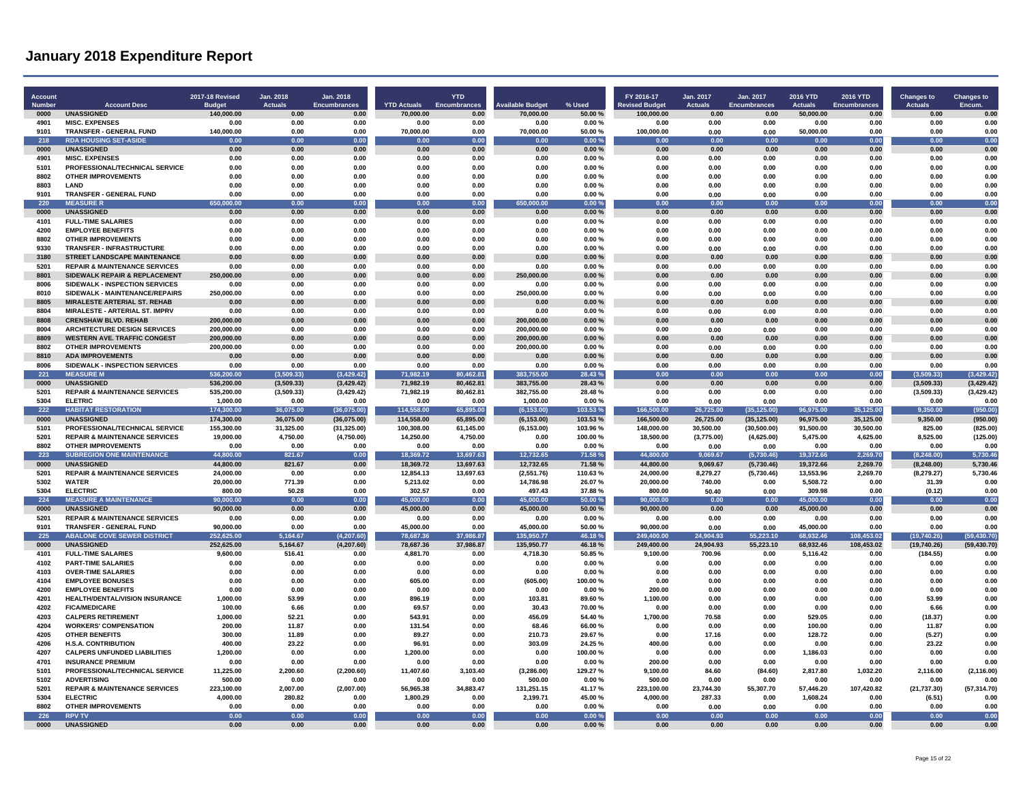| Account<br>Number | <b>Account Desc</b>                                                   | 2017-18 Revised<br><b>Budge</b> | Jan. 2018<br>Actuals | Jan. 2018<br><b>Encumbrances</b> | <b>YTD Actuals</b>    | <b>YTD</b><br>Encumbrances | <b>Available Budget</b> | % Used             | FY 2016-17<br><b>Revised Budget</b> | Jan. 2017<br><b>Actuals</b> | Jan. 2017<br><b>Encumbrances</b> | <b>2016 YTD</b><br><b>Actuals</b> | 2016 YTD<br><b>Encumbrances</b> | <b>Changes to</b><br><b>Actuals</b> | <b>Changes to</b><br>Encum. |
|-------------------|-----------------------------------------------------------------------|---------------------------------|----------------------|----------------------------------|-----------------------|----------------------------|-------------------------|--------------------|-------------------------------------|-----------------------------|----------------------------------|-----------------------------------|---------------------------------|-------------------------------------|-----------------------------|
| 0000              | <b>UNASSIGNED</b>                                                     | 140.000.00                      | 0.00                 | 0.00                             | 70,000.00             | 0.00                       | 70,000.00               | 50.00%             | 100,000.00                          | 0.00                        | 0.00                             | 50,000.00                         | 0.00                            | 0.00                                | 0.00                        |
| 4901<br>9101      | <b>MISC. EXPENSES</b><br>TRANSFER - GENERAL FUND                      | 0.00<br>140,000.00              | 0.00<br>0.00         | 0.00<br>0.00                     | 0.00<br>70,000.00     | 0.00<br>0.00               | 0.00<br>70,000.00       | 0.00%<br>50.00%    | 0.00<br>100,000.00                  | 0.00<br>0.00                | 0.00<br>0.00                     | 0.00<br>50,000.00                 | 0.00<br>0.00                    | 0.00<br>0.00                        | 0.00<br>0.00                |
| 218               | <b>RDA HOUSING SET-ASIDE</b>                                          | 0.00                            | 0.00                 | 0.00                             | 0.00                  | 0.00                       | 0.00                    | 0.00%              | 0.00                                | 0.00                        | 0.00                             | 0.00                              | 0.00                            | 0.00                                | 0.00                        |
| 0000              | <b>UNASSIGNED</b>                                                     | 0.00                            | 0.00                 | 0.00                             | 0.00                  | 0.00                       | 0.00                    | 0.00%              | 0.00                                | 0.00                        | 0.00                             | 0.00                              | 0.00                            | 0.00                                | 0.00                        |
| 4901              | <b>MISC. EXPENSES</b>                                                 | 0.00                            | 0.00                 | 0.00                             | 0.00                  | 0.00                       | 0.00                    | 0.00%              | 0.00                                | 0.00                        | 0.00                             | 0.00                              | 0.00                            | 0.00                                | 0.00                        |
| 5101<br>8802      | PROFESSIONAL/TECHNICAL SERVICE<br><b>OTHER IMPROVEMENTS</b>           | 0.00<br>0.00                    | 0.00<br>0.00         | 0.00<br>0.00                     | 0.00<br>0.00          | 0.00<br>0.00               | 0.00<br>0.00            | 0.00%<br>0.00%     | 0.00<br>0.00                        | 0.00<br>0.00                | 0.00<br>0.00                     | 0.00<br>0.00                      | 0.00<br>0.00                    | 0.00<br>0.00                        | 0.00<br>0.00                |
| 8803              | <b>I AND</b>                                                          | 0.00                            | 0.00                 | 0.00                             | 0.00                  | 0.00                       | 0.00                    | 0.00%              | 0.00                                | 0.00                        | 0.00                             | 0.00                              | 0.00                            | 0.00                                | 0.00                        |
| 9101              | <b>TRANSFER - GENERAL FUND</b>                                        | 0.00                            | 0.00                 | 0.00                             | 0.00                  | 0.00                       | 0.00                    | 0.00%              | 0.00                                | 0.00                        | 0.00                             | 0.00                              | 0.00                            | 0.00                                | 0.00                        |
| 220<br>0000       | <b>MEASURER</b><br><b>UNASSIGNED</b>                                  | non on<br>650<br>0.00           | n nn<br>0.00         | 0.00<br>0.00                     | 0.00<br>0.00          | 0.00<br>0.00               | 650,000.00<br>0.00      | 0.00%<br>0.00%     | 0.00<br>0.00                        | 0.00<br>0.00                | 0.00<br>0.00                     | 0.00<br>0.00                      | 0.00<br>0.00                    | 0.00<br>0.00                        | 0.00<br>0.00                |
| 4101              | <b>FULL-TIME SALARIES</b>                                             | 0.00                            | 0.00                 | 0.00                             | 0.00                  | 0.00                       | 0.00                    | 0.00%              | 0.00                                | 0.00                        | 0.00                             | 0.00                              | 0.00                            | 0.00                                | 0.00                        |
| 4200              | <b>EMPLOYEE BENEFITS</b>                                              | 0.00                            | 0.00                 | 0.00                             | 0.00                  | 0.00                       | 0.00                    | 0.00%              | 0.00                                | 0.00                        | 0.00                             | 0.00                              | 0.00                            | 0.00                                | 0.00                        |
| 8802              | <b>OTHER IMPROVEMENTS</b>                                             | 0.00                            | 0.00                 | 0.00                             | 0.00                  | 0.00                       | 0.00                    | 0.00%              | 0.00                                | 0.00                        | 0.00                             | 0.00                              | 0.00                            | 0.00                                | 0.00                        |
| 9330<br>3180      | <b>TRANSFER - INFRASTRUCTURE</b><br>STREET LANDSCAPE MAINTENANCE      | 0.00<br>0.00                    | 0.00<br>0.00         | 0.00<br>0.00                     | 0.00<br>0.00          | 0.00<br>0.00               | 0.00<br>0.00            | 0.00%<br>$0.00 \%$ | 0.00<br>0.00                        | 0.00<br>0.00                | 0.00<br>0 <sub>0</sub>           | 0.00<br>0.00                      | 0.00<br>0.00                    | 0.00<br>0.00                        | 0.00<br>0.00                |
| 5201              | <b>REPAIR &amp; MAINTENANCE SERVICES</b>                              | 0.00                            | 0.00                 | 0.00                             | 0.00                  | 0.00                       | 0.00                    | 0.00%              | 0.00                                | 0.00                        | 0.00                             | 0.00                              | 0.00                            | 0.00                                | 0.00                        |
| 8801              | SIDEWALK REPAIR & REPLACEMENT                                         | 250,000.00                      | 0.00                 | 0.00                             | 0.00                  | 0.00                       | 250,000.00              | 0.00%              | 0.00                                | 0.00                        | 0.00                             | 0.00                              | 0.00                            | 0.00                                | 0.00                        |
| 8006              | SIDEWALK - INSPECTION SERVICES                                        | 0.00                            | 0.00                 | 0.00                             | 0.00                  | 0.00                       | 0.00                    | 0.00%              | 0.00                                | 0.00                        | 0.00                             | 0.00                              | 0.00                            | 0.00                                | 0.00                        |
| 8010              | SIDEWALK - MAINTENANCE/REPAIRS                                        | 250.000.00                      | 0.00                 | 0.00                             | 0.00                  | 0.00                       | 250.000.00              | 0.00%              | 0.00                                | 0.00                        | 0.00                             | 0.00                              | 0.00                            | 0.00                                | 0.00                        |
| 8805<br>8804      | <b>MIRALESTE ARTERIAL ST. REHAB</b><br>MIRALESTE - ARTERIAL ST. IMPRV | 0.00<br>0.00                    | 0.00<br>0.00         | 0.00<br>0.00                     | 0.00<br>0.00          | 0.00<br>0.00               | 0.00<br>0.00            | 0.00%<br>0.00%     | 0.00<br>0.00                        | 0.00<br>0.00                | 0.00<br>0.00                     | 0.00<br>0.00                      | 0.00<br>0.00                    | 0.00<br>0.00                        | 0.00<br>0.00                |
| 8808              | <b>CRENSHAW BLVD, REHAB</b>                                           | 200,000.00                      | 0.00                 | 0.00                             | 0.00                  | 0.00                       | 200.000.00              | 0.00%              | 0.00                                | 0.00                        | 0.00                             | 0.00                              | 0.00                            | 0.00                                | 0.00                        |
| 8004              | <b>ARCHITECTURE DESIGN SERVICES</b>                                   | 200,000.00                      | 0.00                 | 0.00                             | 0.00                  | 0.00                       | 200,000.00              | 0.00%              | 0.00                                | 0.00                        | 0.00                             | 0.00                              | 0.00                            | 0.00                                | 0.00                        |
| 8809              | <b>WESTERN AVE. TRAFFIC CONGEST</b>                                   | 200,000.00                      | 0.00                 | 0.00                             | 0.00                  | 0.00                       | 200,000.00              | $0.00 \%$          | 0.00                                | 0.00                        | 0.00                             | 0.00                              | 0.00                            | 0.00                                | 0.00                        |
| 8802<br>8810      | <b>OTHER IMPROVEMENTS</b><br><b>ADA IMPROVEMENTS</b>                  | 200.000.00<br>0.00              | 0.00<br>0.00         | 0.00<br>0.00                     | 0.00<br>0.00          | 0.00<br>0.00               | 200.000.00<br>0.00      | 0.00%<br>0.00%     | 0.00<br>0.00                        | 0.00<br>0.00                | 0.00<br>0.00                     | 0.00<br>0.00                      | 0.00<br>0.00                    | 0.00<br>0.00                        | 0.00<br>0.00                |
| 8006              | SIDEWALK - INSPECTION SERVICES                                        | 0.00                            | 0.00                 | 0.00                             | 0.00                  | 0.00                       | 0.00                    | 0.00%              | 0.00                                | 0.00                        | 0.00                             | 0.00                              | 0.00                            | 0.00                                | 0.00                        |
| 221               | <b>MEASURE M</b>                                                      | 536,200.00                      | (3,509.33)           | (3,429.42)                       | 71,982.19             | 80,462.81                  | 383,755.00              | 28.43%             | 0.00                                | 0.00                        | 0.00                             | 0.00                              | 0.00                            | (3,509.33)                          | (3, 429.42)                 |
| 0000              | <b>UNASSIGNED</b>                                                     | 536,200.00                      | (3,509.33)           | (3, 429.42)                      | 71,982.19             | 80,462.81                  | 383,755.00              | 28.43%             | 0.00                                | 0.00                        | 0.00                             | 0.00                              | 0.00                            | (3,509.33)                          | (3, 429.42)                 |
| 5201              | <b>REPAIR &amp; MAINTENANCE SERVICES</b>                              | 535,200.00                      | (3,509.33)           | (3, 429.42)                      | 71,982.19             | 80,462.81                  | 382,755.00              | 28.48%             | 0.00                                | 0.00                        | 0.00                             | 0.00                              | 0.00                            | (3,509.33)                          | (3, 429.42)                 |
| 5304<br>222       | <b>ELETRIC</b><br><b>HABITAT RESTORATION</b>                          | 1,000.00<br>174.300.00          | 0.00<br>36.075.00    | 0.00<br>(36,075.00)              | 0.00<br>114.558.00    | 0.00<br>65.895.00          | 1,000.00<br>(6, 153.00) | 0.00%<br>103.53%   | 0.00<br>166,500.00                  | 0.00<br>26.725.00           | 0.00<br>(35, 125.00)             | 0.00<br>96.975.00                 | 0.00<br>35,125.00               | 0.00<br>9.350.00                    | 0.00<br>(950.00)            |
| 0000              | <b>UNASSIGNED</b>                                                     | 174,300.00                      | 36,075.00            | (36,075.00)                      | 114,558.00            | 65,895.00                  | (6, 153.00)             | 103.53%            | 166,500.00                          | 26,725.00                   | (35, 125.00)                     | 96,975.00                         | 35,125.00                       | 9,350.00                            | (950.00)                    |
| 5101              | PROFESSIONAL/TECHNICAL SERVICE                                        | 155,300.00                      | 31,325.00            | (31, 325.00)                     | 100,308.00            | 61,145.00                  | (6, 153.00)             | 103.96%            | 148,000.00                          | 30,500.00                   | (30, 500.00)                     | 91,500.00                         | 30,500.00                       | 825.00                              | (825.00)                    |
| 5201              | <b>REPAIR &amp; MAINTENANCE SERVICES</b>                              | 19,000.00                       | 4,750.00             | (4,750.00)                       | 14,250.00             | 4,750.00                   | 0.00                    | 100.00%            | 18,500.00                           | (3,775.00)                  | (4,625.00)                       | 5,475.00                          | 4,625.00                        | 8,525.00                            | (125.00)                    |
| 8802<br>223       | <b>OTHER IMPROVEMENTS</b><br><b>SUBREGION ONE MAINTENANCE</b>         | 0.00<br>44.800.00               | 0.00<br>821.67       | 0.00<br>0.00                     | 0.00<br>18.369.72     | 0.00<br>13.697.63          | 0.00<br>12.732.65       | 0.00%<br>71.58%    | 0.00<br>44.800.00                   | 0.00<br>9.069.67            | 0.00<br>(5,730.46)               | 0.00<br>19.372.66                 | 0.00<br>2.269.70                | 0.00<br>(8.248.00)                  | 0.00<br>5.730.46            |
| 0000              | <b>UNASSIGNED</b>                                                     | 44.800.00                       | 821.67               | 0.00                             | 18,369.72             | 13,697.63                  | 12,732.65               | 71.58%             | 44.800.00                           | 9.069.67                    | (5,730.46)                       | 19.372.66                         | 2.269.70                        | (8, 248.00)                         | 5.730.46                    |
| 5201              | <b>REPAIR &amp; MAINTENANCE SERVICES</b>                              | 24,000.00                       | 0.00                 | 0.00                             | 12,854.13             | 13,697.63                  | (2,551.76)              | 110.63%            | 24,000.00                           | 8,279.27                    | (5,730.46)                       | 13,553.96                         | 2,269.70                        | (8, 279.27)                         | 5,730.46                    |
| 5302              | <b>WATER</b>                                                          | 20,000.00                       | 771.39               | 0.00                             | 5,213.02              | 0.00                       | 14,786.98               | 26.07%             | 20,000.00                           | 740.00                      | 0.00                             | 5,508.72                          | 0.00                            | 31.39                               | 0.00                        |
| 5304<br>224       | <b>ELECTRIC</b><br><b>MEASURE A MAINTENANCE</b>                       | 800.00<br>90,000.00             | 50.28<br>0.00        | 0.00<br>0.00                     | 302.57<br>45,000.00   | 0.00<br>0.00               | 497.43<br>45,000.00     | 37.88%<br>50.00 %  | 800.00<br>90,000.00                 | 50.40<br>0.00               | 0.00<br>0.00                     | 309.98<br>45,000.00               | 0.00<br>0.00                    | (0.12)<br>0.00                      | 0.00<br>0.00                |
| 0000              | <b>UNASSIGNED</b>                                                     | 90.000.00                       | 0.00                 | 0.00                             | 45.000.00             | 0.00                       | 45.000.00               | 50.00%             | 90.000.00                           | 0.00                        | 0.00                             | 45.000.00                         | 0.00                            | 0.00                                | 0.00                        |
| 5201              | <b>REPAIR &amp; MAINTENANCE SERVICES</b>                              | 0.00                            | 0.00                 | 0.00                             | 0.00                  | 0.00                       | 0.00                    | 0.00%              | 0.00                                | 0.00                        | 0.00                             | 0.00                              | 0.00                            | 0.00                                | 0.00                        |
| 9101              | <b>TRANSFER - GENERAL FUND</b>                                        | 90,000.00                       | 0.00                 | 0.00                             | 45,000.00             | 0.00                       | 45,000.00               | 50.00%             | 90.000.00                           | 0.00                        | 0.00                             | 45.000.00                         | 0.00                            | 0.00                                | 0.00                        |
| 225               | <b>ABALONE COVE SEWER DISTRICT</b>                                    | 252,625.00                      | 5,164.67             | (4, 207.60)                      | 78,687.36             | 37,986.87                  | 135,950.77              | 46.18%             | 249,400.00                          | 24,904.93                   | 55,223.10                        | 68,932.46                         | 108,453.02                      | (19,740.26)                         | (59, 430.70)                |
| 0000<br>4101      | <b>UNASSIGNED</b><br><b>FULL-TIME SALARIES</b>                        | 252,625.00<br>9,600.00          | 5,164.67<br>516.41   | (4, 207.60)<br>0.00              | 78,687.36<br>4,881.70 | 37,986.87<br>0.00          | 135,950.77<br>4,718.30  | 46.18%<br>50.85%   | 249,400.00<br>9,100.00              | 24,904.93<br>700.96         | 55,223.10<br>0.00                | 68,932.46<br>5,116.42             | 108,453.02<br>0.00              | (19,740.26)<br>(184.55)             | (59, 430.70)<br>0.00        |
| 4102              | <b>PART-TIME SALARIES</b>                                             | 0.00                            | 0.00                 | 0.00                             | 0.00                  | 0.00                       | 0.00                    | 0.00%              | 0.00                                | 0.00                        | 0.00                             | 0.00                              | 0.00                            | 0.00                                | 0.00                        |
| 4103              | <b>OVER-TIME SALARIES</b>                                             | 0.00                            | 0.00                 | 0.00                             | 0.00                  | 0.00                       | 0.00                    | 0.00%              | 0.00                                | 0.00                        | 0.00                             | 0.00                              | 0.00                            | 0.00                                | 0.00                        |
| 4104              | <b>EMPLOYEE BONUSES</b>                                               | 0.00                            | 0.00                 | 0.00                             | 605.00                | 0.00                       | (605.00)                | 100.00%            | 0.00                                | 0.00                        | 0.00                             | 0.00                              | 0.00                            | 0.00                                | 0.00                        |
| 4200<br>4201      | <b>EMPLOYEE BENEFITS</b><br>HEALTH/DENTAL/VISION INSURANCE            | 0.00<br>1,000.00                | 0.00<br>53.99        | 0.00<br>0.00                     | 0.00<br>896.19        | 0.00<br>0.00               | 0.00<br>103.81          | 0.00%<br>89.60%    | 200.00<br>1,100.00                  | 0.00<br>0.00                | 0.00<br>0.00                     | 0.00<br>0.00                      | 0.00<br>0.00                    | 0.00<br>53.99                       | 0.00<br>0.00                |
| 4202              | <b>FICA/MEDICARE</b>                                                  | 100.00                          | 6.66                 | 0.00                             | 69.57                 | 0.00                       | 30.43                   | 70.00%             | 0.00                                | 0.00                        | 0.00                             | 0.00                              | 0.00                            | 6.66                                | 0.00                        |
| 4203              | <b>CALPERS RETIREMENT</b>                                             | 1.000.00                        | 52.21                | 0.00                             | 543.91                | 0.00                       | 456.09                  | 54.40%             | 1.700.00                            | 70.58                       | 0.00                             | 529.05                            | 0.00                            | (18.37)                             | 0.00                        |
| 4204              | <b>WORKERS' COMPENSATION</b>                                          | 200.00                          | 11.87                | 0.00                             | 131.54                | 0.00                       | 68.46                   | 66.00%             | 0.00                                | 0.00                        | 0.00                             | 100.00                            | 0.00                            | 11.87                               | 0.00                        |
| 4205              | <b>OTHER BENEFITS</b><br><b>H.S.A. CONTRIBUTION</b>                   | 300.00<br>400.00                | 11.89                | 0.00<br>0.00                     | 89.27<br>96.91        | 0.00                       | 210.73                  | 29.67%             | 0.00                                | 17.16<br>0.00               | 0.00                             | 128.72<br>0.00                    | 0.00<br>0.00                    | (5.27)<br>23.22                     | 0.00<br>0.00                |
| 4206<br>4207      | <b>CALPERS UNFUNDED LIABILITIES</b>                                   | 1,200.00                        | 23.22<br>0.00        | 0.00                             | 1,200.00              | 0.00<br>0.00               | 303.09<br>0.00          | 24.25 %<br>100.00% | 400.00<br>0.00                      | 0.00                        | 0.00<br>0.00                     | 1,186.03                          | 0.00                            | 0.00                                | 0.00                        |
| 4701              | <b>INSURANCE PREMIUM</b>                                              | 0.00                            | 0.00                 | 0.00                             | 0.00                  | 0.00                       | 0.00                    | 0.00%              | 200.00                              | 0.00                        | 0.00                             | 0.00                              | 0.00                            | 0.00                                | 0.00                        |
| 5101              | PROFESSIONAL/TECHNICAL SERVICE                                        | 11.225.00                       | 2.200.60             | (2.200.60)                       | 11.407.60             | 3.103.40                   | (3.286.00)              | 129.27%            | 9.100.00                            | 84.60                       | (84.60)                          | 2.817.80                          | 1.032.20                        | 2.116.00                            | (2.116.00)                  |
| 5102<br>5201      | <b>ADVERTISING</b>                                                    | 500.00                          | 0.00                 | 0.00                             | 0.00                  | 0.00                       | 500.00                  | 0.00%              | 500.00                              | 0.00                        | 0.00                             | 0.00                              | 0.00                            | 0.00                                | 0.00                        |
| 5304              | <b>REPAIR &amp; MAINTENANCE SERVICES</b><br><b>ELECTRIC</b>           | 223,100.00<br>4,000.00          | 2.007.00<br>280.82   | (2,007.00)<br>0.00               | 56,965.38<br>1,800.29 | 34.883.47<br>0.00          | 131,251.15<br>2,199.71  | 41.17%<br>45.00%   | 223.100.00<br>4,000.00              | 23.744.30<br>287.33         | 55,307.70<br>0.00                | 57.446.20<br>1,608.24             | 107,420.82<br>0.00              | (21, 737.30)<br>(6.51)              | (57, 314.70)<br>0.00        |
| 8802              | <b>OTHER IMPROVEMENTS</b>                                             | 0.00                            | 0.00                 | 0.00                             | 0.00                  | 0.00                       | 0.00                    | 0.00%              | 0.00                                | 0.00                        | 0.00                             | 0.00                              | 0.00                            | 0.00                                | 0.00                        |
| 226               | <b>RPV TV</b>                                                         | 0.00                            | 0.00                 | 0.00                             | 0.00                  | 0.00                       | 0.00                    | 0.00%              | 0.00                                | 0.00                        | 0.00                             | 0.00                              | 0.00                            | 0.00                                | 0.00                        |
| 0000              | <b>UNASSIGNED</b>                                                     | 0.00                            | 0.00                 | 0.00                             | 0.00                  | 0.00                       | 0.00                    | 0.00%              | 0.00                                | 0.00                        | 0.00                             | 0.00                              | 0.00                            | 0.00                                | 0.00                        |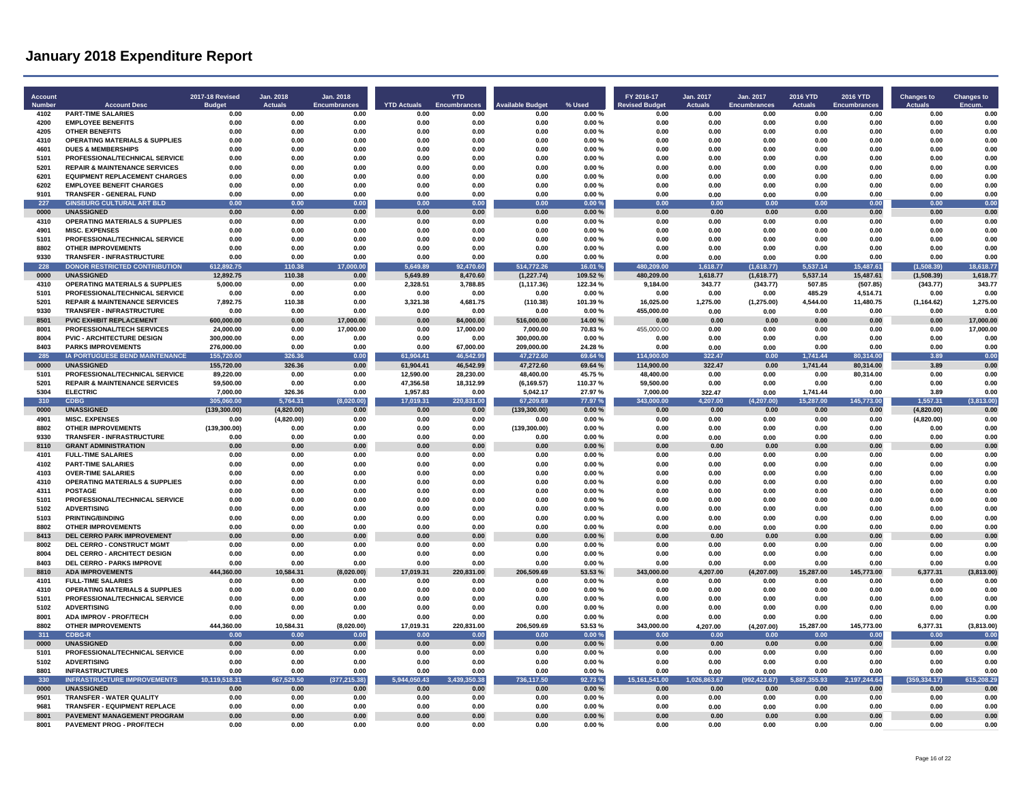| Account<br>Number | <b>Account Desc</b>                                                        | <b>2017-18 Revised</b><br><b>Budget</b> | Jan. 2018<br><b>Actuals</b> | Jan. 2018<br><b>Encumbrances</b> | <b>YTD Actuals</b>   | <b>YTD</b><br><b>Encumbrances</b> | vailable Budget        | % Used          | FY 2016-17<br><b>Revised Budget</b> | Jan. 2017<br>Actuals | Jan. 2017<br>Encumbrances | <b>2016 YTD</b><br><b>Actuals</b> | <b>2016 YTD</b><br><b>Encumbrances</b> | <b>Changes to</b><br><b>Actuals</b> | <b>Changes to</b><br><b>Encum</b> |
|-------------------|----------------------------------------------------------------------------|-----------------------------------------|-----------------------------|----------------------------------|----------------------|-----------------------------------|------------------------|-----------------|-------------------------------------|----------------------|---------------------------|-----------------------------------|----------------------------------------|-------------------------------------|-----------------------------------|
| 4102              | <b>PART-TIME SALARIES</b>                                                  | 0.00                                    | 0.00                        | 0.00                             | 0.00                 | 0.00                              | 0.00                   | 0.00%           | 0.00                                | 0.00                 | 0.00                      | 0.00                              | 0.00                                   | 0.00                                | 0.00                              |
| 4200              | <b>EMPLOYEE BENEFITS</b>                                                   | 0.00                                    | 0.00                        | 0.00                             | 0.00                 | 0.00                              | 0.00                   | 0.00%           | 0.00                                | 0.00                 | 0.00                      | 0.00                              | 0.00                                   | 0.00                                | 0.00                              |
| 4205              | <b>OTHER BENEFITS</b>                                                      | 0.00                                    | 0.00                        | 0.00                             | 0.00                 | 0.00                              | 0.00                   | 0.00%           | 0.00                                | 0.00                 | 0.00                      | 0.00                              | 0.00                                   | 0.00                                | 0.00                              |
| 4310<br>4601      | <b>OPERATING MATERIALS &amp; SUPPLIES</b><br><b>DUES &amp; MEMBERSHIPS</b> | 0.00<br>0.00                            | 0.00<br>0.00                | 0.00<br>0.00                     | 0.00<br>0.00         | 0.00<br>0.00                      | 0.00<br>0.00           | 0.00%<br>0.00%  | 0.00<br>0.00                        | 0.00<br>0.00         | 0.00<br>0.00              | 0.00<br>0.00                      | 0.00<br>0.00                           | 0.00<br>0.00                        | 0.00<br>0.00                      |
| 5101              | PROFESSIONAL/TECHNICAL SERVICE                                             | 0.00                                    | 0.00                        | 0.00                             | 0.00                 | 0.00                              | 0.00                   | 0.00%           | 0.00                                | 0.00                 | 0.00                      | 0.00                              | 0.00                                   | 0.00                                | 0.00                              |
| 5201              | <b>REPAIR &amp; MAINTENANCE SERVICES</b>                                   | 0.00                                    | 0.00                        | 0.00                             | 0.00                 | 0.00                              | 0.00                   | 0.00%           | 0.00                                | 0.00                 | 0.00                      | 0.00                              | 0.00                                   | 0.00                                | 0.00                              |
| 6201              | <b>EQUIPMENT REPLACEMENT CHARGES</b>                                       | 0.00                                    | 0.00                        | 0.00                             | 0.00                 | 0.00                              | 0.00                   | 0.00%           | 0.00                                | 0.00                 | 0.00                      | 0.00                              | 0.00                                   | 0.00                                | 0.00                              |
| 6202              | <b>EMPLOYEE BENEFIT CHARGES</b>                                            | 0.00                                    | 0.00                        | 0.00                             | 0.00                 | 0.00                              | 0.00                   | 0.00%           | 0.00                                | 0.00                 | 0.00                      | 0.00                              | 0.00                                   | 0.00                                | 0.00                              |
| 9101              | TRANSFER - GENERAL FUND                                                    | 0.00                                    | 0.00                        | 0.00                             | 0.00                 | 0.00                              | 0.00                   | 0.00%           | 0.00                                | 0.00                 | 0.00                      | 0.00                              | 0.00                                   | 0.00                                | 0.00                              |
| 227               | <b>GINSBURG CULTURAL ART BLD</b>                                           | 0.00                                    | 0.00                        | 0.00                             | 0.00                 | 0.00                              | 0.00                   | 0.00%           | 0.00                                | 0.00                 | 0.00                      | 0.00                              | 0.00                                   | 0.00                                | 0.00                              |
| 0000              | <b>UNASSIGNED</b>                                                          | 0.00                                    | 0.00                        | 0.00                             | 0.00                 | 0.00                              | 0.00                   | 0.00%           | 0.00                                | 0.00                 | 0.00                      | 0.00                              | 0.00                                   | 0.00                                | 0.00                              |
| 4310              | <b>OPERATING MATERIALS &amp; SUPPLIES</b>                                  | 0.00                                    | 0.00                        | 0.00                             | 0.00                 | 0.00                              | 0.00                   | 0.00%           | 0.00                                | 0.00                 | 0.00                      | 0.00                              | 0.00                                   | 0.00                                | 0.00                              |
| 4901<br>5101      | <b>MISC. EXPENSES</b><br>PROFESSIONAL/TECHNICAL SERVICE                    | 0.00<br>0.00                            | 0.00<br>0.00                | 0.00<br>0.00                     | 0.00<br>0.00         | 0.00<br>0.00                      | 0.00<br>0.00           | 0.00%<br>0.00%  | 0.00<br>0.00                        | 0.00<br>0.00         | 0.00<br>0.00              | 0.00<br>0.00                      | 0.00<br>0.00                           | 0.00<br>0.00                        | 0.00<br>0.00                      |
| 8802              | <b>OTHER IMPROVEMENTS</b>                                                  | 0.00                                    | 0.00                        | 0.00                             | 0.00                 | 0.00                              | 0.00                   | 0.00%           | 0.00                                | 0.00                 | 0.00                      | 0.00                              | 0.00                                   | 0.00                                | 0.00                              |
| 9330              | <b>TRANSFER - INFRASTRUCTURE</b>                                           | 0.00                                    | 0.00                        | 0.00                             | 0.00                 | 0.00                              | 0.00                   | 0.00%           | 0.00                                | 0.00                 | 0.00                      | 0.00                              | 0.00                                   | 0.00                                | 0.00                              |
| 228               | <b>DONOR RESTRICTED CONTRIBUTION</b>                                       | 612.892.75                              | 110.38                      | 17.000.00                        | 5.649.89             | 92,470.60                         | 514,772.26             | 16.01%          | 480.209.00                          | 1,618.77             | (1,618.77)                | 5,537.14                          | 15,487.61                              | (1.508.39)                          | 18,618.77                         |
| 0000              | <b>UNASSIGNED</b>                                                          | 12.892.75                               | 110.38                      | 0.00                             | 5.649.89             | 8,470.60                          | (1, 227.74)            | 109.52%         | 480.209.00                          | 1,618.77             | (1,618.77)                | 5,537.14                          | 15.487.61                              | (1,508.39)                          | 1.618.77                          |
| 4310              | <b>OPERATING MATERIALS &amp; SUPPLIES</b>                                  | 5,000.00                                | 0.00                        | 0.00                             | 2,328.51             | 3,788.85                          | (1, 117.36)            | 122.34 %        | 9,184.00                            | 343.77               | (343.77)                  | 507.85                            | (507.85)                               | (343.77)                            | 343.77                            |
| 5101              | PROFESSIONAL/TECHNICAL SERVICE                                             | 0.00                                    | 0.00                        | 0.00                             | 0.00                 | 0.00                              | 0.00                   | 0.00%           | 0.00                                | 0.00                 | 0.00                      | 485.29                            | 4,514.71                               | 0.00                                | 0.00                              |
| 5201              | <b>REPAIR &amp; MAINTENANCE SERVICES</b>                                   | 7,892.75                                | 110.38                      | 0.00                             | 3,321.38             | 4,681.75                          | (110.38)               | 101.39%         | 16,025.00                           | 1,275.00             | (1, 275.00)               | 4,544.00                          | 11,480.75                              | (1, 164.62)                         | 1,275.00                          |
| 9330              | <b>TRANSFER - INFRASTRUCTURE</b>                                           | 0.00                                    | 0.00                        | 0.00                             | 0.00                 | 0.00                              | 0.00                   | 0.00%           | 455.000.00                          | 0.00                 | 0.00                      | 0.00                              | 0.00                                   | 0.00                                | 0.00                              |
| 8501              | <b>PVIC EXHIBIT REPLACEMENT</b>                                            | 600,000.00                              | 0.00                        | 17,000.00                        | 0.00                 | 84.000.00                         | 516,000.00             | 14.00%          | 0.00                                | 0.00                 | 0.00                      | 0.00                              | 0.00                                   | 0.00                                | 17,000.00                         |
| 8001<br>8004      | PROFESSIONAL/TECH SERVICES<br><b>PVIC - ARCHITECTURE DESIGN</b>            | 24,000.00<br>300,000.00                 | 0.00<br>0.00                | 17,000.00<br>0.00                | 0.00<br>0.00         | 17,000.00<br>0.00                 | 7,000.00<br>300,000.00 | 70.83%<br>0.00% | 455,000.00<br>0.00                  | 0.00<br>0.00         | 0.00<br>0.00              | 0.00<br>0.00                      | 0.00<br>0.00                           | 0.00<br>0.00                        | 17.000.00<br>0.00                 |
| 8403              | <b>PARKS IMPROVEMENTS</b>                                                  | 276,000.00                              | 0.00                        | 0.00                             | 0.00                 | 67,000.00                         | 209,000.00             | 24.28%          | 0.00                                | 0.00                 | 0.00                      | 0.00                              | 0.00                                   | 0.00                                | 0.00                              |
| 285               | IA PORTUGUESE BEND MAINTENANCE                                             | 155,720.00                              | 326.36                      | 0.00                             | 61,904.41            | 46,542.99                         | 47,272.60              | 69.64%          | 114,900.00                          | 322.47               | 0.00                      | 1,741.44                          | 80,314.00                              | 3.89                                | 0.00                              |
| 0000              | <b>UNASSIGNED</b>                                                          | 155,720.00                              | 326.36                      | 0.00                             | 61,904.41            | 46,542.99                         | 47,272.60              | 69.64%          | 114,900.00                          | 322.47               | 0.00                      | 1,741.44                          | 80,314.00                              | 3.89                                | 0.00                              |
| 5101              | PROFESSIONAL/TECHNICAL SERVICE                                             | 89,220.00                               | 0.00                        | 0.00                             | 12.590.00            | 28.230.00                         | 48,400.00              | 45.75%          | 48,400.00                           | 0.00                 | 0.00                      | 0.00                              | 80,314.00                              | 0.00                                | 0.00                              |
| 5201              | <b>REPAIR &amp; MAINTENANCE SERVICES</b>                                   | 59,500.00                               | 0.00                        | 0.00                             | 47,356.58            | 18,312.99                         | (6, 169.57)            | 110.37%         | 59,500.00                           | 0.00                 | 0.00                      | 0.00                              | 0.00                                   | 0.00                                | 0.00                              |
| 5304              | <b>ELECTRIC</b>                                                            | 7,000.00                                | 326.36                      | 0.00                             | 1,957.83             | 0.00                              | 5,042.17               | 27.97%          | 7,000.00                            | 322.47               | 0.00                      | 1,741.44                          | 0.00                                   | 3.89                                | 0.00                              |
| 310               | <b>CDBG</b>                                                                | 305,060.00                              | 5,764.31                    | (8,020.00)                       | 17,019.31            | 220,831.00                        | 67,209.69              | 77.97 %         | 343,000.00                          | 4,207.00             | (4, 207.00)               | 15,287.00                         | 145,773.00                             | 1,557.31                            | (3,813.00)                        |
| 0000<br>4901      | <b>UNASSIGNED</b><br><b>MISC. EXPENSES</b>                                 | (139, 300.00)<br>0.00                   | (4,820.00)<br>(4,820.00)    | 0.00<br>0.00                     | 0.00<br>0.00         | 0.00<br>0.00                      | (139, 300.00)<br>0.00  | 0.00%<br>0.00%  | 0.00<br>0.00                        | 0.00<br>0.00         | 0.00<br>0.00              | 0.00<br>0.00                      | 0.00<br>0.00                           | (4,820.00)<br>(4,820.00)            | 0.00<br>0.00                      |
| 8802              | <b>OTHER IMPROVEMENTS</b>                                                  | (139, 300.00)                           | 0.00                        | 0.00                             | 0.00                 | 0.00                              | (139, 300.00)          | 0.00%           | 0.00                                | 0.00                 | 0.00                      | 0.00                              | 0.00                                   | 0.00                                | 0.00                              |
| 9330              | TRANSFER - INFRASTRUCTURE                                                  | 0.00                                    | 0.00                        | 0.00                             | 0.00                 | 0.00                              | 0.00                   | 0.00%           | 0.00                                | 0.00                 | 0.00                      | 0.00                              | 0.00                                   | 0.00                                | 0.00                              |
| 8110              | <b>GRANT ADMINISTRATION</b>                                                | 0.00                                    | 0.00                        | 0.00                             | 0.00                 | 0.00                              | 0.00                   | 0.00%           | 0.00                                | 0.00                 | 0.00                      | 0.00                              | 0.00                                   | 0.00                                | 0.00                              |
| 4101              | <b>FULL-TIME SALARIES</b>                                                  | 0.00                                    | 0.00                        | 0.00                             | 0.00                 | 0.00                              | 0.00                   | 0.00%           | 0.00                                | 0.00                 | 0.00                      | 0.00                              | 0.00                                   | 0.00                                | 0.00                              |
| 4102              | <b>PART-TIME SALARIES</b>                                                  | 0.00                                    | 0.00                        | 0.00                             | 0.00                 | 0.00                              | 0.00                   | 0.00%           | 0.00                                | 0.00                 | 0.00                      | 0.00                              | 0.00                                   | 0.00                                | 0.00                              |
| 4103              | <b>OVER-TIME SALARIES</b>                                                  | 0.00                                    | 0.00                        | 0.00                             | 0.00                 | 0.00                              | 0.00                   | 0.00%           | 0.00                                | 0.00                 | 0.00                      | 0.00                              | 0.00                                   | 0.00                                | 0.00                              |
| 4310              | <b>OPERATING MATERIALS &amp; SUPPLIES</b>                                  | 0.00                                    | 0.00                        | 0.00                             | 0.00                 | 0.00                              | 0.00                   | 0.00%           | 0.00                                | 0.00                 | 0.00                      | 0.00                              | 0.00                                   | 0.00                                | 0.00                              |
| 4311<br>5101      | <b>POSTAGE</b>                                                             | 0.00<br>0.00                            | 0.00<br>0.00                | 0.00<br>0.00                     | 0.00<br>0.00         | 0.00<br>0.00                      | 0.00<br>0.00           | 0.00%<br>0.00%  | 0.00<br>0.00                        | 0.00<br>0.00         | 0.00<br>0.00              | 0.00<br>0.00                      | 0.00<br>0.00                           | 0.00<br>0.00                        | 0.00<br>0.00                      |
| 5102              | PROFESSIONAL/TECHNICAL SERVICE<br><b>ADVERTISING</b>                       | 0.00                                    | 0.00                        | 0.00                             | 0.00                 | 0.00                              | 0.00                   | 0.00%           | 0.00                                | 0.00                 | 0.00                      | 0.00                              | 0.00                                   | 0.00                                | 0.00                              |
| 5103              | <b>PRINTING/BINDING</b>                                                    | 0.00                                    | 0.00                        | 0.00                             | 0.00                 | 0.00                              | 0.00                   | 0.00%           | 0.00                                | 0.00                 | 0.00                      | 0.00                              | 0.00                                   | 0.00                                | 0.00                              |
| 8802              | <b>OTHER IMPROVEMENTS</b>                                                  | 0.00                                    | 0.00                        | 0.00                             | 0.00                 | 0.00                              | 0.00                   | 0.00%           | 0.00                                | 0.00                 | 0.00                      | 0.00                              | 0.00                                   | 0.00                                | 0.00                              |
| 8413              | <b>DEL CERRO PARK IMPROVEMENT</b>                                          | 0.00                                    | 0.00                        | 0.00                             | 0.00                 | 0.00                              | 0.00                   | 0.00%           | 0.00                                | 0.00                 | 0.00                      | 0.00                              | 0.00                                   | 0.00                                | 0.00                              |
| 8002              | DEL CERRO - CONSTRUCT MGMT                                                 | 0.00                                    | 0.00                        | 0.00                             | 0.00                 | 0.00                              | 0.00                   | $0.00 \%$       | 0.00                                | 0.00                 | 0.00                      | 0.00                              | 0.00                                   | 0.00                                | 0.00                              |
| 8004              | DEL CERRO - ARCHITECT DESIGN                                               | 0.00                                    | 0.00                        | 0.00                             | 0.00                 | 0.00                              | 0.00                   | 0.00%           | 0.00                                | 0.00                 | 0.00                      | 0.00                              | 0.00                                   | 0.00                                | 0.00                              |
| 8403              | DEL CERRO - PARKS IMPROVE                                                  | 0.00                                    | 0.00                        | 0.00                             | 0.00                 | 0.00                              | 0.00                   | 0.00%           | 0.00                                | 0.00                 | 0.00                      | 0.00                              | 0.00                                   | 0.00                                | 0.00                              |
| 8810              | <b>ADA IMPROVEMENTS</b>                                                    | 444.360.00                              | 10.584.31                   | (8,020.00)                       | 17,019.31            | 220,831.00                        | 206.509.69             | 53.53%          | 343,000.00                          | 4,207.00             | 4,207.00)                 | 15.287.00                         | 145.773.00                             | 6,377.31                            | (3,813.00)<br>0.00                |
| 4101<br>4310      | <b>FULL-TIME SALARIES</b><br><b>OPERATING MATERIALS &amp; SUPPLIES</b>     | 0.00<br>0.00                            | 0.00<br>0.00                | 0.00<br>0.00                     | 0.00<br>0.00         | 0.00<br>0.00                      | 0.00<br>0.00           | 0.00%<br>0.00%  | 0.00<br>0.00                        | 0.00<br>0.00         | 0.00<br>0.00              | 0.00<br>0.00                      | 0.00<br>0.00                           | 0.00<br>0.00                        | 0.00                              |
| 5101              | PROFESSIONAL/TECHNICAL SERVICE                                             | 0.00                                    | 0.00                        | 0.00                             | 0.00                 | 0.00                              | 0.00                   | 0.00%           | 0.00                                | 0.00                 | 0.00                      | 0.00                              | 0.00                                   | 0.00                                | 0.00                              |
| 5102              | <b>ADVERTISING</b>                                                         | 0.00                                    | 0.00                        | 0.00                             | 0.00                 | 0.00                              | 0.00                   | 0.00%           | 0.00                                | 0.00                 | 0.00                      | 0.00                              | 0.00                                   | 0.00                                | 0.00                              |
| 8001              | ADA IMPROV - PROF/TECH                                                     | 0.00                                    | 0.00                        | 0.00                             | 0.00                 | 0.00                              | 0.00                   | 0.00%           | 0.00                                | 0.00                 | 0.00                      | 0.00                              | 0.00                                   | 0.00                                | 0.00                              |
| 8802              | <b>OTHER IMPROVEMENTS</b>                                                  | 444,360.00                              | 10.584.31                   | (8,020.00)                       | 17,019.31            | 220,831.00                        | 206,509.69             | 53.53%          | 343,000.00                          | 4.207.00             | (4, 207.00)               | 15,287.00                         | 145,773.00                             | 6,377.31                            | (3,813.00)                        |
| 311               | CDBG-F                                                                     | 0.00                                    | 0.00                        | 0.00                             | 0.00                 | 0.00                              | 0.00                   | 0.00%           | 0.00                                | 0.00                 | 0.00                      | 0.00                              | 0.00                                   | 0.00                                | 0.00                              |
| 0000              | <b>UNASSIGNED</b>                                                          | 0.00                                    | 0.00                        | 0.00                             | 0.00                 | 0.00                              | 0.00                   | 0.00%           | 0.00                                | 0.00                 | 0.00                      | 0.00                              | 0.00                                   | 0.00                                | 0.00                              |
| 5101              | PROFESSIONAL/TECHNICAL SERVICE                                             | 0.00                                    | 0.00                        | 0.00                             | 0.00                 | 0.00                              | 0.00                   | 0.00%           | 0.00                                | 0.00                 | 0.00                      | 0.00                              | 0.00                                   | 0.00                                | 0.00                              |
| 5102              | <b>ADVERTISING</b>                                                         | 0.00                                    | 0.00                        | 0.00                             | 0.00                 | 0.00                              | 0.00                   | 0.00%           | 0.00                                | 0.00                 | 0.00                      | 0.00                              | 0.00                                   | 0.00                                | 0.00                              |
| 8801<br>330       | <b>INFRASTRUCTURES</b><br><b>INFRASTRUCTURE IMPROVEMENTS</b>               | 0.00<br>10,119,518.31                   | 0.00<br>667,529.50          | 0.00<br>(377, 215.38)            | 0.00<br>5,944,050.43 | 0.00<br>3,439,350.38              | 0.00<br>736,117.50     | 0.00%<br>92.73% | 0.00<br>15,161,541.00               | 0.00<br>1,026,863.67 | 0.00<br>(992, 423.67)     | 0.00<br>5,887,355.93              | 0.00<br>2,197,244.64                   | 0.00<br>(359, 334.17)               | 0.00<br>615,208.29                |
| 0000              | <b>UNASSIGNED</b>                                                          | 0.00                                    | 0.00                        | 0.00                             | 0.00                 | 0.00                              | 0.00                   | 0.00%           | 0.00                                | 0.00                 | 0.00                      | 0.00                              | 0.00                                   | 0.00                                | 0.00                              |
| 9501              | <b>TRANSFER - WATER QUALITY</b>                                            | 0.00                                    | 0.00                        | 0.00                             | 0.00                 | 0.00                              | 0.00                   | 0.00%           | 0.00                                | 0.00                 | 0.00                      | 0.00                              | 0.00                                   | 0.00                                | 0.00                              |
| 9681              | <b>TRANSFER - EQUIPMENT REPLACE</b>                                        | 0.00                                    | 0.00                        | 0.00                             | 0.00                 | 0.00                              | 0.00                   | 0.00%           | 0.00                                | 0.00                 | 0.00                      | 0.00                              | 0.00                                   | 0.00                                | 0.00                              |
| 8001              | PAVEMENT MANAGEMENT PROGRAM                                                | 0.00                                    | 0.00                        | 0.00                             | 0.00                 | 0.00                              | 0.00                   | 0.00%           | 0.00                                | 0.00                 | 0.00                      | 0.00                              | 0.00                                   | 0.00                                | 0.00                              |
| 8001              | <b>PAVEMENT PROG - PROF/TECH</b>                                           | 0.00                                    | 0.00                        | 0.00                             | 0.00                 | 0.00                              | 0.00                   | 0.00%           | 0.00                                | 0.00                 | 0.00                      | 0.00                              | 0.00                                   | 0.00                                | 0.00                              |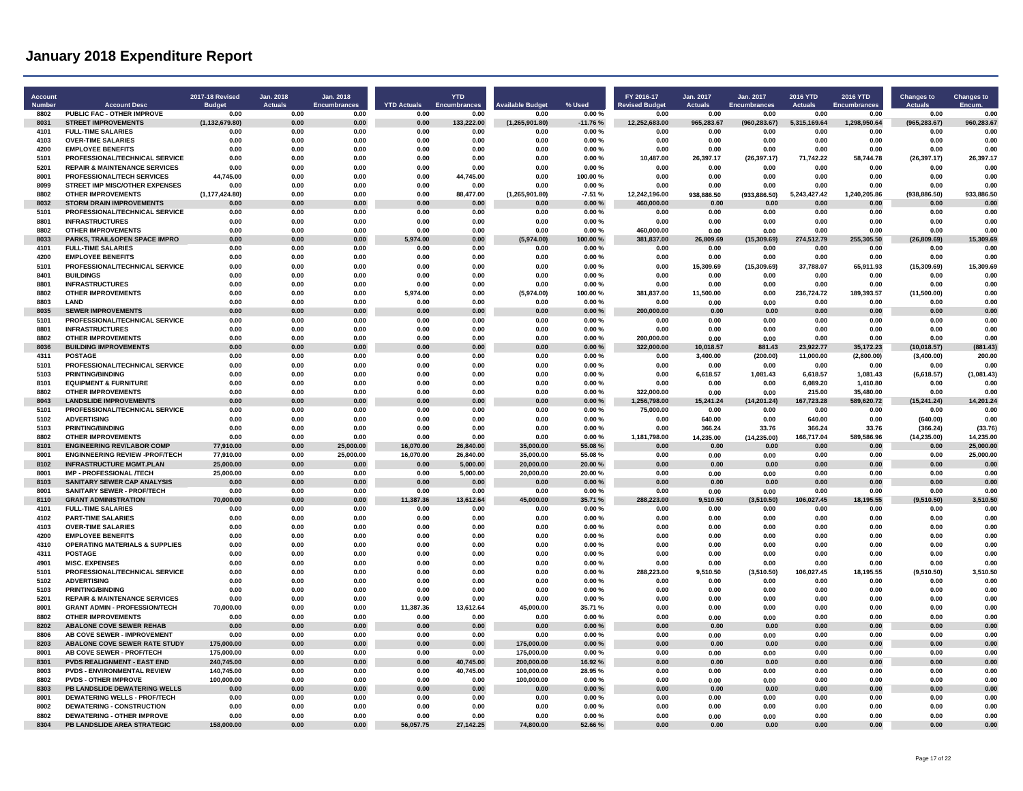| <b>Account</b><br>Number | <b>Account Desc</b>                                                     | 2017-18 Revised<br><b>Budge</b> | Jan. 2018<br>Actuals | Jan. 2018<br><b>Encumbrances</b> | <b>YTD Actuals</b> | <b>YTD</b><br>Encumbrances | <b>Available Budget</b> | % Used         | FY 2016-17<br><b>Revised Budget</b> | Jan. 2017<br><b>Actuals</b> | Jan. 2017<br>Encumbrances | <b>2016 YTD</b><br><b>Actuals</b> | <b>2016 YTD</b><br><b>Encumbrances</b> | <b>Changes to</b><br><b>Actuals</b> | <b>Changes to</b>  |
|--------------------------|-------------------------------------------------------------------------|---------------------------------|----------------------|----------------------------------|--------------------|----------------------------|-------------------------|----------------|-------------------------------------|-----------------------------|---------------------------|-----------------------------------|----------------------------------------|-------------------------------------|--------------------|
| 8802                     | PUBLIC FAC - OTHER IMPROVE                                              | 0.00                            | 0.00                 | 0.00                             | 0.00               | 0.00                       | 0.00                    | 0.00%          | 0.00                                | 0.00                        | 0.00                      | 0.00                              | 0.00                                   | 0.00                                | 0.00               |
| 8031                     | <b>STREET IMPROVEMENTS</b>                                              | (1, 132, 679.80)                | 0.00                 | 0.00                             | 0.00               | 133,222.00                 | (1, 265, 901.80)        | $-11.76%$      | 12,252,683.00                       | 965,283.67                  | (960, 283.67)             | 5,315,169.64                      | 1,298,950.64                           | (965, 283.67)                       | 960,283.67         |
| 4101                     | <b>FULL-TIME SALARIES</b>                                               | 0.00                            | 0.00                 | 0.00                             | 0.00               | 0.00                       | 0.00                    | 0.00%          | 0.00                                | 0.00                        | 0.00                      | 0.00                              | 0.00                                   | 0.00                                | 0.00               |
| 4103                     | <b>OVER-TIME SALARIES</b>                                               | 0.00                            | 0.00                 | 0.00                             | 0.00               | 0.00                       | 0.00                    | 0.00%          | 0.00                                | 0.00                        | 0.00                      | 0.00                              | 0.00                                   | 0.00                                | 0.00               |
| 4200                     | <b>EMPLOYEE BENEFITS</b>                                                | 0.00                            | 0.00                 | 0.00                             | 0.00               | 0.00                       | 0.00                    | 0.00%          | 0.00                                | 0.00                        | 0.00                      | 0.00                              | 0.00                                   | 0.00                                | 0.00               |
| 5101                     | PROFESSIONAL/TECHNICAL SERVICE                                          | 0.00                            | 0.00                 | 0.00                             | 0.00               | 0.00                       | 0.00                    | 0.00%          | 10,487.00                           | 26,397.17                   | (26, 397.17)              | 71,742.22                         | 58,744.78                              | (26, 397.17)                        | 26,397.17          |
| 5201                     | <b>REPAIR &amp; MAINTENANCE SERVICES</b>                                | 0.00                            | 0.00                 | 0.00                             | 0.00               | 0.00                       | 0.00                    | 0.00%          | 0.00                                | 0.00                        | 0.00                      | 0.00                              | 0.00                                   | 0.00                                | 0.00               |
| 8001                     | PROFESSIONAL/TECH SERVICES                                              | 44,745.00                       | 0.00                 | 0.00                             | 0.00               | 44,745.00                  | 0.00                    | 100.00%        | 0.00                                | 0.00                        | 0.00                      | 0.00                              | 0.00                                   | 0.00                                | 0.00               |
| 8099                     | <b>STREET IMP MISC/OTHER EXPENSES</b>                                   | 0.00                            | 0.00                 | 0.00                             | 0.00               | 0.00                       | 0.00                    | 0.00%          | 0.00                                | 0.00                        | 0.00                      | 0.00                              | 0.00                                   | 0.00                                | 0.00               |
| 8802                     | <b>OTHER IMPROVEMENTS</b>                                               | (1, 177, 424.80)                | 0.00                 | 0.00                             | 0.00               | 88,477.00                  | (1,265,901.80)          | $-7.51%$       | 12,242,196.00                       | 938,886.50                  | (933, 886.50)             | 5,243,427.42                      | 1,240,205.86                           | (938, 886.50)                       | 933.886.50         |
| 8032                     | <b>STORM DRAIN IMPROVEMENTS</b>                                         | 0.00                            | 0.00                 | 0.00                             | 0.00               | 0.00                       | 0.00                    | 0.00%          | 460,000.00                          | 0.00                        | 0.00                      | 0.00                              | 0.00                                   | 0.00                                | 0.00               |
| 5101<br>8801             | PROFESSIONAL/TECHNICAL SERVICE<br><b>INFRASTRUCTURES</b>                | 0.00<br>0.00                    | 0.00<br>0.00         | 0.00<br>0.00                     | 0.00<br>0.00       | 0.00<br>0.00               | 0.00<br>0.00            | 0.00%<br>0.00% | 0.00<br>0.00                        | 0.00<br>0.00                | 0.00<br>0.00              | 0.00<br>0.00                      | 0.00<br>0.00                           | 0.00<br>0.00                        | 0.00<br>0.00       |
| 8802                     | <b>OTHER IMPROVEMENTS</b>                                               | 0.00                            | 0.00                 | 0.00                             | 0.00               | 0.00                       | 0.00                    | 0.00%          | 460,000.00                          | 0.00                        | 0.00                      | 0.00                              | 0.00                                   | 0.00                                | 0.00               |
| 8033                     | PARKS. TRAIL&OPEN SPACE IMPRO                                           | 0.00                            | 0.00                 | 0.00                             | 5.974.00           | 0.00                       | (5,974.00)              | 100.00%        | 381.837.00                          | 26.809.69                   | (15, 309.69)              | 274.512.79                        | 255.305.50                             | (26,809.69)                         | 15.309.69          |
| 4101                     | <b>FULL-TIME SALARIES</b>                                               | 0.00                            | 0.00                 | 0.00                             | 0.00               | 0.00                       | 0.00                    | 0.00%          | 0.00                                | 0.00                        | 0.00                      | 0.00                              | 0.00                                   | 0.00                                | 0.00               |
| 4200                     | <b>EMPLOYEE BENEFITS</b>                                                | 0.00                            | 0.00                 | 0.00                             | 0.00               | 0.00                       | 0.00                    | 0.00%          | 0.00                                | 0.00                        | 0.00                      | 0.00                              | 0.00                                   | 0.00                                | 0.00               |
| 5101                     | PROFESSIONAL/TECHNICAL SERVICE                                          | 0.00                            | 0.00                 | 0.00                             | 0.00               | 0.00                       | 0.00                    | 0.00%          | 0.00                                | 15,309.69                   | (15, 309.69)              | 37,788.07                         | 65,911.93                              | (15, 309.69)                        | 15,309.69          |
| 8401                     | <b>BUILDINGS</b>                                                        | 0.00                            | 0.00                 | 0.00                             | 0.00               | 0.00                       | 0.00                    | 0.00%          | 0.00                                | 0.00                        | 0.00                      | 0.00                              | 0.00                                   | 0.00                                | 0.00               |
| 8801                     | <b>INFRASTRUCTURES</b>                                                  | 0.00                            | 0.00                 | 0.00                             | 0.00               | 0.00                       | 0.00                    | 0.00%          | 0.00                                | 0.00                        | 0.00                      | 0.00                              | 0.00                                   | 0.00                                | 0.00               |
| 8802                     | <b>OTHER IMPROVEMENTS</b>                                               | 0.00                            | 0.00                 | 0.00                             | 5.974.00           | 0.00                       | (5,974.00)              | 100.00%        | 381.837.00                          | 11.500.00                   | 0.00                      | 236,724.72                        | 189,393.57                             | (11,500.00)                         | 0.00               |
| 8803                     | <b>I AND</b>                                                            | 0.00                            | 0.00                 | 0.00                             | 0.00               | 0.00                       | 0.00                    | 0.00%          | 0.00                                | 0.00                        | 0.00                      | 0.00                              | 0.00                                   | 0.00                                | 0.00               |
| 8035                     | <b>SEWER IMPROVEMENTS</b>                                               | 0.00                            | 0.00                 | 0.00                             | 0.00               | 0.00                       | 0.00                    | 0.00%          | 200,000.00                          | 0.00                        | 0.00                      | 0.00                              | 0.00                                   | 0.00                                | 0.00               |
| 5101                     | PROFESSIONAL/TECHNICAL SERVICE                                          | 0.00                            | 0.00                 | 0.00                             | 0.00               | 0.00                       | 0.00                    | 0.00%          | 0.00                                | 0.00                        | 0.00                      | 0.00                              | 0.00                                   | 0.00                                | 0.00               |
| 8801                     | <b>INFRASTRUCTURES</b>                                                  | 0.00                            | 0.00                 | 0.00                             | 0.00               | 0.00                       | 0.00                    | 0.00%          | 0.00                                | 0.00                        | 0.00                      | 0.00                              | 0.00                                   | 0.00                                | 0.00               |
| 8802                     | <b>OTHER IMPROVEMENTS</b>                                               | 0.00                            | 0.00                 | 0.00                             | 0.00               | 0.00                       | 0.00                    | 0.00%          | 200,000.00                          | 0.00                        | 0.00                      | 0.00                              | 0.00                                   | 0.00                                | 0.00               |
| 8036                     | <b>BUILDING IMPROVEMENTS</b>                                            | 0.00                            | 0.00                 | 0.00                             | 0.00               | 0.00                       | 0.00                    | 0.00%          | 322.000.00                          | 10.018.57                   | 881.43                    | 23,922.77                         | 35,172.23                              | (10, 018.57)                        | (881.43)           |
| 4311                     | POSTAGE                                                                 | 0.00                            | 0.00                 | 0.00                             | 0.00               | 0.00                       | 0.00                    | 0.00%          | 0.00                                | 3,400.00                    | (200.00)                  | 11,000.00                         | (2,800.00)                             | (3,400.00)                          | 200.00             |
| 5101                     | PROFESSIONAL/TECHNICAL SERVICE                                          | 0.00                            | 0.00                 | 0.00                             | 0.00               | 0.00                       | 0.00                    | 0.00%          | 0.00                                | 0.00                        | 0.00                      | 0.00                              | 0.00                                   | 0.00                                | 0.00               |
| 5103<br>8101             | <b>PRINTING/BINDING</b><br><b>EQUIPMENT &amp; FURNITURE</b>             | 0.00<br>0.00                    | 0.00<br>0.00         | 0.00<br>0.00                     | 0.00<br>0.00       | 0.00<br>0.00               | 0.00<br>0.00            | 0.00%<br>0.00% | 0.00<br>0.00                        | 6,618.57<br>0.00            | 1,081.43<br>0.00          | 6,618.57<br>6,089.20              | 1,081.43<br>1,410.80                   | (6,618.57)<br>0.00                  | (1,081.43)<br>0.00 |
| 8802                     | <b>OTHER IMPROVEMENTS</b>                                               | 0.00                            | 0.00                 | 0.00                             | 0.00               | 0.00                       | 0.00                    | 0.00%          | 322,000.00                          | 0.00                        |                           | 215.00                            | 35.480.00                              | 0.00                                | 0.00               |
| 8043                     | <b>LANDSLIDE IMPROVEMENTS</b>                                           | 0.00                            | 0.00                 | 0.00                             | 0.00               | 0.00                       | 0.00                    | 0.00%          | 1.256.798.00                        | 15,241.24                   | 0.00<br>(14, 201.24)      | 167,723.28                        | 589,620.72                             | (15, 241.24)                        | 14,201.24          |
| 5101                     | PROFESSIONAL/TECHNICAL SERVICE                                          | 0.00                            | 0.00                 | 0.00                             | 0.00               | 0.00                       | 0.00                    | 0.00%          | 75,000.00                           | 0.00                        | 0.00                      | 0.00                              | 0.00                                   | 0.00                                | 0.00               |
| 5102                     | <b>ADVERTISING</b>                                                      | 0.00                            | 0.00                 | 0.00                             | 0.00               | 0.00                       | 0.00                    | 0.00%          | 0.00                                | 640.00                      | 0.00                      | 640.00                            | 0.00                                   | (640.00)                            | 0.00               |
| 5103                     | <b>PRINTING/BINDING</b>                                                 | 0.00                            | 0.00                 | 0.00                             | 0.00               | 0.00                       | 0.00                    | 0.00%          | 0.00                                | 366.24                      | 33.76                     | 366.24                            | 33.76                                  | (366.24)                            | (33.76)            |
| 8802                     | <b>OTHER IMPROVEMENTS</b>                                               | 0.00                            | 0.00                 | 0.00                             | 0.00               | 0.00                       | 0.00                    | 0.00%          | 1.181.798.00                        | 14,235.00                   | (14, 235.00)              | 166.717.04                        | 589.586.96                             | (14.235.00)                         | 14.235.00          |
| 8101                     | <b>ENGINEERING REV/LABOR COMP</b>                                       | 77.910.00                       | 0.00                 | 25.000.00                        | 16.070.00          | 26.840.00                  | 35.000.00               | 55.08%         | 0.00                                | 0.00                        | 0.00                      | 0.00                              | 0.00                                   | 0.00                                | 25.000.00          |
| 8001                     | <b>ENGINNEERING REVIEW -PROF/TECH</b>                                   | 77,910.00                       | 0.00                 | 25,000.00                        | 16,070.00          | 26,840.00                  | 35,000.00               | 55.08%         | 0.00                                | 0.00                        | 0.00                      | 0.00                              | 0.00                                   | 0.00                                | 25.000.00          |
| 8102                     | <b>INFRASTRUCTURE MGMT.PLAN</b>                                         | 25.000.00                       | 0.00                 | 0.00                             | 0.00               | 5,000.00                   | 20,000.00               | 20.00%         | 0.00                                | 0.00                        | 0.00                      | 0.00                              | 0.00                                   | 0.00                                | 0.00               |
| 8001                     | IMP - PROFESSIONAL /TECH                                                | 25,000.00                       | 0.00                 | 0.00                             | 0.00               | 5,000.00                   | 20,000.00               | 20.00 %        | 0.00                                | 0.00                        | 0.00                      | 0.00                              | 0.00                                   | 0.00                                | 0.00               |
| 8103                     | SANITARY SEWER CAP ANALYSIS                                             | 0.00                            | 0.00                 | 0.00                             | 0.00               | 0.00                       | 0.00                    | 0.00%          | 0.00                                | 0.00                        | 0.00                      | 0.00                              | 0.00                                   | 0.00                                | 0.00               |
| 8001                     | SANITARY SEWER - PROF/TECH                                              | 0.00                            | 0.00                 | 0.00                             | 0.00               | 0.00                       | 0.00                    | 0.00%          | 0.00                                | 0.00                        | 0.00                      | 0.00                              | 0.00                                   | 0.00                                | 0.00               |
| 8110                     | <b>GRANT ADMINISTRATION</b>                                             | 70.000.00                       | 0.00                 | 0.00                             | 11.387.36          | 13.612.64                  | 45.000.00               | 35.71%         | 288.223.00                          | 9.510.50                    | (3.510.50)                | 106.027.45                        | 18.195.55                              | (9.510.50)                          | 3.510.50           |
| 4101                     | <b>FULL-TIME SALARIES</b>                                               | 0.00                            | 0.00                 | 0.00                             | 0.00               | 0.00                       | 0.00                    | 0.00%          | 0.00                                | 0.00                        | 0.00                      | 0.00                              | 0.00                                   | 0.00                                | 0.00               |
| 4102                     | <b>PART-TIME SALARIES</b>                                               | 0.00                            | 0.00                 | 0.00                             | 0.00               | 0.00                       | 0.00                    | 0.00%          | 0.00                                | 0.00                        | 0.00                      | 0.00                              | 0.00                                   | 0.00                                | 0.00               |
| 4103                     | <b>OVER-TIME SALARIES</b>                                               | 0.00                            | 0.00                 | 0.00                             | 0.00               | 0.00                       | 0.00                    | 0.00%          | 0.00                                | 0.00<br>0.00                | 0.00                      | 0.00                              | 0.00<br>0.00                           | 0.00                                | 0.00               |
| 4200<br>4310             | <b>EMPLOYEE BENEFITS</b><br><b>OPERATING MATERIALS &amp; SUPPLIES</b>   | 0.00<br>0.00                    | 0.00<br>0.00         | 0.00<br>0.00                     | 0.00<br>0.00       | 0.00<br>0.00               | 0.00<br>0.00            | 0.00%<br>0.00% | 0.00<br>0.00                        | 0.00                        | 0.00<br>0.00              | 0.00<br>0.00                      | 0.00                                   | 0.00<br>0.00                        | 0.00<br>0.00       |
| 4311                     | POSTAGE                                                                 | 0.00                            | 0.00                 | 0.00                             | 0.00               | 0.00                       | 0.00                    | 0.00%          | 0.00                                | 0.OC                        | 0.00                      | 0.00                              | 0.00                                   | 0.00                                | n nn               |
| 4901                     | <b>MISC. EXPENSES</b>                                                   | 0.00                            | 0.00                 | 0.00                             | 0.00               | 0.00                       | 0.00                    | 0.00%          | 0.00                                | 0.00                        | 0.00                      | 0.00                              | 0.00                                   | 0.00                                | 0.00               |
| 5101                     | PROFESSIONAL/TECHNICAL SERVICE                                          | 0.00                            | 0.00                 | 0.00                             | 0.00               | 0.00                       | 0.00                    | 0.00%          | 288,223.00                          | 9,510.50                    | (3,510.50)                | 106,027.45                        | 18,195.55                              | (9,510.50)                          | 3,510.50           |
| 5102                     | <b>ADVERTISING</b>                                                      | 0.00                            | 0.00                 | 0.00                             | 0.00               | 0.00                       | 0.00                    | 0.00%          | 0.00                                | 0.00                        | 0.00                      | 0.00                              | 0.00                                   | 0.00                                | 0.00               |
| 5103                     | <b>PRINTING/BINDING</b>                                                 | 0.00                            | 0.00                 | 0.00                             | 0.00               | 0.00                       | 0.00                    | 0.00%          | 0.00                                | 0.00                        | 0.00                      | 0.00                              | 0.00                                   | 0.00                                | 0.00               |
| 5201                     | <b>REPAIR &amp; MAINTENANCE SERVICES</b>                                | 0.00                            | 0.00                 | 0.00                             | 0.00               | 0.00                       | 0.00                    | 0.00%          | 0.00                                | 0.00                        | 0.00                      | 0.00                              | 0.00                                   | 0.00                                | 0.00               |
| 8001                     | <b>GRANT ADMIN - PROFESSION/TECH</b>                                    | 70,000.00                       | 0.00                 | 0.00                             | 11,387.36          | 13,612.64                  | 45,000.00               | 35.71 %        | 0.00                                | 0.00                        | 0.00                      | 0.00                              | 0.00                                   | 0.00                                | 0.00               |
| 8802                     | <b>OTHER IMPROVEMENTS</b>                                               | 0.00                            | 0.00                 | 0.00                             | 0.00               | 0.00                       | 0.00                    | 0.00%          | 0.00                                | 0.00                        | 0.00                      | 0.00                              | 0.00                                   | 0.00                                | 0.00               |
| 8202                     | <b>ABALONE COVE SEWER REHAB</b>                                         | 0.00                            | 0.00                 | 0.00                             | 0.00               | 0.00                       | 0.00                    | 0.00%          | 0.00                                | 0.00                        | 0.00                      | 0.00                              | 0.00                                   | 0.00                                | 0.00               |
| 8806                     | AB COVE SEWER - IMPROVEMENT                                             | 0.00                            | 0.00                 | 0.00                             | 0.00               | 0.00                       | 0.00                    | 0.00%          | 0.00                                | 0.00                        | 0.00                      | 0.00                              | 0.00                                   | 0.00                                | 0.00               |
| 8203                     | ABALONE COVE SEWER RATE STUDY                                           | 175,000.00                      | 0.00                 | 0.00                             | 0.00               | 0.00                       | 175,000.00              | 0.00%          | 0.00                                | 0.00                        | 0.00                      | 0.00                              | 0.00                                   | 0.00                                | 0.00               |
| 8001                     | AB COVE SEWER - PROF/TECH                                               | 175.000.00                      | 0.00                 | 0.00                             | 0.00               | 0.00                       | 175.000.00              | 0.00%          | 0.00                                | 0.00                        | 0.00                      | 0.00                              | 0.00                                   | 0.00                                | 0.00               |
| 8301                     | <b>PVDS REALIGNMENT - EAST END</b>                                      | 240,745.00                      | 0.00                 | 0.00                             | 0.00               | 40,745.00                  | 200,000.00              | 16.92%         | 0.00                                | 0.00                        | 0.00                      | 0.00                              | 0.00                                   | 0.00                                | 0.00               |
| 8003                     | <b>PVDS - ENVIRONMENTAL REVIEW</b>                                      | 140,745.00                      | 0.00                 | 0.00                             | 0.00               | 40,745.00                  | 100,000.00              | 28.95 %        | 0.00                                | 0.00                        | 0.00                      | 0.00                              | 0.00                                   | 0.00                                | 0.00               |
| 8802                     | <b>PVDS - OTHER IMPROVE</b>                                             | 100,000.00                      | 0.00                 | 0.00                             | 0.00               | 0.00                       | 100,000.00              | 0.00%          | 0.00                                | 0.00                        | 0.00                      | 0.00                              | 0.00                                   | 0.00                                | 0.00               |
| 8303                     | PB LANDSLIDE DEWATERING WELLS                                           | 0.00                            | 0.00                 | 0.00                             | 0.00               | 0.00                       | 0.00                    | 0.00%          | 0.00                                | 0.00                        | 0.00                      | 0.00                              | 0.00                                   | 0.00                                | 0.00               |
| 8001<br>8002             | <b>DEWATERING WELLS - PROF/TECH</b><br><b>DEWATERING - CONSTRUCTION</b> | 0.00<br>0.00                    | 0.00<br>0.00         | 0.00<br>0.00                     | 0.00<br>0.00       | 0.00<br>0.00               | 0.00<br>0.00            | 0.00%<br>0.00% | 0.00<br>0.00                        | 0.00<br>0.00                | 0.00<br>0.00              | 0.00<br>0.00                      | 0.00<br>0.00                           | 0.00<br>0.00                        | 0.00<br>0.00       |
| 8802                     | <b>DEWATERING - OTHER IMPROVE</b>                                       | 0.00                            | 0.00                 | 0.00                             | 0.00               | 0.00                       | 0.00                    | 0.00%          | 0.00                                | 0.00                        | 0.00                      | 0.00                              | 0.00                                   | 0.00                                | 0.00               |
| 8304                     | PB LANDSLIDE AREA STRATEGIC                                             | 158,000.00                      | 0.00                 | 0.00                             | 56,057.75          | 27,142.25                  | 74,800.00               | 52.66%         | 0.00                                | 0.00                        | 0.00                      | 0.00                              | 0.00                                   | 0.00                                | 0.00               |
|                          |                                                                         |                                 |                      |                                  |                    |                            |                         |                |                                     |                             |                           |                                   |                                        |                                     |                    |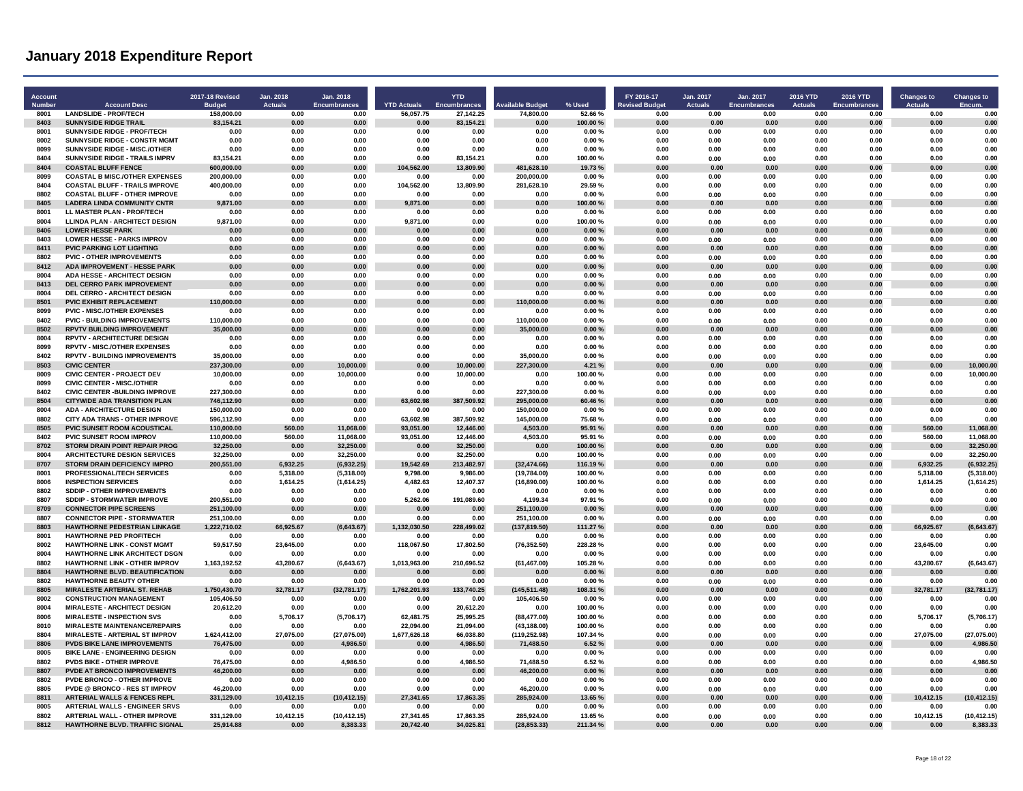| Account        |                                                                               | <b>2017-18 Revised</b>      | Jan. 2018              | Jan. 2018                |                                 | <b>YTD</b>                |                                      |                    | FY 2016-17                    | Jan. 2017              | Jan. 2017                  | <b>2016 YTD</b>        | 2016 YTD                    | <b>Changes to</b>      | <b>Changes to</b>        |
|----------------|-------------------------------------------------------------------------------|-----------------------------|------------------------|--------------------------|---------------------------------|---------------------------|--------------------------------------|--------------------|-------------------------------|------------------------|----------------------------|------------------------|-----------------------------|------------------------|--------------------------|
| Number<br>8001 | <b>Account Desc</b><br><b>LANDSLIDE - PROF/TECH</b>                           | <b>Budget</b><br>158,000.00 | <b>Actuals</b><br>0.00 | Encumbrances<br>0.00     | <b>YTD Actuals</b><br>56,057.75 | Encumbrances<br>27,142.25 | <b>Available Budget</b><br>74,800.00 | % Used<br>52.66%   | <b>Revised Budget</b><br>0.00 | <b>Actuals</b><br>0.00 | Encumbrances<br>0.00       | <b>Actuals</b><br>0.00 | <b>Encumbrances</b><br>0.00 | <b>Actuals</b><br>0.00 | <b>Encum</b><br>0.00     |
| 8403           | <b>SUNNYSIDE RIDGE TRAIL</b>                                                  | 83,154.21                   | 0.00                   | 0.00                     | 0.00                            | 83,154.21                 | 0.00                                 | 100.00%            | 0.00                          | 0.00                   | 0.00                       | 0.00                   | 0.00                        | 0.00                   | 0.00                     |
| 8001           | SUNNYSIDE RIDGE - PROF/TECH                                                   | 0.00                        | 0.00                   | 0.00                     | 0.00                            | 0.00                      | 0.00                                 | 0.00%              | 0.00                          | 0.00                   | 0.00                       | 0.00                   | 0.00                        | 0.00                   | 0.00                     |
| 8002           | SUNNYSIDE RIDGE - CONSTR MGMT                                                 | 0.00                        | 0.00                   | 0.00                     | 0.00                            | 0.00                      | 0.00                                 | 0.00%              | 0.00                          | 0.00                   | 0.00                       | 0.00                   | 0.00                        | 0.00                   | 0.00                     |
| 8099           | <b>SUNNYSIDE RIDGE - MISC./OTHER</b>                                          | 0.00                        | 0.00                   | 0.00                     | 0.00                            | 0.00                      | 0.00                                 | 0.00%              | 0.00                          | 0.00                   | 0.00                       | 0.00                   | 0.00                        | 0.00                   | 0.00                     |
| 8404           | SUNNYSIDE RIDGE - TRAILS IMPRV                                                | 83,154.21                   | 0.00                   | 0.00                     | 0.00                            | 83,154.21                 | 0.00                                 | 100.00%            | 0.00                          | 0.00                   | 0.00                       | 0.00                   | 0.00                        | 0.00                   | 0.00                     |
| 8404           | <b>COASTAL BLUFF FENCE</b>                                                    | 600,000.00                  | 0.00                   | 0.00                     | 104,562.00                      | 13,809.90                 | 481,628.10                           | 19.73%             | 0.00                          | 0.00                   | 0.00                       | 0.00                   | 0.00                        | 0.00                   | 0.00                     |
| 8099           | <b>COASTAL B MISC./OTHER EXPENSES</b>                                         | 200,000.00                  | 0.00                   | 0.00                     | 0.00                            | 0.00                      | 200,000.00                           | 0.00%              | 0.00                          | 0.00                   | 0.00                       | 0.00                   | 0.00                        | 0.00                   | 0.00                     |
| 8404<br>8802   | <b>COASTAL BLUFF - TRAILS IMPROVE</b><br><b>COASTAL BLUFF - OTHER IMPROVE</b> | 400,000.00<br>0.00          | 0.00<br>0.00           | 0.00<br>0.00             | 104.562.00<br>0.00              | 13.809.90<br>0.00         | 281.628.10<br>0.00                   | 29.59%<br>0.00%    | 0.00<br>0.00                  | 0.00                   | 0.00                       | 0.00<br>0.00           | 0.00<br>0.00                | 0.00<br>0.00           | 0.00<br>0.00             |
| 8405           | <b>LADERA LINDA COMMUNITY CNTR</b>                                            | 9,871.00                    | 0.00                   | 0.00                     | 9.871.00                        | 0.00                      | 0.00                                 | 100.00%            | 0.00                          | 0.00<br>0.00           | 0.00<br>0.00               | 0.00                   | 0.00                        | 0.00                   | 0.00                     |
| 8001           | LL MASTER PLAN - PROF/TECH                                                    | 0.00                        | 0.00                   | 0.00                     | 0.00                            | 0.00                      | 0.00                                 | 0.00%              | 0.00                          | 0.00                   | 0.00                       | 0.00                   | 0.00                        | 0.00                   | 0.00                     |
| 8004           | <b>LLINDA PLAN - ARCHITECT DESIGN</b>                                         | 9,871.00                    | 0.00                   | 0.00                     | 9,871.00                        | 0.00                      | 0.00                                 | 100.00%            | 0.00                          | 0.00                   | 0.00                       | 0.00                   | 0.00                        | 0.00                   | 0.00                     |
| 8406           | <b>LOWER HESSE PARK</b>                                                       | 0.00                        | 0.00                   | 0.00                     | 0.00                            | 0.00                      | 0.00                                 | 0.00%              | 0.00                          | 0.00                   | 0.00                       | 0.00                   | 0.00                        | 0.00                   | 0.00                     |
| 8403           | <b>LOWER HESSE - PARKS IMPROV</b>                                             | 0.00                        | 0.00                   | 0.00                     | 0.00                            | 0.00                      | 0.00                                 | 0.00%              | 0.00                          | 0.00                   | 0.00                       | 0.00                   | 0.00                        | 0.00                   | 0.00                     |
| 8411           | <b>PVIC PARKING LOT LIGHTING</b>                                              | 0.00                        | 0.00                   | 0.00                     | 0.00                            | 0.00                      | 0.00                                 | 0.00%              | 0.00                          | 0.00                   | 0.00                       | 0.00                   | 0.00                        | 0.00                   | 0.00                     |
| 8802           | <b>PVIC - OTHER IMPROVEMENTS</b>                                              | 0.00                        | 0.00                   | 0.00                     | 0.00                            | 0.00                      | 0.00                                 | 0.00%              | 0.00                          | 0.00                   | 0.00                       | 0.00                   | 0.00                        | 0.00                   | 0.00                     |
| 8412           | ADA IMPROVEMENT - HESSE PARK                                                  | 0.00                        | 0.00                   | 0.00                     | 0.00                            | 0.00                      | 0.00                                 | 0.00%              | 0.00                          | 0.00                   | 0.00                       | 0.00                   | 0.00                        | 0.00                   | 0.00                     |
| 8004<br>8413   | ADA HESSE - ARCHITECT DESIGN<br>DEL CERRO PARK IMPROVEMENT                    | 0.00<br>0.00                | 0.00<br>0.00           | 0.00<br>0.00             | 0.00<br>0.00                    | 0.00<br>0.00              | 0.00<br>0.00                         | 0.00%<br>0.00%     | 0.00<br>0.00                  | 0.00<br>0.00           | 0.00<br>0.00               | 0.00<br>0.00           | 0.00<br>0.00                | 0.00<br>0.00           | 0.00<br>0.00             |
| 8004           | <b>DEL CERRO - ARCHITECT DESIGN</b>                                           | 0.00                        | 0.00                   | 0.00                     | 0.00                            | 0.00                      | 0.00                                 | 0.00%              | 0.00                          | 0.00                   | 0.00                       | 0.00                   | 0.00                        | 0.00                   | 0.00                     |
| 8501           | PVIC EXHIBIT REPLACEMENT                                                      | 110,000.00                  | 0.00                   | 0.00                     | 0.00                            | 0.00                      | 110.000.00                           | 0.00%              | 0.00                          | 0.00                   | 0.00                       | 0.00                   | 0.00                        | 0.00                   | 0.00                     |
| 8099           | <b>PVIC - MISC./OTHER EXPENSES</b>                                            | 0.00                        | 0.00                   | 0.00                     | 0.00                            | 0.00                      | 0.00                                 | 0.00%              | 0.00                          | 0.00                   | 0.00                       | 0.00                   | 0.00                        | 0.00                   | 0.00                     |
| 8402           | <b>PVIC - BUILDING IMPROVEMENTS</b>                                           | 110,000.00                  | 0.00                   | 0.00                     | 0.00                            | 0.00                      | 110,000.00                           | 0.00%              | 0.00                          | 0.00                   | 0.00                       | 0.00                   | 0.00                        | 0.00                   | 0.00                     |
| 8502           | <b>RPVTV BUILDING IMPROVEMENT</b>                                             | 35.000.00                   | 0.00                   | 0.00                     | 0.00                            | 0.00                      | 35.000.00                            | 0.00%              | 0.00                          | 0.00                   | 0.00                       | 0.00                   | 0.00                        | 0.00                   | 0.00                     |
| 8004           | <b>RPVTV - ARCHITECTURE DESIGN</b>                                            | 0.00                        | 0.00                   | 0.00                     | 0.00                            | 0.00                      | 0.00                                 | 0.00%              | 0.00                          | 0.00                   | 0.00                       | 0.00                   | 0.00                        | 0.00                   | 0.00                     |
| 8099<br>8402   | <b>RPVTV - MISC/OTHER EXPENSES</b>                                            | 0.00                        | 0.00                   | 0.00<br>0.00             | 0.00<br>0.00                    | 0.00<br>0.00              | 0.00                                 | 0.00%              | 0.00<br>0.00                  | 0.00                   | 0.00                       | 0.00<br>0.00           | 0.00<br>0.00                | 0.00<br>0.00           | 0.00<br>0.00             |
| 8503           | <b>RPVTV - BUILDING IMPROVEMENTS</b><br><b>CIVIC CENTER</b>                   | 35,000.00<br>237,300.00     | 0.00<br>0.00           | 10,000.00                | 0.00                            | 10,000.00                 | 35,000.00<br>227,300.00              | 0.00%<br>4.21%     | 0.00                          | 0.00<br>0.00           | 0.00<br>0.00               | 0.00                   | 0.00                        | 0.00                   | 10,000.00                |
| 8009           | <b>CIVIC CENTER - PROJECT DEV</b>                                             | 10,000.00                   | 0.00                   | 10,000.00                | 0.00                            | 10.000.00                 | 0.00                                 | 100.00%            | 0.00                          | 0.00                   | 0.00                       | 0.00                   | 0.00                        | 0.00                   | 10,000.00                |
| 8099           | <b>CIVIC CENTER - MISC./OTHER</b>                                             | 0.00                        | 0.00                   | 0.00                     | 0.00                            | 0.00                      | 0.00                                 | 0.00%              | 0.00                          | 0.00                   | 0.00                       | 0.00                   | 0.00                        | 0.00                   | 0.00                     |
| 8402           | <b>CIVIC CENTER - BUILDING IMPROVE</b>                                        | 227,300.00                  | 0.00                   | 0.00                     | 0.00                            | 0.00                      | 227,300.00                           | 0.00%              | 0.00                          | 0.00                   | 0.00                       | 0.00                   | 0.00                        | 0.00                   | 0.00                     |
| 8504           | <b>CITYWIDE ADA TRANSITION PLAN</b>                                           | 746.112.90                  | 0.00                   | 0.00                     | 63.602.98                       | 387.509.92                | 295.000.00                           | 60.46%             | 0.00                          | 0.00                   | 0.00                       | 0.00                   | 0.00                        | 0.00                   | 0.00                     |
| 8004           | <b>ADA - ARCHITECTURE DESIGN</b>                                              | 150,000.00                  | 0.00                   | 0.00                     | 0.00                            | 0.00                      | 150,000.00                           | 0.00%              | 0.00                          | 0.00                   | 0.00                       | 0.00                   | 0.00                        | 0.00                   | 0.00                     |
| 8802           | <b>CITY ADA TRANS - OTHER IMPROVE</b>                                         | 596,112.90                  | 0.00                   | 0.00                     | 63.602.98                       | 387,509.92                | 145.000.00                           | 75.68%             | 0.00                          | 0.00                   | 0.00                       | 0.00                   | 0.00                        | 0.00                   | 0.00                     |
| 8505<br>8402   | PVIC SUNSET ROOM ACOUSTICAL<br>PVIC SUNSET ROOM IMPROV                        | 110,000.00<br>110,000.00    | 560.00<br>560.00       | 11,068.00<br>11,068.00   | 93,051.00<br>93,051.00          | 12,446.00<br>12,446.00    | 4,503.00<br>4,503.00                 | 95.91 %<br>95.91%  | 0.00<br>0.00                  | 0.00<br>0.00           | 0.00<br>0.00               | 0.00<br>0.00           | 0.00<br>0.00                | 560.00<br>560.00       | 11,068.00<br>11,068.00   |
| 8702           | <b>STORM DRAIN POINT REPAIR PROG</b>                                          | 32,250.00                   | 0.00                   | 32,250.00                | 0.00                            | 32,250.00                 | 0.00                                 | 100.00%            | 0.00                          | 0.00                   | 0.00                       | 0.00                   | 0.00                        | 0.00                   | 32,250.00                |
| 8004           | ARCHITECTURE DESIGN SERVICES                                                  | 32,250.00                   | 0.00                   | 32,250.00                | 0.00                            | 32,250.00                 | 0.00                                 | 100.00%            | 0.00                          | 0.00                   | 0.00                       | 0.00                   | 0.00                        | 0.00                   | 32,250.00                |
| 8707           | STORM DRAIN DEFICIENCY IMPRO                                                  | 200,551.00                  | 6.932.25               | (6,932.25)               | 19,542.69                       | 213,482.97                | (32, 474.66)                         | 116.19%            | 0.00                          | 0.00                   | 0.00                       | 0.00                   | 0.00                        | 6.932.25               | (6,932.25)               |
| 8001           | PROFESSIONAL/TECH SERVICES                                                    | 0.00                        | 5,318.00               | (5,318.00)               | 9,798.00                        | 9,986.00                  | (19, 784.00)                         | 100.00%            | 0.00                          | 0.00                   | 0.00                       | 0.00                   | 0.00                        | 5,318.00               | (5,318.00)               |
| 8006           | <b>INSPECTION SERVICES</b>                                                    | 0.00                        | 1,614.25               | (1,614.25)               | 4,482.63                        | 12,407.37                 | (16, 890.00)                         | 100.00%            | 0.00                          | 0.00                   | 0.00                       | 0.00                   | 0.00                        | 1,614.25               | (1,614.25)               |
| 8802           | SDDIP - OTHER IMPROVEMENTS                                                    | 0.00                        | 0.00                   | 0.00                     | 0.00                            | 0.00                      | 0.00                                 | 0.00%              | 0.00                          | 0.00                   | 0.00                       | 0.00                   | 0.00                        | 0.00                   | 0.00                     |
| 8807<br>8709   | SDDIP - STORMWATER IMPROVE<br><b>CONNECTOR PIPE SCREENS</b>                   | 200,551.00<br>251.100.00    | 0.00<br>0.00           | 0.00<br>0.00             | 5,262.06<br>0.00                | 191,089.60<br>0.00        | 4,199.34<br>251,100.00               | 97.91%<br>0.00%    | 0.00<br>0.00                  | 0.00<br>0.00           | 0.00<br>0.00               | 0.00<br>0.00           | 0.00<br>0.00                | 0.00<br>0.00           | 0.00<br>0.00             |
| 8807           | <b>CONNECTOR PIPE - STORMWATER</b>                                            | 251,100.00                  | 0.00                   | 0.00                     | 0.00                            | 0.00                      | 251.100.00                           | 0.00%              | 0.00                          | 0.00                   | 0.00                       | 0.00                   | 0.00                        | 0.00                   | 0.00                     |
| 8803           | <b>HAWTHORNE PEDESTRIAN LINKAGE</b>                                           | .222,710.02                 | 66,925.67              | (6,643.67)               | 1,132,030.50                    | 228,499.02                | (137, 819.50)                        | 111.27 %           | 0.00                          | 0.00                   | 0.00                       | 0.00                   | 0.00                        | 66.925.67              | (6, 643.67)              |
| 8001           | <b>HAWTHORNE PED PROF/TECH</b>                                                | 0.00                        | 0.00                   | 0.00                     | 0.00                            | 0.00                      | 0.00                                 | 0.00%              | 0.00                          | 0.00                   | 0.00                       | 0.00                   | 0.00                        | 0.00                   | 0.00                     |
| 8002           | <b>HAWTHORNE LINK - CONST MGMT</b>                                            | 59,517.50                   | 23,645.00              | 0.00                     | 118,067.50                      | 17.802.50                 | (76, 352.50)                         | 228.28%            | 0.00                          | 0.00                   | 0.00                       | 0.00                   | 0.00                        | 23.645.00              | 0.00                     |
| 8004           | <b>HAWTHORNE LINK ARCHITECT DSGN</b>                                          | 0.00                        | 0.00                   | 0.00                     | 0.00                            | 0.00                      | 0.00                                 | 0.00%              | 0.00                          | 0.00                   | 0.00                       | 0.00                   | 0.00                        | 0.00                   | 0.00                     |
| 8802           | <b>HAWTHORNE LINK - OTHER IMPROV</b>                                          | 1,163,192.52                | 43.280.67              | (6,643.67)               | 1,013,963.00                    | 210.696.52                | (61, 467.00)                         | 105.28%            | 0.00                          | 0.00                   | 0.00                       | 0.00                   | 0.00                        | 43.280.67              | (6.643.67)               |
| 8804<br>8802   | HAWTHORNE BLVD. BEAUTIFICATION                                                | 0.00                        | 0.00                   | 0.00                     | 0.00                            | 0.00                      | 0.00<br>0.00                         | 0.00%              | 0.00<br>0.00                  | 0.00                   | 0.00                       | 0.00<br>0.00           | 0.00                        | 0.00<br>0.00           | 0.00<br>0.00             |
| 8805           | <b>HAWTHORNE BEAUTY OTHER</b><br><b>MIRALESTE ARTERIAL ST. REHAB</b>          | 0.00<br>1,750,430.70        | 0.00<br>32,781.17      | 0.00<br>(32, 781.17)     | 0.00<br>1,762,201.93            | 0.00<br>133,740.25        | (145, 511.48)                        | 0.00%<br>108.31 %  | 0.00                          | 0.00<br>0.00           | 0.00<br>0.00               | 0.00                   | 0.00<br>0.00                | 32,781.17              | (32, 781.17)             |
| 8002           | <b>CONSTRUCTION MANAGEMENT</b>                                                | 105,406.50                  | 0.00                   | 0.00                     | 0.00                            | 0.00                      | 105,406.50                           | 0.00%              | 0.00                          | 0.00                   | 0.00                       | 0.00                   | 0.00                        | 0.00                   | 0.00                     |
| 8004           | <b>MIRALESTE - ARCHITECT DESIGN</b>                                           | 20,612.20                   | 0.00                   | 0.00                     | 0.00                            | 20,612.20                 | 0.00                                 | 100.00%            | 0.00                          | 0.00                   | 0.00                       | 0.00                   | 0.00                        | 0.00                   | 0.00                     |
| 8006           | <b>MIRALESTE - INSPECTION SVS</b>                                             | 0.00                        | 5,706.17               | (5,706.17)               | 62.481.75                       | 25.995.25                 | (88, 477.00)                         | 100.00%            | 0.00                          | 0.00                   | 0.00                       | 0.00                   | 0.00                        | 5,706.17               | (5,706.17)               |
| 8010           | <b>MIRALESTE MAINTENANCE/REPAIRS</b>                                          | 0.00                        | 0.00                   | 0.00                     | 22,094.00                       | 21.094.00                 | (43.188.00)                          | 100.00%            | 0.00                          | 0.00                   | 0.00                       | 0.00                   | 0.00                        | 0.00                   | 0.00                     |
| 8804           | MIRALESTE - ARTERIAL ST IMPROV                                                | 1,624,412.00                | 27,075.00              | (27,075.00)              | 1,677,626.18                    | 66,038.80                 | (119, 252.98)                        | 107.34%            | 0.00                          | 0.00                   | 0.00                       | 0.00                   | 0.00                        | 27,075.00              | (27,075.00)              |
| 8806<br>8005   | PVDS BIKE LANE IMPROVEMENTS                                                   | 76,475.00                   | 0.00                   | 4,986.50                 | 0.00                            | 4,986.50                  | 71,488.50                            | 6.52%              | 0.00                          | 0.00                   | 0.00                       | 0.00                   | 0.00                        | 0.00                   | 4,986.50                 |
| 8802           | <b>BIKE LANE - ENGINEERING DESIGN</b><br>PVDS BIKE - OTHER IMPROVE            | 0.00<br>76,475.00           | 0.00<br>0.00           | 0.00<br>4,986.50         | 0.00<br>0.00                    | 0.00<br>4,986.50          | 0.00<br>71,488.50                    | 0.00%<br>6.52%     | 0.00<br>0.00                  | 0.00<br>0.00           | 0.00<br>0.00               | 0.00<br>0.00           | 0.00<br>0.00                | 0.00<br>0.00           | 0.00<br>4,986.50         |
| 8807           | <b>PVDE AT BRONCO IMPROVEMENTS</b>                                            | 46,200.00                   | 0.00                   | 0.00                     | 0.00                            | 0.00                      | 46,200.00                            | 0.00%              | 0.00                          | 0.00                   | 0 <sup>0<sup>c</sup></sup> | 0.00                   | 0.00                        | n nn                   | 0.00                     |
| 8802           | PVDE BRONCO - OTHER IMPROVE                                                   | 0.00                        | 0.00                   | 0.00                     | 0.00                            | 0.00                      | 0.00                                 | 0.00%              | 0.00                          | 0.00                   | 0.00                       | 0.00                   | 0.00                        | 0.00                   | 0.00                     |
| 8805           | PVDE @ BRONCO - RES ST IMPROV                                                 | 46,200.00                   | 0.00                   | 0.00                     | 0.00                            | 0.00                      | 46,200.00                            | 0.00%              | 0.00                          | 0.00                   | 0.00                       | 0.00                   | 0.00                        | 0.00                   | 0.00                     |
| 8811           | <b>ARTERIAL WALLS &amp; FENCES REPL</b>                                       | 331,129.00                  | 10.412.15              | (10, 412.15)             | 27.341.65                       | 17.863.35                 | 285.924.00                           | 13.65%             | 0.00                          | 0.00                   | 0.00                       | 0.00                   | 0.00                        | 10.412.15              | (10, 412.15)             |
| 8005           | ARTERIAL WALLS - ENGINEER SRVS                                                | 0.00                        | 0.00                   | 0.00                     | 0.00                            | 0.00                      | 0.00                                 | 0.00%              | 0.00                          | 0.00                   | 0.00                       | 0.00                   | 0.00                        | 0.00                   | 0.00                     |
| 8802<br>8812   | <b>ARTERIAL WALL - OTHER IMPROVE</b><br><b>HAWTHORNE BLVD. TRAFFIC SIGNAL</b> | 331.129.00<br>25,914.88     | 10.412.15<br>0.00      | (10, 412.15)<br>8.383.33 | 27.341.65<br>20,742.40          | 17.863.35<br>34.025.81    | 285.924.00<br>(28.853.33)            | 13.65%<br>211.34 % | 0.00<br>0.00                  | 0.00<br>0.00           | 0.00<br>0.00               | 0.00<br>0.00           | 0.00<br>0.00                | 10.412.15<br>0.00      | (10, 412.15)<br>8,383.33 |
|                |                                                                               |                             |                        |                          |                                 |                           |                                      |                    |                               |                        |                            |                        |                             |                        |                          |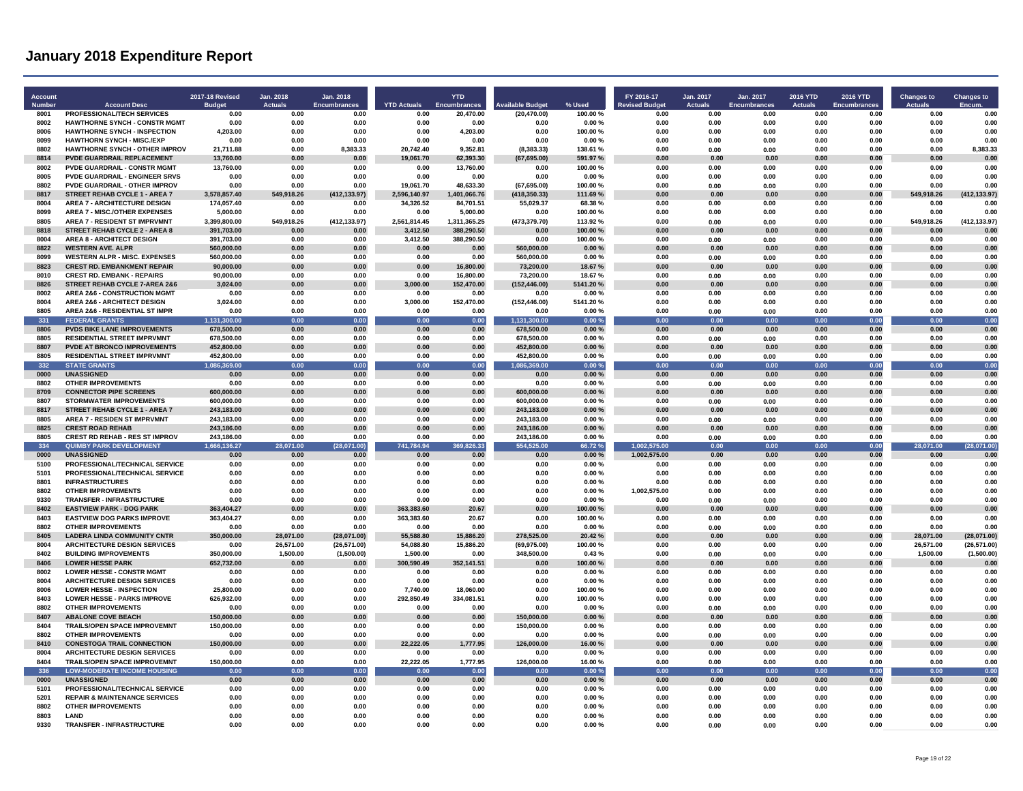| <b>Account</b><br>Number | <b>Account Desc</b>                                                      | 2017-18 Revised<br><b>Budget</b> | Jan. 2018<br><b>Actuals</b> | Jan. 2018<br><b>Encumbrances</b> | <b>YTD Actuals</b>     | <b>YTD</b><br>Encumbrances | <b>Available Budget</b> | % Used             | FY 2016-17<br><b>Revised Budget</b> | Jan. 2017<br><b>Actuals</b> | Jan. 2017<br>Encumbrances | <b>2016 YTD</b><br><b>Actuals</b> | 2016 YTD<br><b>Encumbrances</b> | <b>Changes to</b><br><b>Actuals</b> | <b>Changes to</b>     |
|--------------------------|--------------------------------------------------------------------------|----------------------------------|-----------------------------|----------------------------------|------------------------|----------------------------|-------------------------|--------------------|-------------------------------------|-----------------------------|---------------------------|-----------------------------------|---------------------------------|-------------------------------------|-----------------------|
| 8001                     | PROFESSIONAL/TECH SERVICES                                               | 0.00                             | 0.00                        | 0.00                             | 0.00                   | 20,470.00                  | (20, 470.00)            | 100.00%            | 0.00                                | 0.00                        | 0.00                      | 0.00                              | 0.00                            | 0.00                                | 0.00                  |
| 8002                     | <b>HAWTHORNE SYNCH - CONSTR MGMT</b>                                     | 0.00                             | 0.00                        | 0.00                             | 0.00                   | 0.00                       | 0.00                    | 0.00%              | 0.00                                | 0.00                        | 0.00                      | 0.00                              | 0.00                            | 0.00                                | 0.00                  |
| 8006<br>8099             | <b>HAWTHORNE SYNCH - INSPECTION</b><br><b>HAWTHORN SYNCH - MISC./EXP</b> | 4,203.00<br>0.00                 | 0.00<br>0.00                | 0.00<br>0.00                     | 0.00<br>0.00           | 4,203.00<br>0.00           | 0.00<br>0.00            | 100.00%<br>0.00%   | 0.00<br>0.00                        | 0.00<br>0.00                | 0.00<br>0.00              | 0.00<br>0.00                      | 0.00<br>0.00                    | 0.00<br>0.00                        | 0.00<br>0.00          |
| 8802                     | <b>HAWTHORNE SYNCH - OTHER IMPROV</b>                                    | 21,711.88                        | 0.00                        | 8,383.33                         | 20,742.40              | 9,352.81                   | (8, 383.33)             | 138.61%            | 0.00                                | 0.00                        | 0.00                      | 0.00                              | 0.00                            | 0.00                                | 8,383.33              |
| 8814                     | <b>PVDE GUARDRAIL REPLACEMENT</b>                                        | 13,760.00                        | 0.00                        | 0.00                             | 19,061.70              | 62,393.30                  | (67, 695.00)            | 591.97 %           | 0.00                                | 0.00                        | 0.00                      | 0.00                              | 0.00                            | 0.00                                | 0.00                  |
| 8002                     | <b>PVDE GUARDRAIL - CONSTR MGMT</b>                                      | 13,760.00                        | 0.00                        | 0.00                             | 0.00                   | 13,760.00                  | 0.00                    | 100.00%            | 0.00                                | 0.00                        | 0.00                      | 0.00                              | 0.00                            | 0.00                                | 0.00                  |
| 8005                     | <b>PVDE GUARDRAIL - ENGINEER SRVS</b>                                    | 0.00                             | 0.00                        | 0.00                             | 0.00                   | 0.00                       | 0.00                    | 0.00%              | 0.00                                | 0.00                        | 0.00                      | 0.00                              | 0.00                            | 0.00                                | 0.00                  |
| 8802                     | <b>PVDE GUARDRAIL - OTHER IMPROV</b>                                     | 0.00                             | 0.00                        | 0.00                             | 19.061.70              | 48.633.30                  | (67.695.00)             | 100.00%            | 0.00                                | 0.00                        | 0.00                      | 0.00                              | 0.00                            | 0.00                                | 0.00                  |
| 8817                     | <b>STREET REHAB CYCLE 1 - AREA 7</b>                                     | 3.578.857.40                     | 549,918.26                  | (412, 133.97)                    | 2.596.140.97           | 1,401,066.76               | (418.350.33)            | 111.69%            | 0.00                                | 0.00                        | 0.00                      | 0.00                              | 0.00                            | 549,918.26                          | (412, 133.97)         |
| 8004                     | <b>AREA 7 - ARCHITECTURE DESIGN</b>                                      | 174,057.40                       | 0.00                        | 0.00                             | 34,326.52              | 84,701.51                  | 55,029.37               | 68.38%             | 0.00                                | 0.00                        | 0.00                      | 0.00                              | 0.00                            | 0.00                                | 0.00                  |
| 8099<br>8805             | AREA 7 - MISC./OTHER EXPENSES<br>AREA 7 - RESIDENT ST IMPRVMNT           | 5,000.00<br>3,399,800.00         | 0.00<br>549,918.26          | 0.00<br>(412, 133.97)            | 0.00<br>2,561,814.45   | 5,000.00<br>1,311,365.25   | 0.00<br>(473,379.70)    | 100.00%<br>113.92% | 0.00<br>0.00                        | 0.00<br>0.00                | 0.00                      | 0.00<br>0.00                      | 0.00<br>0.00                    | 0.00<br>549,918.26                  | 0.00<br>(412, 133.97) |
| 8818                     | STREET REHAB CYCLE 2 - AREA 8                                            | 391,703.00                       | 0.00                        | 0.00                             | 3,412.50               | 388,290.50                 | 0.00                    | 100.00%            | 0.00                                | 0.00                        | 0.00<br>0.00              | 0.00                              | 0.00                            | 0.00                                | 0.00                  |
| 8004                     | <b>AREA 8 - ARCHITECT DESIGN</b>                                         | 391,703.00                       | 0.00                        | 0.00                             | 3,412.50               | 388,290.50                 | 0.00                    | 100.00%            | 0.00                                | 0.00                        | 0.00                      | 0.00                              | 0.00                            | 0.00                                | 0.00                  |
| 8822                     | <b>WESTERN AVE. ALPR</b>                                                 | 560.000.00                       | 0.00                        | 0.00                             | 0.00                   | 0.00                       | 560.000.00              | 0.00%              | 0.00                                | 0.00                        | 0.00                      | 0.00                              | 0.00                            | 0.00                                | 0.00                  |
| 8099                     | <b>WESTERN ALPR - MISC. EXPENSES</b>                                     | 560,000.00                       | 0.00                        | 0.00                             | 0.00                   | 0.00                       | 560,000.00              | 0.00%              | 0.00                                | 0.00                        | 0.00                      | 0.00                              | 0.00                            | 0.00                                | 0.00                  |
| 8823                     | <b>CREST RD. EMBANKMENT REPAIR</b>                                       | 90,000.00                        | 0.00                        | 0.00                             | 0.00                   | 16,800.00                  | 73,200.00               | 18.67%             | 0.00                                | 0.00                        | 0.00                      | 0.00                              | 0.00                            | 0.00                                | 0.00                  |
| 8010                     | <b>CREST RD. EMBANK - REPAIRS</b>                                        | 90,000.00                        | 0.00                        | 0.00                             | 0.00                   | 16,800.00                  | 73,200.00               | 18.67%             | 0.00                                | 0.00                        | 0.00                      | 0.00                              | 0.00                            | 0.00                                | 0.00                  |
| 8826<br>8002             | STREET REHAB CYCLE 7-AREA 2&6<br><b>AREA 2&amp;6 - CONSTRUCTION MGMT</b> | 3,024.00                         | 0.00<br>0.00                | 0.00<br>0.00                     | 3,000.00<br>0.00       | 152,470.00<br>0.00         | (152, 446.00)<br>0.00   | 5141.20%<br>0.00%  | 0.00<br>0.00                        | 0.00<br>0.00                | 0.00                      | 0.00                              | 0.00<br>0.00                    | 0.00                                | 0.00<br>0.00          |
| 8004                     | <b>AREA 2&amp;6 - ARCHITECT DESIGN</b>                                   | 0.00<br>3,024.00                 | 0.00                        | 0.00                             | 3,000.00               | 152,470.00                 | (152, 446.00)           | 5141.20%           | 0.00                                | 0.00                        | 0.00<br>0.00              | 0.00<br>0.00                      | 0.00                            | 0.00<br>0.00                        | 0.00                  |
| 8805                     | AREA 2&6 - RESIDENTIAL ST IMPR                                           | 0.00                             | 0.00                        | 0.00                             | 0.00                   | 0.00                       | 0.00                    | 0.00%              | 0.00                                | 0.00                        | 0.00                      | 0.00                              | 0.00                            | 0.00                                | 0.00                  |
| 331                      | <b>FEDERAL GRANTS</b>                                                    | 1,131,300.00                     | 0.00                        | 0.00                             | 0.00                   | 0.00                       | 1,131,300.00            | 0.00%              | 0.00                                | 0.00                        | 0.00                      | 0.00                              | 0.00                            | 0.00                                | 0.00                  |
| 8806                     | <b>PVDS BIKE LANE IMPROVEMENTS</b>                                       | 678,500.00                       | 0.00                        | 0.00                             | 0.00                   | 0.00                       | 678.500.00              | 0.00%              | 0.00                                | 0.00                        | 0.00                      | 0.00                              | 0.00                            | 0.00                                | 0.00                  |
| 8805                     | <b>RESIDENTIAL STREET IMPRVMNT</b>                                       | 678,500.00                       | 0.00                        | 0.00                             | 0.00                   | 0.00                       | 678,500.00              | 0.00%              | 0.00                                | 0.00                        | 0.00                      | 0.00                              | 0.00                            | 0.00                                | 0.00                  |
| 8807                     | <b>PVDE AT BRONCO IMPROVEMENTS</b>                                       | 452.800.00                       | 0.00                        | 0.00                             | 0.00                   | 0.00                       | 452.800.00              | 0.00%              | 0.00                                | 0.00                        | 0.00                      | 0.00                              | 0.00                            | 0.00                                | 0.00                  |
| 8805                     | <b>RESIDENTIAL STREET IMPRVMNT</b>                                       | 452.800.00                       | 0.00                        | 0.00                             | 0.00                   | 0.00                       | 452.800.00              | 0.00%              | 0.00                                | 0.00                        | 0.00                      | 0.00                              | 0.00                            | 0.00                                | 0.00                  |
| 332                      | <b>STATE GRANTS</b>                                                      | 1,086,369.00                     | 0.00                        | 0.00                             | 0.00                   | 0.00                       | 1,086,369.00            | 0.00%              | 0.00                                | 0.00                        | 0.00                      | 0.00                              | 0.00                            | 0.00                                | 0.00                  |
| 0000<br>8802             | <b>UNASSIGNED</b><br><b>OTHER IMPROVEMENTS</b>                           | 0.00<br>0.00                     | 0.00<br>0.00                | 0.00<br>0.00                     | 0.00<br>0.00           | 0.00<br>0.00               | 0.00<br>0.00            | 0.00%<br>0.00%     | 0.00<br>0.00                        | 0.00<br>0.00                | 0.00<br>0.00              | 0.00<br>0.00                      | 0.00<br>0.00                    | 0.00<br>0.00                        | 0.00<br>0.00          |
| 8709                     | <b>CONNECTOR PIPE SCREENS</b>                                            | 600,000.00                       | 0.00                        | 0.00                             | 0.00                   | 0.00                       | 600,000.00              | 0.00%              | 0.00                                | 0.00                        | 0.00                      | 0.00                              | 0.00                            | 0.00                                | 0.00                  |
| 8807                     | <b>STORMWATER IMPROVEMENTS</b>                                           | 600.000.00                       | 0.00                        | 0.00                             | 0.00                   | 0.00                       | 600,000.00              | 0.00%              | 0.00                                | 0.00                        | 0.00                      | 0.00                              | 0.00                            | 0.00                                | 0.00                  |
| 8817                     | <b>STREET REHAB CYCLE 1 - AREA 7</b>                                     | 243.183.00                       | 0.00                        | 0.00                             | 0.00                   | 0.00                       | 243,183.00              | 0.00%              | 0.00                                | 0.00                        | 0.00                      | 0.00                              | 0.00                            | 0.00                                | 0.00                  |
| 8805                     | AREA 7 - RESIDEN ST IMPRVMNT                                             | 243,183.00                       | 0.00                        | 0.00                             | 0.00                   | 0.00                       | 243,183.00              | 0.00%              | 0.00                                | 0.00                        | 0.00                      | 0.00                              | 0.00                            | 0.00                                | 0.00                  |
| 8825                     | <b>CREST ROAD REHAB</b>                                                  | 243,186.00                       | 0.00                        | 0.00                             | 0.00                   | 0.00                       | 243,186.00              | 0.00%              | 0.00                                | 0.00                        | 0.00                      | 0.00                              | 0.00                            | 0.00                                | 0.00                  |
| 8805                     | <b>CREST RD REHAB - RES ST IMPROV</b>                                    | 243,186.00                       | 0.00                        | 0.00                             | 0.00                   | 0.00                       | 243,186.00              | 0.00%              | 0.00                                | 0.00                        | 0.00                      | 0.00                              | 0.00                            | 0.00                                | 0.00                  |
| 334<br>nnnn              | <b>QUIMBY PARK DEVELOPMENT</b><br><b>UNASSIGNED</b>                      | 1,666,136.27<br>n nn             | 28,071.00<br>0.00           | (28,071.00)<br>0.00              | 784.94<br>741<br>0.00  | 369,826.33<br>0.00         | 554,525.00<br>0.00      | 66.72%<br>0.00%    | 1,002,575.00<br>1,002,575.00        | 0.00<br>0.00                | 0.00<br>0.00              | 0.00<br>0.00                      | 0.00<br>0.00                    | 28,071.00<br>0.00                   | (28,071.00)<br>0.00   |
| 5100                     | PROFESSIONAL/TECHNICAL SERVICE                                           | 0.00                             | 0.00                        | 0.00                             | 0.00                   | 0.00                       | 0.00                    | 0.00%              | 0.00                                | 0.00                        | 0.00                      | 0.00                              | 0.00                            | 0.00                                | 0.00                  |
| 5101                     | PROFESSIONAL/TECHNICAL SERVICE                                           | 0.00                             | 0.00                        | 0.00                             | 0.00                   | 0.00                       | 0.00                    | 0.00%              | 0.00                                | 0.00                        | 0.00                      | 0.00                              | 0.00                            | 0.00                                | 0.00                  |
| 8801                     | <b>INFRASTRUCTURES</b>                                                   | 0.00                             | 0.00                        | 0.00                             | 0.00                   | 0.00                       | 0.00                    | 0.00%              | 0.00                                | 0.00                        | 0.00                      | 0.00                              | 0.00                            | 0.00                                | 0.00                  |
| 8802                     | <b>OTHER IMPROVEMENTS</b>                                                | 0.00                             | 0.00                        | 0.00                             | 0.00                   | 0.00                       | 0.00                    | 0.00%              | 1,002,575.00                        | 0.00                        | 0.00                      | 0.00                              | 0.00                            | 0.00                                | 0.00                  |
| 9330                     | <b>TRANSFER - INFRASTRUCTURE</b>                                         | 0.00                             | 0.00                        | 0.00                             | 0.00                   | 0.00                       | 0.00                    | 0.00%              | 0.00                                | 0.00                        | 0.00                      | 0.00                              | 0.00                            | 0.00                                | 0.00                  |
| 8402                     | <b>EASTVIEW PARK - DOG PARK</b>                                          | 363.404.27                       | 0.00                        | 0.00                             | 363.383.60             | 20.67                      | 0.00                    | 100.00%            | 0.00                                | 0.00                        | 0.00                      | 0.00                              | 0.00                            | 0.00                                | 0.00                  |
| 8403<br>8802             | <b>EASTVIEW DOG PARKS IMPROVE</b><br><b>OTHER IMPROVEMENTS</b>           | 363,404.27<br>0.00               | 0.00<br>0.00                | 0.00<br>0.00                     | 363,383.60<br>0.00     | 20.67<br>0.00              | 0.00<br>0.00            | 100.00%<br>0.00%   | 0.00<br>0.00                        | 0.00<br>0.00                | 0.00<br>0.00              | 0.00<br>0.00                      | 0.00<br>0.00                    | 0.00<br>0.00                        | 0.00<br>0.00          |
| 8405                     | <b>LADERA LINDA COMMUNITY CNTR</b>                                       | 350,000.00                       | 28.071.00                   | (28,071.00)                      | 55,588.80              | 15,886.20                  | 278,525.00              | 20.42%             | 0.00                                | 0.00                        | 0.00                      | 0.00                              | 0.00                            | 28,071.00                           | (28,071.00)           |
| 8004                     | <b>ARCHITECTURE DESIGN SERVICES</b>                                      | 0.00                             | 26,571.00                   | (26, 571.00)                     | 54,088.80              | 15,886.20                  | (69, 975.00)            | 100.00%            | 0.00                                | 0.00                        | 0.00                      | 0.00                              | 0.00                            | 26,571.00                           | (26, 571.00)          |
| 8402                     | <b>BUILDING IMPROVEMENTS</b>                                             | 350.000.00                       | 1.500.00                    | (1,500.00)                       | 1.500.00               | 0.00                       | 348.500.00              | 0.43%              | 0.00                                | 0.00                        | 0.00                      | 0.00                              | 0.00                            | 1.500.00                            | (1,500.00)            |
| 8406                     | <b>LOWER HESSE PARK</b>                                                  | 652.732.00                       | 0.00                        | 0.00                             | 300,590.49             | 352,141.51                 | 0.00                    | 100.00%            | 0.00                                | 0.00                        | 0.00                      | 0.00                              | 0.00                            | 0.00                                | 0.00                  |
| 8002                     | <b>LOWER HESSE - CONSTR MGMT</b>                                         | 0.00                             | 0.00                        | 0.00                             | 0.00                   | 0.00                       | 0.00                    | 0.00%              | 0.00                                | 0.00                        | 0.00                      | 0.00                              | 0.00                            | 0.00                                | 0.00                  |
| 8004                     | <b>ARCHITECTURE DESIGN SERVICES</b>                                      | 0.00                             | 0.00                        | 0.00                             | 0.00                   | 0.00                       | 0.00                    | 0.00%              | 0.00                                | 0.00                        | 0.00                      | 0.00                              | 0.00                            | 0.00                                | 0.00                  |
| 8006<br>8403             | <b>LOWER HESSE - INSPECTION</b><br><b>LOWER HESSE - PARKS IMPROVE</b>    | 25,800.00<br>626,932.00          | 0.00<br>0.00                | 0.00<br>0.00                     | 7,740.00<br>292,850.49 | 18,060.00<br>334,081.51    | 0.00<br>0.00            | 100.00%<br>100.00% | 0.00<br>0.00                        | 0.00<br>0.00                | 0.00<br>0.00              | 0.00<br>0.00                      | 0.00<br>0.00                    | 0.00<br>0.00                        | 0.00<br>0.00          |
| 8802                     | <b>OTHER IMPROVEMENTS</b>                                                | 0.00                             | 0.00                        | 0.00                             | 0.00                   | 0.00                       | 0.00                    | 0.00%              | 0.00                                | 0.00                        | 0.00                      | 0.00                              | 0.00                            | 0.00                                | 0.00                  |
| 8407                     | ARAI ONE COVE REACH                                                      | 150.000.00                       | 0.00                        | 0.00                             | 0.00                   | 0.00                       | 150,000.00              | 0.00%              | 0.00                                | 0.00                        | 0.00                      | 0.00                              | 0.00                            | 0.00                                | 0.00                  |
| 8404                     | TRAILS/OPEN SPACE IMPROVEMNT                                             | 150,000.00                       | 0.00                        | 0.00                             | 0.00                   | 0.00                       | 150,000.00              | 0.00%              | 0.00                                | 0.00                        | 0.00                      | 0.00                              | 0.00                            | 0.00                                | 0.00                  |
| 8802                     | <b>OTHER IMPROVEMENTS</b>                                                | 0.00                             | 0.00                        | 0.00                             | 0.00                   | 0.00                       | 0.00                    | 0.00%              | 0.00                                | 0.00                        | 0.00                      | 0.00                              | 0.00                            | 0.00                                | 0.00                  |
| 8410                     | <b>CONESTOGA TRAIL CONNECTION</b>                                        | 150,000.00                       | 0.00                        | 0.00                             | 22,222.05              | 1,777.95                   | 126,000.00              | 16.00%             | 0.00                                | 0.00                        | 0.00                      | 0.00                              | 0.00                            | 0.00                                | 0.00                  |
| 8004                     | <b>ARCHITECTURE DESIGN SERVICES</b>                                      | 0.00                             | 0.00                        | 0.00                             | 0.00                   | 0.00                       | 0.00                    | 0.00%              | 0.00                                | 0.00                        | 0.00                      | 0.00                              | 0.00                            | 0.00                                | 0.00                  |
| 8404                     | TRAILS/OPEN SPACE IMPROVEMNT                                             | 150,000.00                       | 0.00                        | 0.00                             | 22,222.05              | 1,777.95                   | 126,000.00              | 16.00%             | 0.00                                | 0.00                        | 0.00                      | 0.00                              | 0.00                            | 0.00                                | 0.00                  |
| 336<br>0000              | <b>I OW-MODERATE INCOME HOUSING</b><br><b>UNASSIGNED</b>                 | 0.00<br>0.00                     | 0.00                        | 0.00<br>0.00                     | 0.00                   | 0.00<br>$0.00\,$           | 0.00<br>0.00            | 0.00%              | 0.00<br>0.00                        | 0.00                        | 0.00<br>0.00              | 0.00                              | 0.00<br>0.00                    | 0.00<br>0.00                        | 0.00<br>0.00          |
| 5101                     | PROFESSIONAL/TECHNICAL SERVICE                                           | 0.00                             | 0.00<br>0.00                | 0.00                             | 0.00<br>0.00           | 0.00                       | 0.00                    | 0.00%<br>0.00%     | 0.00                                | 0.00<br>0.00                | 0.00                      | 0.00<br>0.00                      | 0.00                            | 0.00                                | 0.00                  |
| 5201                     | <b>REPAIR &amp; MAINTENANCE SERVICES</b>                                 | 0.00                             | 0.00                        | 0.00                             | 0.00                   | 0.00                       | 0.00                    | 0.00%              | 0.00                                | 0.00                        | 0.00                      | 0.00                              | 0.00                            | 0.00                                | 0.00                  |
| 8802                     | <b>OTHER IMPROVEMENTS</b>                                                | 0.00                             | 0.00                        | 0.00                             | 0.00                   | 0.00                       | 0.00                    | 0.00%              | 0.00                                | 0.00                        | 0.00                      | 0.00                              | 0.00                            | 0.00                                | 0.00                  |
| 8803                     | LAND                                                                     | 0.00                             | 0.00                        | 0.00                             | 0.00                   | 0.00                       | 0.00                    | 0.00%              | 0.00                                | 0.00                        | 0.00                      | 0.00                              | 0.00                            | 0.00                                | 0.00                  |
| 9330                     | <b>TRANSFER - INFRASTRUCTURE</b>                                         | 0.00                             | 0.00                        | 0.00                             | 0.00                   | 0.00                       | 0.00                    | 0.00%              | 0.00                                | 0.00                        | 0.00                      | 0.00                              | 0.00                            | 0.00                                | 0.00                  |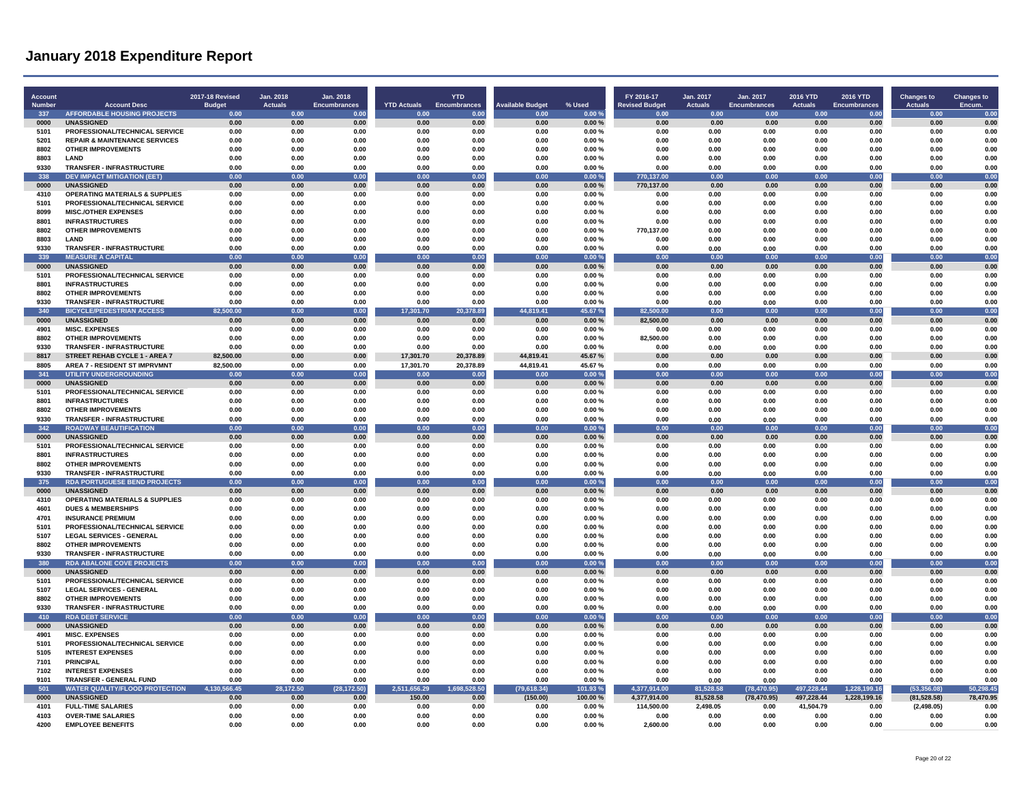| Account<br>Number | <b>Account Desc</b>                                           | 2017-18 Revised<br><b>Budget</b> | Jan. 2018<br><b>Actuals</b> | Jan. 2018<br><b>Encumbrances</b> | <b>YTD Actuals</b> | <b>YTD</b><br><b>Encumbrances</b> | <b>Available Budget</b> | % Used         | FY 2016-17<br><b>Revised Budget</b> | Jan. 2017<br><b>Actuals</b> | Jan. 2017<br><b>Encumbrances</b> | <b>2016 YTD</b><br><b>Actuals</b> | 2016 YTD<br><b>Encumbrances</b> | <b>Changes to</b><br><b>Actuals</b> | <b>Changes to</b><br>Encum. |
|-------------------|---------------------------------------------------------------|----------------------------------|-----------------------------|----------------------------------|--------------------|-----------------------------------|-------------------------|----------------|-------------------------------------|-----------------------------|----------------------------------|-----------------------------------|---------------------------------|-------------------------------------|-----------------------------|
| 337               | <b>AFFORDABLE HOUSING PROJECTS</b>                            | 0.00                             | 0.00                        | 0.00                             | 0.00               | 0.00                              | 0.00                    | 0.00%          | 0.00                                | 0.00                        | 0.00                             | 0.00                              | 0.00                            | 0.00                                | 0.00                        |
| 0000              | <b>UNASSIGNED</b>                                             | 0.00                             | 0.00                        | 0.00                             | 0.00               | 0.00                              | 0.00                    | 0.00%          | 0.00                                | 0.00                        | 0.00                             | 0.00                              | 0.00                            | 0.00                                | 0.00                        |
| 5101              | PROFESSIONAL/TECHNICAL SERVICE                                | 0.00                             | 0.00                        | 0.00                             | 0.00               | 0.00                              | 0.00                    | 0.00%          | 0.00                                | 0.00                        | 0.00                             | 0.00                              | 0.00                            | 0.00                                | 0.00                        |
| 5201              | <b>REPAIR &amp; MAINTENANCE SERVICES</b>                      | 0.00                             | 0.00                        | 0.00                             | 0.00               | 0.00                              | 0.00                    | 0.00%          | 0.00                                | 0.00                        | 0.00                             | 0.00                              | 0.00                            | 0.00                                | 0.00                        |
| 8802              | <b>OTHER IMPROVEMENTS</b>                                     | 0.00                             | 0.00                        | 0.00                             | 0.00               | 0.00                              | 0.00                    | 0.00%          | 0.00                                | 0.00                        | 0.00                             | 0.00                              | 0.00                            | 0.00                                | 0.00                        |
| 8803              | <b>LAND</b>                                                   | 0.00                             | 0.00                        | 0.00                             | 0.00               | 0.00                              | 0.00                    | $0.00 \%$      | 0.00                                | 0.00                        | 0.00                             | 0.00                              | 0.00                            | 0.00                                | 0.00                        |
| 9330              | <b>TRANSFER - INFRASTRUCTURE</b>                              | 0.00                             | 0.00                        | 0.00                             | 0.00               | 0.00                              | 0.00                    | 0.00%          | 0.00                                | 0.00                        | 0.00                             | 0.00                              | 0.00                            | 0.00                                | 0.00                        |
| 338               | <b>DEV IMPACT MITIGATION (EET)</b>                            | 0.00                             | 0.00                        | 0.00                             | 0.00               | 0.00                              | 0.00                    | 0.00%          | 770,137.00                          | 0.00                        | 0.00                             | 0.00                              | 0.00                            | 0.00                                | 0.00                        |
| 0000              | <b>UNASSIGNED</b>                                             | 0.00                             | 0.00                        | 0.00                             | 0.00               | 0.00                              | 0.00                    | 0.00%          | 770.137.00                          | 0.00                        | 0.00                             | 0.00                              | 0.00                            | 0.00                                | 0.00                        |
| 4310              | <b>OPERATING MATERIALS &amp; SUPPLIES</b>                     | 0.00                             | 0.00                        | 0.00                             | 0.00               | 0.00                              | 0.00                    | 0.00%          | 0.00                                | 0.00                        | 0.00                             | 0.00                              | 0.00                            | 0.00                                | 0.00                        |
| 5101              | PROFESSIONAL/TECHNICAL SERVICE                                | 0.00                             | 0.00                        | 0.00                             | 0.00               | 0.00                              | 0.00                    | 0.00%          | 0.00                                | 0.00                        | 0.00                             | 0.00                              | 0.00                            | 0.00                                | 0.00                        |
| 8099<br>8801      | <b>MISC./OTHER EXPENSES</b><br><b>INFRASTRUCTURES</b>         | 0.00<br>0.00                     | 0.00<br>0.00                | 0.00<br>0.00                     | 0.00<br>0.00       | 0.00<br>0.00                      | 0.00<br>0.00            | 0.00%<br>0.00% | 0.00<br>0.00                        | 0.00<br>0.00                | 0.00<br>0.00                     | 0.00<br>0.00                      | 0.00<br>0.00                    | 0.00<br>0.00                        | 0.00<br>0.00                |
| 8802              | <b>OTHER IMPROVEMENTS</b>                                     | 0.00                             | 0.00                        | 0.00                             | 0.00               | 0.00                              | 0.00                    | 0.00%          | 770,137.00                          | 0.00                        | 0.00                             | 0.00                              | 0.00                            | 0.00                                | 0.00                        |
| 8803              | LAND                                                          | 0.00                             | 0.00                        | 0.00                             | 0.00               | 0.00                              | 0.00                    | 0.00%          | 0.00                                | 0.00                        | 0.00                             | 0.00                              | 0.00                            | 0.00                                | 0.00                        |
| 9330              | <b>TRANSFER - INFRASTRUCTURE</b>                              | 0.00                             | 0.00                        | 0.00                             | 0.00               | 0.00                              | 0.00                    | 0.00%          | 0.00                                | 0.00                        | 0.00                             | 0.00                              | 0.00                            | 0.00                                | 0.00                        |
| 339               | <b>MEASURE A CAPITAL</b>                                      | 0.00                             | 0.00                        | 0.00                             | 0.00               | 0.00                              | 0.00                    | 0.00%          | 0.00                                | 0.00                        | 0.00                             | 0.00                              | 0.00                            | 0.00                                | 0.00                        |
| 0000              | <b>UNASSIGNED</b>                                             | 0.00                             | 0.00                        | 0.00                             | 0.00               | 0.00                              | 0.00                    | 0.00%          | 0.00                                | 0.00                        | 0.00                             | 0.00                              | 0.00                            | 0.00                                | 0.00                        |
| 5101              | PROFESSIONAL/TECHNICAL SERVICE                                | 0.00                             | 0.00                        | 0.00                             | 0.00               | 0.00                              | 0.00                    | 0.00%          | 0.00                                | 0.00                        | 0.00                             | 0.00                              | 0.00                            | 0.00                                | 0.00                        |
| 8801              | <b>INFRASTRUCTURES</b>                                        | 0.00                             | 0.00                        | 0.00                             | 0.00               | 0.00                              | 0.00                    | 0.00%          | 0.00                                | 0.00                        | 0.00                             | 0.00                              | 0.00                            | 0.00                                | 0.00                        |
| 8802              | <b>OTHER IMPROVEMENTS</b>                                     | 0.00                             | 0.00                        | 0.00                             | 0.00               | 0.00                              | 0.00                    | 0.00%          | 0.00                                | 0.00                        | 0.00                             | 0.00                              | 0.00                            | 0.00                                | 0.00                        |
| 9330              | TRANSFER - INFRASTRUCTURE                                     | 0.00                             | 0.00                        | 0.00                             | 0.00               | 0.00                              | 0.00                    | 0.00%          | 0.00                                | 0.00                        | 0.00                             | 0.00                              | 0.00                            | 0.00                                | 0.00                        |
| 340               | <b>BICYCLE/PEDESTRIAN ACCESS</b>                              | 82,500.00                        | 0.00                        | 0.00                             | 17,301.70          | 20,378.89                         | 44,819.41               | 45.67%         | 82,500.00                           | 0.00                        | 0.00                             | 0.00                              | 0.00                            | 0.00                                | 0.00                        |
| 0000              | <b>UNASSIGNED</b>                                             | 0.00                             | 0.00                        | 0.00                             | 0.00               | $0.00\,$                          | 0.00                    | 0.00%          | 82.500.00                           | 0.00                        | 0.00                             | 0.00                              | 0.00                            | $0.00\,$                            | 0.00                        |
| 4901              | <b>MISC. EXPENSES</b>                                         | 0.00                             | 0.00                        | 0.00                             | 0.00               | 0.00                              | 0.00                    | 0.00%          | 0.00                                | 0.00                        | 0.00                             | 0.00                              | 0.00                            | 0.00                                | 0.00                        |
| 8802              | <b>OTHER IMPROVEMENTS</b>                                     | 0.00                             | 0.00                        | 0.00                             | 0.00               | 0.00                              | 0.00                    | 0.00%          | 82,500.00                           | 0.00                        | 0.00                             | 0.00                              | 0.00                            | 0.00                                | 0.00                        |
| 9330              | <b>TRANSFER - INFRASTRUCTURE</b>                              | 0.00                             | 0.00                        | 0.00                             | 0.00               | 0.00                              | 0.00                    | 0.00%          | 0.00                                | 0.00                        | 0.00                             | 0.00                              | 0.00                            | 0.00                                | 0.00                        |
| 8817              | STREET REHAB CYCLE 1 - AREA 7                                 | 82.500.00                        | 0.00                        | 0.00                             | 17,301.70          | 20,378.89                         | 44,819.41               | 45.67%         | 0.00                                | 0.00                        | 0.00                             | 0.00                              | 0.00                            | 0.00                                | 0.00                        |
| 8805              | AREA 7 - RESIDENT ST IMPRVMNT                                 | 82,500.00                        | 0.00                        | 0.00                             | 17,301.70          | 20,378.89                         | 44,819.41               | 45.67%         | 0.00                                | 0.00                        | 0.00                             | 0.00                              | 0.00                            | 0.00                                | 0.00                        |
| 341               | <b>UTILITY UNDERGROUNDING</b>                                 | 0.00                             | 0.00                        | 0.00                             | 0.00               | 0.00                              | 0.00                    | 0.00%          | 0.00                                | 0.00                        | 0.00                             | 0.00                              | 0.00                            | 0.00                                | 0.00                        |
| 0000<br>5101      | <b>UNASSIGNED</b><br>PROFESSIONAL/TECHNICAL SERVICE           | 0.00<br>0.00                     | 0.00<br>0.00                | 0.00<br>0.00                     | 0.00<br>0.00       | 0.00<br>0.00                      | 0.00<br>0.00            | 0.00%<br>0.00% | 0.00<br>0.00                        | 0.00<br>0.00                | 0.00<br>0.00                     | 0.00<br>0.00                      | 0.00<br>0.00                    | $0.00\,$<br>0.00                    | 0.00<br>0.00                |
| 8801              | <b>INFRASTRUCTURES</b>                                        | 0.00                             | 0.00                        | 0.00                             | 0.00               | 0.00                              | 0.00                    | 0.00%          | 0.00                                | 0.00                        | 0.00                             | 0.00                              | 0.00                            | 0.00                                | 0.00                        |
| 8802              | <b>OTHER IMPROVEMENTS</b>                                     | 0.00                             | 0.00                        | 0.00                             | 0.00               | 0.00                              | 0.00                    | 0.00%          | 0.00                                | 0.00                        | 0.00                             | 0.00                              | 0.00                            | 0.00                                | 0.00                        |
| 9330              | <b>TRANSFER - INFRASTRUCTURE</b>                              | 0.00                             | 0.00                        | 0.00                             | 0.00               | 0.00                              | 0.00                    | 0.00%          | 0.00                                | 0.00                        | 0.00                             | 0.00                              | 0.00                            | 0.00                                | 0.00                        |
| 342               | <b>ROADWAY BEAUTIFICATION</b>                                 | 0.00                             | 0.00                        | 0.00                             | 0.00               | 0.00                              | 0.00                    | 0.00%          | 0.00                                | 0.00                        | 0.00                             | 0.00                              | 0.00                            | 0.00                                | 0.00                        |
| 0000              | <b>UNASSIGNED</b>                                             | 0.00                             | 0.00                        | 0.00                             | 0.00               | 0.00                              | 0.00                    | 0.00%          | 0.00                                | 0.00                        | 0.00                             | 0.00                              | 0.00                            | 0.00                                | 0.00                        |
| 5101              | PROFESSIONAL/TECHNICAL SERVICE                                | 0.00                             | 0.00                        | 0.00                             | 0.00               | 0.00                              | 0.00                    | 0.00%          | 0.00                                | 0.00                        | 0.00                             | 0.00                              | 0.00                            | 0.00                                | 0.00                        |
| 8801              | <b>INFRASTRUCTURES</b>                                        | 0.00                             | 0.00                        | 0.00                             | 0.00               | 0.00                              | 0.00                    | 0.00%          | 0.00                                | 0.00                        | 0.00                             | 0.00                              | 0.00                            | 0.00                                | 0.00                        |
| 8802              | <b>OTHER IMPROVEMENTS</b>                                     | 0.00                             | 0.00                        | 0.00                             | 0.00               | 0.00                              | 0.00                    | 0.00%          | 0.00                                | 0.00                        | 0.00                             | 0.00                              | 0.00                            | 0.00                                | 0.00                        |
| 9330              | TRANSFER - INFRASTRUCTURE                                     | 0.00                             | 0.00                        | 0.00                             | 0.00               | 0.00                              | 0.00                    | 0.00%          | 0.00                                | 0.00                        | 0.00                             | 0.00                              | 0.00                            | 0.00                                | 0.00                        |
| 375               | <b>RDA PORTUGUESE BEND PROJECTS</b>                           | 0.00                             | 0.00                        | 0.00                             | 0.00               | 0.00                              | 0.00                    | 0.00%          | 0.00                                | 0.00                        | 0.00                             | 0.00                              | 0.00                            | 0.00                                | 0.00                        |
| 0000              | <b>UNASSIGNED</b>                                             | 0.00                             | 0.00                        | 0.00                             | 0.00               | 0.00                              | 0.00                    | 0.00%          | 0.00                                | 0.00                        | 0.00                             | 0.00                              | 0.00                            | 0.00                                | 0.00                        |
| 4310              | <b>OPERATING MATERIALS &amp; SUPPLIES</b>                     | 0.00                             | 0.00                        | 0.00                             | 0.00               | 0.00                              | 0.00                    | 0.00%          | 0.00                                | 0.00                        | 0.00                             | 0.00                              | 0.00                            | 0.00                                | 0.00                        |
| 4601              | <b>DUES &amp; MEMBERSHIPS</b>                                 | 0.00                             | 0.00                        | 0.00                             | 0.00               | 0.00                              | 0.00                    | 0.00%          | 0.00                                | 0.00                        | 0.00                             | 0.00                              | 0.00                            | 0.00                                | 0.00                        |
| 4701              | <b>INSURANCE PREMIUM</b>                                      | 0.00                             | 0.00                        | 0.00                             | 0.00               | 0.00                              | 0.00                    | 0.00%          | 0.00                                | 0.00                        | 0.00                             | 0.00                              | 0.00                            | 0.00                                | 0.00                        |
| 5101              | PROFESSIONAL/TECHNICAL SERVICE                                | 0.00                             | 0.00                        | 0.00                             | 0.00               | 0.00                              | 0.00                    | 0.00%          | 0.00                                | 0.00                        | 0.00                             | 0.00                              | 0.00                            | 0.00                                | 0.00                        |
| 5107              | <b>LEGAL SERVICES - GENERAL</b>                               | 0.00                             | 0.00                        | 0.00                             | 0.00               | 0.00                              | 0.00                    | 0.00%          | 0.00                                | 0.00                        | 0.00                             | 0.00                              | 0.00                            | 0.00                                | 0.00                        |
| 8802<br>9330      | <b>OTHER IMPROVEMENTS</b><br><b>TRANSFER - INFRASTRUCTURE</b> | 0.00<br>0.00                     | 0.00<br>0.00                | 0.00<br>0.00                     | 0.00<br>0.00       | 0.00<br>0.00                      | 0.00<br>0.00            | 0.00%<br>0.00% | 0.00<br>0.00                        | 0.00                        | 0.00                             | 0.00<br>0.00                      | 0.00<br>0.00                    | 0.00<br>0.00                        | 0.00<br>0.00                |
| 380               | <b>RDA ABALONE COVE PROJECTS</b>                              | 0.00                             | 0.00                        | 0.00                             | 0.00               | 0.00                              | 0.00                    | 0.00%          | 0.00                                | 0.00<br>0.00                | 0.00<br>0.00                     | 0.00                              | 0.00                            | 0.00                                | 0.00                        |
| 0000              | <b>UNASSIGNED</b>                                             | 0.00                             | 0.00                        | 0.00                             | 0.00               | 0.00                              | 0.00                    | 0.00%          | 0.00                                | 0.00                        | 0.00                             | 0.00                              | 0.00                            | 0.00                                | 0.00                        |
| 5101              | PROFESSIONAL/TECHNICAL SERVICE                                | 0.00                             | 0.00                        | 0.00                             | 0.00               | 0.00                              | 0.00                    | 0.00%          | 0.00                                | 0.00                        | 0.00                             | 0.00                              | 0.00                            | 0.00                                | 0.00                        |
| 5107              | <b>LEGAL SERVICES - GENERAL</b>                               | 0.00                             | 0.00                        | 0.00                             | 0.00               | 0.00                              | 0.00                    | 0.00%          | 0.00                                | 0.00                        | 0.00                             | 0.00                              | 0.00                            | 0.00                                | 0.00                        |
| 8802              | <b>OTHER IMPROVEMENTS</b>                                     | 0.00                             | 0.00                        | 0.00                             | 0.00               | 0.00                              | 0.00                    | 0.00%          | 0.00                                | 0.00                        | 0.00                             | 0.00                              | 0.00                            | 0.00                                | 0.00                        |
| 9330              | TRANSFER - INFRASTRUCTURE                                     | 0.00                             | 0.00                        | 0.00                             | 0.00               | 0.00                              | 0.00                    | 0.00%          | 0.00                                | 0.00                        | 0.00                             | 0.00                              | 0.00                            | 0.00                                | 0.00                        |
| 410               | <b>RDA DERT SERVICE</b>                                       | 0.00                             | 0.00                        | 0.00                             | 0.00               | 0.00                              | 0.00                    | 0.00 %         | 0.00                                | 0.00                        | 0.00                             | 0.00                              | 0.00                            | $\overline{0}$                      | 0.00                        |
| 0000              | <b>UNASSIGNED</b>                                             | 0.00                             | 0.00                        | 0.00                             | 0.00               | 0.00                              | 0.00                    | 0.00%          | 0.00                                | 0.00                        | 0.00                             | 0.00                              | 0.00                            | 0.00                                | 0.00                        |
| 4901              | <b>MISC. EXPENSES</b>                                         | 0.00                             | 0.00                        | 0.00                             | 0.00               | 0.00                              | 0.00                    | 0.00%          | 0.00                                | 0.00                        | 0.00                             | 0.00                              | 0.00                            | 0.00                                | 0.00                        |
| 5101              | PROFESSIONAL/TECHNICAL SERVICE                                | 0.00                             | 0.00                        | 0.00                             | 0.00               | 0.00                              | 0.00                    | 0.00%          | 0.00                                | 0.00                        | 0.00                             | 0.00                              | 0.00                            | 0.00                                | 0.00                        |
| 5105              | <b>INTEREST EXPENSES</b>                                      | 0.00                             | 0.00                        | 0.00                             | 0.00               | 0.00                              | 0.00                    | 0.00%          | 0.00                                | 0.00                        | 0.00                             | 0.00                              | 0.00                            | 0.00                                | 0.00                        |
| 7101              | <b>PRINCIPAL</b>                                              | 0.00                             | 0.00                        | 0.00                             | 0.00               | 0.00                              | 0.00                    | 0.00%          | 0.00                                | 0.00                        | 0.00                             | 0.00                              | 0.00                            | 0.00                                | 0.00                        |
| 7102              | <b>INTEREST EXPENSES</b>                                      | 0.00                             | 0.00                        | 0.00                             | 0.00               | 0.00                              | 0.00                    | 0.00%          | 0.00                                | 0.00                        | 0.00                             | 0.00                              | 0.00                            | 0.00                                | 0.00                        |
| 9101              | TRANSFER - GENERAL FUND                                       | 0.00                             | 0.00                        | 0.00                             | 0.00               | 0.00                              | 0.00                    | 0.00%          | 0.00                                | 0.00                        | 0.00                             | 0.00                              | 0.00                            | 0.00                                | 0.00                        |
| 501               | <b>WATER QUALITY/FLOOD PROTECTION</b>                         | 4,130,566.45                     | 28,172.50                   | (28, 172.50)                     | 2,511,656.29       | 1,698,528.50                      | (79, 618.34)            | 101.93%        | 4,377,914.00                        | 81,528.58                   | (78, 470.95)                     | 497,228.44                        | 1,228,199.16                    | (53, 356.08)                        | 50,298.45                   |
| 0000              | <b>UNASSIGNED</b>                                             | 0.00                             | 0.00                        | 0.00                             | 150.00             | 0.00                              | (150.00)                | 100.00%        | 4,377,914.00                        | 81,528.58                   | (78, 470.95)                     | 497,228.44                        | 1,228,199.16                    | (81, 528.58)                        | 78,470.95                   |
| 4101<br>4103      | <b>FULL-TIME SALARIES</b><br><b>OVER-TIME SALARIES</b>        | 0.00<br>0.00                     | 0.00<br>0.00                | 0.00<br>0.00                     | 0.00<br>0.00       | 0.00<br>0.00                      | 0.00<br>0.00            | 0.00%<br>0.00% | 114,500.00<br>0.00                  | 2,498.05<br>0.00            | 0.00<br>0.00                     | 41,504.79<br>0.00                 | 0.00<br>0.00                    | (2,498.05)<br>0.00                  | 0.00<br>0.00                |
| 4200              | <b>EMPLOYEE BENEFITS</b>                                      | 0.00                             | 0.00                        | 0.00                             | 0.00               | 0.00                              | 0.00                    | 0.00%          | 2.600.00                            | 0.00                        | 0.00                             | 0.00                              | 0.00                            | 0.00                                | 0.00                        |
|                   |                                                               |                                  |                             |                                  |                    |                                   |                         |                |                                     |                             |                                  |                                   |                                 |                                     |                             |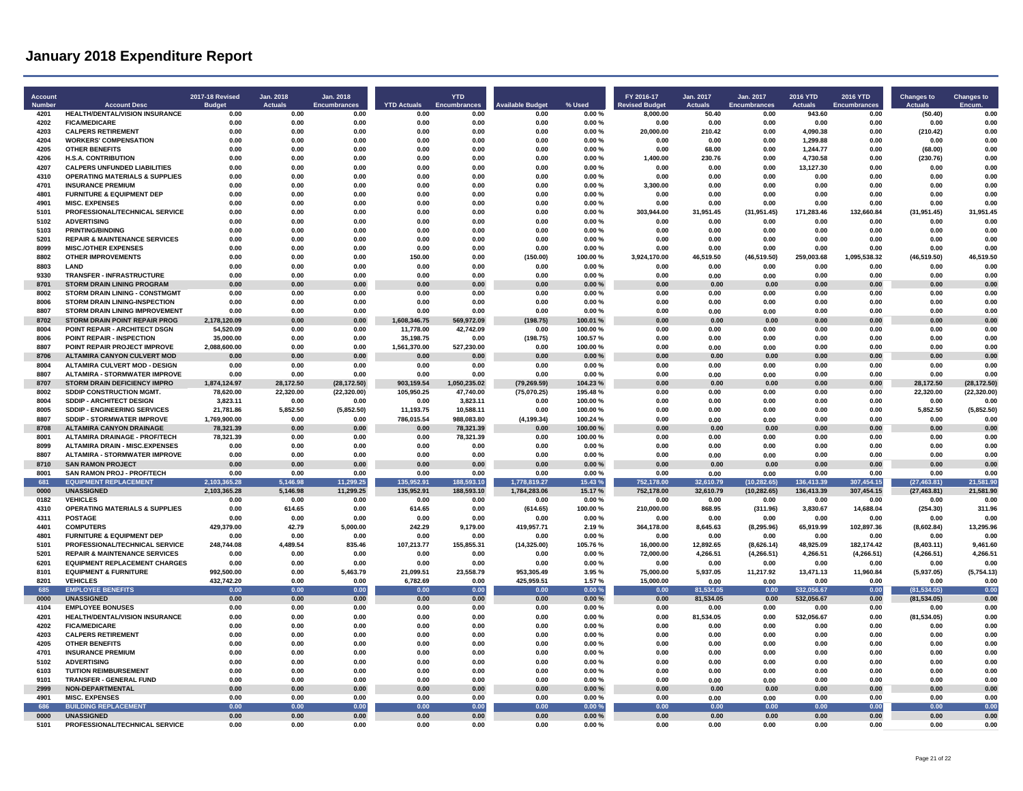| <b>Account</b><br>Number | <b>Account Desc</b>                                             | <b>2017-18 Revised</b><br><b>Budget</b> | Jan. 2018<br>Actuals | Jan. 2018<br><b>Encumbrances</b> | <b>YTD Actuals</b>        | <b>YTD</b><br>Encumbrances | <b>Available Budget</b> | % Used             | FY 2016-17<br><b>Revised Budget</b> | Jan. 2017<br><b>Actuals</b> | Jan. 2017<br>Encumbrances | 2016 YTD<br><b>Actuals</b> | 2016 YTD<br><b>Encumbrances</b> | <b>Changes to</b><br><b>Actuals</b> | Changes to<br>Encum |
|--------------------------|-----------------------------------------------------------------|-----------------------------------------|----------------------|----------------------------------|---------------------------|----------------------------|-------------------------|--------------------|-------------------------------------|-----------------------------|---------------------------|----------------------------|---------------------------------|-------------------------------------|---------------------|
| 4201                     | <b>HEALTH/DENTAL/VISION INSURANCE</b>                           | 0.00                                    | 0.00                 | 0.00                             | 0.00                      | 0.00                       | 0.00                    | 0.00%              | 8,000.00                            | 50.40                       | 0.00                      | 943.60                     | 0.00                            | (50.40)                             | 0.00                |
| 4202                     | <b>FICA/MEDICARE</b>                                            | 0.00                                    | 0.00                 | 0.00                             | 0.00                      | 0.00                       | 0.00                    | 0.00%              | 0.00                                | 0.00                        | 0.00                      | 0.00                       | 0.00                            | 0.00                                | 0.00                |
| 4203                     | <b>CALPERS RETIREMENT</b>                                       | 0.00                                    | 0.00                 | 0.00                             | 0.00                      | 0.00                       | 0.00                    | 0.00%              | 20,000.00                           | 210.42                      | 0.00                      | 4,090.38                   | 0.00                            | (210.42)                            | 0.00                |
| 4204<br>4205             | <b>WORKERS' COMPENSATION</b><br><b>OTHER BENEFITS</b>           | 0.00<br>0.00                            | 0.00<br>0.00         | 0.00<br>0.00                     | 0.00<br>0.00              | 0.00<br>0.00               | 0.00<br>0.00            | 0.00%<br>0.00%     | 0.00<br>0.00                        | 0.00<br>68.00               | 0.00<br>0.00              | 1.299.88<br>1.244.77       | 0.00<br>0.00                    | 0.00                                | 0.00<br>0.00        |
| 4206                     | <b>H.S.A. CONTRIBUTION</b>                                      | 0.00                                    | 0.00                 | 0.00                             | 0.00                      | 0.00                       | 0.00                    | 0.00%              | 1,400.00                            | 230.76                      | 0.00                      | 4,730.58                   | 0.00                            | (68.00)<br>(230.76)                 | 0.00                |
| 4207                     | <b>CALPERS UNFUNDED LIABILITIES</b>                             | 0.00                                    | 0.00                 | 0.00                             | 0.00                      | 0.00                       | 0.00                    | 0.00%              | 0.00                                | 0.00                        | 0.00                      | 13,127.30                  | 0.00                            | 0.00                                | 0.00                |
| 4310                     | <b>OPERATING MATERIALS &amp; SUPPLIES</b>                       | 0.00                                    | 0.00                 | 0.00                             | 0.00                      | 0.00                       | 0.00                    | 0.00%              | 0.00                                | 0.00                        | 0.00                      | 0.00                       | 0.00                            | 0.00                                | 0.00                |
| 4701                     | <b>INSURANCE PREMIUM</b>                                        | 0.00                                    | 0.00                 | 0.00                             | 0.00                      | 0.00                       | 0.00                    | 0.00%              | 3.300.00                            | 0.00                        | 0.00                      | 0.00                       | 0.00                            | 0.00                                | 0.00                |
| 4801                     | <b>FURNITURE &amp; EQUIPMENT DEP</b>                            | 0.00                                    | 0.00                 | 0.00                             | 0.00                      | 0.00                       | 0.00                    | 0.00%              | 0.00                                | 0.00                        | 0.00                      | 0.00                       | 0.00                            | 0.00                                | 0.00                |
| 4901                     | <b>MISC. EXPENSES</b>                                           | 0.00                                    | 0.00                 | 0.00                             | 0.00                      | 0.00                       | 0.00                    | 0.00%              | 0.00                                | 0.00                        | 0.00                      | 0.00                       | 0.00                            | 0.00                                | 0.00                |
| 5101<br>5102             | PROFESSIONAL/TECHNICAL SERVICE<br><b>ADVERTISING</b>            | 0.00<br>0.00                            | 0.00<br>0.00         | 0.00<br>0.00                     | 0.00<br>0.00              | 0.00<br>0.00               | 0.00<br>0.00            | 0.00%<br>0.00%     | 303,944.00<br>0.00                  | 31,951.45<br>0.00           | (31, 951.45)<br>0.00      | 171,283.46<br>0.00         | 132,660.84<br>0.00              | (31, 951.45)<br>0.00                | 31,951.45<br>0.00   |
| 5103                     | <b>PRINTING/BINDING</b>                                         | 0.00                                    | 0.00                 | 0.00                             | 0.00                      | 0.00                       | 0.00                    | 0.00%              | 0.00                                | 0.00                        | 0.00                      | 0.00                       | 0.00                            | 0.00                                | 0.00                |
| 5201                     | <b>REPAIR &amp; MAINTENANCE SERVICES</b>                        | 0.00                                    | 0.00                 | 0.00                             | 0.00                      | 0.00                       | 0.00                    | 0.00%              | 0.00                                | 0.00                        | 0.00                      | 0.00                       | 0.00                            | 0.00                                | 0.00                |
| 8099                     | MISC /OTHER EXPENSES                                            | 0.00                                    | 0.00                 | 0.00                             | 0.00                      | 0.00                       | 0.00                    | 0.00%              | 0.00                                | 0.00                        | 0.00                      | 0.00                       | 0.00                            | 0.00                                | 0.00                |
| 8802                     | <b>OTHER IMPROVEMENTS</b>                                       | 0.00                                    | 0.00                 | 0.00                             | 150.00                    | 0.00                       | (150.00)                | 100.00%            | 3,924,170.00                        | 46.519.50                   | (46, 519.50)              | 259,003.68                 | 1.095.538.32                    | (46, 519.50)                        | 46,519.50           |
| 8803                     | LAND                                                            | 0.00                                    | 0.00                 | 0.00                             | 0.00                      | 0.00                       | 0.00                    | 0.00%              | 0.00                                | 0.00                        | 0.00                      | 0.00                       | 0.00                            | 0.00                                | 0.00                |
| 9330<br>8701             | TRANSFER - INFRASTRUCTURE<br><b>STORM DRAIN LINING PROGRAM</b>  | 0.00<br>0.00                            | 0.00<br>0.00         | 0.00<br>0.00                     | 0.00<br>0.00              | 0.00<br>0.00               | 0.00<br>0.00            | 0.00%<br>0.00%     | 0.00<br>0.00                        | 0.00<br>0.00                | 0.00<br>0.00              | 0.00<br>0.00               | 0.00<br>0.00                    | 0.00<br>0.00                        | 0.00<br>0.00        |
| 8002                     | <b>STORM DRAIN LINING - CONSTMGMT</b>                           | 0.00                                    | 0.00                 | 0.00                             | 0.00                      | 0.00                       | 0.00                    | 0.00%              | 0.00                                | 0.00                        | 0.00                      | 0.00                       | 0.00                            | 0.00                                | 0.00                |
| 8006                     | <b>STORM DRAIN LINING-INSPECTION</b>                            | 0.00                                    | 0.00                 | 0.00                             | 0.00                      | 0.00                       | 0.00                    | 0.00%              | 0.00                                | 0.00                        | 0.00                      | 0.00                       | 0.00                            | 0.00                                | 0.00                |
| 8807                     | <b>STORM DRAIN LINING IMPROVEMENT</b>                           | 0.00                                    | 0.00                 | 0.00                             | 0.00                      | 0.00                       | 0.00                    | 0.00%              | 0.00                                | 0.00                        | 0.00                      | 0.00                       | 0.00                            | 0.00                                | 0.00                |
| 8702                     | STORM DRAIN POINT REPAIR PROG                                   | 2,178,120.09                            | 0.00                 | 0.00                             | 1,608,346.75              | 569,972.09                 | (198.75)                | 100.01 %           | 0.00                                | 0.00                        | 0.00                      | 0.00                       | 0.00                            | 0.00                                | 0.00                |
| 8004                     | POINT REPAIR - ARCHITECT DSGN                                   | 54,520.09                               | 0.00                 | 0.00                             | 11,778.00                 | 42,742.09                  | 0.00                    | 100.00%            | 0.00                                | 0.00                        | 0.00                      | 0.00                       | 0.00                            | 0.00                                | 0.00                |
| 8006<br>8807             | POINT REPAIR - INSPECTION<br>POINT REPAIR PROJECT IMPROVE       | 35,000.00<br>2.088.600.00               | 0.00<br>0.00         | 0.00<br>0.00                     | 35,198.75<br>1.561.370.00 | 0.00<br>527.230.00         | (198.75)<br>0.00        | 100.57%<br>100.00% | 0.00<br>0.00                        | 0.00<br>0.00                | 0.00<br>0.00              | 0.00<br>0.00               | 0.00<br>0.00                    | 0.00<br>0.00                        | 0.00<br>0.00        |
| 8706                     | ALTAMIRA CANYON CULVERT MOD                                     | 0.00                                    | 0.00                 | 0.00                             | 0.00                      | 0.00                       | 0.00                    | 0.00%              | 0.00                                | 0.00                        | 0.00                      | 0.00                       | 0.00                            | 0.00                                | 0.00                |
| 8004                     | <b>ALTAMIRA CULVERT MOD - DESIGN</b>                            | 0.00                                    | 0.00                 | 0.00                             | 0.00                      | 0.00                       | 0.00                    | 0.00%              | 0.00                                | 0.00                        | 0.00                      | 0.00                       | 0.00                            | 0.00                                | 0.00                |
| 8807                     | <b>ALTAMIRA - STORMWATER IMPROVE</b>                            | 0.00                                    | 0.00                 | 0.00                             | 0.00                      | 0.00                       | 0.00                    | 0.00%              | 0.00                                | 0.00                        | 0.00                      | 0.00                       | 0.00                            | 0.00                                | 0.00                |
| 8707                     | <b>STORM DRAIN DEFICIENCY IMPRO</b>                             | 1,874,124.97                            | 28,172.50            | (28, 172.50)                     | 903,159.54                | 1,050,235.02               | (79, 269.59)            | 104.23%            | 0.00                                | 0.00                        | 0.00                      | 0.00                       | $\boldsymbol{0.00}$             | 28,172.50                           | (28, 172.50)        |
| 8002                     | SDDIP CONSTRUCTION MGMT.                                        | 78,620.00                               | 22,320.00            | (22, 320.00)                     | 105,950.25                | 47,740.00                  | (75,070.25)             | 195.48%            | 0.00                                | 0.00                        | 0.00                      | 0.00                       | 0.00                            | 22,320.00                           | (22, 320.00)        |
| 8004<br>8005             | <b>SDDIP - ARCHITECT DESIGN</b><br>SDDIP - ENGINEERING SERVICES | 3.823.11<br>21,781.86                   | 0.00                 | 0.00                             | 0.00                      | 3.823.11<br>10,588.11      | 0.00                    | 100.00%            | 0.00                                | 0.00                        | 0.00                      | 0.00<br>0.00               | 0.00                            | 0.00<br>5,852.50                    | 0.00<br>(5,852.50)  |
| 8807                     | <b>SDDIP - STORMWATER IMPROVE</b>                               | 1,769,900.00                            | 5,852.50<br>0.00     | (5,852.50)<br>0.00               | 11,193.75<br>786,015.54   | 988,083.80                 | 0.00<br>(4, 199.34)     | 100.00%<br>100.24% | 0.00<br>0.00                        | 0.00<br>0.00                | 0.00<br>0.00              | 0.00                       | 0.00<br>0.00                    | 0.00                                | 0.00                |
| 8708                     | <b>ALTAMIRA CANYON DRAINAGE</b>                                 | 78,321.39                               | 0.00                 | 0.00                             | 0.00                      | 78,321.39                  | 0.00                    | 100.00%            | 0.00                                | 0.00                        | 0.00                      | 0.00                       | 0.00                            | 0.00                                | 0.00                |
| 8001                     | ALTAMIRA DRAINAGE - PROF/TECH                                   | 78,321.39                               | 0.00                 | 0.00                             | 0.00                      | 78,321.39                  | 0.00                    | 100.00%            | 0.00                                | 0.00                        | 0.00                      | 0.00                       | 0.00                            | 0.00                                | 0.00                |
| 8099                     | <b>ALTAMIRA DRAIN - MISC.EXPENSES</b>                           | 0.00                                    | 0.00                 | 0.00                             | 0.00                      | 0.00                       | 0.00                    | 0.00%              | 0.00                                | 0.00                        | 0.00                      | 0.00                       | 0.00                            | 0.00                                | 0.00                |
| 8807                     | <b>ALTAMIRA - STORMWATER IMPROVE</b>                            | 0.00                                    | 0.00                 | 0.00                             | 0.00                      | 0.00                       | 0.00                    | 0.00%              | 0.00                                | 0.00                        | 0.00                      | 0.00                       | 0.00                            | 0.00                                | 0.00                |
| 8710                     | <b>SAN RAMON PROJECT</b>                                        | 0.00                                    | 0.00                 | 0.00                             | 0.00                      | 0.00                       | 0.00                    | $0.00 \%$          | 0.00                                | 0.00<br>0.00                | 0.00<br>0.00              | 0.00                       | 0.00                            | 0.00                                | 0.00<br>0.00        |
| 8001<br>681              | SAN RAMON PROJ - PROF/TECH<br><b>EQUIPMENT REPLACEMENT</b>      | 0.00<br>2,103,365.28                    | 0.00<br>5,146.98     | 0.00<br>11,299.25                | 0.00<br>135,952.91        | 0.00<br>188,593.10         | 0.00<br>1,778,819.27    | 0.00%<br>15.43%    | 0.00<br>752,178.00                  | 32,610.79                   | (10, 282.65)              | 0.00<br>136,413.39         | 0.00<br>307,454.15              | 0.00<br>(27, 463.81)                | 21,581.90           |
| 0000                     | <b>UNASSIGNED</b>                                               | 2,103,365.28                            | 5,146.98             | 11.299.25                        | 135,952.91                | 188,593.10                 | 1,784,283.06            | 15.17%             | 752,178.00                          | 32,610.79                   | (10, 282.65)              | 136,413.39                 | 307,454.15                      | (27, 463.81)                        | 21,581.90           |
| 0182                     | <b>VEHICLES</b>                                                 | 0.00                                    | 0.00                 | 0.00                             | 0.00                      | 0.00                       | 0.00                    | 0.00%              | 0.00                                | 0.00                        | 0.00                      | 0.00                       | 0.00                            | 0.00                                | 0.00                |
| 4310                     | <b>OPERATING MATERIALS &amp; SUPPLIES</b>                       | 0.00                                    | 614.65               | 0.00                             | 614.65                    | 0.00                       | (614.65)                | 100.00%            | 210.000.00                          | 868.95                      | (311.96)                  | 3,830.67                   | 14,688.04                       | (254.30)                            | 311.96              |
| 4311                     | <b>POSTAGE</b>                                                  | 0.00                                    | 0.00                 | 0.00                             | 0.00                      | 0.00                       | 0.00                    | 0.00%              | 0.00                                | 0.00                        | 0.00                      | 0.00                       | 0.00                            | 0.00                                | 0.00                |
| 4401<br>4801             | <b>COMPUTERS</b><br><b>FURNITURE &amp; EQUIPMENT DEP</b>        | 429,379.00<br>0.00                      | 42.79<br>0.00        | 5.000.00<br>0.00                 | 242.29<br>0.00            | 9,179.00<br>0.00           | 419,957.71<br>0.00      | 2.19%<br>0.00%     | 364,178.00<br>0.00                  | 8,645.63<br>0.00            | (8, 295.96)<br>0.00       | 65,919.99<br>0.00          | 102,897.36<br>0.00              | (8,602.84)<br>0.00                  | 13,295.96<br>0.00   |
| 5101                     | PROFESSIONAL/TECHNICAL SERVICE                                  | 248,744.08                              | 4.489.54             | 835.46                           | 107,213.77                | 155.855.31                 | (14, 325.00)            | 105.76%            | 16,000.00                           | 12.892.65                   | (8,626.14)                | 48.925.09                  | 182,174.42                      | (8,403.11)                          | 9,461.60            |
| 5201                     | <b>REPAIR &amp; MAINTENANCE SERVICES</b>                        | 0.00                                    | 0.00                 | 0.00                             | 0.00                      | 0.00                       | 0.00                    | 0.00%              | 72.000.00                           | 4.266.51                    | (4, 266.51)               | 4.266.51                   | (4, 266.51)                     | (4, 266.51)                         | 4.266.51            |
| 6201                     | <b>EQUIPMENT REPLACEMENT CHARGES</b>                            | 0.00                                    | 0.00                 | 0.00                             | 0.00                      | 0.00                       | 0.00                    | 0.00%              | 0.00                                | 0.00                        | 0.00                      | 0.00                       | 0.00                            | 0.00                                | 0.00                |
| 8101                     | <b>EQUIPMENT &amp; FURNITURE</b>                                | 992,500.00                              | 0.00                 | 5,463.79                         | 21,099.51                 | 23,558.79                  | 953,305.49              | 3.95%              | 75,000.00                           | 5,937.05                    | 11,217.92                 | 13,471.13                  | 11,960.84                       | (5,937.05)                          | (5,754.13)          |
| 8201                     | <b>VEHICLES</b>                                                 | 432,742.20                              | 0.00                 | 0.00                             | 6,782.69                  | 0.00                       | 425,959.51              | 1.57%              | 15,000.00                           | 0.00                        | 0.00                      | 0.00                       | 0.00                            | 0.00                                | 0.00                |
| 685<br>0000              | <b>EMPLOYEE BENEFITS</b><br><b>UNASSIGNED</b>                   | 0.00<br>0.00                            | 0.00<br>0.00         | 0.00<br>0.00                     | 0.00<br>0.00              | 0.00<br>0.00               | 0.00<br>0.00            | 0.00%<br>0.00%     | 0.00<br>0.00                        | 81,534.05<br>81,534.05      | 0.00<br>0.00              | 532,056.67<br>532,056.67   | 0.00<br>0.00                    | (81, 534.05)<br>(81, 534.05)        | 0.00<br>0.00        |
| 4104                     | <b>EMPLOYEE BONUSES</b>                                         | 0.00                                    | 0.00                 | 0.00                             | 0.00                      | 0.00                       | 0.00                    | 0.00%              | 0.00                                | 0.00                        | 0.00                      | 0.00                       | 0.00                            | 0.00                                | 0.00                |
| 4201                     | <b>HEALTH/DENTAL/VISION INSURANCE</b>                           | 0.00                                    | 0.00                 | 0.00                             | 0.00                      | 0.00                       | 0.00                    | 0.00%              | 0.00                                | 81,534.05                   | 0.00                      | 532,056.67                 | 0.00                            | (81, 534.05)                        | 0.00                |
| 4202                     | <b>FICA/MEDICARE</b>                                            | 0.00                                    | 0.00                 | 0.00                             | 0.00                      | 0.00                       | 0.00                    | 0.00%              | 0.00                                | 0.00                        | 0.00                      | 0.00                       | 0.00                            | 0.00                                | 0.00                |
| 4203                     | <b>CALPERS RETIREMENT</b>                                       | 0.00                                    | 0.00                 | 0.00                             | 0.00                      | 0.00                       | 0.00                    | 0.00%              | 0.00                                | 0.00                        | 0.00                      | 0.00                       | 0.00                            | 0.00                                | 0.00                |
| 4205                     | <b>OTHER BENEFITS</b>                                           | 0.00                                    | 0.00                 | 0.00                             | 0.00                      | 0.00                       | 0.00                    | 0.00%              | 0.00                                | 0.00                        | 0.00                      | 0.00                       | 0.00                            | 0.00                                | 0.00                |
| 4701                     | <b>INSURANCE PREMIUM</b>                                        | 0.00                                    | 0.00                 | 0.00                             | 0.00                      | 0.00                       | 0.00                    | 0.00%              | 0.00                                | 0.00                        | 0.00                      | 0.00                       | 0.00                            | 0.00                                | 0.00                |
| 5102<br>6103             | <b>ADVERTISING</b><br><b>TUITION REIMBURSEMENT</b>              | 0.00<br>0.00                            | 0.00<br>0.00         | 0.00<br>0.00                     | 0.00<br>0.00              | 0.00<br>0.00               | 0.00<br>0.00            | 0.00%<br>0.00%     | 0.00<br>0.00                        | 0.00<br>0.00                | 0.00<br>0.00              | 0.00<br>0.00               | 0.00<br>0.00                    | 0.00<br>0.00                        | 0.00<br>0.00        |
| 9101                     | TRANSFER - GENERAL FUND                                         | 0.00                                    | 0.00                 | 0.00                             | 0.00                      | 0.00                       | 0.00                    | 0.00%              | 0.00                                | 0.00                        | 0.00                      | 0.00                       | 0.00                            | 0.00                                | 0.00                |
| 2999                     | NON-DEPARTMENTAL                                                | 0.00                                    | 0.00                 | 0.00                             | 0.00                      | 0.00                       | 0.00                    | $0.00 \%$          | 0.00                                | 0.00                        | 0.00                      | 0.00                       | 0.00                            | 0.00                                | 0.00                |
| 4901                     | <b>MISC. EXPENSES</b>                                           | 0.00                                    | 0.00                 | 0.00                             | 0.00                      | 0.00                       | 0.00                    | 0.00%              | 0.00                                | 0.00                        | 0.00                      | 0.00                       | 0.00                            | 0.00                                | 0.00                |
| 686                      | <b>BUILDING REPLACEMENT</b>                                     | 0.00                                    | 0.00                 | 0.00                             | 0.00                      | 0.00                       | 0.00                    | 0.00%              | 0.00                                | 0.00                        | 0.00                      | 0.00                       | 0.00                            | 0.00                                | 0.00                |
| 0000                     | <b>UNASSIGNED</b>                                               | 0.00<br>0.00                            | 0.00                 | 0.00                             | 0.00<br>0.00              | 0.00<br>0.00               | 0.00<br>0.00            | 0.00%              | 0.00<br>0.00                        | 0.00<br>0.00                | 0.00<br>0.00              | 0.00<br>0.00               | 0.00<br>0.00                    | 0.00<br>0.00                        | 0.00<br>0.00        |
| 5101                     | PROFESSIONAL/TECHNICAL SERVICE                                  |                                         | 0.00                 | 0.00                             |                           |                            |                         | 0.00%              |                                     |                             |                           |                            |                                 |                                     |                     |